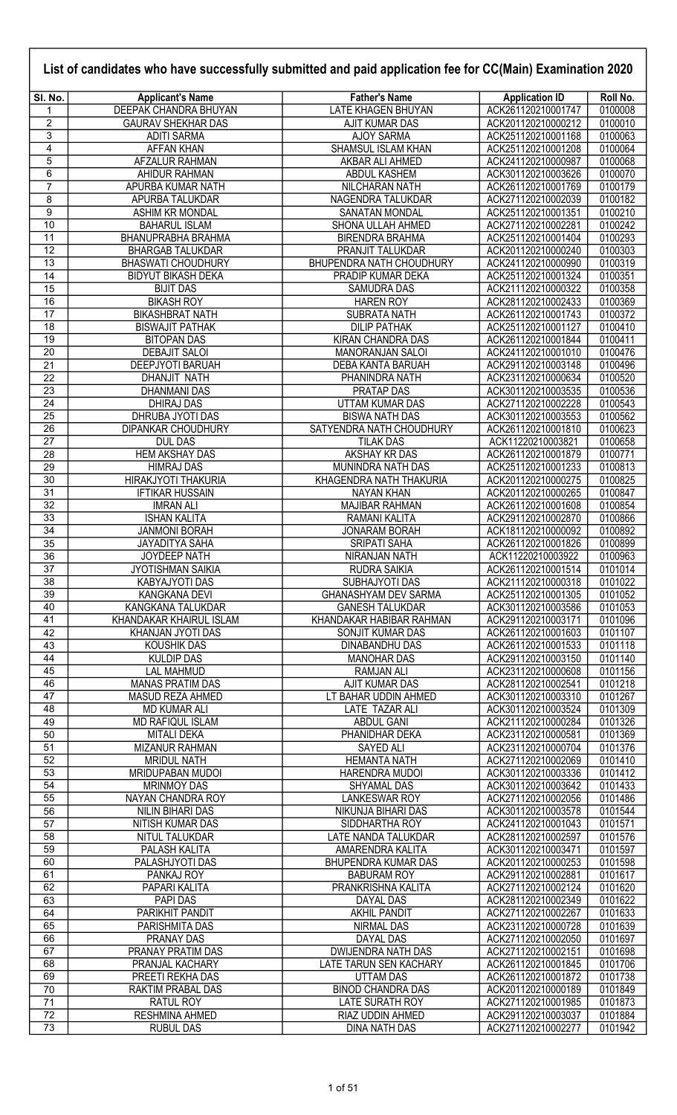| List of candidates who have successfully submitted and paid application fee for CC(Main) Examination 2020 |                                               |                                                    |                                          |                    |
|-----------------------------------------------------------------------------------------------------------|-----------------------------------------------|----------------------------------------------------|------------------------------------------|--------------------|
| SI. No.                                                                                                   | <b>Applicant's Name</b>                       | <b>Father's Name</b>                               | <b>Application ID</b>                    | Roll No.           |
| 1                                                                                                         | <b>DEEPAK CHANDRA BHUYAN</b>                  | LATE KHAGEN BHUYAN                                 | ACK261120210001747                       | 0100008            |
| $\overline{c}$                                                                                            | <b>GAURAV SHEKHAR DAS</b>                     | AJIT KUMAR DAS                                     | ACK201120210000212                       | 0100010            |
| 3                                                                                                         | <b>ADITI SARMA</b>                            | <b>AJOY SARMA</b>                                  | ACK251120210001168                       | 0100063            |
| 4                                                                                                         | AFFAN KHAN                                    | SHAMSUL ISLAM KHAN                                 | ACK251120210001208                       | 0100064            |
| 5<br>6                                                                                                    | AFZALUR RAHMAN<br>AHIDUR RAHMAN               | AKBAR ALI AHMED<br>ABDUL KASHEM                    | ACK241120210000987<br>ACK301120210003626 | 0100068<br>0100070 |
| $\overline{7}$                                                                                            | APURBA KUMAR NATH                             | NILCHARAN NATH                                     | ACK261120210001769                       | 0100179            |
| 8                                                                                                         | APURBA TALUKDAR                               | NAGENDRA TALUKDAR                                  | ACK271120210002039                       | 0100182            |
| $\overline{9}$                                                                                            | ASHIM KR MONDAL                               | SANATAN MONDAL                                     | ACK251120210001351                       | 0100210            |
| $\overline{10}$                                                                                           | <b>BAHARUL ISLAM</b>                          | SHONA ULLAH AHMED                                  | ACK271120210002281                       | 0100242            |
| 11                                                                                                        | BHANUPRABHA BRAHMA                            | <b>BIRENDRA BRAHMA</b>                             | ACK251120210001404                       | 0100293            |
| $\overline{12}$                                                                                           | <b>BHARGAB TALUKDAR</b>                       | PRANJIT TALUKDAR                                   | ACK201120210000240                       | 0100303            |
| 13                                                                                                        | <b>BHASWATI CHOUDHURY</b>                     | <b>BHUPENDRA NATH CHOUDHURY</b>                    | ACK241120210000990                       | 0100319            |
| 14                                                                                                        | <b>BIDYUT BIKASH DEKA</b><br><b>BIJIT DAS</b> | PRADIP KUMAR DEKA                                  | ACK251120210001324                       | 0100351<br>0100358 |
| 15<br>16                                                                                                  | <b>BIKASH ROY</b>                             | <b>SAMUDRA DAS</b><br><b>HAREN ROY</b>             | ACK211120210000322<br>ACK281120210002433 | 0100369            |
| 17                                                                                                        | <b>BIKASHBRAT NATH</b>                        | <b>SUBRATA NATH</b>                                | ACK261120210001743                       | 0100372            |
| 18                                                                                                        | <b>BISWAJIT PATHAK</b>                        | <b>DILIP PATHAK</b>                                | ACK251120210001127                       | 0100410            |
| 19                                                                                                        | <b>BITOPAN DAS</b>                            | <b>KIRAN CHANDRA DAS</b>                           | ACK261120210001844                       | 0100411            |
| 20                                                                                                        | <b>DEBAJIT SALOI</b>                          | MANORANJAN SALOI                                   | ACK241120210001010                       | 0100476            |
| $\overline{21}$                                                                                           | <b>DEEPJYOTI BARUAH</b>                       | DEBA KANTA BARUAH                                  | ACK291120210003148                       | 0100496            |
| 22                                                                                                        | DHANJIT NATH                                  | PHANINDRA NATH                                     | ACK231120210000634                       | 0100520            |
| 23<br>24                                                                                                  | <b>DHANMANI DAS</b>                           | PRATAP DAS                                         | ACK301120210003535                       | 0100536<br>0100543 |
| 25                                                                                                        | <b>DHIRAJ DAS</b><br>DHRUBA JYOTI DAS         | UTTAM KUMAR DAS<br><b>BISWA NATH DAS</b>           | ACK271120210002228<br>ACK301120210003553 | 0100562            |
| 26                                                                                                        | <b>DIPANKAR CHOUDHURY</b>                     | SATYENDRA NATH CHOUDHURY                           | ACK261120210001810                       | 0100623            |
| 27                                                                                                        | <b>DUL DAS</b>                                | <b>TILAK DAS</b>                                   | ACK11220210003821                        | 0100658            |
| 28                                                                                                        | <b>HEM AKSHAY DAS</b>                         | <b>AKSHAY KR DAS</b>                               | ACK261120210001879                       | 0100771            |
| 29                                                                                                        | <b>HIMRAJ DAS</b>                             | MUNINDRA NATH DAS                                  | ACK251120210001233                       | 0100813            |
| 30                                                                                                        | HIRAKJYOTI THAKURIA                           | KHAGENDRA NATH THAKURIA                            | ACK201120210000275                       | 0100825            |
| 31                                                                                                        | <b>IFTIKAR HUSSAIN</b>                        | NAYAN KHAN                                         | ACK201120210000265                       | 0100847            |
| 32<br>33                                                                                                  | <b>IMRAN ALI</b><br><b>ISHAN KALITA</b>       | <b>MAJIBAR RAHMAN</b><br>RAMANI KALITA             | ACK261120210001608<br>ACK291120210002870 | 0100854<br>0100866 |
| $\overline{34}$                                                                                           | <b>JANMONI BORAH</b>                          | <b>JONARAM BORAH</b>                               | ACK181120210000092                       | 0100892            |
| $\overline{35}$                                                                                           | <b>JAYADITYA SAHA</b>                         | <b>SRIPATI SAHA</b>                                | ACK261120210001826                       | 0100899            |
| $\overline{36}$                                                                                           | <b>JOYDEEP NATH</b>                           | NIRANJAN NATH                                      | ACK11220210003922                        | 0100963            |
| 37                                                                                                        | <b>JYOTISHMAN SAIKIA</b>                      | RUDRA SAIKIA                                       | ACK261120210001514                       | 0101014            |
| 38                                                                                                        | <b>KABYAJYOTI DAS</b>                         | <b>SUBHAJYOTI DAS</b>                              | ACK211120210000318                       | 0101022            |
| 39                                                                                                        | <b>KANGKANA DEVI</b>                          | GHANASHYAM DEV SARMA                               | ACK251120210001305                       | 0101052            |
| 40<br>41                                                                                                  | KANGKANA TALUKDAR<br>KHANDAKAR KHAIRUL ISLAM  | <b>GANESH TALUKDAR</b><br>KHANDAKAR HABIBAR RAHMAN | ACK301120210003586<br>ACK291120210003171 | 0101053<br>0101096 |
| 42                                                                                                        | KHANJAN JYOTI DAS                             | SONJIT KUMAR DAS                                   | ACK261120210001603                       | 0101107            |
| 43                                                                                                        | <b>KOUSHIK DAS</b>                            | DINABANDHU DAS                                     | ACK261120210001533                       | 0101118            |
| 44                                                                                                        | <b>KULDIP DAS</b>                             | <b>MANOHAR DAS</b>                                 | ACK291120210003150                       | 0101140            |
| 45                                                                                                        | <b>LAL MAHMUD</b>                             | <b>RAMJAN ALI</b>                                  | ACK231120210000608                       | 0101156            |
| 46                                                                                                        | <b>MANAS PRATIM DAS</b>                       | AJIT KUMAR DAS                                     | ACK281120210002541                       | 0101218            |
| 47                                                                                                        | MASUD REZA AHMED                              | LT BAHAR UDDIN AHMED                               | ACK301120210003310                       | 0101267            |
| 48                                                                                                        | <b>MD KUMAR ALI</b>                           | LATE TAZAR ALI                                     | ACK301120210003524                       | 0101309<br>0101326 |
| 49<br>50                                                                                                  | <b>MD RAFIQUL ISLAM</b><br><b>MITALI DEKA</b> | <b>ABDUL GANI</b><br>PHANIDHAR DEKA                | ACK211120210000284<br>ACK231120210000581 | 0101369            |
| 51                                                                                                        | <b>MIZANUR RAHMAN</b>                         | <b>SAYED ALI</b>                                   | ACK231120210000704                       | 0101376            |
| 52                                                                                                        | <b>MRIDUL NATH</b>                            | <b>HEMANTA NATH</b>                                | ACK271120210002069                       | 0101410            |
| 53                                                                                                        | MRIDUPABAN MUDOI                              | HARENDRA MUDOI                                     | ACK301120210003336                       | 0101412            |
| 54                                                                                                        | <b>MRINMOY DAS</b>                            | <b>SHYAMAL DAS</b>                                 | ACK301120210003642                       | 0101433            |
| 55                                                                                                        | NAYAN CHANDRA ROY                             | <b>LANKESWAR ROY</b>                               | ACK271120210002056                       | 0101486            |
| 56                                                                                                        | NILIN BIHARI DAS                              | NIKUNJA BIHARI DAS                                 | ACK301120210003578                       | 0101544            |
| 57                                                                                                        | NITISH KUMAR DAS                              | SIDDHARTHA ROY                                     | ACK241120210001043                       | 0101571            |
| 58<br>$\overline{59}$                                                                                     | NITUL TALUKDAR<br>PALASH KALITA               | LATE NANDA TALUKDAR<br>AMARENDRA KALITA            | ACK281120210002597<br>ACK301120210003471 | 0101576<br>0101597 |
| 60                                                                                                        | PALASHJYOTI DAS                               | BHUPENDRA KUMAR DAS                                | ACK201120210000253                       | 0101598            |
| 61                                                                                                        | PANKAJ ROY                                    | <b>BABURAM ROY</b>                                 | ACK291120210002881                       | 0101617            |
| 62                                                                                                        | PAPARI KALITA                                 | PRANKRISHNA KALITA                                 | ACK271120210002124                       | 0101620            |
| 63                                                                                                        | PAPI DAS                                      | DAYAL DAS                                          | ACK281120210002349                       | 0101622            |
| 64                                                                                                        | PARIKHIT PANDIT                               | <b>AKHIL PANDIT</b>                                | ACK271120210002267                       | 0101633            |
| 65                                                                                                        | PARISHMITA DAS                                | <b>NIRMAL DAS</b>                                  | ACK231120210000728                       | 0101639            |
| 66<br>67                                                                                                  | PRANAY DAS<br>PRANAY PRATIM DAS               | <b>DAYAL DAS</b><br><b>DWIJENDRA NATH DAS</b>      | ACK271120210002050<br>ACK271120210002151 | 0101697<br>0101698 |
| 68                                                                                                        | PRANJAL KACHARY                               | LATE TARUN SEN KACHARY                             | ACK261120210001845                       | 0101706            |
| 69                                                                                                        | PREETI REKHA DAS                              | UTTAM DAS                                          | ACK261120210001872                       | 0101738            |
| 70                                                                                                        | RAKTIM PRABAL DAS                             | <b>BINOD CHANDRA DAS</b>                           | ACK201120210000189                       | 0101849            |
| $\overline{71}$                                                                                           | RATUL ROY                                     | <b>LATE SURATH ROY</b>                             | ACK271120210001985                       | 0101873            |
| $\overline{72}$                                                                                           | RESHMINA AHMED                                | RIAZ UDDIN AHMED                                   | ACK291120210003037                       | 0101884            |
| 73                                                                                                        | <b>RUBUL DAS</b>                              | <b>DINA NATH DAS</b>                               | ACK271120210002277                       | 0101942            |

Г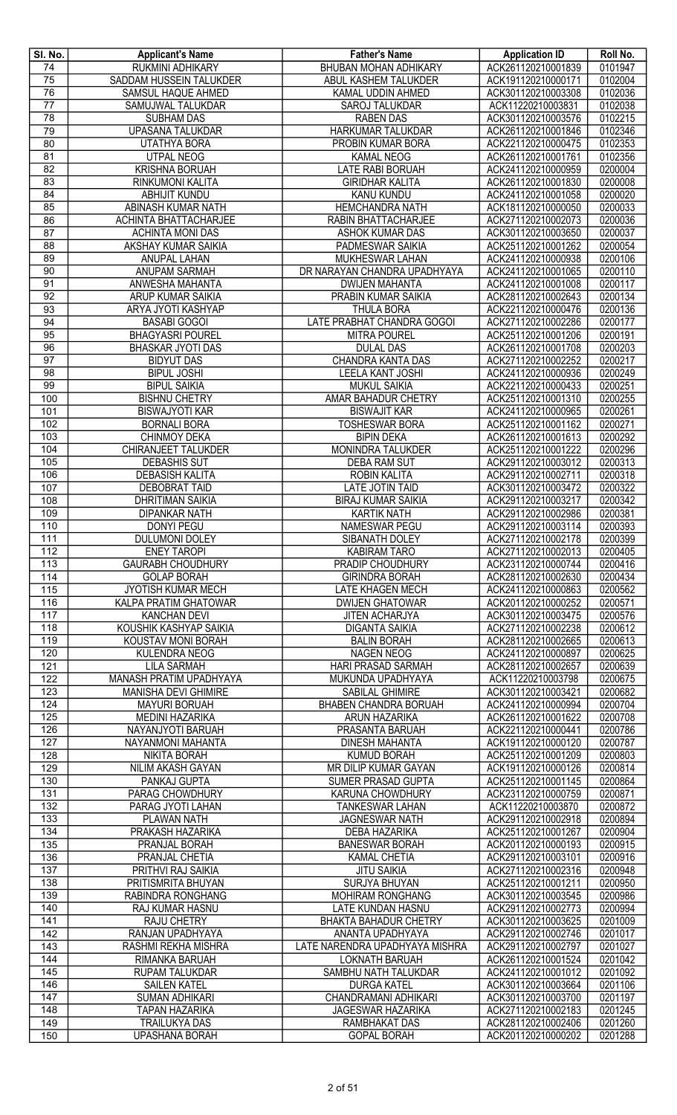| SI. No.               | <b>Applicant's Name</b>                          | <b>Father's Name</b>                              | <b>Application ID</b>                    | Roll No.           |
|-----------------------|--------------------------------------------------|---------------------------------------------------|------------------------------------------|--------------------|
| 74                    | <b>RUKMINI ADHIKARY</b>                          | <b>BHUBAN MOHAN ADHIKARY</b>                      | ACK261120210001839                       | 0101947            |
| 75                    | SADDAM HUSSEIN TALUKDER                          | ABUL KASHEM TALUKDER                              | ACK191120210000171                       | 0102004            |
| $\overline{76}$       | SAMSUL HAQUE AHMED                               | KAMAL UDDIN AHMED                                 | ACK301120210003308                       | 0102036            |
| $\overline{77}$       | SAMUJWAL TALUKDAR                                | <b>SAROJ TALUKDAR</b>                             | ACK11220210003831                        | 0102038            |
| 78                    | <b>SUBHAM DAS</b>                                | <b>RABEN DAS</b>                                  | ACK301120210003576                       | 0102215            |
| 79                    | <b>UPASANA TALUKDAR</b>                          | HARKUMAR TALUKDAR                                 | ACK261120210001846                       | 0102346            |
| 80                    | <b>UTATHYA BORA</b>                              | PROBIN KUMAR BORA                                 | ACK221120210000475                       | 0102353            |
| 81                    | <b>UTPAL NEOG</b>                                | <b>KAMAL NEOG</b>                                 | ACK261120210001761                       | 0102356            |
| 82<br>$\overline{83}$ | <b>KRISHNA BORUAH</b><br><b>RINKUMONI KALITA</b> | LATE RABI BORUAH                                  | ACK241120210000959<br>ACK261120210001830 | 0200004<br>0200008 |
| 84                    | ABHIJIT KUNDU                                    | <b>GIRIDHAR KALITA</b><br><b>KANU KUNDU</b>       | ACK241120210001058                       | 0200020            |
| 85                    | ABINASH KUMAR NATH                               | <b>HEMCHANDRA NATH</b>                            | ACK181120210000050                       | 0200033            |
| 86                    | <b>ACHINTA BHATTACHARJEE</b>                     | RABIN BHATTACHARJEE                               | ACK271120210002073                       | 0200036            |
| 87                    | <b>ACHINTA MONI DAS</b>                          | ASHOK KUMAR DAS                                   | ACK301120210003650                       | 0200037            |
| 88                    | AKSHAY KUMAR SAIKIA                              | PADMESWAR SAIKIA                                  | ACK251120210001262                       | 0200054            |
| 89                    | <b>ANUPAL LAHAN</b>                              | MUKHESWAR LAHAN                                   | ACK241120210000938                       | 0200106            |
| 90                    | <b>ANUPAM SARMAH</b>                             | DR NARAYAN CHANDRA UPADHYAYA                      | ACK241120210001065                       | 0200110            |
| 91                    | ANWESHA MAHANTA                                  | <b>DWIJEN MAHANTA</b>                             | ACK241120210001008                       | 0200117            |
| 92                    | ARUP KUMAR SAIKIA                                | PRABIN KUMAR SAIKIA                               | ACK281120210002643                       | 0200134            |
| 93                    | ARYA JYOTI KASHYAP                               | <b>THULA BORA</b>                                 | ACK221120210000476                       | 0200136            |
| 94                    | <b>BASABI GOGOI</b>                              | LATE PRABHAT CHANDRA GOGOI                        | ACK271120210002286                       | 0200177            |
| 95                    | <b>BHAGYASRI POUREL</b>                          | <b>MITRA POUREL</b>                               | ACK251120210001206                       | 0200191            |
| 96                    | <b>BHASKAR JYOTI DAS</b>                         | <b>DULAL DAS</b>                                  | ACK261120210001708                       | 0200203            |
| $\overline{97}$       | <b>BIDYUT DAS</b>                                | <b>CHANDRA KANTA DAS</b>                          | ACK271120210002252                       | 0200217            |
| $\overline{98}$       | <b>BIPUL JOSHI</b>                               | <b>LEELA KANT JOSHI</b>                           | ACK241120210000936                       | 0200249            |
| 99                    | <b>BIPUL SAIKIA</b>                              | <b>MUKUL SAIKIA</b>                               | ACK221120210000433                       | 0200251            |
| 100                   | <b>BISHNU CHETRY</b>                             | AMAR BAHADUR CHETRY                               | ACK251120210001310                       | 0200255            |
| 101                   | <b>BISWAJYOTI KAR</b>                            | <b>BISWAJIT KAR</b>                               | ACK241120210000965                       | 0200261            |
| 102                   | <b>BORNALI BORA</b>                              | <b>TOSHESWAR BORA</b>                             | ACK251120210001162                       | 0200271            |
| 103                   | <b>CHINMOY DEKA</b>                              | <b>BIPIN DEKA</b>                                 | ACK261120210001613                       | 0200292            |
| 104                   | CHIRANJEET TALUKDER                              | MONINDRA TALUKDER                                 | ACK251120210001222                       | 0200296            |
| 105                   | <b>DEBASHIS SUT</b>                              | <b>DEBA RAM SUT</b>                               | ACK291120210003012                       | 0200313            |
| 106                   | <b>DEBASISH KALITA</b>                           | ROBIN KALITA                                      | ACK291120210002711                       | 0200318            |
| 107                   | <b>DEBOBRAT TAID</b>                             | LATE JOTIN TAID                                   | ACK301120210003472                       | 0200322            |
| 108                   | <b>DHRITIMAN SAIKIA</b>                          | <b>BIRAJ KUMAR SAIKIA</b>                         | ACK291120210003217                       | 0200342            |
| 109                   | <b>DIPANKAR NATH</b>                             | <b>KARTIK NATH</b>                                | ACK291120210002986                       | 0200381            |
| 110                   | <b>DONYI PEGU</b>                                | NAMESWAR PEGU                                     | ACK291120210003114                       | 0200393            |
| 111                   | <b>DULUMONI DOLEY</b>                            | SIBANATH DOLEY                                    | ACK271120210002178                       | 0200399            |
| 112                   | <b>ENEY TAROPI</b>                               | <b>KABIRAM TARO</b>                               | ACK271120210002013                       | 0200405            |
| 113                   | <b>GAURABH CHOUDHURY</b><br><b>GOLAP BORAH</b>   | PRADIP CHOUDHURY<br><b>GIRINDRA BORAH</b>         | ACK231120210000744<br>ACK281120210002630 | 0200416<br>0200434 |
| 114<br>115            | JYOTISH KUMAR MECH                               | <b>LATE KHAGEN MECH</b>                           | ACK241120210000863                       | 0200562            |
| 116                   | <b>KALPA PRATIM GHATOWAR</b>                     | <b>DWIJEN GHATOWAR</b>                            | ACK201120210000252                       | 0200571            |
| 117                   | <b>KANCHAN DEVI</b>                              | JITEN ACHARJYA                                    | ACK301120210003475                       | 0200576            |
| 118                   | KOUSHIK KASHYAP SAIKIA                           | <b>DIGANTA SAIKIA</b>                             | ACK271120210002238                       | 0200612            |
| 119                   | KOUSTAV MONI BORAH                               | <b>BALIN BORAH</b>                                | ACK281120210002665                       | 0200613            |
| 120                   | KULENDRA NEOG                                    | <b>NAGEN NEOG</b>                                 | ACK241120210000897                       | 0200625            |
| 121                   | <b>LILA SARMAH</b>                               | HARI PRASAD SARMAH                                | ACK281120210002657                       | 0200639            |
| 122                   | MANASH PRATIM UPADHYAYA                          | MUKUNDA UPADHYAYA                                 | ACK11220210003798                        | 0200675            |
| 123                   | MANISHA DEVI GHIMIRE                             | SABILAL GHIMIRE                                   | ACK301120210003421                       | 0200682            |
| 124                   | <b>MAYURI BORUAH</b>                             | BHABEN CHANDRA BORUAH                             | ACK241120210000994                       | 0200704            |
| 125                   | <b>MEDINI HAZARIKA</b>                           | ARUN HAZARIKA                                     | ACK261120210001622                       | 0200708            |
| 126                   | NAYANJYOTI BARUAH                                | PRASANTA BARUAH                                   | ACK221120210000441                       | 0200786            |
| 127                   | NAYANMONI MAHANTA                                | <b>DINESH MAHANTA</b>                             | ACK191120210000120                       | 0200787            |
| 128                   | NIKITA BORAH                                     | <b>KUMUD BORAH</b>                                | ACK251120210001209                       | 0200803            |
| 129                   | NILIM AKASH GAYAN                                | MR DILIP KUMAR GAYAN                              | ACK191120210000126                       | 0200814            |
| 130                   | PANKAJ GUPTA                                     | <b>SUMER PRASAD GUPTA</b>                         | ACK251120210001145                       | 0200864            |
| 131                   | PARAG CHOWDHURY                                  | KARUNA CHOWDHURY                                  | ACK231120210000759                       | 0200871            |
| 132                   | PARAG JYOTI LAHAN                                | <b>TANKESWAR LAHAN</b>                            | ACK11220210003870                        | 0200872            |
| 133                   | PLAWAN NATH                                      | <b>JAGNESWAR NATH</b>                             | ACK291120210002918                       | 0200894            |
| 134                   | PRAKASH HAZARIKA                                 | DEBA HAZARIKA                                     | ACK251120210001267                       | 0200904            |
| 135                   | PRANJAL BORAH                                    | <b>BANESWAR BORAH</b>                             | ACK201120210000193                       | 0200915            |
| 136                   | PRANJAL CHETIA                                   | <b>KAMAL CHETIA</b>                               | ACK291120210003101                       | 0200916            |
| 137                   | PRITHVI RAJ SAIKIA                               | <b>JITU SAIKIA</b>                                | ACK271120210002316                       | 0200948            |
| 138                   | PRITISMRITA BHUYAN                               | <b>SURJYA BHUYAN</b>                              | ACK251120210001211                       | 0200950            |
| 139                   | RABINDRA RONGHANG                                | <b>MOHIRAM RONGHANG</b>                           | ACK301120210003545                       | 0200986<br>0200994 |
| 140                   | RAJ KUMAR HASNU                                  | LATE KUNDAN HASNU<br><b>BHAKTA BAHADUR CHETRY</b> | ACK291120210002773                       |                    |
| 141<br>142            | <b>RAJU CHETRY</b><br>RANJAN UPADHYAYA           | ANANTA UPADHYAYA                                  | ACK301120210003625<br>ACK291120210002746 | 0201009<br>0201017 |
| 143                   | RASHMI REKHA MISHRA                              | LATE NARENDRA UPADHYAYA MISHRA                    | ACK291120210002797                       | 0201027            |
| 144                   | RIMANKA BARUAH                                   | LOKNATH BARUAH                                    | ACK261120210001524                       | 0201042            |
| 145                   | RUPAM TALUKDAR                                   | SAMBHU NATH TALUKDAR                              | ACK241120210001012                       | 0201092            |
| 146                   | <b>SAILEN KATEL</b>                              | <b>DURGA KATEL</b>                                | ACK301120210003664                       | 0201106            |
| 147                   | <b>SUMAN ADHIKARI</b>                            | CHANDRAMANI ADHIKARI                              | ACK301120210003700                       | 0201197            |
| 148                   | <b>TAPAN HAZARIKA</b>                            | <b>JAGESWAR HAZARIKA</b>                          | ACK271120210002183                       | 0201245            |
| 149                   | <b>TRAILUKYA DAS</b>                             | RAMBHAKAT DAS                                     | ACK281120210002406                       | 0201260            |
| 150                   | <b>UPASHANA BORAH</b>                            | <b>GOPAL BORAH</b>                                | ACK201120210000202                       | 0201288            |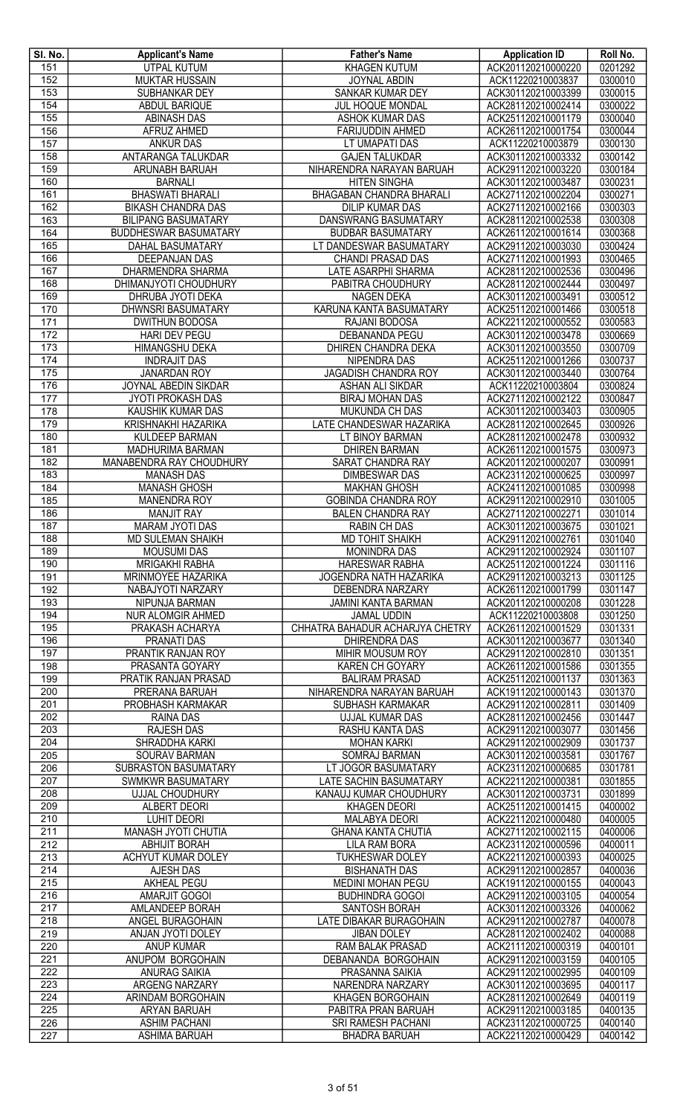| SI. No.          | <b>Applicant's Name</b>                                    | <b>Father's Name</b>                                  | <b>Application ID</b>                    | Roll No.           |
|------------------|------------------------------------------------------------|-------------------------------------------------------|------------------------------------------|--------------------|
| 151              | <b>UTPAL KUTUM</b>                                         | <b>KHAGEN KUTUM</b>                                   | ACK201120210000220                       | 0201292            |
| 152              | <b>MUKTAR HUSSAIN</b>                                      | <b>JOYNAL ABDIN</b>                                   | ACK11220210003837                        | 0300010            |
| 153              | SUBHANKAR DEY                                              | SANKAR KUMAR DEY<br><b>JUL HOQUE MONDAL</b>           | ACK301120210003399                       | 0300015            |
| 154<br>155       | ABDUL BARIQUE<br><b>ABINASH DAS</b>                        | <b>ASHOK KUMAR DAS</b>                                | ACK281120210002414<br>ACK251120210001179 | 0300022<br>0300040 |
| 156              | <b>AFRUZ AHMED</b>                                         | <b>FARIJUDDIN AHMED</b>                               | ACK261120210001754                       | 0300044            |
| 157              | <b>ANKUR DAS</b>                                           | LT UMAPATI DAS                                        | ACK11220210003879                        | 0300130            |
| 158              | ANTARANGA TALUKDAR                                         | <b>GAJEN TALUKDAR</b>                                 | ACK301120210003332                       | 0300142            |
| 159              | ARUNABH BARUAH                                             | NIHARENDRA NARAYAN BARUAH                             | ACK291120210003220                       | 0300184            |
| 160              | <b>BARNALI</b>                                             | <b>HITEN SINGHA</b>                                   | ACK301120210003487                       | 0300231            |
| 161              | <b>BHASWATI BHARALI</b>                                    | <b>BHAGABAN CHANDRA BHARALI</b>                       | ACK271120210002204                       | 0300271            |
| 162              | <b>BIKASH CHANDRA DAS</b>                                  | <b>DILIP KUMAR DAS</b>                                | ACK271120210002166                       | 0300303            |
| 163<br>164       | <b>BILIPANG BASUMATARY</b><br><b>BUDDHESWAR BASUMATARY</b> | DANSWRANG BASUMATARY                                  | ACK281120210002538<br>ACK261120210001614 | 0300308<br>0300368 |
| 165              | DAHAL BASUMATARY                                           | <b>BUDBAR BASUMATARY</b><br>LT DANDESWAR BASUMATARY   | ACK291120210003030                       | 0300424            |
| 166              | DEEPANJAN DAS                                              | CHANDI PRASAD DAS                                     | ACK271120210001993                       | 0300465            |
| 167              | DHARMENDRA SHARMA                                          | LATE ASARPHI SHARMA                                   | ACK281120210002536                       | 0300496            |
| 168              | DHIMANJYOTI CHOUDHURY                                      | PABITRA CHOUDHURY                                     | ACK281120210002444                       | 0300497            |
| 169              | DHRUBA JYOTI DEKA                                          | <b>NAGEN DEKA</b>                                     | ACK301120210003491                       | 0300512            |
| 170              | <b>DHWNSRI BASUMATARY</b>                                  | KARUNA KANTA BASUMATARY                               | ACK251120210001466                       | 0300518            |
| 171              | <b>DWITHUN BODOSA</b>                                      | RAJANI BODOSA                                         | ACK221120210000552                       | 0300583            |
| 172              | <b>HARI DEV PEGU</b>                                       | <b>DEBANANDA PEGU</b>                                 | ACK301120210003478                       | 0300669            |
| 173<br>174       | HIMANGSHU DEKA<br><b>INDRAJIT DAS</b>                      | DHIREN CHANDRA DEKA<br>NIPENDRA DAS                   | ACK301120210003550<br>ACK251120210001266 | 0300709<br>0300737 |
| 175              | <b>JANARDAN ROY</b>                                        | JAGADISH CHANDRA ROY                                  | ACK301120210003440                       | 0300764            |
| 176              | <b>JOYNAL ABEDIN SIKDAR</b>                                | ASHAN ALI SIKDAR                                      | ACK11220210003804                        | 0300824            |
| 177              | <b>JYOTI PROKASH DAS</b>                                   | <b>BIRAJ MOHAN DAS</b>                                | ACK271120210002122                       | 0300847            |
| $\overline{178}$ | KAUSHIK KUMAR DAS                                          | MUKUNDA CH DAS                                        | ACK301120210003403                       | 0300905            |
| 179              | <b>KRISHNAKHI HAZARIKA</b>                                 | LATE CHANDESWAR HAZARIKA                              | ACK281120210002645                       | 0300926            |
| 180              | <b>KULDEEP BARMAN</b>                                      | LT BINOY BARMAN                                       | ACK281120210002478                       | 0300932            |
| 181              | MADHURIMA BARMAN                                           | <b>DHIREN BARMAN</b>                                  | ACK261120210001575                       | 0300973            |
| 182              | MANABENDRA RAY CHOUDHURY                                   | SARAT CHANDRA RAY                                     | ACK201120210000207                       | 0300991            |
| 183<br>184       | <b>MANASH DAS</b><br><b>MANASH GHOSH</b>                   | <b>DIMBESWAR DAS</b><br><b>MAKHAN GHOSH</b>           | ACK231120210000625<br>ACK241120210001085 | 0300997<br>0300998 |
| 185              | <b>MANENDRA ROY</b>                                        | <b>GOBINDA CHANDRA ROY</b>                            | ACK291120210002910                       | 0301005            |
| 186              | <b>MANJIT RAY</b>                                          | <b>BALEN CHANDRA RAY</b>                              | ACK271120210002271                       | 0301014            |
| 187              | <b>MARAM JYOTI DAS</b>                                     | <b>RABIN CH DAS</b>                                   | ACK301120210003675                       | 0301021            |
| 188              | <b>MD SULEMAN SHAIKH</b>                                   | <b>MD TOHIT SHAIKH</b>                                | ACK291120210002761                       | 0301040            |
| 189              | <b>MOUSUMI DAS</b>                                         | <b>MONINDRA DAS</b>                                   | ACK291120210002924                       | 0301107            |
| 190              | <b>MRIGAKHI RABHA</b>                                      | <b>HARESWAR RABHA</b>                                 | ACK251120210001224                       | 0301116            |
| 191              | MRINMOYEE HAZARIKA                                         | <b>JOGENDRA NATH HAZARIKA</b>                         | ACK291120210003213                       | 0301125            |
| 192<br>193       | NABAJYOTI NARZARY<br>NIPUNJA BARMAN                        | <b>DEBENDRA NARZARY</b><br><b>JAMINI KANTA BARMAN</b> | ACK261120210001799<br>ACK201120210000208 | 0301147<br>0301228 |
| 194              | <b>NUR ALOMGIR AHMED</b>                                   | <b>JAMAL UDDIN</b>                                    | ACK11220210003808                        | 0301250            |
| 195              | PRAKASH ACHARYA                                            | CHHATRA BAHADUR ACHARJYA CHETRY                       | ACK261120210001529                       | 0301331            |
| 196              | PRANATI DAS                                                | <b>DHIRENDRA DAS</b>                                  | ACK301120210003677                       | 0301340            |
| 197              | PRANTIK RANJAN ROY                                         | MIHIR MOUSUM ROY                                      | ACK291120210002810                       | 0301351            |
| 198              | PRASANTA GOYARY                                            | KAREN CH GOYARY                                       | ACK261120210001586                       | 0301355            |
| 199              | PRATIK RANJAN PRASAD                                       | <b>BALIRAM PRASAD</b>                                 | ACK251120210001137                       | 0301363            |
| 200              | PRERANA BARUAH                                             | NIHARENDRA NARAYAN BARUAH                             | ACK191120210000143                       | 0301370            |
| 201<br>202       | PROBHASH KARMAKAR<br><b>RAINA DAS</b>                      | SUBHASH KARMAKAR<br><b>UJJAL KUMAR DAS</b>            | ACK291120210002811<br>ACK281120210002456 | 0301409<br>0301447 |
| $\overline{203}$ | <b>RAJESH DAS</b>                                          | RASHU KANTA DAS                                       | ACK291120210003077                       | 0301456            |
| 204              | <b>SHRADDHA KARKI</b>                                      | <b>MOHAN KARKI</b>                                    | ACK291120210002909                       | 0301737            |
| 205              | SOURAV BARMAN                                              | SOMRAJ BARMAN                                         | ACK301120210003581                       | 0301767            |
| 206              | SUBRASTON BASUMATARY                                       | LT JOGOR BASUMATARY                                   | ACK231120210000685                       | 0301781            |
| 207              | SWMKWR BASUMATARY                                          | <b>LATE SACHIN BASUMATARY</b>                         | ACK221120210000381                       | 0301855            |
| 208              | UJJAL CHOUDHURY                                            | KANAUJ KUMAR CHOUDHURY                                | ACK301120210003731                       | 0301899            |
| 209<br>210       | ALBERT DEORI<br><b>LUHIT DEORI</b>                         | <b>KHAGEN DEORI</b><br><b>MALABYA DEORI</b>           | ACK251120210001415<br>ACK221120210000480 | 0400002<br>0400005 |
| 211              | MANASH JYOTI CHUTIA                                        | <b>GHANA KANTA CHUTIA</b>                             | ACK271120210002115                       | 0400006            |
| 212              | <b>ABHIJIT BORAH</b>                                       | <b>LILA RAM BORA</b>                                  | ACK231120210000596                       | 0400011            |
| 213              | ACHYUT KUMAR DOLEY                                         | <b>TUKHESWAR DOLEY</b>                                | ACK221120210000393                       | 0400025            |
| 214              | <b>AJESH DAS</b>                                           | <b>BISHANATH DAS</b>                                  | ACK291120210002857                       | 0400036            |
| 215              | <b>AKHEAL PEGU</b>                                         | MEDINI MOHAN PEGU                                     | ACK191120210000155                       | 0400043            |
| 216              | <b>AMARJIT GOGOI</b>                                       | <b>BUDHINDRA GOGOI</b>                                | ACK291120210003105                       | 0400054            |
| 217              | AMLANDEEP BORAH                                            | SANTOSH BORAH<br>LATE DIBAKAR BURAGOHAIN              | ACK301120210003326                       | 0400062<br>0400078 |
| 218<br>219       | ANGEL BURAGOHAIN<br><b>ANJAN JYOTI DOLEY</b>               | <b>JIBAN DOLEY</b>                                    | ACK291120210002787<br>ACK281120210002402 | 0400088            |
| 220              | <b>ANUP KUMAR</b>                                          | RAM BALAK PRASAD                                      | ACK211120210000319                       | 0400101            |
| 221              | ANUPOM BORGOHAIN                                           | DEBANANDA BORGOHAIN                                   | ACK291120210003159                       | 0400105            |
| 222              | <b>ANURAG SAIKIA</b>                                       | PRASANNA SAIKIA                                       | ACK291120210002995                       | 0400109            |
| 223              | ARGENG NARZARY                                             | NARENDRA NARZARY                                      | ACK301120210003695                       | 0400117            |
| 224              | ARINDAM BORGOHAIN                                          | KHAGEN BORGOHAIN                                      | ACK281120210002649                       | 0400119            |
| 225              | <b>ARYAN BARUAH</b>                                        | PABITRA PRAN BARUAH                                   | ACK291120210003185                       | 0400135            |
| 226              | <b>ASHIM PACHANI</b>                                       | SRI RAMESH PACHANI                                    | ACK231120210000725<br>ACK221120210000429 | 0400140            |
| 227              | <b>ASHIMA BARUAH</b>                                       | <b>BHADRA BARUAH</b>                                  |                                          | 0400142            |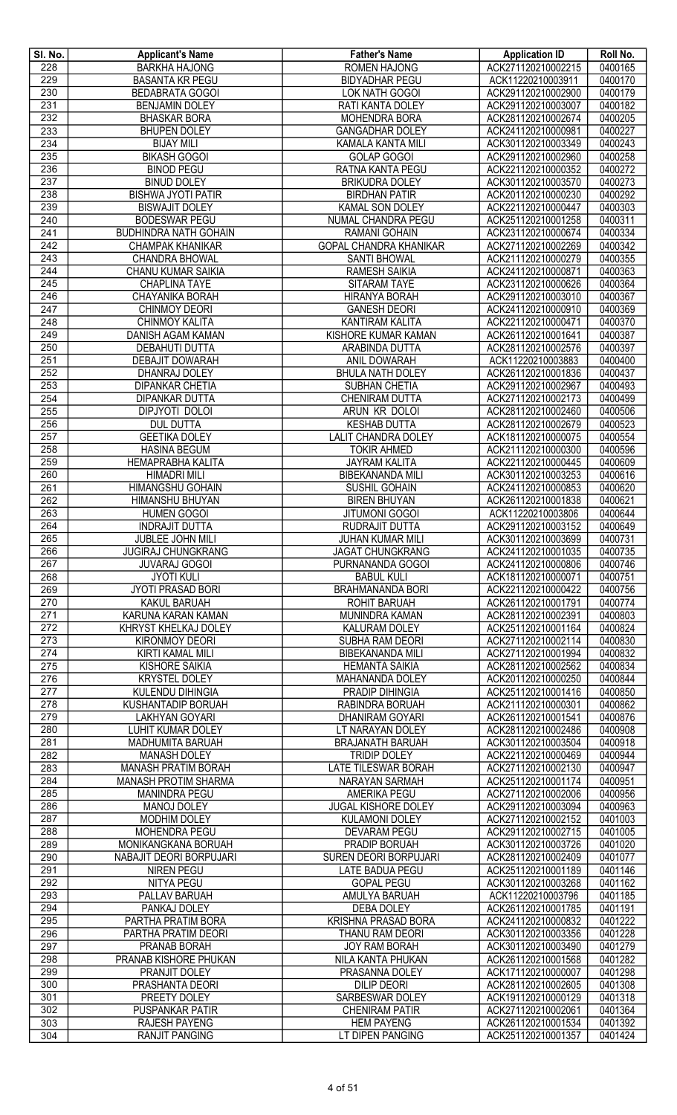| SI. No.    | <b>Applicant's Name</b>                       | <b>Father's Name</b>                                   | <b>Application ID</b>                    | Roll No.           |
|------------|-----------------------------------------------|--------------------------------------------------------|------------------------------------------|--------------------|
| 228        | <b>BARKHA HAJONG</b>                          | <b>ROMEN HAJONG</b>                                    | ACK271120210002215                       | 0400165            |
| 229        | <b>BASANTA KR PEGU</b>                        | <b>BIDYADHAR PEGU</b>                                  | ACK11220210003911                        | 0400170            |
| 230        | <b>BEDABRATA GOGOI</b>                        | LOK NATH GOGOI                                         | ACK291120210002900                       | 0400179            |
| 231<br>232 | <b>BENJAMIN DOLEY</b><br><b>BHASKAR BORA</b>  | <b>RATI KANTA DOLEY</b><br><b>MOHENDRA BORA</b>        | ACK291120210003007<br>ACK281120210002674 | 0400182<br>0400205 |
| 233        | <b>BHUPEN DOLEY</b>                           | <b>GANGADHAR DOLEY</b>                                 | ACK241120210000981                       | 0400227            |
| 234        | <b>BIJAY MILI</b>                             | KAMALA KANTA MILI                                      | ACK301120210003349                       | 0400243            |
| 235        | <b>BIKASH GOGOI</b>                           | <b>GOLAP GOGOI</b>                                     | ACK291120210002960                       | 0400258            |
| 236        | <b>BINOD PEGU</b>                             | RATNA KANTA PEGU                                       | ACK221120210000352                       | 0400272            |
| 237        | <b>BINUD DOLEY</b>                            | <b>BRIKUDRA DOLEY</b>                                  | ACK301120210003570                       | 0400273            |
| 238        | <b>BISHWA JYOTI PATIR</b>                     | <b>BIRDHAN PATIR</b>                                   | ACK201120210000230                       | 0400292            |
| 239        | <b>BISWAJIT DOLEY</b>                         | KAMAL SON DOLEY                                        | ACK221120210000447                       | 0400303            |
| 240        | <b>BODESWAR PEGU</b>                          | NUMAL CHANDRA PEGU                                     | ACK251120210001258                       | 0400311            |
| 241        | <b>BUDHINDRA NATH GOHAIN</b>                  | <b>RAMANI GOHAIN</b>                                   | ACK231120210000674                       | 0400334            |
| 242        | <b>CHAMPAK KHANIKAR</b>                       | <b>GOPAL CHANDRA KHANIKAR</b>                          | ACK271120210002269                       | 0400342            |
| 243        | CHANDRA BHOWAL                                | <b>SANTI BHOWAL</b>                                    | ACK211120210000279                       | 0400355            |
| 244        | <b>CHANU KUMAR SAIKIA</b>                     | <b>RAMESH SAIKIA</b>                                   | ACK241120210000871                       | 0400363            |
| 245<br>246 | <b>CHAPLINA TAYE</b><br>CHAYANIKA BORAH       | SITARAM TAYE                                           | ACK231120210000626<br>ACK291120210003010 | 0400364<br>0400367 |
| 247        | <b>CHINMOY DEORI</b>                          | <b>HIRANYA BORAH</b><br><b>GANESH DEORI</b>            | ACK241120210000910                       | 0400369            |
| 248        | CHINMOY KALITA                                | KANTIRAM KALITA                                        | ACK221120210000471                       | 0400370            |
| 249        | <b>DANISH AGAM KAMAN</b>                      | KISHORE KUMAR KAMAN                                    | ACK261120210001641                       | 0400387            |
| 250        | <b>DEBAHUTI DUTTA</b>                         | ARABINDA DUTTA                                         | ACK281120210002576                       | 0400397            |
| 251        | DEBAJIT DOWARAH                               | ANIL DOWARAH                                           | ACK11220210003883                        | 0400400            |
| 252        | DHANRAJ DOLEY                                 | <b>BHULA NATH DOLEY</b>                                | ACK261120210001836                       | 0400437            |
| 253        | <b>DIPANKAR CHETIA</b>                        | SUBHAN CHETIA                                          | ACK291120210002967                       | 0400493            |
| 254        | <b>DIPANKAR DUTTA</b>                         | <b>CHENIRAM DUTTA</b>                                  | ACK271120210002173                       | 0400499            |
| 255        | DIPJYOTI DOLOI                                | ARUN KR DOLOI                                          | ACK281120210002460                       | 0400506            |
| 256        | <b>DUL DUTTA</b>                              | <b>KESHAB DUTTA</b>                                    | ACK281120210002679                       | 0400523            |
| 257        | <b>GEETIKA DOLEY</b>                          | <b>LALIT CHANDRA DOLEY</b>                             | ACK181120210000075                       | 0400554            |
| 258        | <b>HASINA BEGUM</b>                           | <b>TOKIR AHMED</b>                                     | ACK211120210000300                       | 0400596            |
| 259        | <b>HEMAPRABHA KALITA</b>                      | <b>JAYRAM KALITA</b>                                   | ACK221120210000445                       | 0400609            |
| 260        | <b>HIMADRI MILI</b>                           | <b>BIBEKANANDA MILI</b>                                | ACK301120210003253                       | 0400616            |
| 261<br>262 | HIMANGSHU GOHAIN<br>HIMANSHU BHUYAN           | SUSHIL GOHAIN<br><b>BIREN BHUYAN</b>                   | ACK241120210000853<br>ACK261120210001838 | 0400620<br>0400621 |
| 263        | <b>HUMEN GOGOI</b>                            | <b>JITUMONI GOGOI</b>                                  | ACK11220210003806                        | 0400644            |
| 264        | <b>INDRAJIT DUTTA</b>                         | RUDRAJIT DUTTA                                         | ACK291120210003152                       | 0400649            |
| 265        | <b>JUBLEE JOHN MILI</b>                       | <b>JUHAN KUMAR MILI</b>                                | ACK301120210003699                       | 0400731            |
| 266        | <b>JUGIRAJ CHUNGKRANG</b>                     | <b>JAGAT CHUNGKRANG</b>                                | ACK241120210001035                       | 0400735            |
| 267        | <b>JUVARAJ GOGOI</b>                          | PURNANANDA GOGOI                                       | ACK241120210000806                       | 0400746            |
| 268        | <b>JYOTI KULI</b>                             | <b>BABUL KULI</b>                                      | ACK181120210000071                       | 0400751            |
| 269        | JYOTI PRASAD BORI                             | <b>BRAHMANANDA BORI</b>                                | ACK221120210000422                       | 0400756            |
| 270        | <b>KAKUL BARUAH</b>                           | <b>ROHIT BARUAH</b>                                    | ACK261120210001791                       | 0400774            |
| 271        | KARUNA KARAN KAMAN                            | MUNINDRA KAMAN                                         | ACK281120210002391                       | 0400803            |
| 272        | KHRYST KHELKAJ DOLEY                          | KALURAM DOLEY                                          | ACK251120210001164                       | 0400824            |
| 273        | <b>KIRONMOY DEORI</b>                         | SUBHA RAM DEORI                                        | ACK271120210002114                       | 0400830            |
| 274        | KIRTI KAMAL MILI                              | <b>BIBEKANANDA MILI</b>                                | ACK271120210001994                       | 0400832            |
| 275<br>276 | <b>KISHORE SAIKIA</b><br><b>KRYSTEL DOLEY</b> | <b>HEMANTA SAIKIA</b><br>MAHANANDA DOLEY               | ACK281120210002562<br>ACK201120210000250 | 0400834<br>0400844 |
| 277        | KULENDU DIHINGIA                              | PRADIP DIHINGIA                                        | ACK251120210001416                       | 0400850            |
| 278        | KUSHANTADIP BORUAH                            | RABINDRA BORUAH                                        | ACK211120210000301                       | 0400862            |
| 279        | <b>LAKHYAN GOYARI</b>                         | <b>DHANIRAM GOYARI</b>                                 | ACK261120210001541                       | 0400876            |
| 280        | <b>LUHIT KUMAR DOLEY</b>                      | LT NARAYAN DOLEY                                       | ACK281120210002486                       | 0400908            |
| 281        | <b>MADHUMITA BARUAH</b>                       | <b>BRAJANATH BARUAH</b>                                | ACK301120210003504                       | 0400918            |
| 282        | <b>MANASH DOLEY</b>                           | <b>TRIDIP DOLEY</b>                                    | ACK221120210000469                       | 0400944            |
| 283        | <b>MANASH PRATIM BORAH</b>                    | <b>LATE TILESWAR BORAH</b>                             | ACK271120210002130                       | 0400947            |
| 284        | <b>MANASH PROTIM SHARMA</b>                   | <b>NARAYAN SARMAH</b>                                  | ACK251120210001174                       | 0400951            |
| 285        | <b>MANINDRA PEGU</b>                          | <b>AMERIKA PEGU</b>                                    | ACK271120210002006                       | 0400956            |
| 286        | <b>MANOJ DOLEY</b>                            | JUGAL KISHORE DOLEY                                    | ACK291120210003094                       | 0400963            |
| 287        | <b>MODHIM DOLEY</b>                           | <b>KULAMONI DOLEY</b>                                  | ACK271120210002152                       | 0401003            |
| 288        | MOHENDRA PEGU                                 | <b>DEVARAM PEGU</b>                                    | ACK291120210002715                       | 0401005            |
| 289        | MONIKANGKANA BORUAH                           | PRADIP BORUAH                                          | ACK301120210003726                       | 0401020            |
| 290<br>291 | NABAJIT DEORI BORPUJARI<br>NIREN PEGU         | <b>SUREN DEORI BORPUJARI</b><br><b>LATE BADUA PEGU</b> | ACK281120210002409<br>ACK251120210001189 | 0401077<br>0401146 |
| 292        | <b>NITYA PEGU</b>                             | <b>GOPAL PEGU</b>                                      | ACK301120210003268                       | 0401162            |
| 293        | PALLAV BARUAH                                 | AMULYA BARUAH                                          | ACK11220210003796                        | 0401185            |
| 294        | PANKAJ DOLEY                                  | <b>DEBA DOLEY</b>                                      | ACK261120210001785                       | 0401191            |
| 295        | PARTHA PRATIM BORA                            | <b>KRISHNA PRASAD BORA</b>                             | ACK241120210000832                       | 0401222            |
| 296        | PARTHA PRATIM DEORI                           | THANU RAM DEORI                                        | ACK301120210003356                       | 0401228            |
| 297        | PRANAB BORAH                                  | <b>JOY RAM BORAH</b>                                   | ACK301120210003490                       | 0401279            |
| 298        | PRANAB KISHORE PHUKAN                         | NILA KANTA PHUKAN                                      | ACK261120210001568                       | 0401282            |
| 299        | PRANJIT DOLEY                                 | PRASANNA DOLEY                                         | ACK171120210000007                       | 0401298            |
| 300        | PRASHANTA DEORI                               | <b>DILIP DEORI</b>                                     | ACK281120210002605                       | 0401308            |
| 301        | PREETY DOLEY                                  | SARBESWAR DOLEY                                        | ACK191120210000129                       | 0401318            |
| 302        | PUSPANKAR PATIR                               | <b>CHENIRAM PATIR</b>                                  | ACK271120210002061                       | 0401364            |
| 303        | <b>RAJESH PAYENG</b>                          | <b>HEM PAYENG</b>                                      | ACK261120210001534                       | 0401392            |
| 304        | <b>RANJIT PANGING</b>                         | LT DIPEN PANGING                                       | ACK251120210001357                       | 0401424            |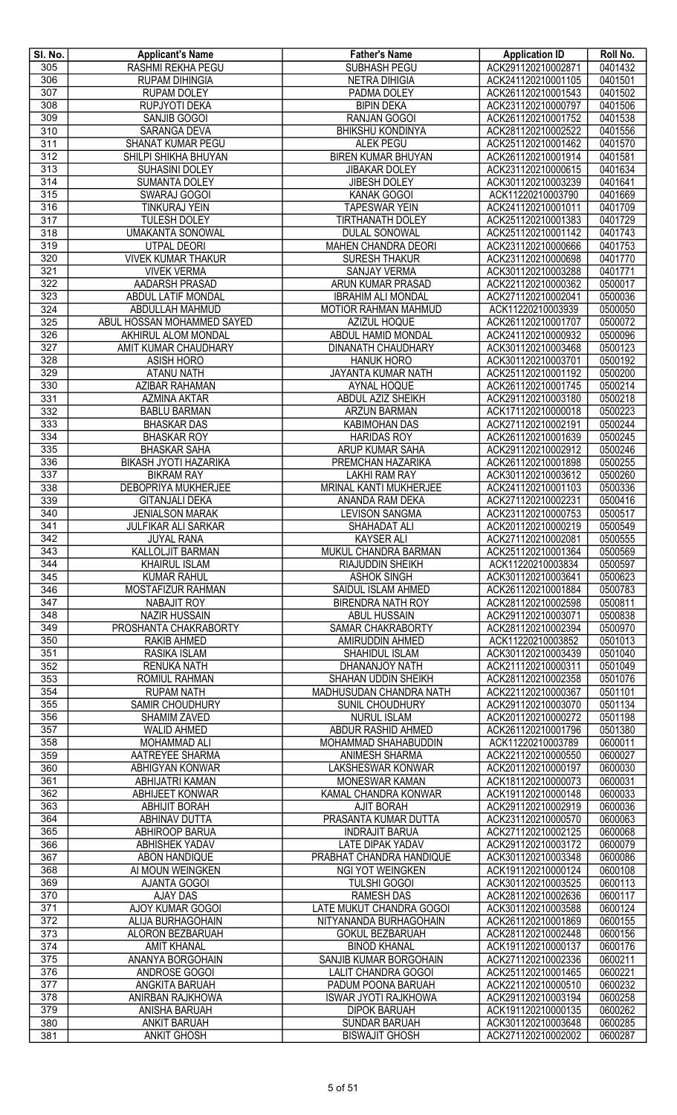| SI. No.          | <b>Applicant's Name</b>      | <b>Father's Name</b>          | <b>Application ID</b> | Roll No. |
|------------------|------------------------------|-------------------------------|-----------------------|----------|
| 305              | <b>RASHMI REKHA PEGU</b>     | <b>SUBHASH PEGU</b>           | ACK291120210002871    | 0401432  |
| 306              | <b>RUPAM DIHINGIA</b>        | <b>NETRA DIHIGIA</b>          | ACK241120210001105    | 0401501  |
| $\overline{307}$ | <b>RUPAM DOLEY</b>           | PADMA DOLEY                   | ACK261120210001543    | 0401502  |
| 308              | <b>RUPJYOTI DEKA</b>         | <b>BIPIN DEKA</b>             | ACK231120210000797    | 0401506  |
| 309              | SANJIB GOGOI                 | <b>RANJAN GOGOI</b>           | ACK261120210001752    | 0401538  |
| 310              | SARANGA DEVA                 | <b>BHIKSHU KONDINYA</b>       | ACK281120210002522    | 0401556  |
| $\overline{311}$ | SHANAT KUMAR PEGU            | <b>ALEK PEGU</b>              | ACK251120210001462    | 0401570  |
| 312              | SHILPI SHIKHA BHUYAN         | <b>BIREN KUMAR BHUYAN</b>     | ACK261120210001914    | 0401581  |
| 313              | SUHASINI DOLEY               | <b>JIBAKAR DOLEY</b>          | ACK231120210000615    | 0401634  |
| 314              | <b>SUMANTA DOLEY</b>         | JIBESH DOLEY                  | ACK301120210003239    | 0401641  |
| 315              | SWARAJ GOGOI                 | KANAK GOGOI                   | ACK11220210003790     | 0401669  |
| 316              | <b>TINKURAJ YEIN</b>         | <b>TAPESWAR YEIN</b>          | ACK241120210001011    | 0401709  |
| 317              | <b>TULESH DOLEY</b>          | <b>TIRTHANATH DOLEY</b>       | ACK251120210001383    | 0401729  |
| 318              | <b>UMAKANTA SONOWAL</b>      | <b>DULAL SONOWAL</b>          | ACK251120210001142    | 0401743  |
| 319              | <b>UTPAL DEORI</b>           | MAHEN CHANDRA DEORI           | ACK231120210000666    | 0401753  |
| 320              | <b>VIVEK KUMAR THAKUR</b>    | <b>SURESH THAKUR</b>          | ACK231120210000698    | 0401770  |
| 321              | <b>VIVEK VERMA</b>           | <b>SANJAY VERMA</b>           | ACK301120210003288    | 0401771  |
| 322              | AADARSH PRASAD               | <b>ARUN KUMAR PRASAD</b>      | ACK221120210000362    | 0500017  |
| 323              | ABDUL LATIF MONDAL           | <b>IBRAHIM ALI MONDAL</b>     | ACK271120210002041    | 0500036  |
| 324              | ABDULLAH MAHMUD              | <b>MOTIOR RAHMAN MAHMUD</b>   | ACK11220210003939     | 0500050  |
| 325              | ABUL HOSSAN MOHAMMED SAYED   | AZIZUL HOQUE                  | ACK261120210001707    | 0500072  |
| 326              | AKHIRUL ALOM MONDAL          | ABDUL HAMID MONDAL            | ACK241120210000932    | 0500096  |
| 327              | AMIT KUMAR CHAUDHARY         | <b>DINANATH CHAUDHARY</b>     | ACK301120210003468    | 0500123  |
| 328              | <b>ASISH HORO</b>            | <b>HANUK HORO</b>             | ACK301120210003701    | 0500192  |
| 329              | ATANU NATH                   | JAYANTA KUMAR NATH            | ACK251120210001192    | 0500200  |
| 330              | AZIBAR RAHAMAN               | <b>AYNAL HOQUE</b>            | ACK261120210001745    | 0500214  |
| 331              | <b>AZMINA AKTAR</b>          | <b>ABDUL AZIZ SHEIKH</b>      | ACK291120210003180    | 0500218  |
| 332              | <b>BABLU BARMAN</b>          | <b>ARZUN BARMAN</b>           | ACK171120210000018    | 0500223  |
| 333              | <b>BHASKAR DAS</b>           | <b>KABIMOHAN DAS</b>          | ACK271120210002191    | 0500244  |
| 334              | <b>BHASKAR ROY</b>           | <b>HARIDAS ROY</b>            | ACK261120210001639    | 0500245  |
| 335              | <b>BHASKAR SAHA</b>          | ARUP KUMAR SAHA               | ACK291120210002912    | 0500246  |
| 336              | <b>BIKASH JYOTI HAZARIKA</b> | PREMCHAN HAZARIKA             | ACK261120210001898    | 0500255  |
| 337              | <b>BIKRAM RAY</b>            | <b>LAKHI RAM RAY</b>          | ACK301120210003612    | 0500260  |
| 338              | <b>DEBOPRIYA MUKHERJEE</b>   | <b>MRINAL KANTI MUKHERJEE</b> | ACK241120210001103    | 0500336  |
| 339              | <b>GITANJALI DEKA</b>        | ANANDA RAM DEKA               | ACK271120210002231    | 0500416  |
| 340              | <b>JENIALSON MARAK</b>       | <b>LEVISON SANGMA</b>         | ACK231120210000753    | 0500517  |
| 341              | <b>JULFIKAR ALI SARKAR</b>   | SHAHADAT ALI                  | ACK201120210000219    | 0500549  |
| 342              | <b>JUYAL RANA</b>            | <b>KAYSER ALI</b>             | ACK271120210002081    | 0500555  |
| 343              | <b>KALLOLJIT BARMAN</b>      | MUKUL CHANDRA BARMAN          | ACK251120210001364    | 0500569  |
| 344              | <b>KHAIRUL ISLAM</b>         | RIAJUDDIN SHEIKH              | ACK11220210003834     | 0500597  |
| 345              | <b>KUMAR RAHUL</b>           | <b>ASHOK SINGH</b>            | ACK301120210003641    | 0500623  |
| 346              | MOSTAFIZUR RAHMAN            | SAIDUL ISLAM AHMED            | ACK261120210001884    | 0500783  |
| 347              | <b>NABAJIT ROY</b>           | <b>BIRENDRA NATH ROY</b>      | ACK281120210002598    | 0500811  |
| 348              | <b>NAZIR HUSSAIN</b>         | <b>ABUL HUSSAIN</b>           | ACK291120210003071    | 0500838  |
| 349              | PROSHANTA CHAKRABORTY        | SAMAR CHAKRABORTY             | ACK281120210002394    | 0500970  |
| 350              | <b>RAKIB AHMED</b>           | AMIRUDDIN AHMED               | ACK11220210003852     | 0501013  |
| 351              | RASIKA ISLAM                 | SHAHIDUL ISLAM                | ACK301120210003439    | 0501040  |
| 352              | <b>RENUKA NATH</b>           | DHANANJOY NATH                | ACK211120210000311    | 0501049  |
| 353              | <b>ROMIUL RAHMAN</b>         | SHAHAN UDDIN SHEIKH           | ACK281120210002358    | 0501076  |
| 354              | <b>RUPAM NATH</b>            | MADHUSUDAN CHANDRA NATH       | ACK221120210000367    | 0501101  |
| 355              | <b>SAMIR CHOUDHURY</b>       | SUNIL CHOUDHURY               | ACK291120210003070    | 0501134  |
| 356              | SHAMIM ZAVED                 | <b>NURUL ISLAM</b>            | ACK201120210000272    | 0501198  |
| 357              | <b>WALID AHMED</b>           | ABDUR RASHID AHMED            | ACK261120210001796    | 0501380  |
| 358              | MOHAMMAD ALI                 | MOHAMMAD SHAHABUDDIN          | ACK11220210003789     | 0600011  |
| 359              | AATREYEE SHARMA              | ANIMESH SHARMA                | ACK221120210000550    | 0600027  |
| 360              | ABHIGYAN KONWAR              | <b>LAKSHESWAR KONWAR</b>      | ACK201120210000197    | 0600030  |
| 361              | ABHIJATRI KAMAN              | MONESWAR KAMAN                | ACK181120210000073    | 0600031  |
| 362              | ABHIJEET KONWAR              | KAMAL CHANDRA KONWAR          | ACK191120210000148    | 0600033  |
| 363              | <b>ABHIJIT BORAH</b>         | <b>AJIT BORAH</b>             | ACK291120210002919    | 0600036  |
| 364              | <b>ABHINAV DUTTA</b>         | PRASANTA KUMAR DUTTA          | ACK231120210000570    | 0600063  |
| 365              | <b>ABHIROOP BARUA</b>        | <b>INDRAJIT BARUA</b>         | ACK271120210002125    | 0600068  |
| 366              | ABHISHEK YADAV               | <b>LATE DIPAK YADAV</b>       | ACK291120210003172    | 0600079  |
| 367              | <b>ABON HANDIQUE</b>         | PRABHAT CHANDRA HANDIQUE      | ACK301120210003348    | 0600086  |
| 368              | AI MOUN WEINGKEN             | <b>NGI YOT WEINGKEN</b>       | ACK191120210000124    | 0600108  |
| 369              | <b>AJANTA GOGOI</b>          | <b>TULSHI GOGOI</b>           | ACK301120210003525    | 0600113  |
| 370              | <b>AJAY DAS</b>              | <b>RAMESH DAS</b>             | ACK281120210002636    | 0600117  |
| $\overline{371}$ | <b>AJOY KUMAR GOGOI</b>      | LATE MUKUT CHANDRA GOGOI      | ACK301120210003588    | 0600124  |
| 372              | <b>ALIJA BURHAGOHAIN</b>     | NITYANANDA BURHAGOHAIN        | ACK261120210001869    | 0600155  |
| 373              | ALORON BEZBARUAH             | <b>GOKUL BEZBARUAH</b>        | ACK281120210002448    | 0600156  |
| 374              | <b>AMIT KHANAL</b>           | <b>BINOD KHANAL</b>           | ACK191120210000137    | 0600176  |
| 375              | ANANYA BORGOHAIN             | SANJIB KUMAR BORGOHAIN        | ACK271120210002336    | 0600211  |
| $\overline{376}$ | ANDROSE GOGOI                | <b>LALIT CHANDRA GOGOI</b>    | ACK251120210001465    | 0600221  |
| 377              | ANGKITA BARUAH               | PADUM POONA BARUAH            | ACK221120210000510    | 0600232  |
| 378              | ANIRBAN RAJKHOWA             | <b>ISWAR JYOTI RAJKHOWA</b>   | ACK291120210003194    | 0600258  |
| 379              | <b>ANISHA BARUAH</b>         | <b>DIPOK BARUAH</b>           | ACK191120210000135    | 0600262  |
| 380              | <b>ANKIT BARUAH</b>          | <b>SUNDAR BARUAH</b>          | ACK301120210003648    | 0600285  |
| 381              | <b>ANKIT GHOSH</b>           | <b>BISWAJIT GHOSH</b>         | ACK271120210002002    | 0600287  |
|                  |                              |                               |                       |          |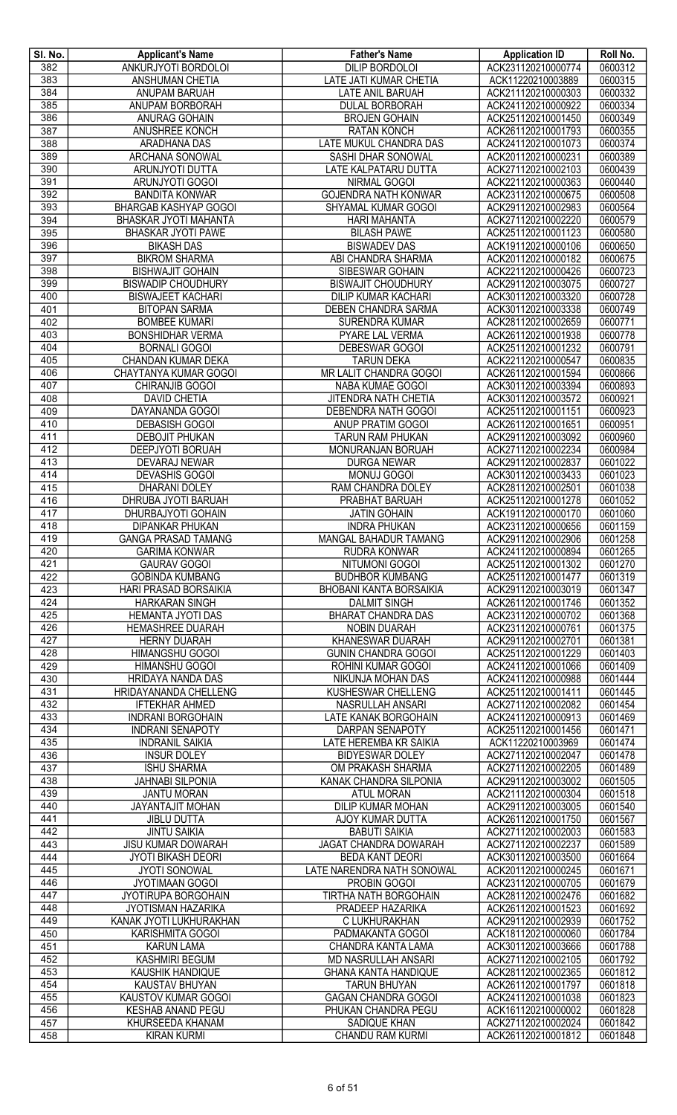| SI. No. | <b>Applicant's Name</b>      | <b>Father's Name</b>           | <b>Application ID</b> | Roll No. |
|---------|------------------------------|--------------------------------|-----------------------|----------|
| 382     | ANKURJYOTI BORDOLOI          | DILIP BORDOLOI                 | ACK231120210000774    | 0600312  |
| 383     | <b>ANSHUMAN CHETIA</b>       | LATE JATI KUMAR CHETIA         | ACK11220210003889     | 0600315  |
| 384     | ANUPAM BARUAH                | <b>LATE ANIL BARUAH</b>        | ACK211120210000303    | 0600332  |
| 385     | ANUPAM BORBORAH              | <b>DULAL BORBORAH</b>          | ACK241120210000922    | 0600334  |
| 386     | <b>ANURAG GOHAIN</b>         | <b>BROJEN GOHAIN</b>           | ACK251120210001450    | 0600349  |
| 387     | <b>ANUSHREE KONCH</b>        | <b>RATAN KONCH</b>             | ACK261120210001793    | 0600355  |
| 388     | ARADHANA DAS                 | LATE MUKUL CHANDRA DAS         | ACK241120210001073    | 0600374  |
| 389     | ARCHANA SONOWAL              | SASHI DHAR SONOWAL             | ACK201120210000231    | 0600389  |
| 390     | ARUNJYOTI DUTTA              | LATE KALPATARU DUTTA           | ACK271120210002103    | 0600439  |
| 391     | ARUNJYOTI GOGOI              | NIRMAL GOGOI                   | ACK221120210000363    | 0600440  |
| 392     | <b>BANDITA KONWAR</b>        | <b>GOJENDRA NATH KONWAR</b>    | ACK231120210000675    | 0600508  |
| 393     | <b>BHARGAB KASHYAP GOGOI</b> | SHYAMAL KUMAR GOGOI            | ACK291120210002983    | 0600564  |
| 394     | BHASKAR JYOTI MAHANTA        | <b>HARI MAHANTA</b>            | ACK271120210002220    | 0600579  |
| 395     | <b>BHASKAR JYOTI PAWE</b>    | <b>BILASH PAWE</b>             | ACK251120210001123    | 0600580  |
| 396     | <b>BIKASH DAS</b>            | <b>BISWADEV DAS</b>            | ACK191120210000106    | 0600650  |
| 397     | <b>BIKROM SHARMA</b>         | ABI CHANDRA SHARMA             | ACK201120210000182    | 0600675  |
| 398     | <b>BISHWAJIT GOHAIN</b>      | SIBESWAR GOHAIN                | ACK221120210000426    | 0600723  |
| 399     | <b>BISWADIP CHOUDHURY</b>    | <b>BISWAJIT CHOUDHURY</b>      | ACK291120210003075    | 0600727  |
| 400     | <b>BISWAJEET KACHARI</b>     | <b>DILIP KUMAR KACHARI</b>     | ACK301120210003320    | 0600728  |
| 401     | <b>BITOPAN SARMA</b>         | DEBEN CHANDRA SARMA            | ACK301120210003338    | 0600749  |
| 402     | <b>BOMBEE KUMARI</b>         | <b>SURENDRA KUMAR</b>          | ACK281120210002659    | 0600771  |
| 403     | <b>BONSHIDHAR VERMA</b>      | PYARE LAL VERMA                | ACK261120210001938    | 0600778  |
| 404     | <b>BORNALI GOGOI</b>         | DEBESWAR GOGOI                 | ACK251120210001232    | 0600791  |
| 405     | CHANDAN KUMAR DEKA           | <b>TARUN DEKA</b>              | ACK221120210000547    | 0600835  |
| 406     | CHAYTANYA KUMAR GOGOI        | MR LALIT CHANDRA GOGOI         | ACK261120210001594    | 0600866  |
| 407     | CHIRANJIB GOGOI              | NABA KUMAE GOGOI               | ACK301120210003394    | 0600893  |
| 408     | <b>DAVID CHETIA</b>          | JITENDRA NATH CHETIA           | ACK301120210003572    | 0600921  |
| 409     | DAYANANDA GOGOI              | DEBENDRA NATH GOGOI            | ACK251120210001151    | 0600923  |
| 410     | <b>DEBASISH GOGOI</b>        | <b>ANUP PRATIM GOGOI</b>       | ACK261120210001651    | 0600951  |
| 411     | <b>DEBOJIT PHUKAN</b>        | <b>TARUN RAM PHUKAN</b>        | ACK291120210003092    | 0600960  |
| 412     | DEEPJYOTI BORUAH             | MONURANJAN BORUAH              | ACK271120210002234    | 0600984  |
| 413     | DEVARAJ NEWAR                | <b>DURGA NEWAR</b>             | ACK291120210002837    | 0601022  |
| 414     | <b>DEVASHIS GOGOI</b>        | <b>MONUJ GOGOI</b>             | ACK301120210003433    | 0601023  |
| 415     | <b>DHARANI DOLEY</b>         | RAM CHANDRA DOLEY              | ACK281120210002501    | 0601038  |
| 416     | DHRUBA JYOTI BARUAH          | PRABHAT BARUAH                 | ACK251120210001278    | 0601052  |
| 417     | DHURBAJYOTI GOHAIN           | <b>JATIN GOHAIN</b>            | ACK191120210000170    | 0601060  |
| 418     | <b>DIPANKAR PHUKAN</b>       | <b>INDRA PHUKAN</b>            | ACK231120210000656    | 0601159  |
| 419     | <b>GANGA PRASAD TAMANG</b>   | MANGAL BAHADUR TAMANG          | ACK291120210002906    | 0601258  |
| 420     | <b>GARIMA KONWAR</b>         | <b>RUDRA KONWAR</b>            | ACK241120210000894    | 0601265  |
| 421     | <b>GAURAV GOGOI</b>          | <b>NITUMONI GOGOI</b>          | ACK251120210001302    | 0601270  |
| 422     | <b>GOBINDA KUMBANG</b>       | <b>BUDHBOR KUMBANG</b>         | ACK251120210001477    | 0601319  |
| 423     | <b>HARI PRASAD BORSAIKIA</b> | <b>BHOBANI KANTA BORSAIKIA</b> | ACK291120210003019    | 0601347  |
| 424     | <b>HARKARAN SINGH</b>        | <b>DALMIT SINGH</b>            | ACK261120210001746    | 0601352  |
| 425     | HEMANTA JYOTI DAS            | <b>BHARAT CHANDRA DAS</b>      | ACK231120210000702    | 0601368  |
| 426     | <b>HEMASHREE DUARAH</b>      | NOBIN DUARAH                   | ACK231120210000761    | 0601375  |
| 427     | <b>HERNY DUARAH</b>          | KHANESWAR DUARAH               | ACK291120210002701    | 0601381  |
| 428     | <b>HIMANGSHU GOGOI</b>       | <b>GUNIN CHANDRA GOGOI</b>     | ACK251120210001229    | 0601403  |
| 429     | <b>HIMANSHU GOGOI</b>        | ROHINI KUMAR GOGOI             | ACK241120210001066    | 0601409  |
| 430     | <b>HRIDAYA NANDA DAS</b>     | NIKUNJA MOHAN DAS              | ACK241120210000988    | 0601444  |
| 431     | HRIDAYANANDA CHELLENG        | KUSHESWAR CHELLENG             | ACK251120210001411    | 0601445  |
| 432     | <b>IFTEKHAR AHMED</b>        | NASRULLAH ANSARI               | ACK271120210002082    | 0601454  |
| 433     | <b>INDRANI BORGOHAIN</b>     | <b>LATE KANAK BORGOHAIN</b>    | ACK241120210000913    | 0601469  |
| 434     | <b>INDRANI SENAPOTY</b>      | DARPAN SENAPOTY                | ACK251120210001456    | 0601471  |
| 435     | <b>INDRANIL SAIKIA</b>       | LATE HEREMBA KR SAIKIA         | ACK11220210003969     | 0601474  |
| 436     | <b>INSUR DOLEY</b>           | <b>BIDYESWAR DOLEY</b>         | ACK271120210002047    | 0601478  |
| 437     | <b>ISHU SHARMA</b>           | OM PRAKASH SHARMA              | ACK271120210002205    | 0601489  |
| 438     | <b>JAHNABI SILPONIA</b>      | KANAK CHANDRA SILPONIA         | ACK291120210003002    | 0601505  |
| 439     | <b>JANTU MORAN</b>           | <b>ATUL MORAN</b>              | ACK211120210000304    | 0601518  |
| 440     | JAYANTAJIT MOHAN             | DILIP KUMAR MOHAN              | ACK291120210003005    | 0601540  |
| 441     | <b>JIBLU DUTTA</b>           | AJOY KUMAR DUTTA               | ACK261120210001750    | 0601567  |
| 442     | <b>JINTU SAIKIA</b>          | <b>BABUTI SAIKIA</b>           | ACK271120210002003    | 0601583  |
| 443     | <b>JISU KUMAR DOWARAH</b>    | JAGAT CHANDRA DOWARAH          | ACK271120210002237    | 0601589  |
| 444     | <b>JYOTI BIKASH DEORI</b>    | <b>BEDA KANT DEORI</b>         | ACK301120210003500    | 0601664  |
| 445     | <b>JYOTI SONOWAL</b>         | LATE NARENDRA NATH SONOWAL     | ACK201120210000245    | 0601671  |
| 446     | <b>JYOTIMAAN GOGOI</b>       | PROBIN GOGOI                   | ACK231120210000705    | 0601679  |
| 447     | <b>JYOTIRUPA BORGOHAIN</b>   | <b>TIRTHA NATH BORGOHAIN</b>   | ACK281120210002476    | 0601682  |
| 448     | <b>JYOTISMAN HAZARIKA</b>    | PRADEEP HAZARIKA               | ACK261120210001523    | 0601692  |
| 449     | KANAK JYOTI LUKHURAKHAN      | C LUKHURAKHAN                  | ACK291120210002939    | 0601752  |
| 450     | KARISHMITA GOGOI             | PADMAKANTA GOGOI               | ACK181120210000060    | 0601784  |
| 451     | <b>KARUN LAMA</b>            | CHANDRA KANTA LAMA             | ACK301120210003666    | 0601788  |
| 452     | <b>KASHMIRI BEGUM</b>        | <b>MD NASRULLAH ANSARI</b>     | ACK271120210002105    | 0601792  |
| 453     | KAUSHIK HANDIQUE             | <b>GHANA KANTA HANDIQUE</b>    | ACK281120210002365    | 0601812  |
| 454     | KAUSTAV BHUYAN               | <b>TARUN BHUYAN</b>            | ACK261120210001797    | 0601818  |
| 455     | KAUSTOV KUMAR GOGOI          | <b>GAGAN CHANDRA GOGOI</b>     | ACK241120210001038    | 0601823  |
| 456     | <b>KESHAB ANAND PEGU</b>     | PHUKAN CHANDRA PEGU            | ACK161120210000002    | 0601828  |
| 457     | KHURSEEDA KHANAM             | SADIQUE KHAN                   | ACK271120210002024    | 0601842  |
| 458     | <b>KIRAN KURMI</b>           | <b>CHANDU RAM KURMI</b>        | ACK261120210001812    | 0601848  |
|         |                              |                                |                       |          |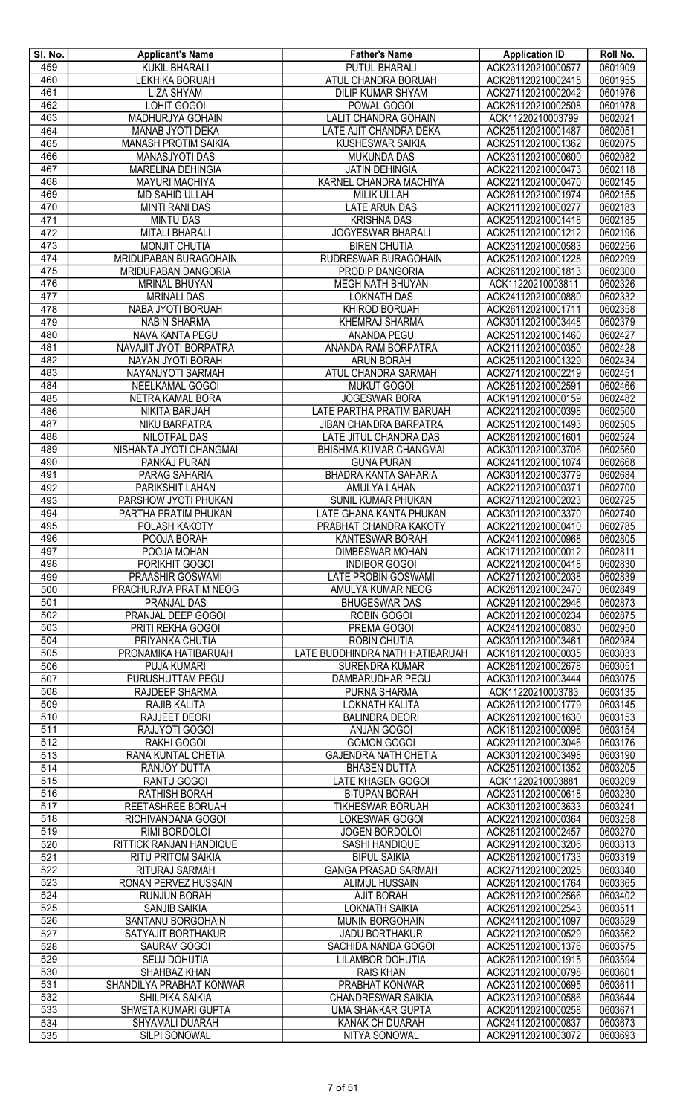| SI. No.                 | <b>Applicant's Name</b>                      | <b>Father's Name</b>                              | <b>Application ID</b>                    | Roll No.           |
|-------------------------|----------------------------------------------|---------------------------------------------------|------------------------------------------|--------------------|
| 459                     | <b>KUKIL BHARALI</b>                         | <b>PUTUL BHARALI</b>                              | ACK231120210000577                       | 0601909            |
| 460                     | <b>LEKHIKA BORUAH</b>                        | ATUL CHANDRA BORUAH                               | ACK281120210002415                       | 0601955            |
| 461                     | <b>LIZA SHYAM</b>                            | <b>DILIP KUMAR SHYAM</b>                          | ACK271120210002042                       | 0601976            |
| 462<br>463              | <b>LOHIT GOGOI</b><br>MADHURJYA GOHAIN       | POWAL GOGOI<br><b>LALIT CHANDRA GOHAIN</b>        | ACK281120210002508<br>ACK11220210003799  | 0601978<br>0602021 |
| 464                     | MANAB JYOTI DEKA                             | LATE AJIT CHANDRA DEKA                            | ACK251120210001487                       | 0602051            |
| 465                     | <b>MANASH PROTIM SAIKIA</b>                  | <b>KUSHESWAR SAIKIA</b>                           | ACK251120210001362                       | 0602075            |
| 466                     | MANASJYOTI DAS                               | <b>MUKUNDA DAS</b>                                | ACK231120210000600                       | 0602082            |
| 467                     | MARELINA DEHINGIA                            | <b>JATIN DEHINGIA</b>                             | ACK221120210000473                       | 0602118            |
| 468                     | <b>MAYURI MACHIYA</b>                        | KARNEL CHANDRA MACHIYA                            | ACK221120210000470                       | 0602145            |
| 469                     | <b>MD SAHID ULLAH</b>                        | <b>MILIK ULLAH</b>                                | ACK261120210001974                       | 0602155            |
| 470                     | <b>MINTI RANI DAS</b>                        | <b>LATE ARUN DAS</b>                              | ACK211120210000277                       | 0602183            |
| 471                     | <b>MINTU DAS</b>                             | <b>KRISHNA DAS</b>                                | ACK251120210001418                       | 0602185            |
| 472                     | <b>MITALI BHARALI</b>                        | <b>JOGYESWAR BHARALI</b>                          | ACK251120210001212                       | 0602196            |
| 473                     | <b>MONJIT CHUTIA</b>                         | <b>BIREN CHUTIA</b>                               | ACK231120210000583                       | 0602256            |
| 474                     | MRIDUPABAN BURAGOHAIN                        | RUDRESWAR BURAGOHAIN                              | ACK251120210001228                       | 0602299            |
| 475                     | MRIDUPABAN DANGORIA                          | PRODIP DANGORIA                                   | ACK261120210001813<br>ACK11220210003811  | 0602300            |
| 476<br>477              | <b>MRINAL BHUYAN</b><br><b>MRINALI DAS</b>   | <b>MEGH NATH BHUYAN</b><br><b>LOKNATH DAS</b>     | ACK241120210000880                       | 0602326<br>0602332 |
| 478                     | NABA JYOTI BORUAH                            | KHIROD BORUAH                                     | ACK261120210001711                       | 0602358            |
| 479                     | <b>NABIN SHARMA</b>                          | KHEMRAJ SHARMA                                    | ACK301120210003448                       | 0602379            |
| 480                     | NAVA KANTA PEGU                              | ANANDA PEGU                                       | ACK251120210001460                       | 0602427            |
| 481                     | NAVAJIT JYOTI BORPATRA                       | ANANDA RAM BORPATRA                               | ACK211120210000350                       | 0602428            |
| 482                     | NAYAN JYOTI BORAH                            | <b>ARUN BORAH</b>                                 | ACK251120210001329                       | 0602434            |
| 483                     | NAYANJYOTI SARMAH                            | ATUL CHANDRA SARMAH                               | ACK271120210002219                       | 0602451            |
| 484                     | NEELKAMAL GOGOI                              | <b>MUKUT GOGOI</b>                                | ACK281120210002591                       | 0602466            |
| 485                     | NETRA KAMAL BORA                             | <b>JOGESWAR BORA</b>                              | ACK191120210000159                       | 0602482            |
| 486                     | NIKITA BARUAH                                | LATE PARTHA PRATIM BARUAH                         | ACK221120210000398                       | 0602500            |
| 487                     | NIKU BARPATRA                                | <b>JIBAN CHANDRA BARPATRA</b>                     | ACK251120210001493                       | 0602505            |
| 488                     | <b>NILOTPAL DAS</b>                          | LATE JITUL CHANDRA DAS                            | ACK261120210001601                       | 0602524            |
| 489<br>490              | NISHANTA JYOTI CHANGMAI<br>PANKAJ PURAN      | BHISHMA KUMAR CHANGMAI<br><b>GUNA PURAN</b>       | ACK301120210003706<br>ACK241120210001074 | 0602560<br>0602668 |
| 491                     | PARAG SAHARIA                                | BHADRA KANTA SAHARIA                              | ACK301120210003779                       | 0602684            |
| 492                     | <b>PARIKSHIT LAHAN</b>                       | AMULYA LAHAN                                      | ACK221120210000371                       | 0602700            |
| 493                     | PARSHOW JYOTI PHUKAN                         | SUNIL KUMAR PHUKAN                                | ACK271120210002023                       | 0602725            |
| 494                     | PARTHA PRATIM PHUKAN                         | LATE GHANA KANTA PHUKAN                           | ACK301120210003370                       | 0602740            |
| 495                     | <b>POLASH KAKOTY</b>                         | PRABHAT CHANDRA KAKOTY                            | ACK221120210000410                       | 0602785            |
| 496                     | POOJA BORAH                                  | <b>KANTESWAR BORAH</b>                            | ACK241120210000968                       | 0602805            |
| 497                     | POOJA MOHAN                                  | <b>DIMBESWAR MOHAN</b>                            | ACK171120210000012                       | 0602811            |
| 498                     | PORIKHIT GOGOI                               | <b>INDIBOR GOGOI</b>                              | ACK221120210000418                       | 0602830            |
| 499                     | PRAASHIR GOSWAMI                             | <b>LATE PROBIN GOSWAMI</b>                        | ACK271120210002038                       | 0602839            |
| 500                     | PRACHURJYA PRATIM NEOG<br><b>PRANJAL DAS</b> | AMULYA KUMAR NEOG                                 | ACK281120210002470                       | 0602849<br>0602873 |
| 501<br>502              | PRANJAL DEEP GOGOI                           | <b>BHUGESWAR DAS</b><br>ROBIN GOGOI               | ACK291120210002946<br>ACK201120210000234 | 0602875            |
| 503                     | PRITI REKHA GOGOI                            | PREMA GOGOI                                       | ACK241120210000830                       | 0602950            |
| 504                     | PRIYANKA CHUTIA                              | <b>ROBIN CHUTIA</b>                               | ACK301120210003461                       | 0602984            |
| 505                     | PRONAMIKA HATIBARUAH                         | LATE BUDDHINDRA NATH HATIBARUAH                   | ACK181120210000035                       | 0603033            |
| 506                     | PUJA KUMARI                                  | <b>SURENDRA KUMAR</b>                             | ACK281120210002678                       | 0603051            |
| 507                     | PURUSHUTTAM PEGU                             | DAMBARUDHAR PEGU                                  | ACK301120210003444                       | 0603075            |
| $\overline{508}$        | RAJDEEP SHARMA                               | PURNA SHARMA                                      | ACK11220210003783                        | 0603135            |
| 509                     | <b>RAJIB KALITA</b>                          | LOKNATH KALITA                                    | ACK261120210001779                       | 0603145            |
| 510                     | RAJJEET DEORI                                | <b>BALINDRA DEORI</b>                             | ACK261120210001630                       | 0603153            |
| $\overline{511}$        | RAJJYOTI GOGOI                               | <b>ANJAN GOGOI</b>                                | ACK181120210000096                       | 0603154            |
| $\overline{512}$<br>513 | <b>RAKHI GOGOI</b><br>RANA KUNTAL CHETIA     | <b>GOMON GOGOI</b><br><b>GAJENDRA NATH CHETIA</b> | ACK291120210003046<br>ACK301120210003498 | 0603176<br>0603190 |
| 514                     | RANJOY DUTTA                                 | <b>BHABEN DUTTA</b>                               | ACK251120210001352                       | 0603205            |
| $\overline{515}$        | <b>RANTU GOGOI</b>                           | <b>LATE KHAGEN GOGOI</b>                          | ACK11220210003881                        | 0603209            |
| 516                     | RATHISH BORAH                                | <b>BITUPAN BORAH</b>                              | ACK231120210000618                       | 0603230            |
| 517                     | REETASHREE BORUAH                            | <b>TIKHESWAR BORUAH</b>                           | ACK301120210003633                       | 0603241            |
| 518                     | RICHIVANDANA GOGOI                           | LOKESWAR GOGOI                                    | ACK221120210000364                       | 0603258            |
| 519                     | RIMI BORDOLOI                                | <b>JOGEN BORDOLOI</b>                             | ACK281120210002457                       | 0603270            |
| 520                     | RITTICK RANJAN HANDIQUE                      | SASHI HANDIQUE                                    | ACK291120210003206                       | 0603313            |
| 521                     | <b>RITU PRITOM SAIKIA</b>                    | <b>BIPUL SAIKIA</b>                               | ACK261120210001733                       | 0603319            |
| 522                     | RITURAJ SARMAH                               | <b>GANGA PRASAD SARMAH</b>                        | ACK271120210002025                       | 0603340            |
| 523                     | RONAN PERVEZ HUSSAIN                         | ALIMUL HUSSAIN                                    | ACK261120210001764                       | 0603365            |
| 524<br>525              | <b>RUNJUN BORAH</b><br><b>SANJIB SAIKIA</b>  | <b>AJIT BORAH</b><br><b>LOKNATH SAIKIA</b>        | ACK281120210002566<br>ACK281120210002543 | 0603402<br>0603511 |
| 526                     | SANTANU BORGOHAIN                            | <b>MUNIN BORGOHAIN</b>                            | ACK241120210001097                       | 0603529            |
| 527                     | SATYAJIT BORTHAKUR                           | <b>JADU BORTHAKUR</b>                             | ACK221120210000529                       | 0603562            |
| 528                     | SAURAV GOGOI                                 | SACHIDA NANDA GOGOI                               | ACK251120210001376                       | 0603575            |
| 529                     | <b>SEUJ DOHUTIA</b>                          | LILAMBOR DOHUTIA                                  | ACK261120210001915                       | 0603594            |
| 530                     | SHAHBAZ KHAN                                 | <b>RAIS KHAN</b>                                  | ACK231120210000798                       | 0603601            |
| 531                     | SHANDILYA PRABHAT KONWAR                     | PRABHAT KONWAR                                    | ACK231120210000695                       | 0603611            |
| 532                     | SHILPIKA SAIKIA                              | <b>CHANDRESWAR SAIKIA</b>                         | ACK231120210000586                       | 0603644            |
| 533                     | SHWETA KUMARI GUPTA                          | UMA SHANKAR GUPTA                                 | ACK201120210000258                       | 0603671            |
| 534                     | <b>SHYAMALI DUARAH</b>                       | <b>KANAK CH DUARAH</b>                            | ACK241120210000837                       | 0603673            |
| 535                     | SILPI SONOWAL                                | NITYA SONOWAL                                     | ACK291120210003072                       | 0603693            |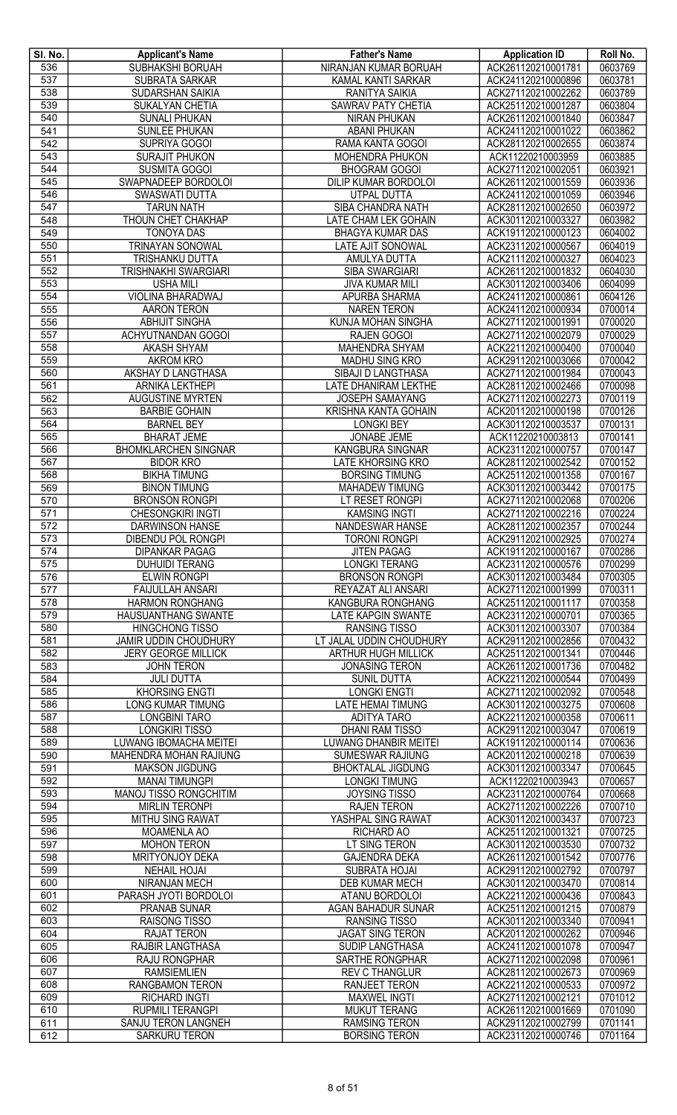| SI. No.          | <b>Applicant's Name</b>                         | <b>Father's Name</b>                             | <b>Application ID</b>                    | Roll No.           |
|------------------|-------------------------------------------------|--------------------------------------------------|------------------------------------------|--------------------|
| 536              | <b>SUBHAKSHI BORUAH</b>                         | NIRANJAN KUMAR BORUAH                            | ACK261120210001781                       | 0603769            |
| 537              | <b>SUBRATA SARKAR</b>                           | KAMAL KANTI SARKAR                               | ACK241120210000896                       | 0603781            |
| 538              | SUDARSHAN SAIKIA                                | RANITYA SAIKIA                                   | ACK271120210002262                       | 0603789            |
| 539              | SUKALYAN CHETIA                                 | <b>SAWRAV PATY CHETIA</b>                        | ACK251120210001287                       | 0603804            |
| 540              | <b>SUNALI PHUKAN</b>                            | <b>NIRAN PHUKAN</b>                              | ACK261120210001840                       | 0603847            |
| 541              | <b>SUNLEE PHUKAN</b>                            | <b>ABANI PHUKAN</b>                              | ACK241120210001022                       | 0603862            |
| 542              | SUPRIYA GOGOI                                   | RAMA KANTA GOGOI                                 | ACK281120210002655                       | 0603874            |
| 543<br>544       | <b>SURAJIT PHUKON</b><br><b>SUSMITA GOGOI</b>   | MOHENDRA PHUKON<br><b>BHOGRAM GOGOI</b>          | ACK11220210003959<br>ACK271120210002051  | 0603885<br>0603921 |
| 545              | SWAPNADEEP BORDOLOI                             | DILIP KUMAR BORDOLOI                             | ACK261120210001559                       | 0603936            |
| 546              | SWASWATI DUTTA                                  | UTPAL DUTTA                                      | ACK241120210001059                       | 0603946            |
| 547              | <b>TARUN NATH</b>                               | SIBA CHANDRA NATH                                | ACK281120210002650                       | 0603972            |
| 548              | THOUN CHET CHAKHAP                              | LATE CHAM LEK GOHAIN                             | ACK301120210003327                       | 0603982            |
| 549              | <b>TONOYA DAS</b>                               | <b>BHAGYA KUMAR DAS</b>                          | ACK191120210000123                       | 0604002            |
| 550              | <b>TRINAYAN SONOWAL</b>                         | LATE AJIT SONOWAL                                | ACK231120210000567                       | 0604019            |
| 551              | TRISHANKU DUTTA                                 | AMULYA DUTTA                                     | ACK211120210000327                       | 0604023            |
| 552              | <b>TRISHNAKHI SWARGIARI</b>                     | <b>SIBA SWARGIARI</b>                            | ACK261120210001832                       | 0604030            |
| 553              | <b>USHA MILI</b>                                | <b>JIVA KUMAR MILI</b>                           | ACK301120210003406                       | 0604099            |
| 554              | VIOLINA BHARADWAJ                               | <b>APURBA SHARMA</b>                             | ACK241120210000861                       | 0604126            |
| 555              | <b>AARON TERON</b>                              | <b>NAREN TERON</b>                               | ACK241120210000934                       | 0700014            |
| 556              | <b>ABHIJIT SINGHA</b>                           | KUNJA MOHAN SINGHA                               | ACK271120210001991                       | 0700020            |
| 557              | ACHYUTNANDAN GOGOI                              | RAJEN GOGOI                                      | ACK271120210002079                       | 0700029            |
| 558              | AKASH SHYAM                                     | <b>MAHENDRA SHYAM</b>                            | ACK221120210000400                       | 0700040            |
| 559              | <b>AKROM KRO</b>                                | MADHU SING KRO                                   | ACK291120210003066                       | 0700042            |
| 560              | AKSHAY D LANGTHASA                              | SIBAJI D LANGTHASA                               | ACK271120210001984                       | 0700043            |
| 561              | <b>ARNIKA LEKTHEPI</b>                          | <b>LATE DHANIRAM LEKTHE</b>                      | ACK281120210002466                       | 0700098            |
| 562              | <b>AUGUSTINE MYRTEN</b>                         | <b>JOSEPH SAMAYANG</b>                           | ACK271120210002273                       | 0700119            |
| 563<br>564       | <b>BARBIE GOHAIN</b><br><b>BARNEL BEY</b>       | KRISHNA KANTA GOHAIN<br><b>LONGKI BEY</b>        | ACK201120210000198<br>ACK301120210003537 | 0700126<br>0700131 |
| 565              | <b>BHARAT JEME</b>                              | JONABE JEME                                      | ACK11220210003813                        | 0700141            |
| 566              | <b>BHOMKLARCHEN SINGNAR</b>                     | KANGBURA SINGNAR                                 | ACK231120210000757                       | 0700147            |
| 567              | <b>BIDOR KRO</b>                                | <b>LATE KHORSING KRO</b>                         | ACK281120210002542                       | 0700152            |
| 568              | <b>BIKHA TIMUNG</b>                             | <b>BORSING TIMUNG</b>                            | ACK251120210001358                       | 0700167            |
| 569              | <b>BINON TIMUNG</b>                             | <b>MAHADEW TIMUNG</b>                            | ACK301120210003442                       | 0700175            |
| 570              | <b>BRONSON RONGPI</b>                           | LT RESET RONGPI                                  | ACK271120210002068                       | 0700206            |
| 571              | <b>CHESONGKIRI INGTI</b>                        | <b>KAMSING INGTI</b>                             | ACK271120210002216                       | 0700224            |
| 572              | <b>DARWINSON HANSE</b>                          | NANDESWAR HANSE                                  | ACK281120210002357                       | 0700244            |
| 573              | <b>DIBENDU POL RONGPI</b>                       | <b>TORONI RONGPI</b>                             | ACK291120210002925                       | 0700274            |
| 574              | <b>DIPANKAR PAGAG</b>                           | <b>JITEN PAGAG</b>                               | ACK191120210000167                       | 0700286            |
| 575              | <b>DUHUIDI TERANG</b>                           | <b>LONGKI TERANG</b>                             | ACK231120210000576                       | 0700299            |
| 576              | <b>ELWIN RONGPI</b>                             | <b>BRONSON RONGPI</b>                            | ACK301120210003484                       | 0700305            |
| $\overline{577}$ | <b>FAIJULLAH ANSARI</b>                         | REYAZAT ALI ANSARI                               | ACK271120210001999                       | 0700311            |
| 578              | <b>HARMON RONGHANG</b>                          | <b>KANGBURA RONGHANG</b>                         | ACK251120210001117                       | 0700358            |
| 579<br>580       | <b>HAUSUANTHANG SWANTE</b>                      | <b>LATE KAPGIN SWANTE</b>                        | ACK231120210000701                       | 0700365            |
| 581              | <b>HINGCHONG TISSO</b><br>JAMIR UDDIN CHOUDHURY | <b>RANSING TISSO</b><br>LT JALAL UDDIN CHOUDHURY | ACK301120210003307<br>ACK291120210002856 | 0700384<br>0700432 |
| 582              | <b>JERY GEORGE MILLICK</b>                      | <b>ARTHUR HUGH MILLICK</b>                       | ACK251120210001341                       | 0700446            |
| 583              | <b>JOHN TERON</b>                               | <b>JONASING TERON</b>                            | ACK261120210001736                       | 0700482            |
| 584              | <b>JULI DUTTA</b>                               | <b>SUNIL DUTTA</b>                               | ACK221120210000544                       | 0700499            |
| 585              | <b>KHORSING ENGTI</b>                           | <b>LONGKI ENGTI</b>                              | ACK271120210002092                       | 0700548            |
| 586              | <b>LONG KUMAR TIMUNG</b>                        | <b>LATE HEMAI TIMUNG</b>                         | ACK301120210003275                       | 0700608            |
| 587              | <b>LONGBINI TARO</b>                            | <b>ADITYA TARO</b>                               | ACK221120210000358                       | 0700611            |
| 588              | <b>LONGKIRI TISSO</b>                           | <b>DHANI RAM TISSO</b>                           | ACK291120210003047                       | 0700619            |
| 589              | <b>LUWANG IBOMACHA MEITEI</b>                   | <b>LUWANG DHANBIR MEITEI</b>                     | ACK191120210000114                       | 0700636            |
| 590              | MAHENDRA MOHAN RAJIUNG                          | SUMESWAR RAJIUNG                                 | ACK201120210000218                       | 0700639            |
| 591              | <b>MAKSON JIGDUNG</b>                           | <b>BHOKTALAL JIGDUNG</b>                         | ACK301120210003347                       | 0700645            |
| 592              | <b>MANAI TIMUNGPI</b>                           | <b>LONGKI TIMUNG</b>                             | ACK11220210003943                        | 0700657            |
| 593              | MANOJ TISSO RONGCHITIM                          | <b>JOYSING TISSO</b>                             | ACK231120210000764                       | 0700668            |
| 594              | <b>MIRLIN TERONPI</b>                           | <b>RAJEN TERON</b>                               | ACK271120210002226                       | 0700710            |
| 595<br>596       | MITHU SING RAWAT<br>MOAMENLA AO                 | YASHPAL SING RAWAT<br>RICHARD AO                 | ACK301120210003437<br>ACK251120210001321 | 0700723<br>0700725 |
| 597              | <b>MOHON TERON</b>                              | LT SING TERON                                    | ACK301120210003530                       | 0700732            |
| 598              | MRITYONJOY DEKA                                 | <b>GAJENDRA DEKA</b>                             | ACK261120210001542                       | 0700776            |
| 599              | <b>NEHAIL HOJAI</b>                             | <b>SUBRATA HOJAI</b>                             | ACK291120210002792                       | 0700797            |
| 600              | NIRANJAN MECH                                   | <b>DEB KUMAR MECH</b>                            | ACK301120210003470                       | 0700814            |
| 601              | PARASH JYOTI BORDOLOI                           | ATANU BORDOLOI                                   | ACK221120210000436                       | 0700843            |
| 602              | <b>PRANAB SUNAR</b>                             | <b>AGAN BAHADUR SUNAR</b>                        | ACK251120210001215                       | 0700879            |
| 603              | <b>RAISONG TISSO</b>                            | <b>RANSING TISSO</b>                             | ACK301120210003340                       | 0700941            |
| 604              | <b>RAJAT TERON</b>                              | <b>JAGAT SING TERON</b>                          | ACK201120210000262                       | 0700946            |
| 605              | <b>RAJBIR LANGTHASA</b>                         | SUDIP LANGTHASA                                  | ACK241120210001078                       | 0700947            |
| 606              | RAJU RONGPHAR                                   | SARTHE RONGPHAR                                  | ACK271120210002098                       | 0700961            |
| 607              | <b>RAMSIEMLIEN</b>                              | <b>REV C THANGLUR</b>                            | ACK281120210002673                       | 0700969            |
| 608              | <b>RANGBAMON TERON</b>                          | <b>RANJEET TERON</b>                             | ACK221120210000533                       | 0700972            |
| 609              | RICHARD INGTI                                   | <b>MAXWEL INGTI</b>                              | ACK271120210002121                       | 0701012            |
| 610              | <b>RUPMILI TERANGPI</b>                         | <b>MUKUT TERANG</b>                              | ACK261120210001669                       | 0701090            |
| 611<br>612       | SANJU TERON LANGNEH<br><b>SARKURU TERON</b>     | <b>RAMSING TERON</b><br><b>BORSING TERON</b>     | ACK291120210002799<br>ACK231120210000746 | 0701141<br>0701164 |
|                  |                                                 |                                                  |                                          |                    |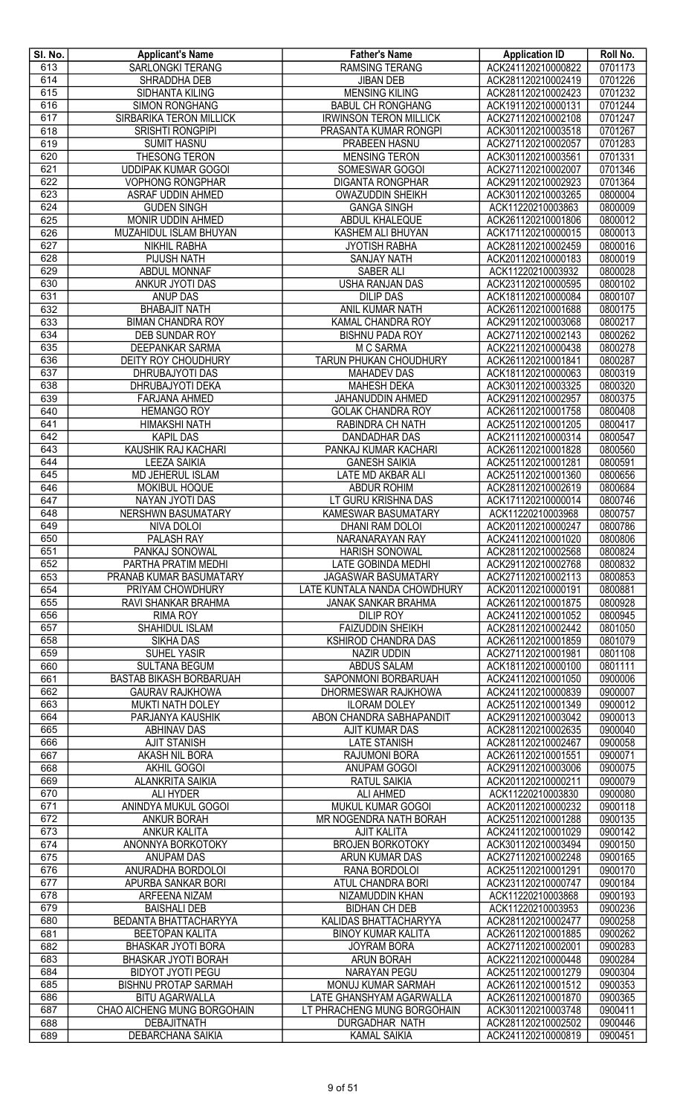| SI. No. | <b>Applicant's Name</b>      | <b>Father's Name</b>          | <b>Application ID</b> | Roll No. |
|---------|------------------------------|-------------------------------|-----------------------|----------|
| 613     | SARLONGKI TERANG             | <b>RAMSING TERANG</b>         | ACK241120210000822    | 0701173  |
| 614     | SHRADDHA DEB                 | <b>JIBAN DEB</b>              | ACK281120210002419    | 0701226  |
| 615     | <b>SIDHANTA KILING</b>       | <b>MENSING KILING</b>         | ACK281120210002423    | 0701232  |
|         |                              |                               |                       |          |
| 616     | <b>SIMON RONGHANG</b>        | <b>BABUL CH RONGHANG</b>      | ACK191120210000131    | 0701244  |
| 617     | SIRBARIKA TERON MILLICK      | <b>IRWINSON TERON MILLICK</b> | ACK271120210002108    | 0701247  |
| 618     | <b>SRISHTI RONGPIPI</b>      | PRASANTA KUMAR RONGPI         | ACK301120210003518    | 0701267  |
| 619     | <b>SUMIT HASNU</b>           | <b>PRABEEN HASNU</b>          | ACK271120210002057    | 0701283  |
| 620     | THESONG TERON                | <b>MENSING TERON</b>          | ACK301120210003561    | 0701331  |
| 621     | <b>UDDIPAK KUMAR GOGOI</b>   | SOMESWAR GOGOI                | ACK271120210002007    | 0701346  |
| 622     | <b>VOPHONG RONGPHAR</b>      | <b>DIGANTA RONGPHAR</b>       | ACK291120210002923    | 0701364  |
| 623     | ASRAF UDDIN AHMED            | <b>OWAZUDDIN SHEIKH</b>       | ACK301120210003265    | 0800004  |
| 624     | <b>GUDEN SINGH</b>           | <b>GANGA SINGH</b>            | ACK11220210003863     | 0800009  |
| 625     | MONIR UDDIN AHMED            | ABDUL KHALEQUE                | ACK261120210001806    | 0800012  |
|         |                              |                               |                       |          |
| 626     | MUZAHIDUL ISLAM BHUYAN       | KASHEM ALI BHUYAN             | ACK171120210000015    | 0800013  |
| 627     | <b>NIKHIL RABHA</b>          | <b>JYOTISH RABHA</b>          | ACK281120210002459    | 0800016  |
| 628     | <b>PIJUSH NATH</b>           | <b>SANJAY NATH</b>            | ACK201120210000183    | 0800019  |
| 629     | <b>ABDUL MONNAF</b>          | SABER ALI                     | ACK11220210003932     | 0800028  |
| 630     | <b>ANKUR JYOTI DAS</b>       | USHA RANJAN DAS               | ACK231120210000595    | 0800102  |
| 631     | <b>ANUP DAS</b>              | <b>DILIP DAS</b>              | ACK181120210000084    | 0800107  |
| 632     | <b>BHABAJIT NATH</b>         | ANIL KUMAR NATH               | ACK261120210001688    | 0800175  |
| 633     | <b>BIMAN CHANDRA ROY</b>     | KAMAL CHANDRA ROY             | ACK291120210003068    | 0800217  |
| 634     | DEB SUNDAR ROY               | <b>BISHNU PADA ROY</b>        | ACK271120210002143    | 0800262  |
| 635     | <b>DEEPANKAR SARMA</b>       | M C SARMA                     | ACK221120210000438    | 0800278  |
| 636     | <b>DEITY ROY CHOUDHURY</b>   | TARUN PHUKAN CHOUDHURY        | ACK261120210001841    | 0800287  |
|         |                              |                               |                       |          |
| 637     | DHRUBAJYOTI DAS              | <b>MAHADEV DAS</b>            | ACK181120210000063    | 0800319  |
| 638     | DHRUBAJYOTI DEKA             | <b>MAHESH DEKA</b>            | ACK301120210003325    | 0800320  |
| 639     | <b>FARJANA AHMED</b>         | JAHANUDDIN AHMED              | ACK291120210002957    | 0800375  |
| 640     | <b>HEMANGO ROY</b>           | <b>GOLAK CHANDRA ROY</b>      | ACK261120210001758    | 0800408  |
| 641     | <b>HIMAKSHI NATH</b>         | RABINDRA CH NATH              | ACK251120210001205    | 0800417  |
| 642     | <b>KAPIL DAS</b>             | <b>DANDADHAR DAS</b>          | ACK211120210000314    | 0800547  |
| 643     | <b>KAUSHIK RAJ KACHARI</b>   | PANKAJ KUMAR KACHARI          | ACK261120210001828    | 0800560  |
| 644     | <b>LEEZA SAIKIA</b>          | <b>GANESH SAIKIA</b>          | ACK251120210001281    | 0800591  |
| 645     | MD JEHERUL ISLAM             | LATE MD AKBAR ALI             | ACK251120210001360    | 0800656  |
| 646     | MOKIBUL HOQUE                | <b>ABDUR ROHIM</b>            | ACK281120210002619    | 0800684  |
| 647     | NAYAN JYOTI DAS              | LT GURU KRISHNA DAS           | ACK171120210000014    | 0800746  |
| 648     | <b>NERSHWN BASUMATARY</b>    | KAMESWAR BASUMATARY           | ACK11220210003968     | 0800757  |
|         |                              |                               |                       |          |
| 649     | NIVA DOLOI                   | <b>DHANI RAM DOLOI</b>        | ACK201120210000247    | 0800786  |
| 650     | PALASH RAY                   | NARANARAYAN RAY               | ACK241120210001020    | 0800806  |
| 651     | PANKAJ SONOWAL               | <b>HARISH SONOWAL</b>         | ACK281120210002568    | 0800824  |
| 652     | PARTHA PRATIM MEDHI          | LATE GOBINDA MEDHI            | ACK291120210002768    | 0800832  |
| 653     | PRANAB KUMAR BASUMATARY      | <b>JAGASWAR BASUMATARY</b>    | ACK271120210002113    | 0800853  |
| 654     | PRIYAM CHOWDHURY             | LATE KUNTALA NANDA CHOWDHURY  | ACK201120210000191    | 0800881  |
| 655     | RAVI SHANKAR BRAHMA          | <b>JANAK SANKAR BRAHMA</b>    | ACK261120210001875    | 0800928  |
| 656     | <b>RIMA ROY</b>              | <b>DILIP ROY</b>              | ACK241120210001052    | 0800945  |
| 657     | SHAHIDUL ISLAM               | <b>FAIZUDDIN SHEIKH</b>       | ACK281120210002442    | 0801050  |
| 658     | <b>SIKHA DAS</b>             | KSHIROD CHANDRA DAS           | ACK261120210001859    | 0801079  |
| 659     | SUHEL YASIR                  | NAZIR UDDIN                   | ACK271120210001981    | 0801108  |
| 660     | <b>SULTANA BEGUM</b>         | <b>ABDUS SALAM</b>            | ACK181120210000100    | 0801111  |
|         |                              |                               |                       |          |
| 661     | BASTAB BIKASH BORBARUAH      | SAPONMONI BORBARUAH           | ACK241120210001050    | 0900006  |
| 662     | <b>GAURAV RAJKHOWA</b>       | DHORMESWAR RAJKHOWA           | ACK241120210000839    | 0900007  |
| 663     | MUKTI NATH DOLEY             | <b>ILORAM DOLEY</b>           | ACK251120210001349    | 0900012  |
| 664     | PARJANYA KAUSHIK             | ABON CHANDRA SABHAPANDIT      | ACK291120210003042    | 0900013  |
| 665     | <b>ABHINAV DAS</b>           | <b>AJIT KUMAR DAS</b>         | ACK281120210002635    | 0900040  |
| 666     | <b>AJIT STANISH</b>          | <b>LATE STANISH</b>           | ACK281120210002467    | 0900058  |
| 667     | <b>AKASH NIL BORA</b>        | <b>RAJUMONI BORA</b>          | ACK261120210001551    | 0900071  |
| 668     | AKHIL GOGOI                  | ANUPAM GOGOI                  | ACK291120210003006    | 0900075  |
| 669     | <b>ALANKRITA SAIKIA</b>      | <b>RATUL SAIKIA</b>           | ACK201120210000211    | 0900079  |
| 670     | ALI HYDER                    | <b>ALI AHMED</b>              | ACK11220210003830     | 0900080  |
| 671     | ANINDYA MUKUL GOGOI          | MUKUL KUMAR GOGOI             | ACK201120210000232    | 0900118  |
| 672     | <b>ANKUR BORAH</b>           | MR NOGENDRA NATH BORAH        | ACK251120210001288    | 0900135  |
| 673     | ANKUR KALITA                 | <b>AJIT KALITA</b>            | ACK241120210001029    | 0900142  |
| 674     | ANONNYA BORKOTOKY            | <b>BROJEN BORKOTOKY</b>       | ACK301120210003494    | 0900150  |
| 675     | <b>ANUPAM DAS</b>            | ARUN KUMAR DAS                | ACK271120210002248    | 0900165  |
| 676     |                              |                               |                       |          |
|         | ANURADHA BORDOLOI            | RANA BORDOLOI                 | ACK251120210001291    | 0900170  |
| 677     | APURBA SANKAR BORI           | <b>ATUL CHANDRA BORI</b>      | ACK231120210000747    | 0900184  |
| 678     | ARFEENA NIZAM                | NIZAMUDDIN KHAN               | ACK11220210003868     | 0900193  |
| 679     | <b>BAISHALI DEB</b>          | <b>BIDHAN CH DEB</b>          | ACK11220210003953     | 0900236  |
| 680     | <b>BEDANTA BHATTACHARYYA</b> | <b>KALIDAS BHATTACHARYYA</b>  | ACK281120210002477    | 0900258  |
| 681     | <b>BEETOPAN KALITA</b>       | <b>BINOY KUMAR KALITA</b>     | ACK261120210001885    | 0900262  |
| 682     | <b>BHASKAR JYOTI BORA</b>    | <b>JOYRAM BORA</b>            | ACK271120210002001    | 0900283  |
| 683     | BHASKAR JYOTI BORAH          | ARUN BORAH                    | ACK221120210000448    | 0900284  |
| 684     | <b>BIDYOT JYOTI PEGU</b>     | <b>NARAYAN PEGU</b>           | ACK251120210001279    | 0900304  |
| 685     | <b>BISHNU PROTAP SARMAH</b>  | MONUJ KUMAR SARMAH            | ACK261120210001512    | 0900353  |
| 686     | <b>BITU AGARWALLA</b>        | LATE GHANSHYAM AGARWALLA      | ACK261120210001870    | 0900365  |
| 687     | CHAO AICHENG MUNG BORGOHAIN  | LT PHRACHENG MUNG BORGOHAIN   | ACK301120210003748    | 0900411  |
| 688     | <b>DEBAJITNATH</b>           | DURGADHAR NATH                | ACK281120210002502    | 0900446  |
| 689     | <b>DEBARCHANA SAIKIA</b>     | <b>KAMAL SAIKIA</b>           | ACK241120210000819    | 0900451  |
|         |                              |                               |                       |          |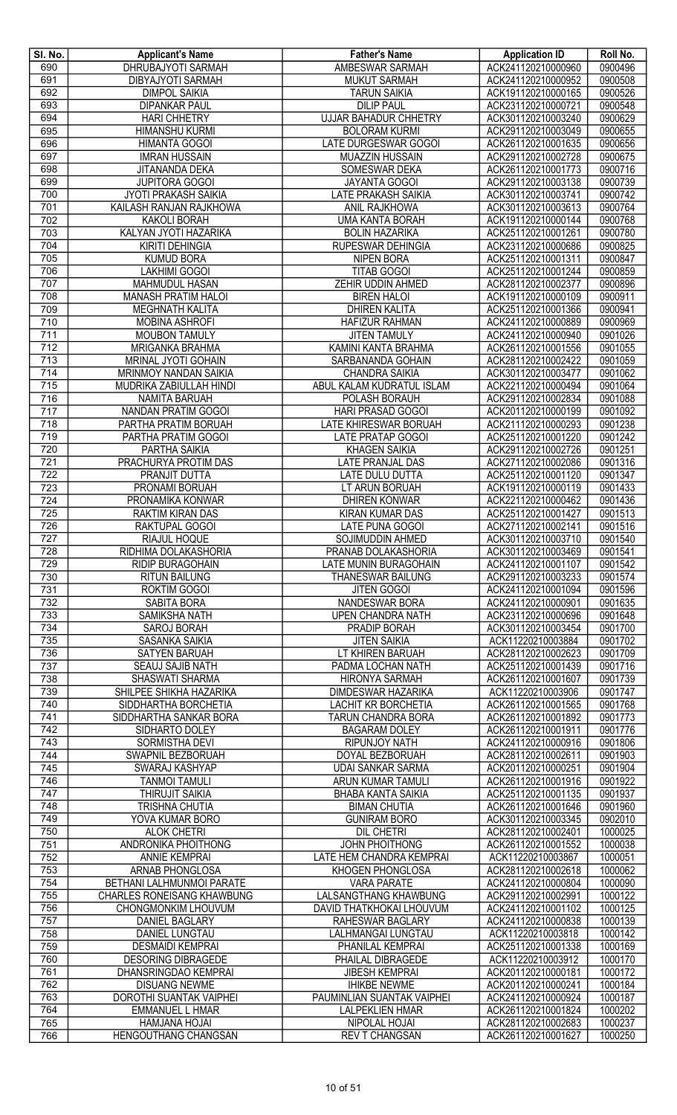| SI. No.          | <b>Applicant's Name</b>           | <b>Father's Name</b>         | <b>Application ID</b> | Roll No. |
|------------------|-----------------------------------|------------------------------|-----------------------|----------|
| 690              | <b>DHRUBAJYOTI SARMAH</b>         | AMBESWAR SARMAH              | ACK241120210000960    | 0900496  |
| 691              | <b>DIBYAJYOTI SARMAH</b>          | <b>MUKUT SARMAH</b>          | ACK241120210000952    | 0900508  |
| 692              | <b>DIMPOL SAIKIA</b>              | <b>TARUN SAIKIA</b>          | ACK191120210000165    | 0900526  |
| 693              | <b>DIPANKAR PAUL</b>              | <b>DILIP PAUL</b>            | ACK231120210000721    | 0900548  |
| 694              | <b>HARI CHHETRY</b>               | <b>UJJAR BAHADUR CHHETRY</b> | ACK301120210003240    | 0900629  |
| 695              | <b>HIMANSHU KURMI</b>             | <b>BOLORAM KURMI</b>         | ACK291120210003049    | 0900655  |
| 696              | <b>HIMANTA GOGOI</b>              | <b>LATE DURGESWAR GOGOI</b>  | ACK261120210001635    | 0900656  |
| 697              | <b>IMRAN HUSSAIN</b>              | MUAZZIN HUSSAIN              | ACK291120210002728    | 0900675  |
| 698              | JITANANDA DEKA                    | SOMESWAR DEKA                | ACK261120210001773    | 0900716  |
| 699              | <b>JUPITORA GOGOI</b>             | <b>JAYANTA GOGOI</b>         | ACK291120210003138    | 0900739  |
| 700              | <b>JYOTI PRAKASH SAIKIA</b>       | LATE PRAKASH SAIKIA          | ACK301120210003741    | 0900742  |
| 701              | KAILASH RANJAN RAJKHOWA           | ANIL RAJKHOWA                | ACK301120210003613    | 0900764  |
| 702              | KAKOLI BORAH                      | <b>UMA KANTA BORAH</b>       | ACK191120210000144    | 0900768  |
| 703              | KALYAN JYOTI HAZARIKA             | <b>BOLIN HAZARIKA</b>        | ACK251120210001261    | 0900780  |
| 704              | <b>KIRITI DEHINGIA</b>            | RUPESWAR DEHINGIA            | ACK231120210000686    | 0900825  |
| 705              | <b>KUMUD BORA</b>                 | <b>NIPEN BORA</b>            | ACK251120210001311    | 0900847  |
| 706              | <b>LAKHIMI GOGOI</b>              | <b>TITAB GOGOI</b>           | ACK251120210001244    | 0900859  |
| 707              | <b>MAHMUDUL HASAN</b>             | <b>ZEHIR UDDIN AHMED</b>     | ACK281120210002377    | 0900896  |
| 708              | <b>MANASH PRATIM HALOI</b>        | <b>BIREN HALOI</b>           | ACK191120210000109    | 0900911  |
| 709              | <b>MEGHNATH KALITA</b>            | <b>DHIREN KALITA</b>         | ACK251120210001366    | 0900941  |
| $\overline{710}$ | <b>MOBINA ASHROFI</b>             | <b>HAFIZUR RAHMAN</b>        | ACK241120210000889    | 0900969  |
| 711              | <b>MOUBON TAMULY</b>              | <b>JITEN TAMULY</b>          | ACK241120210000940    | 0901026  |
| 712              | <b>MRIGANKA BRAHMA</b>            | KAMINI KANTA BRAHMA          | ACK261120210001556    | 0901055  |
| $\overline{713}$ | MRINAL JYOTI GOHAIN               | SARBANANDA GOHAIN            | ACK281120210002422    | 0901059  |
| $\overline{714}$ | MRINMOY NANDAN SAIKIA             | <b>CHANDRA SAIKIA</b>        | ACK301120210003477    | 0901062  |
| 715              | MUDRIKA ZABIULLAH HINDI           | ABUL KALAM KUDRATUL ISLAM    | ACK221120210000494    | 0901064  |
| 716              | <b>NAMITA BARUAH</b>              | POLASH BORAUH                | ACK291120210002834    | 0901088  |
| $\overline{717}$ | NANDAN PRATIM GOGOI               | HARI PRASAD GOGOI            | ACK201120210000199    | 0901092  |
| $\overline{718}$ | PARTHA PRATIM BORUAH              | <b>LATE KHIRESWAR BORUAH</b> | ACK211120210000293    | 0901238  |
| 719              | PARTHA PRATIM GOGOI               | <b>LATE PRATAP GOGOI</b>     | ACK251120210001220    | 0901242  |
| 720              | PARTHA SAIKIA                     | <b>KHAGEN SAIKIA</b>         | ACK291120210002726    | 0901251  |
| $\overline{721}$ | PRACHURYA PROTIM DAS              | LATE PRANJAL DAS             | ACK271120210002086    | 0901316  |
| 722              | <b>PRANJIT DUTTA</b>              | <b>LATE DULU DUTTA</b>       | ACK251120210001120    | 0901347  |
| 723              | PRONAMI BORUAH                    | LT ARUN BORUAH               | ACK191120210000119    | 0901433  |
| 724              | PRONAMIKA KONWAR                  | <b>DHIREN KONWAR</b>         | ACK221120210000462    | 0901436  |
| $\overline{725}$ | RAKTIM KIRAN DAS                  | <b>KIRAN KUMAR DAS</b>       | ACK251120210001427    | 0901513  |
| 726              | RAKTUPAL GOGOI                    | LATE PUNA GOGOI              | ACK271120210002141    | 0901516  |
| 727              | RIAJUL HOQUE                      | SOJIMUDDIN AHMED             | ACK301120210003710    | 0901540  |
| 728              | RIDHIMA DOLAKASHORIA              | PRANAB DOLAKASHORIA          | ACK301120210003469    | 0901541  |
| 729              | RIDIP BURAGOHAIN                  | <b>LATE MUNIN BURAGOHAIN</b> | ACK241120210001107    | 0901542  |
| 730              | <b>RITUN BAILUNG</b>              | <b>THANESWAR BAILUNG</b>     | ACK291120210003233    | 0901574  |
| 731              | ROKTIM GOGOI                      | <b>JITEN GOGOI</b>           | ACK241120210001094    | 0901596  |
| 732              | <b>SABITA BORA</b>                | <b>NANDESWAR BORA</b>        | ACK241120210000901    | 0901635  |
| 733              | SAMIKSHA NATH                     | UPEN CHANDRA NATH            | ACK231120210000696    | 0901648  |
| 734              | SAROJ BORAH                       | PRADIP BORAH                 | ACK301120210003454    | 0901700  |
| $\overline{735}$ | <b>SASANKA SAIKIA</b>             | <b>JITEN SAIKIA</b>          | ACK11220210003884     | 0901702  |
| 736              | <b>SATYEN BARUAH</b>              | LT KHIREN BARUAH             | ACK281120210002623    | 0901709  |
| 737              | <b>SEAUJ SAJIB NATH</b>           | PADMA LOCHAN NATH            | ACK251120210001439    | 0901716  |
| 738              | SHASWATI SHARMA                   | <b>HIRONYA SARMAH</b>        | ACK261120210001607    | 0901739  |
| 739              | SHILPEE SHIKHA HAZARIKA           | DIMDESWAR HAZARIKA           | ACK11220210003906     | 0901747  |
| 740              | SIDDHARTHA BORCHETIA              | <b>LACHIT KR BORCHETIA</b>   | ACK261120210001565    | 0901768  |
| 741              | SIDDHARTHA SANKAR BORA            | <b>TARUN CHANDRA BORA</b>    | ACK261120210001892    | 0901773  |
| 742              | SIDHARTO DOLEY                    | <b>BAGARAM DOLEY</b>         | ACK261120210001911    | 0901776  |
| 743              | <b>SORMISTHA DEVI</b>             | RIPUNJOY NATH                | ACK241120210000916    | 0901806  |
| 744              | SWAPNIL BEZBORUAH                 | DOYAL BEZBORUAH              | ACK281120210002611    | 0901903  |
| 745              | SWARAJ KASHYAP                    | <b>UDAI SANKAR SARMA</b>     | ACK201120210000251    | 0901904  |
| 746              | <b>TANMOI TAMULI</b>              | ARUN KUMAR TAMULI            | ACK261120210001916    | 0901922  |
| 747              | THIRUJIT SAIKIA                   | <b>BHABA KANTA SAIKIA</b>    | ACK251120210001135    | 0901937  |
| 748              | <b>TRISHNA CHUTIA</b>             | <b>BIMAN CHUTIA</b>          | ACK261120210001646    | 0901960  |
| 749              | YOVA KUMAR BORO                   | <b>GUNIRAM BORO</b>          | ACK301120210003345    | 0902010  |
| 750              | <b>ALOK CHETRI</b>                | <b>DIL CHETRI</b>            | ACK281120210002401    | 1000025  |
| 751              | ANDRONIKA PHOITHONG               | <b>JOHN PHOITHONG</b>        | ACK261120210001552    | 1000038  |
| 752              | <b>ANNIE KEMPRAI</b>              | LATE HEM CHANDRA KEMPRAI     | ACK11220210003867     | 1000051  |
| $\overline{753}$ | ARNAB PHONGLOSA                   | KHOGEN PHONGLOSA             | ACK281120210002618    | 1000062  |
| 754              | <b>BETHANI LALHMUNMOI PARATE</b>  | <b>VARA PARATE</b>           | ACK241120210000804    | 1000090  |
| 755              | <b>CHARLES RONEISANG KHAWBUNG</b> | <b>LALSANGTHANG KHAWBUNG</b> | ACK291120210002991    | 1000122  |
| 756              | CHONGMONKIM LHOUVUM               | DAVID THATKHOKAI LHOUVUM     | ACK241120210001102    | 1000125  |
| 757              | <b>DANIEL BAGLARY</b>             | <b>RAHESWAR BAGLARY</b>      | ACK241120210000838    | 1000139  |
| 758              |                                   |                              | ACK11220210003818     | 1000142  |
|                  | DANIEL LUNGTAU                    | LALHMANGAI LUNGTAU           |                       |          |
| 759              | <b>DESMAIDI KEMPRAI</b>           | PHANILAL KEMPRAI             | ACK251120210001338    | 1000169  |
| 760              | <b>DESORING DIBRAGEDE</b>         | PHAILAL DIBRAGEDE            | ACK11220210003912     | 1000170  |
| 761              | DHANSRINGDAO KEMPRAI              | <b>JIBESH KEMPRAI</b>        | ACK201120210000181    | 1000172  |
| 762              | <b>DISUANG NEWME</b>              | <b>IHIKBE NEWME</b>          | ACK201120210000241    | 1000184  |
| 763              | DOROTHI SUANTAK VAIPHEI           | PAUMINLIAN SUANTAK VAIPHEI   | ACK241120210000924    | 1000187  |
| 764              | <b>EMMANUEL L HMAR</b>            | <b>LALPEKLIEN HMAR</b>       | ACK261120210001824    | 1000202  |
| 765              | <b>HAMJANA HOJAI</b>              | NIPOLAL HOJAI                | ACK281120210002683    | 1000237  |
| 766              | <b>HENGOUTHANG CHANGSAN</b>       | <b>REV T CHANGSAN</b>        | ACK261120210001627    | 1000250  |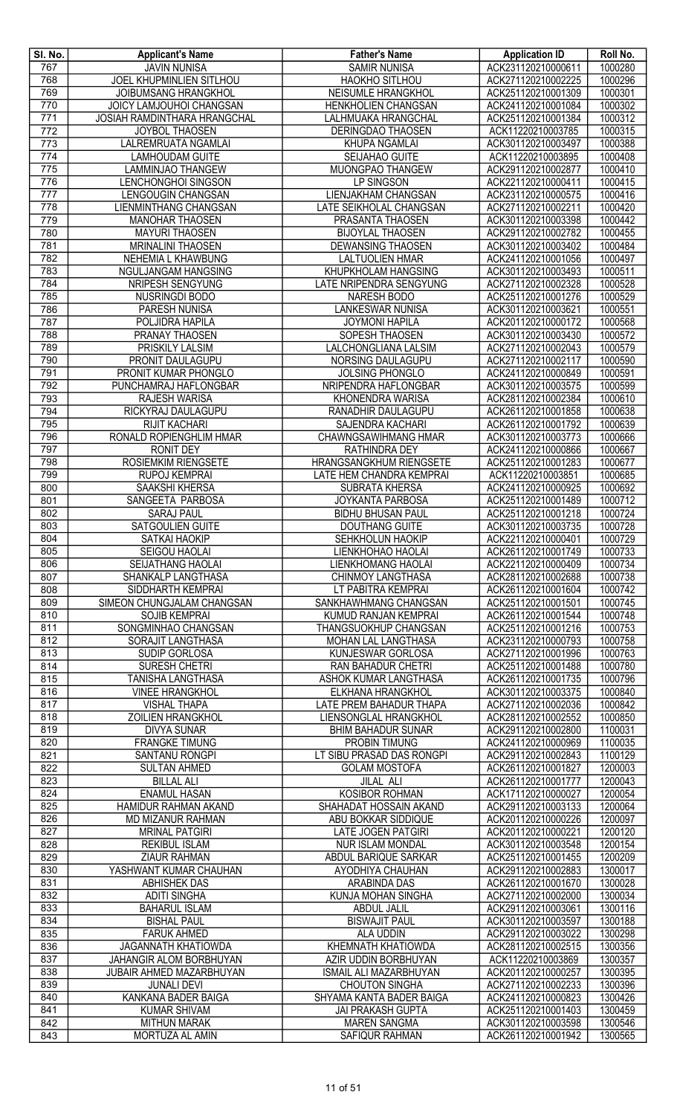| SI. No.                 | <b>Applicant's Name</b>                                  | <b>Father's Name</b>                              | <b>Application ID</b>                    | Roll No.           |
|-------------------------|----------------------------------------------------------|---------------------------------------------------|------------------------------------------|--------------------|
| 767                     | <b>JAVIN NUNISA</b>                                      | <b>SAMIR NUNISA</b>                               | ACK231120210000611                       | 1000280            |
| 768                     | JOEL KHUPMINLIEN SITLHOU                                 | <b>HAOKHO SITLHOU</b>                             | ACK271120210002225                       | 1000296            |
| 769                     | JOIBUMSANG HRANGKHOL                                     | NEISUMLE HRANGKHOL                                | ACK251120210001309                       | 1000301            |
| 770<br>$\overline{771}$ | JOICY LAMJOUHOI CHANGSAN<br>JOSIAH RAMDINTHARA HRANGCHAL | <b>HENKHOLIEN CHANGSAN</b><br>LALHMUAKA HRANGCHAL | ACK241120210001084<br>ACK251120210001384 | 1000302<br>1000312 |
| $\overline{772}$        | <b>JOYBOL THAOSEN</b>                                    | DERINGDAO THAOSEN                                 | ACK11220210003785                        | 1000315            |
| $\overline{773}$        | LALREMRUATA NGAMLAI                                      | KHUPA NGAMLAI                                     | ACK301120210003497                       | 1000388            |
| 774                     | <b>LAMHOUDAM GUITE</b>                                   | SEIJAHAO GUITE                                    | ACK11220210003895                        | 1000408            |
| 775                     | <b>LAMMINJAO THANGEW</b>                                 | MUONGPAO THANGEW                                  | ACK291120210002877                       | 1000410            |
| 776                     | LENCHONGHOI SINGSON                                      | LP SINGSON                                        | ACK221120210000411                       | 1000415            |
| $\overline{777}$        | LENGOUGIN CHANGSAN                                       | <b>LIENJAKHAM CHANGSAN</b>                        | ACK231120210000575                       | 1000416            |
| 778                     | LIENMINTHANG CHANGSAN                                    | LATE SEIKHOLAL CHANGSAN                           | ACK271120210002211                       | 1000420            |
| 779<br>780              | <b>MANOHAR THAOSEN</b>                                   | PRASANTA THAOSEN                                  | ACK301120210003398<br>ACK291120210002782 | 1000442<br>1000455 |
| 781                     | <b>MAYURI THAOSEN</b><br><b>MRINALINI THAOSEN</b>        | <b>BIJOYLAL THAOSEN</b><br>DEWANSING THAOSEN      | ACK301120210003402                       | 1000484            |
| 782                     | NEHEMIA L KHAWBUNG                                       | <b>LALTUOLIEN HMAR</b>                            | ACK241120210001056                       | 1000497            |
| 783                     | NGULJANGAM HANGSING                                      | KHUPKHOLAM HANGSING                               | ACK301120210003493                       | 1000511            |
| 784                     | NRIPESH SENGYUNG                                         | LATE NRIPENDRA SENGYUNG                           | ACK271120210002328                       | 1000528            |
| 785                     | NUSRINGDI BODO                                           | <b>NARESH BODO</b>                                | ACK251120210001276                       | 1000529            |
| 786                     | <b>PARESH NUNISA</b>                                     | <b>LANKESWAR NUNISA</b>                           | ACK301120210003621                       | 1000551            |
| 787                     | POLJIDRA HAPILA                                          | <b>JOYMONI HAPILA</b>                             | ACK201120210000172                       | 1000568            |
| 788                     | PRANAY THAOSEN                                           | SOPESH THAOSEN                                    | ACK301120210003430                       | 1000572            |
| 789<br>790              | <b>PRISKILY LALSIM</b><br>PRONIT DAULAGUPU               | LALCHONGLIANA LALSIM<br>NORSING DAULAGUPU         | ACK271120210002043<br>ACK271120210002117 | 1000579<br>1000590 |
| 791                     | PRONIT KUMAR PHONGLO                                     | JOLSING PHONGLO                                   | ACK241120210000849                       | 1000591            |
| 792                     | PUNCHAMRAJ HAFLONGBAR                                    | NRIPENDRA HAFLONGBAR                              | ACK301120210003575                       | 1000599            |
| 793                     | <b>RAJESH WARISA</b>                                     | KHONENDRA WARISA                                  | ACK281120210002384                       | 1000610            |
| 794                     | RICKYRAJ DAULAGUPU                                       | RANADHIR DAULAGUPU                                | ACK261120210001858                       | 1000638            |
| 795                     | <b>RIJIT KACHARI</b>                                     | <b>SAJENDRA KACHARI</b>                           | ACK261120210001792                       | 1000639            |
| 796                     | RONALD ROPIENGHLIM HMAR                                  | <b>CHAWNGSAWIHMANG HMAR</b>                       | ACK301120210003773                       | 1000666            |
| 797                     | <b>RONIT DEY</b>                                         | <b>RATHINDRA DEY</b>                              | ACK241120210000866                       | 1000667            |
| 798                     | ROSIEMKIM RIENGSETE                                      | HRANGSANGKHUM RIENGSETE                           | ACK251120210001283                       | 1000677            |
| 799<br>800              | RUPOJ KEMPRAI<br><b>SAAKSHI KHERSA</b>                   | LATE HEM CHANDRA KEMPRAI<br><b>SUBRATA KHERSA</b> | ACK11220210003851<br>ACK241120210000925  | 1000685<br>1000692 |
| 801                     | SANGEETA PARBOSA                                         | JOYKANTA PARBOSA                                  | ACK251120210001489                       | 1000712            |
| 802                     | <b>SARAJ PAUL</b>                                        | <b>BIDHU BHUSAN PAUL</b>                          | ACK251120210001218                       | 1000724            |
| 803                     | SATGOULIEN GUITE                                         | <b>DOUTHANG GUITE</b>                             | ACK301120210003735                       | 1000728            |
| 804                     | <b>SATKAI HAOKIP</b>                                     | <b>SEHKHOLUN HAOKIP</b>                           | ACK221120210000401                       | 1000729            |
| 805                     | SEIGOU HAOLAI                                            | LIENKHOHAO HAOLAI                                 | ACK261120210001749                       | 1000733            |
| 806                     | <b>SEIJATHANG HAOLAI</b>                                 | <b>LIENKHOMANG HAOLAI</b>                         | ACK221120210000409                       | 1000734            |
| 807                     | <b>SHANKALP LANGTHASA</b>                                | <b>CHINMOY LANGTHASA</b>                          | ACK281120210002688                       | 1000738            |
| 808<br>809              | SIDDHARTH KEMPRAI<br>SIMEON CHUNGJALAM CHANGSAN          | LT PABITRA KEMPRAI<br>SANKHAWHMANG CHANGSAN       | ACK261120210001604<br>ACK251120210001501 | 1000742<br>1000745 |
| 810                     | <b>SOJIB KEMPRAI</b>                                     | KUMUD RANJAN KEMPRAI                              | ACK261120210001544                       | 1000748            |
| 811                     | SONGMINHAO CHANGSAN                                      | THANGSUOKHUP CHANGSAN                             | ACK251120210001216                       | 1000753            |
| 812                     | SORAJIT LANGTHASA                                        | MOHAN LAL LANGTHASA                               | ACK231120210000793                       | 1000758            |
| 813                     | SUDIP GORLOSA                                            | KUNJESWAR GORLOSA                                 | ACK271120210001996                       | 1000763            |
| 814                     | <b>SURESH CHETRI</b>                                     | <b>RAN BAHADUR CHETRI</b>                         | ACK251120210001488                       | 1000780            |
| 815                     | TANISHA LANGTHASA                                        | ASHOK KUMAR LANGTHASA                             | ACK261120210001735                       | 1000796            |
| 816                     | <b>VINEE HRANGKHOL</b>                                   | ELKHANA HRANGKHOL                                 | ACK301120210003375                       | 1000840            |
| 817<br>818              | <b>VISHAL THAPA</b><br><b>ZOILIEN HRANGKHOL</b>          | LATE PREM BAHADUR THAPA<br>LIENSONGLAL HRANGKHOL  | ACK271120210002036<br>ACK281120210002552 | 1000842<br>1000850 |
| 819                     | <b>DIVYA SUNAR</b>                                       | <b>BHIM BAHADUR SUNAR</b>                         | ACK291120210002800                       | 1100031            |
| 820                     | <b>FRANGKE TIMUNG</b>                                    | <b>PROBIN TIMUNG</b>                              | ACK241120210000969                       | 1100035            |
| 821                     | <b>SANTANU RONGPI</b>                                    | LT SIBU PRASAD DAS RONGPI                         | ACK291120210002843                       | 1100129            |
| 822                     | <b>SULTAN AHMED</b>                                      | <b>GOLAM MOSTOFA</b>                              | ACK261120210001827                       | 1200003            |
| 823                     | <b>BILLAL ALI</b>                                        | JILAL ALI                                         | ACK261120210001777                       | 1200043            |
| 824                     | <b>ENAMUL HASAN</b>                                      | KOSIBOR ROHMAN                                    | ACK171120210000027                       | 1200054            |
| 825                     | HAMIDUR RAHMAN AKAND                                     | SHAHADAT HOSSAIN AKAND                            | ACK291120210003133                       | 1200064            |
| 826<br>827              | MD MIZANUR RAHMAN<br><b>MRINAL PATGIRI</b>               | ABU BOKKAR SIDDIQUE<br><b>LATE JOGEN PATGIRI</b>  | ACK201120210000226<br>ACK201120210000221 | 1200097<br>1200120 |
| 828                     | <b>REKIBUL ISLAM</b>                                     | <b>NUR ISLAM MONDAL</b>                           | ACK301120210003548                       | 1200154            |
| 829                     | <b>ZIAUR RAHMAN</b>                                      | ABDUL BARIQUE SARKAR                              | ACK251120210001455                       | 1200209            |
| 830                     | YASHWANT KUMAR CHAUHAN                                   | AYODHIYA CHAUHAN                                  | ACK291120210002883                       | 1300017            |
| 831                     | <b>ABHISHEK DAS</b>                                      | <b>ARABINDA DAS</b>                               | ACK261120210001670                       | 1300028            |
| 832                     | <b>ADITI SINGHA</b>                                      | KUNJA MOHAN SINGHA                                | ACK271120210002000                       | 1300034            |
| 833                     | <b>BAHARUL ISLAM</b>                                     | <b>ABDUL JALIL</b>                                | ACK291120210003061                       | 1300116            |
| 834<br>835              | <b>BISHAL PAUL</b><br><b>FARUK AHMED</b>                 | <b>BISWAJIT PAUL</b><br><b>ALA UDDIN</b>          | ACK301120210003597<br>ACK291120210003022 | 1300188<br>1300298 |
| 836                     | <b>JAGANNATH KHATIOWDA</b>                               | KHEMNATH KHATIOWDA                                | ACK281120210002515                       | 1300356            |
| 837                     | JAHANGIR ALOM BORBHUYAN                                  | AZIR UDDIN BORBHUYAN                              | ACK11220210003869                        | 1300357            |
| 838                     | JUBAIR AHMED MAZARBHUYAN                                 | ISMAIL ALI MAZARBHUYAN                            | ACK201120210000257                       | 1300395            |
| 839                     | <b>JUNALI DEVI</b>                                       | <b>CHOUTON SINGHA</b>                             | ACK271120210002233                       | 1300396            |
| 840                     | KANKANA BADER BAIGA                                      | SHYAMA KANTA BADER BAIGA                          | ACK241120210000823                       | 1300426            |
| 841                     | <b>KUMAR SHIVAM</b>                                      | <b>JAI PRAKASH GUPTA</b>                          | ACK251120210001403                       | 1300459            |
| 842                     | <b>MITHUN MARAK</b>                                      | <b>MAREN SANGMA</b>                               | ACK301120210003598                       | 1300546            |
| 843                     | MORTUZA AL AMIN                                          | <b>SAFIQUR RAHMAN</b>                             | ACK261120210001942                       | 1300565            |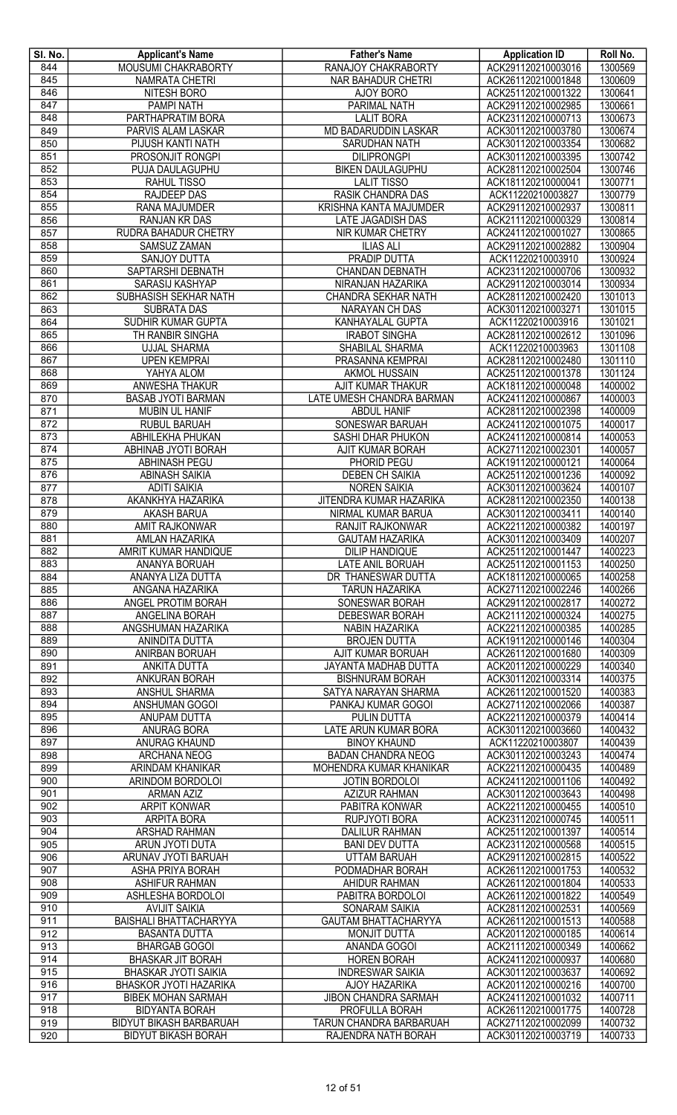| SI. No. | <b>Applicant's Name</b>        | <b>Father's Name</b>        | <b>Application ID</b> | Roll No. |
|---------|--------------------------------|-----------------------------|-----------------------|----------|
| 844     | MOUSUMI CHAKRABORTY            | RANAJOY CHAKRABORTY         | ACK291120210003016    | 1300569  |
| 845     | <b>NAMRATA CHETRI</b>          | <b>NAR BAHADUR CHETRI</b>   | ACK261120210001848    | 1300609  |
| 846     | <b>NITESH BORO</b>             | AJOY BORO                   | ACK251120210001322    | 1300641  |
| 847     | <b>PAMPI NATH</b>              | <b>PARIMAL NATH</b>         | ACK291120210002985    | 1300661  |
| 848     | PARTHAPRATIM BORA              | <b>LALIT BORA</b>           | ACK231120210000713    | 1300673  |
|         |                                |                             |                       |          |
| 849     | PARVIS ALAM LASKAR             | <b>MD BADARUDDIN LASKAR</b> | ACK301120210003780    | 1300674  |
| 850     | PIJUSH KANTI NATH              | <b>SARUDHAN NATH</b>        | ACK301120210003354    | 1300682  |
| 851     | <b>PROSONJIT RONGPI</b>        | <b>DILIPRONGPI</b>          | ACK301120210003395    | 1300742  |
| 852     | PUJA DAULAGUPHU                | <b>BIKEN DAULAGUPHU</b>     | ACK281120210002504    | 1300746  |
| 853     | RAHUL TISSO                    | <b>LALIT TISSO</b>          | ACK181120210000041    | 1300771  |
| 854     | RAJDEEP DAS                    | RASIK CHANDRA DAS           | ACK11220210003827     | 1300779  |
| 855     | RANA MAJUMDER                  | KRISHNA KANTA MAJUMDER      | ACK291120210002937    | 1300811  |
| 856     | RANJAN KR DAS                  | LATE JAGADISH DAS           | ACK211120210000329    | 1300814  |
| 857     | RUDRA BAHADUR CHETRY           | NIR KUMAR CHETRY            | ACK241120210001027    | 1300865  |
| 858     | <b>SAMSUZ ZAMAN</b>            | <b>ILIAS ALI</b>            | ACK291120210002882    | 1300904  |
|         | SANJOY DUTTA                   | <b>PRADIP DUTTA</b>         | ACK11220210003910     | 1300924  |
| 859     |                                |                             |                       |          |
| 860     | SAPTARSHI DEBNATH              | <b>CHANDAN DEBNATH</b>      | ACK231120210000706    | 1300932  |
| 861     | <b>SARASIJ KASHYAP</b>         | NIRANJAN HAZARIKA           | ACK291120210003014    | 1300934  |
| 862     | <b>SUBHASISH SEKHAR NATH</b>   | CHANDRA SEKHAR NATH         | ACK281120210002420    | 1301013  |
| 863     | <b>SUBRATA DAS</b>             | NARAYAN CH DAS              | ACK301120210003271    | 1301015  |
| 864     | SUDHIR KUMAR GUPTA             | KANHAYALAL GUPTA            | ACK11220210003916     | 1301021  |
| 865     | TH RANBIR SINGHA               | <b>IRABOT SINGHA</b>        | ACK281120210002612    | 1301096  |
| 866     | <b>UJJAL SHARMA</b>            | SHABILAL SHARMA             | ACK11220210003963     | 1301108  |
| 867     | <b>UPEN KEMPRAI</b>            | PRASANNA KEMPRAI            | ACK281120210002480    | 1301110  |
| 868     | YAHYA ALOM                     | <b>AKMOL HUSSAIN</b>        | ACK251120210001378    | 1301124  |
| 869     | ANWESHA THAKUR                 | AJIT KUMAR THAKUR           | ACK181120210000048    | 1400002  |
| 870     |                                | LATE UMESH CHANDRA BARMAN   | ACK241120210000867    | 1400003  |
|         | <b>BASAB JYOTI BARMAN</b>      |                             |                       |          |
| 871     | <b>MUBIN UL HANIF</b>          | <b>ABDUL HANIF</b>          | ACK281120210002398    | 1400009  |
| 872     | <b>RUBUL BARUAH</b>            | <b>SONESWAR BARUAH</b>      | ACK241120210001075    | 1400017  |
| 873     | <b>ABHILEKHA PHUKAN</b>        | SASHI DHAR PHUKON           | ACK241120210000814    | 1400053  |
| 874     | ABHINAB JYOTI BORAH            | AJIT KUMAR BORAH            | ACK271120210002301    | 1400057  |
| 875     | <b>ABHINASH PEGU</b>           | PHORID PEGU                 | ACK191120210000121    | 1400064  |
| 876     | <b>ABINASH SAIKIA</b>          | <b>DEBEN CH SAIKIA</b>      | ACK251120210001236    | 1400092  |
| 877     | <b>ADITI SAIKIA</b>            | <b>NOREN SAIKIA</b>         | ACK301120210003624    | 1400107  |
| 878     | AKANKHYA HAZARIKA              | JITENDRA KUMAR HAZARIKA     | ACK281120210002350    | 1400138  |
| 879     | <b>AKASH BARUA</b>             | NIRMAL KUMAR BARUA          | ACK301120210003411    | 1400140  |
| 880     | <b>AMIT RAJKONWAR</b>          | RANJIT RAJKONWAR            | ACK221120210000382    | 1400197  |
| 881     | AMLAN HAZARIKA                 | <b>GAUTAM HAZARIKA</b>      | ACK301120210003409    | 1400207  |
|         |                                |                             |                       |          |
| 882     | AMRIT KUMAR HANDIQUE           | <b>DILIP HANDIQUE</b>       | ACK251120210001447    | 1400223  |
| 883     | <b>ANANYA BORUAH</b>           | <b>LATE ANIL BORUAH</b>     | ACK251120210001153    | 1400250  |
| 884     | ANANYA LIZA DUTTA              | DR THANESWAR DUTTA          | ACK181120210000065    | 1400258  |
| 885     | ANGANA HAZARIKA                | <b>TARUN HAZARIKA</b>       | ACK271120210002246    | 1400266  |
| 886     | ANGEL PROTIM BORAH             | <b>SONESWAR BORAH</b>       | ACK291120210002817    | 1400272  |
| 887     | ANGELINA BORAH                 | <b>DEBESWAR BORAH</b>       | ACK211120210000324    | 1400275  |
| 888     | ANGSHUMAN HAZARIKA             | <b>NABIN HAZARIKA</b>       | ACK221120210000385    | 1400285  |
| 889     | <b>ANINDITA DUTTA</b>          | <b>BROJEN DUTTA</b>         | ACK191120210000146    | 1400304  |
| 890     | ANIRBAN BORUAH                 | AJIT KUMAR BORUAH           | ACK261120210001680    | 1400309  |
| 891     | <b>ANKITA DUTTA</b>            | JAYANTA MADHAB DUTTA        | ACK201120210000229    | 1400340  |
| 892     | ANKURAN BORAH                  | <b>BISHNURAM BORAH</b>      | ACK301120210003314    | 1400375  |
| 893     | ANSHUL SHARMA                  | SATYA NARAYAN SHARMA        | ACK261120210001520    | 1400383  |
|         |                                |                             |                       |          |
| 894     | ANSHUMAN GOGOI                 | PANKAJ KUMAR GOGOI          | ACK271120210002066    | 1400387  |
| 895     | ANUPAM DUTTA                   | PULIN DUTTA                 | ACK221120210000379    | 1400414  |
| 896     | ANURAG BORA                    | LATE ARUN KUMAR BORA        | ACK301120210003660    | 1400432  |
| 897     | ANURAG KHAUND                  | <b>BINOY KHAUND</b>         | ACK11220210003807     | 1400439  |
| 898     | ARCHANA NEOG                   | <b>BADAN CHANDRA NEOG</b>   | ACK301120210003243    | 1400474  |
| 899     | ARINDAM KHANIKAR               | MOHENDRA KUMAR KHANIKAR     | ACK221120210000435    | 1400489  |
| 900     | ARINDOM BORDOLOI               | JOTIN BORDOLOI              | ACK241120210001106    | 1400492  |
| 901     | <b>ARMAN AZIZ</b>              | <b>AZIZUR RAHMAN</b>        | ACK301120210003643    | 1400498  |
| 902     | <b>ARPIT KONWAR</b>            | PABITRA KONWAR              | ACK221120210000455    | 1400510  |
| 903     | <b>ARPITA BORA</b>             | RUPJYOTI BORA               | ACK231120210000745    | 1400511  |
| 904     | ARSHAD RAHMAN                  | <b>DALILUR RAHMAN</b>       | ACK251120210001397    | 1400514  |
| 905     | ARUN JYOTI DUTA                | <b>BANI DEV DUTTA</b>       | ACK231120210000568    | 1400515  |
|         |                                |                             |                       | 1400522  |
| 906     | ARUNAV JYOTI BARUAH            | <b>UTTAM BARUAH</b>         | ACK291120210002815    |          |
| 907     | ASHA PRIYA BORAH               | PODMADHAR BORAH             | ACK261120210001753    | 1400532  |
| 908     | <b>ASHIFUR RAHMAN</b>          | <b>AHIDUR RAHMAN</b>        | ACK261120210001804    | 1400533  |
| 909     | ASHLESHA BORDOLOI              | PABITRA BORDOLOI            | ACK261120210001822    | 1400549  |
| 910     | <b>AVIJIT SAIKIA</b>           | SONARAM SAIKIA              | ACK281120210002531    | 1400569  |
| 911     | <b>BAISHALI BHATTACHARYYA</b>  | <b>GAUTAM BHATTACHARYYA</b> | ACK261120210001513    | 1400588  |
| 912     | <b>BASANTA DUTTA</b>           | <b>MONJIT DUTTA</b>         | ACK201120210000185    | 1400614  |
| 913     | <b>BHARGAB GOGOI</b>           | ANANDA GOGOI                | ACK211120210000349    | 1400662  |
| 914     | <b>BHASKAR JIT BORAH</b>       | <b>HOREN BORAH</b>          | ACK241120210000937    | 1400680  |
| 915     | <b>BHASKAR JYOTI SAIKIA</b>    | <b>INDRESWAR SAIKIA</b>     | ACK301120210003637    | 1400692  |
| 916     | BHASKOR JYOTI HAZARIKA         | AJOY HAZARIKA               | ACK201120210000216    | 1400700  |
| 917     |                                |                             |                       | 1400711  |
|         | <b>BIBEK MOHAN SARMAH</b>      | JIBON CHANDRA SARMAH        | ACK241120210001032    |          |
| 918     | <b>BIDYANTA BORAH</b>          | PROFULLA BORAH              | ACK261120210001775    | 1400728  |
| 919     | <b>BIDYUT BIKASH BARBARUAH</b> | TARUN CHANDRA BARBARUAH     | ACK271120210002099    | 1400732  |
| 920     | <b>BIDYUT BIKASH BORAH</b>     | RAJENDRA NATH BORAH         | ACK301120210003719    | 1400733  |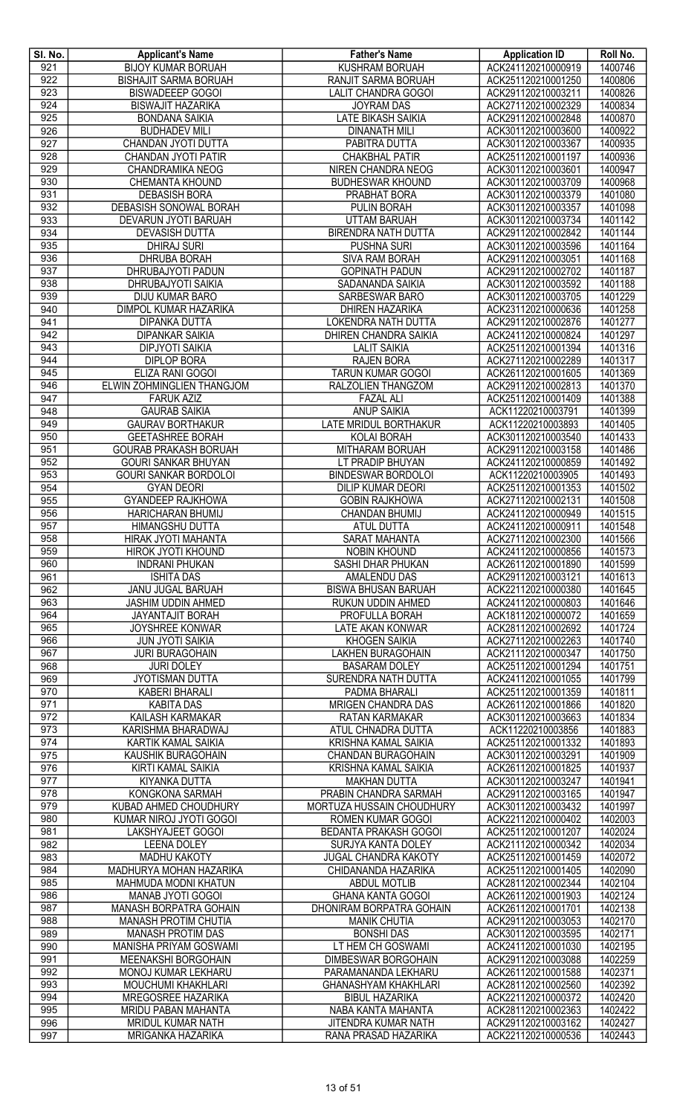| SI. No.          | <b>Applicant's Name</b>       | <b>Father's Name</b>         | <b>Application ID</b> | Roll No. |
|------------------|-------------------------------|------------------------------|-----------------------|----------|
| 921              | <b>BIJOY KUMAR BORUAH</b>     | KUSHRAM BORUAH               | ACK241120210000919    | 1400746  |
| 922              | <b>BISHAJIT SARMA BORUAH</b>  | RANJIT SARMA BORUAH          | ACK251120210001250    | 1400806  |
| 923              | <b>BISWADEEEP GOGOI</b>       | <b>LALIT CHANDRA GOGOI</b>   | ACK291120210003211    | 1400826  |
| 924              | <b>BISWAJIT HAZARIKA</b>      | <b>JOYRAM DAS</b>            | ACK271120210002329    | 1400834  |
| 925              | <b>BONDANA SAIKIA</b>         | <b>LATE BIKASH SAIKIA</b>    | ACK291120210002848    | 1400870  |
| 926              |                               |                              |                       |          |
|                  | <b>BUDHADEV MILI</b>          | <b>DINANATH MILI</b>         | ACK301120210003600    | 1400922  |
| 927              | CHANDAN JYOTI DUTTA           | PABITRA DUTTA                | ACK301120210003367    | 1400935  |
| 928              | CHANDAN JYOTI PATIR           | <b>CHAKBHAL PATIR</b>        | ACK251120210001197    | 1400936  |
| 929              | CHANDRAMIKA NEOG              | NIREN CHANDRA NEOG           | ACK301120210003601    | 1400947  |
| 930              | <b>CHEMANTA KHOUND</b>        | <b>BUDHESWAR KHOUND</b>      | ACK301120210003709    | 1400968  |
| 931              | <b>DEBASISH BORA</b>          | PRABHAT BORA                 | ACK301120210003379    | 1401080  |
| 932              | DEBASISH SONOWAL BORAH        | PULIN BORAH                  | ACK301120210003357    | 1401098  |
| 933              | DEVARUN JYOTI BARUAH          | <b>UTTAM BARUAH</b>          | ACK301120210003734    | 1401142  |
| 934              | <b>DEVASISH DUTTA</b>         | <b>BIRENDRA NATH DUTTA</b>   | ACK291120210002842    | 1401144  |
| 935              | <b>DHIRAJ SURI</b>            | PUSHNA SURI                  | ACK301120210003596    | 1401164  |
| 936              | <b>DHRUBA BORAH</b>           | <b>SIVA RAM BORAH</b>        | ACK291120210003051    | 1401168  |
| 937              |                               |                              |                       | 1401187  |
|                  | DHRUBAJYOTI PADUN             | <b>GOPINATH PADUN</b>        | ACK291120210002702    |          |
| 938              | DHRUBAJYOTI SAIKIA            | SADANANDA SAIKIA             | ACK301120210003592    | 1401188  |
| 939              | DIJU KUMAR BARO               | <b>SARBESWAR BARO</b>        | ACK301120210003705    | 1401229  |
| 940              | <b>DIMPOL KUMAR HAZARIKA</b>  | <b>DHIREN HAZARIKA</b>       | ACK231120210000636    | 1401258  |
| 941              | <b>DIPANKA DUTTA</b>          | <b>LOKENDRA NATH DUTTA</b>   | ACK291120210002876    | 1401277  |
| 942              | <b>DIPANKAR SAIKIA</b>        | DHIREN CHANDRA SAIKIA        | ACK241120210000824    | 1401297  |
| 943              | <b>DIPJYOTI SAIKIA</b>        | <b>LALIT SAIKIA</b>          | ACK251120210001394    | 1401316  |
| 944              | <b>DIPLOP BORA</b>            | <b>RAJEN BORA</b>            | ACK271120210002289    | 1401317  |
| 945              | ELIZA RANI GOGOI              | TARUN KUMAR GOGOI            | ACK261120210001605    | 1401369  |
| 946              | ELWIN ZOHMINGLIEN THANGJOM    | RALZOLIEN THANGZOM           | ACK291120210002813    | 1401370  |
| 947              | <b>FARUK AZIZ</b>             | <b>FAZAL ALI</b>             | ACK251120210001409    | 1401388  |
|                  |                               |                              |                       |          |
| 948              | <b>GAURAB SAIKIA</b>          | <b>ANUP SAIKIA</b>           | ACK11220210003791     | 1401399  |
| 949              | <b>GAURAV BORTHAKUR</b>       | <b>LATE MRIDUL BORTHAKUR</b> | ACK11220210003893     | 1401405  |
| 950              | <b>GEETASHREE BORAH</b>       | <b>KOLAI BORAH</b>           | ACK301120210003540    | 1401433  |
| 951              | <b>GOURAB PRAKASH BORUAH</b>  | MITHARAM BORUAH              | ACK291120210003158    | 1401486  |
| 952              | <b>GOURI SANKAR BHUYAN</b>    | LT PRADIP BHUYAN             | ACK241120210000859    | 1401492  |
| 953              | <b>GOURI SANKAR BORDOLOI</b>  | <b>BINDESWAR BORDOLOI</b>    | ACK11220210003905     | 1401493  |
| 954              | <b>GYAN DEORI</b>             | <b>DILIP KUMAR DEORI</b>     | ACK251120210001353    | 1401502  |
| 955              | <b>GYANDEEP RAJKHOWA</b>      | <b>GOBIN RAJKHOWA</b>        | ACK271120210002131    | 1401508  |
| 956              | <b>HARICHARAN BHUMIJ</b>      | <b>CHANDAN BHUMIJ</b>        | ACK241120210000949    | 1401515  |
| 957              | HIMANGSHU DUTTA               | <b>ATUL DUTTA</b>            | ACK241120210000911    | 1401548  |
| 958              | <b>HIRAK JYOTI MAHANTA</b>    | <b>SARAT MAHANTA</b>         | ACK271120210002300    | 1401566  |
|                  |                               |                              |                       |          |
| 959              | HIROK JYOTI KHOUND            | NOBIN KHOUND                 | ACK241120210000856    | 1401573  |
| 960              | <b>INDRANI PHUKAN</b>         | <b>SASHI DHAR PHUKAN</b>     | ACK261120210001890    | 1401599  |
| 961              | <b>ISHITA DAS</b>             | <b>AMALENDU DAS</b>          | ACK291120210003121    | 1401613  |
| 962              | <b>JANU JUGAL BARUAH</b>      | <b>BISWA BHUSAN BARUAH</b>   | ACK221120210000380    | 1401645  |
| 963              | <b>JASHIM UDDIN AHMED</b>     | RUKUN UDDIN AHMED            | ACK241120210000803    | 1401646  |
| 964              | JAYANTAJIT BORAH              | PROFULLA BORAH               | ACK181120210000072    | 1401659  |
| 965              | JOYSHREE KONWAR               | LATE AKAN KONWAR             | ACK281120210002692    | 1401724  |
| 966              | <b>JUN JYOTI SAIKIA</b>       | <b>KHOGEN SAIKIA</b>         | ACK271120210002263    | 1401740  |
| 967              | <b>JURI BURAGOHAIN</b>        | <b>LAKHEN BURAGOHAIN</b>     | ACK211120210000347    | 1401750  |
| 968              | <b>JURI DOLEY</b>             | <b>BASARAM DOLEY</b>         | ACK251120210001294    | 1401751  |
| 969              | <b>JYOTISMAN DUTTA</b>        | SURENDRA NATH DUTTA          | ACK241120210001055    | 1401799  |
| $\overline{970}$ | <b>KABERI BHARALI</b>         | PADMA BHARALI                | ACK251120210001359    | 1401811  |
| 971              |                               | <b>MRIGEN CHANDRA DAS</b>    | ACK261120210001866    | 1401820  |
|                  | <b>KABITA DAS</b>             |                              |                       |          |
| 972              | KAILASH KARMAKAR              | RATAN KARMAKAR               | ACK301120210003663    | 1401834  |
| 973              | KARISHMA BHARADWAJ            | ATUL CHNADRA DUTTA           | ACK11220210003856     | 1401883  |
| 974              | KARTIK KAMAL SAIKIA           | KRISHNA KAMAL SAIKIA         | ACK251120210001332    | 1401893  |
| 975              | KAUSHIK BURAGOHAIN            | <b>CHANDAN BURAGOHAIN</b>    | ACK301120210003291    | 1401909  |
| 976              | KIRTI KAMAL SAIKIA            | KRISHNA KAMAL SAIKIA         | ACK261120210001825    | 1401937  |
| 977              | KIYANKA DUTTA                 | <b>MAKHAN DUTTA</b>          | ACK301120210003247    | 1401941  |
| 978              | KONGKONA SARMAH               | PRABIN CHANDRA SARMAH        | ACK291120210003165    | 1401947  |
| 979              | KUBAD AHMED CHOUDHURY         | MORTUZA HUSSAIN CHOUDHURY    | ACK301120210003432    | 1401997  |
| 980              | KUMAR NIROJ JYOTI GOGOI       | ROMEN KUMAR GOGOI            | ACK221120210000402    | 1402003  |
| 981              | LAKSHYAJEET GOGOI             | BEDANTA PRAKASH GOGOI        | ACK251120210001207    | 1402024  |
| 982              | <b>LEENA DOLEY</b>            | SURJYA KANTA DOLEY           | ACK211120210000342    | 1402034  |
| 983              | <b>MADHU KAKOTY</b>           | <b>JUGAL CHANDRA KAKOTY</b>  | ACK251120210001459    | 1402072  |
| 984              | MADHURYA MOHAN HAZARIKA       | CHIDANANDA HAZARIKA          | ACK251120210001405    | 1402090  |
|                  |                               |                              |                       |          |
| 985              | MAHMUDA MODNI KHATUN          | <b>ABDUL MOTLIB</b>          | ACK281120210002344    | 1402104  |
| 986              | MANAB JYOTI GOGOI             | <b>GHANA KANTA GOGOI</b>     | ACK261120210001903    | 1402124  |
| 987              | <b>MANASH BORPATRA GOHAIN</b> | DHONIRAM BORPATRA GOHAIN     | ACK261120210001701    | 1402138  |
| 988              | <b>MANASH PROTIM CHUTIA</b>   | <b>MANIK CHUTIA</b>          | ACK291120210003053    | 1402170  |
| 989              | <b>MANASH PROTIM DAS</b>      | <b>BONSHI DAS</b>            | ACK301120210003595    | 1402171  |
| 990              | MANISHA PRIYAM GOSWAMI        | LT HEM CH GOSWAMI            | ACK241120210001030    | 1402195  |
| 991              | MEENAKSHI BORGOHAIN           | <b>DIMBESWAR BORGOHAIN</b>   | ACK291120210003088    | 1402259  |
| 992              | MONOJ KUMAR LEKHARU           | PARAMANANDA LEKHARU          | ACK261120210001588    | 1402371  |
| 993              | MOUCHUMI KHAKHLARI            | <b>GHANASHYAM KHAKHLARI</b>  | ACK281120210002560    | 1402392  |
| 994              | MREGOSREE HAZARIKA            | <b>BIBUL HAZARIKA</b>        | ACK221120210000372    | 1402420  |
| 995              | MRIDU PABAN MAHANTA           | NABA KANTA MAHANTA           | ACK281120210002363    | 1402422  |
|                  |                               |                              |                       |          |
| 996              | MRIDUL KUMAR NATH             | JITENDRA KUMAR NATH          | ACK291120210003162    | 1402427  |
| 997              | <b>MRIGANKA HAZARIKA</b>      | RANA PRASAD HAZARIKA         | ACK221120210000536    | 1402443  |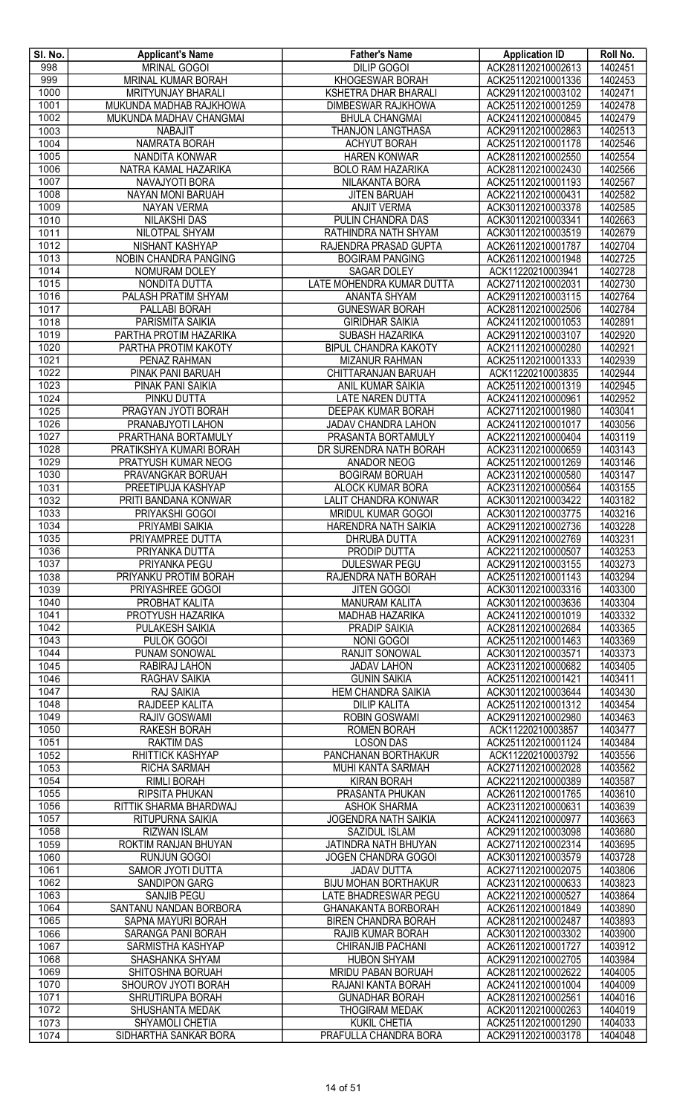| SI. No.      | <b>Applicant's Name</b>                          | <b>Father's Name</b>                                     | <b>Application ID</b>                    | Roll No.           |
|--------------|--------------------------------------------------|----------------------------------------------------------|------------------------------------------|--------------------|
| 998          | <b>MRINAL GOGOI</b><br><b>MRINAL KUMAR BORAH</b> | <b>DILIP GOGOI</b>                                       | ACK281120210002613                       | 1402451            |
| 999<br>1000  | MRITYUNJAY BHARALI                               | KHOGESWAR BORAH<br><b>KSHETRA DHAR BHARALI</b>           | ACK251120210001336<br>ACK291120210003102 | 1402453<br>1402471 |
| 1001         | MUKUNDA MADHAB RAJKHOWA                          | <b>DIMBESWAR RAJKHOWA</b>                                | ACK251120210001259                       | 1402478            |
| 1002         | MUKUNDA MADHAV CHANGMAI                          | <b>BHULA CHANGMAI</b>                                    | ACK241120210000845                       | 1402479            |
| 1003         | <b>NABAJIT</b>                                   | <b>THANJON LANGTHASA</b>                                 | ACK291120210002863                       | 1402513            |
| 1004         | NAMRATA BORAH                                    | <b>ACHYUT BORAH</b>                                      | ACK251120210001178                       | 1402546            |
| 1005         | NANDITA KONWAR                                   | <b>HAREN KONWAR</b>                                      | ACK281120210002550                       | 1402554            |
| 1006         | NATRA KAMAL HAZARIKA                             | <b>BOLO RAM HAZARIKA</b>                                 | ACK281120210002430                       | 1402566            |
| 1007         | NAVAJYOTI BORA                                   | NILAKANTA BORA                                           | ACK251120210001193                       | 1402567            |
| 1008         | NAYAN MONI BARUAH                                | <b>JITEN BARUAH</b>                                      | ACK221120210000431                       | 1402582            |
| 1009<br>1010 | <b>NAYAN VERMA</b><br>NILAKSHI DAS               | <b>ANJIT VERMA</b><br>PULIN CHANDRA DAS                  | ACK301120210003378<br>ACK301120210003341 | 1402585<br>1402663 |
| 1011         | NILOTPAL SHYAM                                   | RATHINDRA NATH SHYAM                                     | ACK301120210003519                       | 1402679            |
| 1012         | NISHANT KASHYAP                                  | RAJENDRA PRASAD GUPTA                                    | ACK261120210001787                       | 1402704            |
| 1013         | NOBIN CHANDRA PANGING                            | <b>BOGIRAM PANGING</b>                                   | ACK261120210001948                       | 1402725            |
| 1014         | NOMURAM DOLEY                                    | <b>SAGAR DOLEY</b>                                       | ACK11220210003941                        | 1402728            |
| 1015         | NONDITA DUTTA                                    | LATE MOHENDRA KUMAR DUTTA                                | ACK271120210002031                       | 1402730            |
| 1016         | PALASH PRATIM SHYAM                              | ANANTA SHYAM                                             | ACK291120210003115                       | 1402764            |
| 1017         | PALLABI BORAH                                    | <b>GUNESWAR BORAH</b>                                    | ACK281120210002506                       | 1402784            |
| 1018         | PARISMITA SAIKIA                                 | <b>GIRIDHAR SAIKIA</b>                                   | ACK241120210001053                       | 1402891<br>1402920 |
| 1019<br>1020 | PARTHA PROTIM HAZARIKA                           | <b>SUBASH HAZARIKA</b><br><b>BIPUL CHANDRA KAKOTY</b>    | ACK291120210003107<br>ACK211120210000280 | 1402921            |
| 1021         | PARTHA PROTIM KAKOTY<br>PENAZ RAHMAN             | <b>MIZANUR RAHMAN</b>                                    | ACK251120210001333                       | 1402939            |
| 1022         | PINAK PANI BARUAH                                | CHITTARANJAN BARUAH                                      | ACK11220210003835                        | 1402944            |
| 1023         | PINAK PANI SAIKIA                                | ANIL KUMAR SAIKIA                                        | ACK251120210001319                       | 1402945            |
| 1024         | PINKU DUTTA                                      | <b>LATE NAREN DUTTA</b>                                  | ACK241120210000961                       | 1402952            |
| 1025         | PRAGYAN JYOTI BORAH                              | DEEPAK KUMAR BORAH                                       | ACK271120210001980                       | 1403041            |
| 1026         | PRANABJYOTI LAHON                                | JADAV CHANDRA LAHON                                      | ACK241120210001017                       | 1403056            |
| 1027         | PRARTHANA BORTAMULY                              | PRASANTA BORTAMULY                                       | ACK221120210000404                       | 1403119            |
| 1028<br>1029 | PRATIKSHYA KUMARI BORAH                          | DR SURENDRA NATH BORAH                                   | ACK231120210000659                       | 1403143            |
| 1030         | PRATYUSH KUMAR NEOG<br>PRAVANGKAR BORUAH         | <b>ANADOR NEOG</b><br><b>BOGIRAM BORUAH</b>              | ACK251120210001269<br>ACK231120210000580 | 1403146<br>1403147 |
| 1031         | PREETIPUJA KASHYAP                               | ALOCK KUMAR BORA                                         | ACK231120210000564                       | 1403155            |
| 1032         | PRITI BANDANA KONWAR                             | LALIT CHANDRA KONWAR                                     | ACK301120210003422                       | 1403182            |
| 1033         | PRIYAKSHI GOGOI                                  | <b>MRIDUL KUMAR GOGOI</b>                                | ACK301120210003775                       | 1403216            |
| 1034         | PRIYAMBI SAIKIA                                  | HARENDRA NATH SAIKIA                                     | ACK291120210002736                       | 1403228            |
| 1035         | PRIYAMPREE DUTTA                                 | <b>DHRUBA DUTTA</b>                                      | ACK291120210002769                       | 1403231            |
| 1036         | PRIYANKA DUTTA                                   | PRODIP DUTTA                                             | ACK221120210000507                       | 1403253            |
| 1037         | PRIYANKA PEGU                                    | <b>DULESWAR PEGU</b>                                     | ACK291120210003155                       | 1403273            |
| 1038<br>1039 | PRIYANKU PROTIM BORAH<br>PRIYASHREE GOGOI        | RAJENDRA NATH BORAH<br><b>JITEN GOGOI</b>                | ACK251120210001143<br>ACK301120210003316 | 1403294<br>1403300 |
| 1040         | PROBHAT KALITA                                   | <b>MANURAM KALITA</b>                                    | ACK301120210003636                       | 1403304            |
| 1041         | PROTYUSH HAZARIKA                                | MADHAB HAZARIKA                                          | ACK241120210001019                       | 1403332            |
| 1042         | PULAKESH SAIKIA                                  | PRADIP SAIKIA                                            | ACK281120210002684                       | 1403365            |
| 1043         | PULOK GOGOI                                      | <b>NONI GOGOI</b>                                        | ACK251120210001463                       | 1403369            |
| 1044         | <b>PUNAM SONOWAL</b>                             | <b>RANJIT SONOWAL</b>                                    | ACK301120210003571                       | 1403373            |
| 1045         | RABIRAJ LAHON                                    | <b>JADAV LAHON</b>                                       | ACK231120210000682                       | 1403405            |
| 1046         | RAGHAV SAIKIA                                    | <b>GUNIN SAIKIA</b>                                      | ACK251120210001421                       | 1403411            |
| 1047<br>1048 | RAJ SAIKIA<br>RAJDEEP KALITA                     | <b>HEM CHANDRA SAIKIA</b><br><b>DILIP KALITA</b>         | ACK301120210003644<br>ACK251120210001312 | 1403430<br>1403454 |
| 1049         | <b>RAJIV GOSWAMI</b>                             | <b>ROBIN GOSWAMI</b>                                     | ACK291120210002980                       | 1403463            |
| 1050         | <b>RAKESH BORAH</b>                              | <b>ROMEN BORAH</b>                                       | ACK11220210003857                        | 1403477            |
| 1051         | <b>RAKTIM DAS</b>                                | <b>LOSON DAS</b>                                         | ACK251120210001124                       | 1403484            |
| 1052         | RHITTICK KASHYAP                                 | PANCHANAN BORTHAKUR                                      | ACK11220210003792                        | 1403556            |
| 1053         | RICHA SARMAH                                     | MUHI KANTA SARMAH                                        | ACK271120210002028                       | 1403562            |
| 1054         | <b>RIMLI BORAH</b>                               | <b>KIRAN BORAH</b>                                       | ACK221120210000389                       | 1403587            |
| 1055<br>1056 | RIPSITA PHUKAN<br>RITTIK SHARMA BHARDWAJ         | PRASANTA PHUKAN<br><b>ASHOK SHARMA</b>                   | ACK261120210001765<br>ACK231120210000631 | 1403610<br>1403639 |
| 1057         | RITUPURNA SAIKIA                                 | <b>JOGENDRA NATH SAIKIA</b>                              | ACK241120210000977                       | 1403663            |
| 1058         | <b>RIZWAN ISLAM</b>                              | SAZIDUL ISLAM                                            | ACK291120210003098                       | 1403680            |
| 1059         | ROKTIM RANJAN BHUYAN                             | JATINDRA NATH BHUYAN                                     | ACK271120210002314                       | 1403695            |
| 1060         | <b>RUNJUN GOGOI</b>                              | <b>JOGEN CHANDRA GOGOI</b>                               | ACK301120210003579                       | 1403728            |
| 1061         | SAMOR JYOTI DUTTA                                | <b>JADAV DUTTA</b>                                       | ACK271120210002075                       | 1403806            |
| 1062         | SANDIPON GARG                                    | <b>BIJU MOHAN BORTHAKUR</b>                              | ACK231120210000633                       | 1403823            |
| 1063         | <b>SANJIB PEGU</b>                               | LATE BHADRESWAR PEGU                                     | ACK221120210000527                       | 1403864            |
| 1064<br>1065 | SANTANU NANDAN BORBORA<br>SAPNA MAYURI BORAH     | <b>GHANAKANTA BORBORAH</b><br><b>BIREN CHANDRA BORAH</b> | ACK261120210001849<br>ACK281120210002487 | 1403890<br>1403893 |
| 1066         | <b>SARANGA PANI BORAH</b>                        | RAJIB KUMAR BORAH                                        | ACK301120210003302                       | 1403900            |
| 1067         | SARMISTHA KASHYAP                                | CHIRANJIB PACHANI                                        | ACK261120210001727                       | 1403912            |
| 1068         | SHASHANKA SHYAM                                  | <b>HUBON SHYAM</b>                                       | ACK291120210002705                       | 1403984            |
| 1069         | SHITOSHNA BORUAH                                 | MRIDU PABAN BORUAH                                       | ACK281120210002622                       | 1404005            |
| 1070         | SHOUROV JYOTI BORAH                              | RAJANI KANTA BORAH                                       | ACK241120210001004                       | 1404009            |
| 1071         | SHRUTIRUPA BORAH                                 | <b>GUNADHAR BORAH</b>                                    | ACK281120210002561                       | 1404016            |
| 1072         | SHUSHANTA MEDAK                                  | <b>THOGIRAM MEDAK</b>                                    | ACK201120210000263                       | 1404019            |
| 1073<br>1074 | SHYAMOLI CHETIA<br>SIDHARTHA SANKAR BORA         | <b>KUKIL CHETIA</b><br>PRAFULLA CHANDRA BORA             | ACK251120210001290<br>ACK291120210003178 | 1404033<br>1404048 |
|              |                                                  |                                                          |                                          |                    |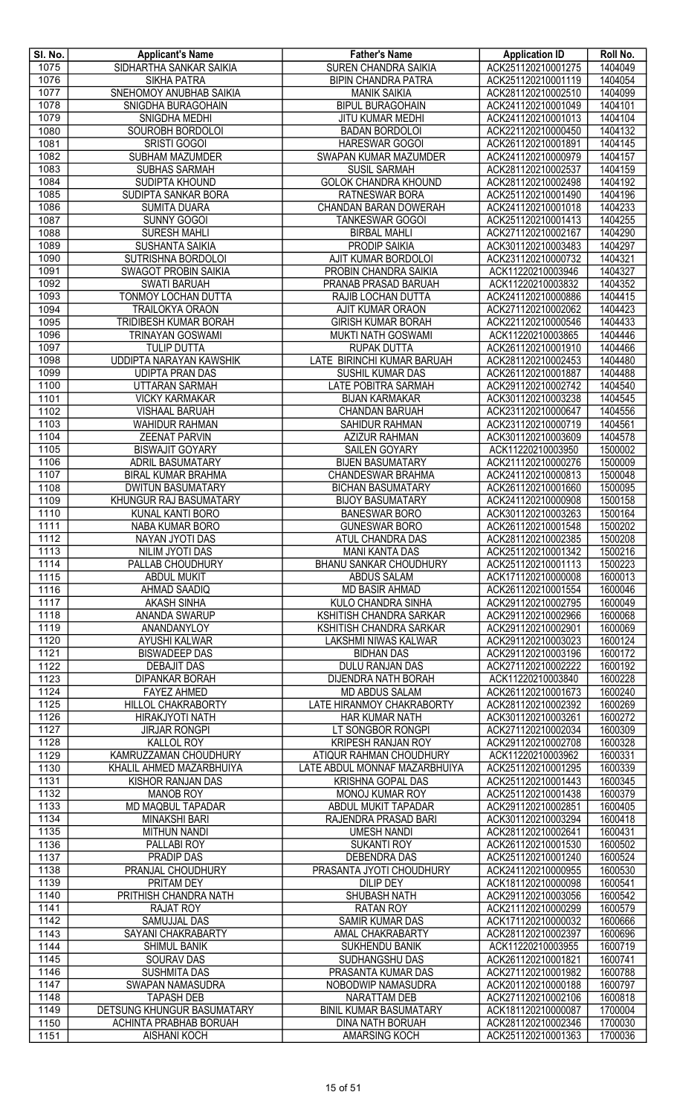| SI. No. | <b>Applicant's Name</b>       | <b>Father's Name</b>          | <b>Application ID</b> | Roll No. |
|---------|-------------------------------|-------------------------------|-----------------------|----------|
| 1075    | SIDHARTHA SANKAR SAIKIA       | <b>SUREN CHANDRA SAIKIA</b>   | ACK251120210001275    | 1404049  |
| 1076    | <b>SIKHA PATRA</b>            | <b>BIPIN CHANDRA PATRA</b>    | ACK251120210001119    | 1404054  |
| 1077    | SNEHOMOY ANUBHAB SAIKIA       | <b>MANIK SAIKIA</b>           | ACK281120210002510    | 1404099  |
| 1078    | SNIGDHA BURAGOHAIN            | <b>BIPUL BURAGOHAIN</b>       | ACK241120210001049    | 1404101  |
| 1079    | SNIGDHA MEDHI                 | JITU KUMAR MEDHI              | ACK241120210001013    | 1404104  |
| 1080    | SOUROBH BORDOLOI              | <b>BADAN BORDOLOI</b>         | ACK221120210000450    | 1404132  |
| 1081    | SRISTI GOGOI                  | <b>HARESWAR GOGOI</b>         | ACK261120210001891    | 1404145  |
| 1082    | SUBHAM MAZUMDER               | SWAPAN KUMAR MAZUMDER         | ACK241120210000979    | 1404157  |
| 1083    | SUBHAS SARMAH                 | <b>SUSIL SARMAH</b>           | ACK281120210002537    | 1404159  |
| 1084    | SUDIPTA KHOUND                | <b>GOLOK CHANDRA KHOUND</b>   | ACK281120210002498    | 1404192  |
| 1085    | SUDIPTA SANKAR BORA           | RATNESWAR BORA                | ACK251120210001490    | 1404196  |
| 1086    | <b>SUMITA DUARA</b>           | CHANDAN BARAN DOWERAH         | ACK241120210001018    | 1404233  |
| 1087    | <b>SUNNY GOGOI</b>            | <b>TANKESWAR GOGOI</b>        | ACK251120210001413    | 1404255  |
| 1088    | <b>SURESH MAHLI</b>           | <b>BIRBAL MAHLI</b>           | ACK271120210002167    | 1404290  |
| 1089    | SUSHANTA SAIKIA               | <b>PRODIP SAIKIA</b>          | ACK301120210003483    | 1404297  |
| 1090    | SUTRISHNA BORDOLOI            | AJIT KUMAR BORDOLOI           | ACK231120210000732    | 1404321  |
| 1091    | <b>SWAGOT PROBIN SAIKIA</b>   | PROBIN CHANDRA SAIKIA         | ACK11220210003946     | 1404327  |
| 1092    | <b>SWATI BARUAH</b>           | PRANAB PRASAD BARUAH          | ACK11220210003832     | 1404352  |
| 1093    | <b>TONMOY LOCHAN DUTTA</b>    | RAJIB LOCHAN DUTTA            | ACK241120210000886    | 1404415  |
| 1094    | <b>TRAILOKYA ORAON</b>        | AJIT KUMAR ORAON              | ACK271120210002062    | 1404423  |
| 1095    | TRIDIBESH KUMAR BORAH         | <b>GIRISH KUMAR BORAH</b>     | ACK221120210000546    | 1404433  |
| 1096    | TRINAYAN GOSWAMI              | MUKTI NATH GOSWAMI            | ACK11220210003865     | 1404446  |
| 1097    | <b>TULIP DUTTA</b>            | RUPAK DUTTA                   | ACK261120210001910    | 1404466  |
| 1098    | UDDIPTA NARAYAN KAWSHIK       | LATE BIRINCHI KUMAR BARUAH    | ACK281120210002453    | 1404480  |
| 1099    | <b>UDIPTA PRAN DAS</b>        | SUSHIL KUMAR DAS              | ACK261120210001887    | 1404488  |
| 1100    | UTTARAN SARMAH                | LATE POBITRA SARMAH           | ACK291120210002742    | 1404540  |
| 1101    | <b>VICKY KARMAKAR</b>         | <b>BIJAN KARMAKAR</b>         | ACK301120210003238    | 1404545  |
| 1102    | <b>VISHAAL BARUAH</b>         | CHANDAN BARUAH                | ACK231120210000647    | 1404556  |
| 1103    | <b>WAHIDUR RAHMAN</b>         | <b>SAHIDUR RAHMAN</b>         | ACK231120210000719    | 1404561  |
| 1104    | <b>ZEENAT PARVIN</b>          | <b>AZIZUR RAHMAN</b>          | ACK301120210003609    | 1404578  |
| 1105    | <b>BISWAJIT GOYARY</b>        | <b>SAILEN GOYARY</b>          | ACK11220210003950     | 1500002  |
| 1106    | ADRIL BASUMATARY              | <b>BIJEN BASUMATARY</b>       | ACK211120210000276    | 1500009  |
| 1107    | <b>BIRAL KUMAR BRAHMA</b>     | CHANDESWAR BRAHMA             | ACK241120210000813    | 1500048  |
| 1108    | <b>DWITUN BASUMATARY</b>      | <b>BICHAN BASUMATARY</b>      | ACK261120210001660    | 1500095  |
| 1109    | KHUNGUR RAJ BASUMATARY        | <b>BIJOY BASUMATARY</b>       | ACK241120210000908    | 1500158  |
| 1110    | KUNAL KANTI BORO              | <b>BANESWAR BORO</b>          | ACK301120210003263    | 1500164  |
| 1111    | NABA KUMAR BORO               | <b>GUNESWAR BORO</b>          | ACK261120210001548    | 1500202  |
| 1112    | <b>NAYAN JYOTI DAS</b>        | ATUL CHANDRA DAS              | ACK281120210002385    | 1500208  |
| 1113    | NILIM JYOTI DAS               | <b>MANI KANTA DAS</b>         | ACK251120210001342    | 1500216  |
| $1114$  | PALLAB CHOUDHURY              | <b>BHANU SANKAR CHOUDHURY</b> | ACK251120210001113    | 1500223  |
| 1115    | <b>ABDUL MUKIT</b>            | <b>ABDUS SALAM</b>            | ACK171120210000008    | 1600013  |
| 1116    | <b>AHMAD SAADIQ</b>           | <b>MD BASIR AHMAD</b>         | ACK261120210001554    | 1600046  |
| 1117    | <b>AKASH SINHA</b>            | <b>KULO CHANDRA SINHA</b>     | ACK291120210002795    | 1600049  |
| 1118    | ANANDA SWARUP                 | KSHITISH CHANDRA SARKAR       | ACK291120210002966    | 1600068  |
| 1119    | ANANDANYLOY                   | KSHITISH CHANDRA SARKAR       | ACK291120210002901    | 1600069  |
| 1120    | AYUSHI KALWAR                 | LAKSHMI NIWAS KALWAR          | ACK291120210003023    | 1600124  |
| 1121    | <b>BISWADEEP DAS</b>          | <b>BIDHAN DAS</b>             | ACK291120210003196    | 1600172  |
| 1122    | <b>DEBAJIT DAS</b>            | DULU RANJAN DAS               | ACK271120210002222    | 1600192  |
| 1123    | <b>DIPANKAR BORAH</b>         | DIJENDRA NATH BORAH           | ACK11220210003840     | 1600228  |
| 1124    | <b>FAYEZ AHMED</b>            | <b>MD ABDUS SALAM</b>         | ACK261120210001673    | 1600240  |
| 1125    | <b>HILLOL CHAKRABORTY</b>     | LATE HIRANMOY CHAKRABORTY     | ACK281120210002392    | 1600269  |
| 1126    | HIRAKJYOTI NATH               | HAR KUMAR NATH                | ACK301120210003261    | 1600272  |
| 1127    | <b>JIRJAR RONGPI</b>          | LT SONGBOR RONGPI             | ACK271120210002034    | 1600309  |
| 1128    | KALLOL ROY                    | <b>KRIPESH RANJAN ROY</b>     | ACK291120210002708    | 1600328  |
| 1129    | KAMRUZZAMAN CHOUDHURY         | ATIQUR RAHMAN CHOUDHURY       | ACK11220210003962     | 1600331  |
| 1130    | KHALIL AHMED MAZARBHUIYA      | LATE ABDUL MONNAF MAZARBHUIYA | ACK251120210001295    | 1600339  |
| 1131    | KISHOR RANJAN DAS             | KRISHNA GOPAL DAS             | ACK251120210001443    | 1600345  |
| 1132    | <b>MANOB ROY</b>              | MONOJ KUMAR ROY               | ACK251120210001438    | 1600379  |
| 1133    | MD MAQBUL TAPADAR             | ABDUL MUKIT TAPADAR           | ACK291120210002851    | 1600405  |
| 1134    | <b>MINAKSHI BARI</b>          | RAJENDRA PRASAD BARI          | ACK301120210003294    | 1600418  |
| 1135    | <b>MITHUN NANDI</b>           | <b>UMESH NANDI</b>            | ACK281120210002641    | 1600431  |
| 1136    | PALLABI ROY                   | <b>SUKANTI ROY</b>            | ACK261120210001530    | 1600502  |
| 1137    | <b>PRADIP DAS</b>             | <b>DEBENDRA DAS</b>           | ACK251120210001240    | 1600524  |
| 1138    | PRANJAL CHOUDHURY             | PRASANTA JYOTI CHOUDHURY      | ACK241120210000955    | 1600530  |
| 1139    | PRITAM DEY                    | <b>DILIP DEY</b>              | ACK181120210000098    | 1600541  |
| 1140    | PRITHISH CHANDRA NATH         | <b>SHUBASH NATH</b>           | ACK291120210003056    | 1600542  |
| 1141    | <b>RAJAT ROY</b>              | <b>RATAN ROY</b>              | ACK211120210000299    | 1600579  |
| 1142    | <b>SAMUJJAL DAS</b>           | <b>SAMIR KUMAR DAS</b>        | ACK171120210000032    | 1600666  |
| 1143    | SAYANI CHAKRABARTY            | AMAL CHAKRABARTY              | ACK281120210002397    | 1600696  |
| 1144    | SHIMUL BANIK                  | SUKHENDU BANIK                | ACK11220210003955     | 1600719  |
| 1145    | <b>SOURAV DAS</b>             | SUDHANGSHU DAS                | ACK261120210001821    | 1600741  |
| 1146    | <b>SUSHMITA DAS</b>           | PRASANTA KUMAR DAS            | ACK271120210001982    | 1600788  |
| 1147    | SWAPAN NAMASUDRA              | NOBODWIP NAMASUDRA            | ACK201120210000188    | 1600797  |
| 1148    | <b>TAPASH DEB</b>             | NARATTAM DEB                  | ACK271120210002106    | 1600818  |
| 1149    | DETSUNG KHUNGUR BASUMATARY    | <b>BINIL KUMAR BASUMATARY</b> | ACK181120210000087    | 1700004  |
| 1150    | <b>ACHINTA PRABHAB BORUAH</b> | <b>DINA NATH BORUAH</b>       | ACK281120210002346    | 1700030  |
| 1151    | <b>AISHANI KOCH</b>           | AMARSING KOCH                 | ACK251120210001363    | 1700036  |
|         |                               |                               |                       |          |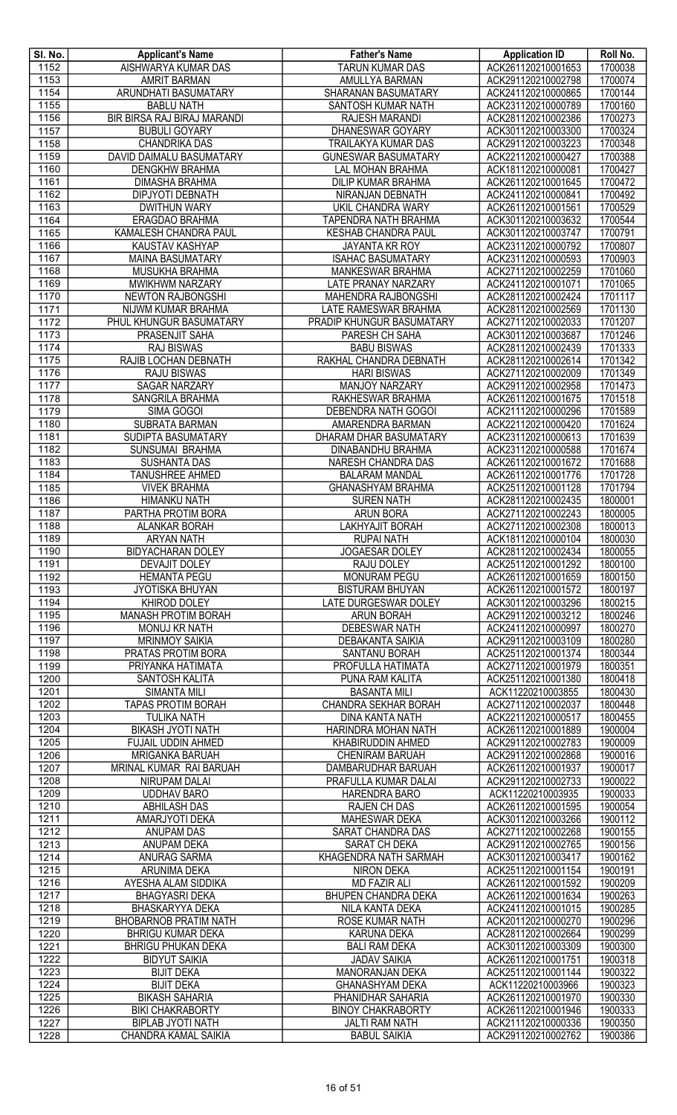| SI. No.             | <b>Applicant's Name</b>                           | <b>Father's Name</b>                                     | <b>Application ID</b>                    | Roll No.           |
|---------------------|---------------------------------------------------|----------------------------------------------------------|------------------------------------------|--------------------|
| 1152                | AISHWARYA KUMAR DAS                               | <b>TARUN KUMAR DAS</b>                                   | ACK261120210001653                       | 1700038            |
| 1153                | <b>AMRIT BARMAN</b>                               | <b>AMULLYA BARMAN</b>                                    | ACK291120210002798                       | 1700074            |
| 1154                | ARUNDHATI BASUMATARY                              | SHARANAN BASUMATARY                                      | ACK241120210000865                       | 1700144            |
| 1155                | <b>BABLU NATH</b>                                 | SANTOSH KUMAR NATH                                       | ACK231120210000789                       | 1700160            |
| 1156                | BIR BIRSA RAJ BIRAJ MARANDI                       | <b>RAJESH MARANDI</b>                                    | ACK281120210002386                       | 1700273            |
| $\frac{1157}{1157}$ | <b>BUBULI GOYARY</b>                              | DHANESWAR GOYARY                                         | ACK301120210003300                       | 1700324            |
| 1158<br>1159        | <b>CHANDRIKA DAS</b><br>DAVID DAIMALU BASUMATARY  | <b>TRAILAKYA KUMAR DAS</b><br><b>GUNESWAR BASUMATARY</b> | ACK291120210003223<br>ACK221120210000427 | 1700348<br>1700388 |
| 1160                | <b>DENGKHW BRAHMA</b>                             | <b>LAL MOHAN BRAHMA</b>                                  | ACK181120210000081                       | 1700427            |
| 1161                | <b>DIMASHA BRAHMA</b>                             | <b>DILIP KUMAR BRAHMA</b>                                | ACK261120210001645                       | 1700472            |
| 1162                | <b>DIPJYOTI DEBNATH</b>                           | NIRANJAN DEBNATH                                         | ACK241120210000841                       | 1700492            |
| 1163                | <b>DWITHUN WARY</b>                               | <b>UKIL CHANDRA WARY</b>                                 | ACK261120210001561                       | 1700529            |
| 1164                | ERAGDAO BRAHMA                                    | TAPENDRA NATH BRAHMA                                     | ACK301120210003632                       | 1700544            |
| 1165                | KAMALESH CHANDRA PAUL                             | <b>KESHAB CHANDRA PAUL</b>                               | ACK301120210003747                       | 1700791            |
| 1166                | <b>KAUSTAV KASHYAP</b>                            | JAYANTA KR ROY                                           | ACK231120210000792                       | 1700807            |
| 1167                | <b>MAINA BASUMATARY</b>                           | <b>ISAHAC BASUMATARY</b>                                 | ACK231120210000593                       | 1700903            |
| 1168                | MUSUKHA BRAHMA                                    | <b>MANKESWAR BRAHMA</b>                                  | ACK271120210002259                       | 1701060            |
| 1169<br>1170        | <b>MWIKHWM NARZARY</b><br>NEWTON RAJBONGSHI       | LATE PRANAY NARZARY<br>MAHENDRA RAJBONGSHI               | ACK241120210001071<br>ACK281120210002424 | 1701065<br>1701117 |
| 1171                | NIJWM KUMAR BRAHMA                                | LATE RAMESWAR BRAHMA                                     | ACK281120210002569                       | 1701130            |
| 1172                | PHUL KHUNGUR BASUMATARY                           | PRADIP KHUNGUR BASUMATARY                                | ACK271120210002033                       | 1701207            |
| 1173                | PRASENJIT SAHA                                    | PARESH CH SAHA                                           | ACK301120210003687                       | 1701246            |
| 1174                | <b>RAJ BISWAS</b>                                 | <b>BABU BISWAS</b>                                       | ACK281120210002439                       | 1701333            |
| 1175                | RAJIB LOCHAN DEBNATH                              | RAKHAL CHANDRA DEBNATH                                   | ACK281120210002614                       | 1701342            |
| 1176                | <b>RAJU BISWAS</b>                                | <b>HARI BISWAS</b>                                       | ACK271120210002009                       | 1701349            |
| 1177                | <b>SAGAR NARZARY</b>                              | MANJOY NARZARY                                           | ACK291120210002958                       | 1701473            |
| 1178                | SANGRILA BRAHMA                                   | RAKHESWAR BRAHMA                                         | ACK261120210001675                       | 1701518            |
| 1179                | SIMA GOGOI                                        | <b>DEBENDRA NATH GOGOI</b>                               | ACK211120210000296                       | 1701589            |
| 1180<br>1181        | SUBRATA BARMAN<br>SUDIPTA BASUMATARY              | AMARENDRA BARMAN<br>DHARAM DHAR BASUMATARY               | ACK221120210000420<br>ACK231120210000613 | 1701624<br>1701639 |
| 1182                | SUNSUMAI BRAHMA                                   | DINABANDHU BRAHMA                                        | ACK231120210000588                       | 1701674            |
| 1183                | <b>SUSHANTA DAS</b>                               | NARESH CHANDRA DAS                                       | ACK261120210001672                       | 1701688            |
| 1184                | <b>TANUSHREE AHMED</b>                            | <b>BALARAM MANDAL</b>                                    | ACK261120210001776                       | 1701728            |
| 1185                | <b>VIVEK BRAHMA</b>                               | <b>GHANASHYAM BRAHMA</b>                                 | ACK251120210001128                       | 1701794            |
| 1186                | <b>HIMANKU NATH</b>                               | <b>SUREN NATH</b>                                        | ACK281120210002435                       | 1800001            |
| 1187                | PARTHA PROTIM BORA                                | <b>ARUN BORA</b>                                         | ACK271120210002243                       | 1800005            |
| 1188                | <b>ALANKAR BORAH</b>                              | LAKHYAJIT BORAH                                          | ACK271120210002308                       | 1800013            |
| 1189                | <b>ARYAN NATH</b>                                 | <b>RUPAI NATH</b>                                        | ACK181120210000104                       | 1800030            |
| 1190                | <b>BIDYACHARAN DOLEY</b><br><b>DEVAJIT DOLEY</b>  | JOGAESAR DOLEY<br><b>RAJU DOLEY</b>                      | ACK281120210002434                       | 1800055            |
| 1191<br>1192        | <b>HEMANTA PEGU</b>                               | <b>MONURAM PEGU</b>                                      | ACK251120210001292<br>ACK261120210001659 | 1800100<br>1800150 |
| 1193                | <b>JYOTISKA BHUYAN</b>                            | <b>BISTURAM BHUYAN</b>                                   | ACK261120210001572                       | 1800197            |
| 1194                | <b>KHIROD DOLEY</b>                               | <b>LATE DURGESWAR DOLEY</b>                              | ACK301120210003296                       | 1800215            |
| 1195                | <b>MANASH PROTIM BORAH</b>                        | <b>ARUN BORAH</b>                                        | ACK291120210003212                       | 1800246            |
| 1196                | <b>MONUJ KR NATH</b>                              | <b>DEBESWAR NATH</b>                                     | ACK241120210000997                       | 1800270            |
| 1197                | <b>MRINMOY SAIKIA</b>                             | <b>DEBAKANTA SAIKIA</b>                                  | ACK291120210003109                       | 1800280            |
| 1198                | PRATAS PROTIM BORA                                | SANTANU BORAH                                            | ACK251120210001374                       | 1800344            |
| 1199                | PRIYANKA HATIMATA                                 | PROFULLA HATIMATA                                        | ACK271120210001979                       | 1800351            |
| 1200                | SANTOSH KALITA                                    | PUNA RAM KALITA                                          | ACK251120210001380                       | 1800418            |
| 1201<br>1202        | SIMANTA MILI<br><b>TAPAS PROTIM BORAH</b>         | <b>BASANTA MILI</b><br>CHANDRA SEKHAR BORAH              | ACK11220210003855<br>ACK271120210002037  | 1800430<br>1800448 |
| 1203                | <b>TULIKA NATH</b>                                | <b>DINA KANTA NATH</b>                                   | ACK221120210000517                       | 1800455            |
| 1204                | <b>BIKASH JYOTI NATH</b>                          | HARINDRA MOHAN NATH                                      | ACK261120210001889                       | 1900004            |
| 1205                | FUJAIL UDDIN AHMED                                | KHABIRUDDIN AHMED                                        | ACK291120210002783                       | 1900009            |
| 1206                | MRIGANKA BARUAH                                   | <b>CHENIRAM BARUAH</b>                                   | ACK291120210002868                       | 1900016            |
| 1207                | MRINAL KUMAR RAI BARUAH                           | DAMBARUDHAR BARUAH                                       | ACK261120210001937                       | 1900017            |
| 1208                | <b>NIRUPAM DALAI</b>                              | PRAFULLA KUMAR DALAI                                     | ACK291120210002733                       | 1900022            |
| 1209                | <b>UDDHAV BARO</b>                                | HARENDRA BARO                                            | ACK11220210003935                        | 1900033            |
| 1210<br>1211        | <b>ABHILASH DAS</b>                               | RAJEN CH DAS                                             | ACK261120210001595                       | 1900054            |
| 1212                | AMARJYOTI DEKA<br><b>ANUPAM DAS</b>               | <b>MAHESWAR DEKA</b><br>SARAT CHANDRA DAS                | ACK301120210003266<br>ACK271120210002268 | 1900112<br>1900155 |
| 1213                | ANUPAM DEKA                                       | SARAT CH DEKA                                            | ACK291120210002765                       | 1900156            |
| 1214                | ANURAG SARMA                                      | KHAGENDRA NATH SARMAH                                    | ACK301120210003417                       | 1900162            |
| 1215                | ARUNIMA DEKA                                      | NIRON DEKA                                               | ACK251120210001154                       | 1900191            |
| 1216                | AYESHA ALAM SIDDIKA                               | <b>MD FAZIR ALI</b>                                      | ACK261120210001592                       | 1900209            |
| 1217                | <b>BHAGYASRI DEKA</b>                             | <b>BHUPEN CHANDRA DEKA</b>                               | ACK261120210001634                       | 1900263            |
| 1218                | BHASKARYYA DEKA                                   | NILA KANTA DEKA                                          | ACK241120210001015                       | 1900285            |
| 1219                | <b>BHOBARNOB PRATIM NATH</b>                      | <b>ROSE KUMAR NATH</b>                                   | ACK201120210000270                       | 1900296            |
| 1220                | <b>BHRIGU KUMAR DEKA</b>                          | <b>KARUNA DEKA</b>                                       | ACK281120210002664                       | 1900299            |
| 1221<br>1222        | <b>BHRIGU PHUKAN DEKA</b><br><b>BIDYUT SAIKIA</b> | <b>BALI RAM DEKA</b><br><b>JADAV SAIKIA</b>              | ACK301120210003309<br>ACK261120210001751 | 1900300<br>1900318 |
| 1223                | <b>BIJIT DEKA</b>                                 | MANORANJAN DEKA                                          | ACK251120210001144                       | 1900322            |
| 1224                | <b>BIJIT DEKA</b>                                 | <b>GHANASHYAM DEKA</b>                                   | ACK11220210003966                        | 1900323            |
| 1225                | <b>BIKASH SAHARIA</b>                             | PHANIDHAR SAHARIA                                        | ACK261120210001970                       | 1900330            |
| 1226                | <b>BIKI CHAKRABORTY</b>                           | <b>BINOY CHAKRABORTY</b>                                 | ACK261120210001946                       | 1900333            |
| 1227                | <b>BIPLAB JYOTI NATH</b>                          | <b>JALTI RAM NATH</b>                                    | ACK211120210000336                       | 1900350            |
| 1228                | CHANDRA KAMAL SAIKIA                              | <b>BABUL SAIKIA</b>                                      | ACK291120210002762                       | 1900386            |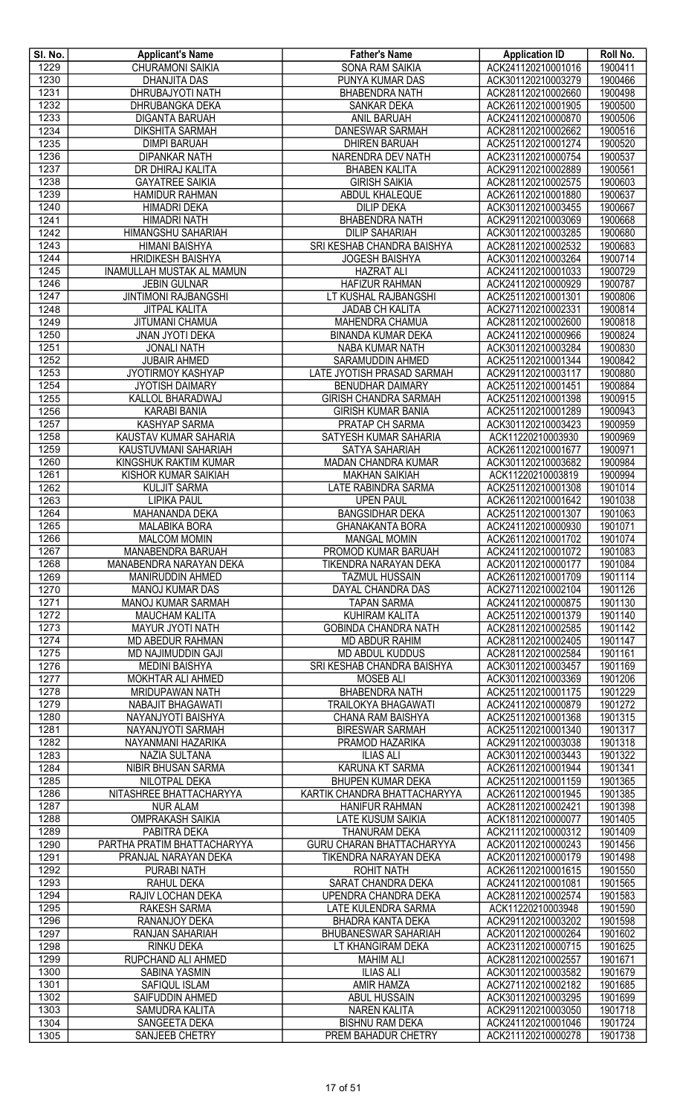| SI. No.      | <b>Applicant's Name</b>                             | <b>Father's Name</b>                       | <b>Application ID</b>                    | Roll No.           |
|--------------|-----------------------------------------------------|--------------------------------------------|------------------------------------------|--------------------|
| 1229         | CHURAMONI SAIKIA                                    | <b>SONA RAM SAIKIA</b>                     | ACK241120210001016                       | 1900411            |
| 1230         | <b>DHANJITA DAS</b>                                 | PUNYA KUMAR DAS                            | ACK301120210003279                       | 1900466            |
| 1231         | DHRUBAJYOTI NATH<br><b>DHRUBANGKA DEKA</b>          | <b>BHABENDRA NATH</b>                      | ACK281120210002660                       | 1900498            |
| 1232<br>1233 | <b>DIGANTA BARUAH</b>                               | SANKAR DEKA<br>ANIL BARUAH                 | ACK261120210001905<br>ACK241120210000870 | 1900500<br>1900506 |
| 1234         | <b>DIKSHITA SARMAH</b>                              | DANESWAR SARMAH                            | ACK281120210002662                       | 1900516            |
| 1235         | <b>DIMPI BARUAH</b>                                 | <b>DHIREN BARUAH</b>                       | ACK251120210001274                       | 1900520            |
| 1236         | <b>DIPANKAR NATH</b>                                | NARENDRA DEV NATH                          | ACK231120210000754                       | 1900537            |
| 1237         | DR DHIRAJ KALITA                                    | <b>BHABEN KALITA</b>                       | ACK291120210002889                       | 1900561            |
| 1238         | <b>GAYATREE SAIKIA</b>                              | <b>GIRISH SAIKIA</b>                       | ACK281120210002575                       | 1900603            |
| 1239         | <b>HAMIDUR RAHMAN</b>                               | <b>ABDUL KHALEQUE</b>                      | ACK261120210001880                       | 1900637            |
| 1240         | HIMADRI DEKA                                        | <b>DILIP DEKA</b>                          | ACK301120210003455                       | 1900667            |
| 1241         | <b>HIMADRI NATH</b>                                 | <b>BHABENDRA NATH</b>                      | ACK291120210003069                       | 1900668            |
| 1242         | <b>HIMANGSHU SAHARIAH</b>                           | <b>DILIP SAHARIAH</b>                      | ACK301120210003285                       | 1900680            |
| 1243         | <b>HIMANI BAISHYA</b>                               | SRI KESHAB CHANDRA BAISHYA                 | ACK281120210002532                       | 1900683            |
| 1244         | <b>HRIDIKESH BAISHYA</b>                            | <b>JOGESH BAISHYA</b>                      | ACK301120210003264                       | 1900714            |
| 1245         | <b>INAMULLAH MUSTAK AL MAMUN</b>                    | <b>HAZRAT ALI</b>                          | ACK241120210001033                       | 1900729            |
| 1246         | <b>JEBIN GULNAR</b>                                 | <b>HAFIZUR RAHMAN</b>                      | ACK241120210000929                       | 1900787            |
| 1247<br>1248 | <b>JINTIMONI RAJBANGSHI</b><br><b>JITPAL KALITA</b> | LT KUSHAL RAJBANGSHI<br>JADAB CH KALITA    | ACK251120210001301<br>ACK271120210002331 | 1900806<br>1900814 |
| 1249         | JITUMANI CHAMUA                                     | MAHENDRA CHAMUA                            | ACK281120210002600                       | 1900818            |
| 1250         | <b>JNAN JYOTI DEKA</b>                              | <b>BINANDA KUMAR DEKA</b>                  | ACK241120210000966                       | 1900824            |
| 1251         | <b>JONALI NATH</b>                                  | <b>NABA KUMAR NATH</b>                     | ACK301120210003284                       | 1900830            |
| 1252         | <b>JUBAIR AHMED</b>                                 | SARAMUDDIN AHMED                           | ACK251120210001344                       | 1900842            |
| 1253         | JYOTIRMOY KASHYAP                                   | LATE JYOTISH PRASAD SARMAH                 | ACK291120210003117                       | 1900880            |
| 1254         | <b>JYOTISH DAIMARY</b>                              | <b>BENUDHAR DAIMARY</b>                    | ACK251120210001451                       | 1900884            |
| 1255         | KALLOL BHARADWAJ                                    | <b>GIRISH CHANDRA SARMAH</b>               | ACK251120210001398                       | 1900915            |
| 1256         | <b>KARABI BANIA</b>                                 | <b>GIRISH KUMAR BANIA</b>                  | ACK251120210001289                       | 1900943            |
| 1257         | <b>KASHYAP SARMA</b>                                | <b>PRATAP CH SARMA</b>                     | ACK301120210003423                       | 1900959            |
| 1258         | KAUSTAV KUMAR SAHARIA                               | SATYESH KUMAR SAHARIA                      | ACK11220210003930                        | 1900969            |
| 1259         | KAUSTUVMANI SAHARIAH                                | SATYA SAHARIAH                             | ACK261120210001677                       | 1900971            |
| 1260         | KINGSHUK RAKTIM KUMAR                               | MADAN CHANDRA KUMAR                        | ACK301120210003682                       | 1900984            |
| 1261         | KISHOR KUMAR SAIKIAH                                | <b>MAKHAN SAIKIAH</b>                      | ACK11220210003819                        | 1900994            |
| 1262<br>1263 | KULJIT SARMA                                        | LATE RABINDRA SARMA                        | ACK251120210001308                       | 1901014            |
| 1264         | <b>LIPIKA PAUL</b><br><b>MAHANANDA DEKA</b>         | <b>UPEN PAUL</b><br><b>BANGSIDHAR DEKA</b> | ACK261120210001642<br>ACK251120210001307 | 1901038<br>1901063 |
| 1265         | <b>MALABIKA BORA</b>                                | <b>GHANAKANTA BORA</b>                     | ACK241120210000930                       | 1901071            |
| 1266         | <b>MALCOM MOMIN</b>                                 | <b>MANGAL MOMIN</b>                        | ACK261120210001702                       | 1901074            |
| 1267         | MANABENDRA BARUAH                                   | PROMOD KUMAR BARUAH                        | ACK241120210001072                       | 1901083            |
| 1268         | MANABENDRA NARAYAN DEKA                             | TIKENDRA NARAYAN DEKA                      | ACK201120210000177                       | 1901084            |
| 1269         | MANIRUDDIN AHMED                                    | <b>TAZMUL HUSSAIN</b>                      | ACK261120210001709                       | 1901114            |
| 1270         | <b>MANOJ KUMAR DAS</b>                              | DAYAL CHANDRA DAS                          | ACK271120210002104                       | 1901126            |
| 1271         | <b>MANOJ KUMAR SARMAH</b>                           | <b>TAPAN SARMA</b>                         | ACK241120210000875                       | 1901130            |
| 1272         | <b>MAUCHAM KALITA</b>                               | <b>KUHIRAM KALITA</b>                      | ACK251120210001379                       | 1901140            |
| 1273         | <b>MAYUR JYOTI NATH</b>                             | <b>GOBINDA CHANDRA NATH</b>                | ACK281120210002585                       | 1901142            |
| 1274         | MD ABEDUR RAHMAN                                    | <b>MD ABDUR RAHIM</b>                      | ACK281120210002405                       | 1901147            |
| 1275         | MD NAJIMUDDIN GAJI                                  | <b>MD ABDUL KUDDUS</b>                     | ACK281120210002584                       | 1901161            |
| 1276         | <b>MEDINI BAISHYA</b>                               | SRI KESHAB CHANDRA BAISHYA                 | ACK301120210003457                       | 1901169            |
| 1277<br>1278 | MOKHTAR ALI AHMED<br>MRIDUPAWAN NATH                | <b>MOSEB ALI</b><br><b>BHABENDRA NATH</b>  | ACK301120210003369<br>ACK251120210001175 | 1901206<br>1901229 |
| 1279         | NABAJIT BHAGAWATI                                   | <b>TRAILOKYA BHAGAWATI</b>                 | ACK241120210000879                       | 1901272            |
| 1280         | NAYANJYOTI BAISHYA                                  | CHANA RAM BAISHYA                          | ACK251120210001368                       | 1901315            |
| 1281         | NAYANJYOTI SARMAH                                   | <b>BIRESWAR SARMAH</b>                     | ACK251120210001340                       | 1901317            |
| 1282         | NAYANMANI HAZARIKA                                  | PRAMOD HAZARIKA                            | ACK291120210003038                       | 1901318            |
| 1283         | <b>NAZIA SULTANA</b>                                | <b>ILIAS ALI</b>                           | ACK301120210003443                       | 1901322            |
| 1284         | NIBIR BHUSAN SARMA                                  | KARUNA KT SARMA                            | ACK261120210001944                       | 1901341            |
| 1285         | NILOTPAL DEKA                                       | BHUPEN KUMAR DEKA                          | ACK251120210001159                       | 1901365            |
| 1286         | NITASHREE BHATTACHARYYA                             | KARTIK CHANDRA BHATTACHARYYA               | ACK261120210001945                       | 1901385            |
| 1287         | <b>NUR ALAM</b>                                     | <b>HANIFUR RAHMAN</b>                      | ACK281120210002421                       | 1901398            |
| 1288         | <b>OMPRAKASH SAIKIA</b>                             | LATE KUSUM SAIKIA                          | ACK181120210000077                       | 1901405            |
| 1289         | PABITRA DEKA                                        | THANURAM DEKA                              | ACK211120210000312                       | 1901409            |
| 1290         | PARTHA PRATIM BHATTACHARYYA                         | <b>GURU CHARAN BHATTACHARYYA</b>           | ACK201120210000243                       | 1901456            |
| 1291<br>1292 | PRANJAL NARAYAN DEKA                                | TIKENDRA NARAYAN DEKA                      | ACK201120210000179                       | 1901498            |
| 1293         | PURABI NATH<br>RAHUL DEKA                           | <b>ROHIT NATH</b><br>SARAT CHANDRA DEKA    | ACK261120210001615<br>ACK241120210001081 | 1901550<br>1901565 |
| 1294         | RAJIV LOCHAN DEKA                                   | UPENDRA CHANDRA DEKA                       | ACK281120210002574                       | 1901583            |
| 1295         | <b>RAKESH SARMA</b>                                 | <b>LATE KULENDRA SARMA</b>                 | ACK11220210003948                        | 1901590            |
| 1296         | <b>RANANJOY DEKA</b>                                | <b>BHADRA KANTA DEKA</b>                   | ACK291120210003202                       | 1901598            |
| 1297         | RANJAN SAHARIAH                                     | BHUBANESWAR SAHARIAH                       | ACK201120210000264                       | 1901602            |
| 1298         | <b>RINKU DEKA</b>                                   | LT KHANGIRAM DEKA                          | ACK231120210000715                       | 1901625            |
| 1299         | RUPCHAND ALI AHMED                                  | <b>MAHIM ALI</b>                           | ACK281120210002557                       | 1901671            |
| 1300         | SABINA YASMIN                                       | <b>ILIAS ALI</b>                           | ACK301120210003582                       | 1901679            |
| 1301         | SAFIQUL ISLAM                                       | <b>AMIR HAMZA</b>                          | ACK271120210002182                       | 1901685            |
| 1302         | SAIFUDDIN AHMED                                     | ABUL HUSSAIN                               | ACK301120210003295                       | 1901699            |
| 1303         | <b>SAMUDRA KALITA</b>                               | <b>NAREN KALITA</b>                        | ACK291120210003050                       | 1901718            |
| 1304         | SANGEETA DEKA                                       | <b>BISHNU RAM DEKA</b>                     | ACK241120210001046                       | 1901724            |
| 1305         | <b>SANJEEB CHETRY</b>                               | PREM BAHADUR CHETRY                        | ACK211120210000278                       | 1901738            |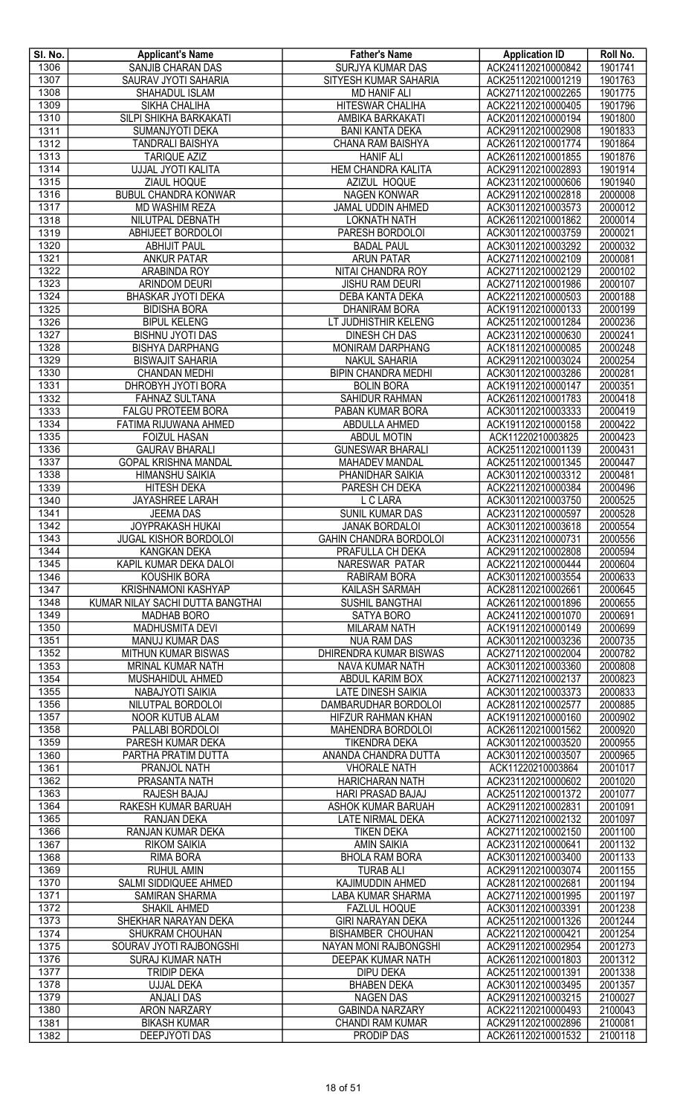| SI. No. | <b>Applicant's Name</b>          | <b>Father's Name</b>          | <b>Application ID</b> | Roll No. |
|---------|----------------------------------|-------------------------------|-----------------------|----------|
| 1306    | SANJIB CHARAN DAS                | <b>SURJYA KUMAR DAS</b>       | ACK241120210000842    | 1901741  |
| 1307    | SAURAV JYOTI SAHARIA             | SITYESH KUMAR SAHARIA         | ACK251120210001219    | 1901763  |
| 1308    | SHAHADUL ISLAM                   | <b>MD HANIF ALI</b>           | ACK271120210002265    | 1901775  |
| 1309    | SIKHA CHALIHA                    | <b>HITESWAR CHALIHA</b>       | ACK221120210000405    | 1901796  |
| 1310    | SILPI SHIKHA BARKAKATI           | AMBIKA BARKAKATI              | ACK201120210000194    | 1901800  |
| 1311    |                                  |                               |                       |          |
|         | SUMANJYOTI DEKA                  | <b>BANI KANTA DEKA</b>        | ACK291120210002908    | 1901833  |
| 1312    | <b>TANDRALI BAISHYA</b>          | <b>CHANA RAM BAISHYA</b>      | ACK261120210001774    | 1901864  |
| 1313    | <b>TARIQUE AZIZ</b>              | <b>HANIF ALI</b>              | ACK261120210001855    | 1901876  |
| 1314    | UJJAL JYOTI KALITA               | HEM CHANDRA KALITA            | ACK291120210002893    | 1901914  |
| 1315    | ZIAUL HOQUE                      | AZIZUL HOQUE                  | ACK231120210000606    | 1901940  |
| 1316    | <b>BUBUL CHANDRA KONWAR</b>      | <b>NAGEN KONWAR</b>           | ACK291120210002818    | 2000008  |
| 1317    | MD WASHIM REZA                   | JAMAL UDDIN AHMED             | ACK301120210003573    | 2000012  |
| 1318    | NILUTPAL DEBNATH                 | <b>LOKNATH NATH</b>           | ACK261120210001862    | 2000014  |
| 1319    | ABHIJEET BORDOLOI                | PARESH BORDOLOI               | ACK301120210003759    | 2000021  |
| 1320    | <b>ABHIJIT PAUL</b>              | <b>BADAL PAUL</b>             | ACK301120210003292    | 2000032  |
| 1321    | <b>ANKUR PATAR</b>               | <b>ARUN PATAR</b>             | ACK271120210002109    | 2000081  |
| 1322    |                                  |                               |                       |          |
|         | ARABINDA ROY                     | NITAI CHANDRA ROY             | ACK271120210002129    | 2000102  |
| 1323    | <b>ARINDOM DEURI</b>             | <b>JISHU RAM DEURI</b>        | ACK271120210001986    | 2000107  |
| 1324    | <b>BHASKAR JYOTI DEKA</b>        | <b>DEBA KANTA DEKA</b>        | ACK221120210000503    | 2000188  |
| 1325    | <b>BIDISHA BORA</b>              | <b>DHANIRAM BORA</b>          | ACK191120210000133    | 2000199  |
| 1326    | <b>BIPUL KELENG</b>              | LT JUDHISTHIR KELENG          | ACK251120210001284    | 2000236  |
| 1327    | <b>BISHNU JYOTI DAS</b>          | DINESH CH DAS                 | ACK231120210000630    | 2000241  |
| 1328    | <b>BISHYA DARPHANG</b>           | MONIRAM DARPHANG              | ACK181120210000085    | 2000248  |
| 1329    | <b>BISWAJIT SAHARIA</b>          | <b>NAKUL SAHARIA</b>          | ACK291120210003024    | 2000254  |
| 1330    | <b>CHANDAN MEDHI</b>             | <b>BIPIN CHANDRA MEDHI</b>    | ACK301120210003286    | 2000281  |
| 1331    | DHROBYH JYOTI BORA               | <b>BOLIN BORA</b>             | ACK191120210000147    | 2000351  |
| 1332    | <b>FAHNAZ SULTANA</b>            | <b>SAHIDUR RAHMAN</b>         | ACK261120210001783    | 2000418  |
|         |                                  |                               |                       |          |
| 1333    | <b>FALGU PROTEEM BORA</b>        | PABAN KUMAR BORA              | ACK301120210003333    | 2000419  |
| 1334    | FATIMA RIJUWANA AHMED            | ABDULLA AHMED                 | ACK191120210000158    | 2000422  |
| 1335    | <b>FOIZUL HASAN</b>              | <b>ABDUL MOTIN</b>            | ACK11220210003825     | 2000423  |
| 1336    | <b>GAURAV BHARALI</b>            | <b>GUNESWAR BHARALI</b>       | ACK251120210001139    | 2000431  |
| 1337    | <b>GOPAL KRISHNA MANDAL</b>      | <b>MAHADEV MANDAL</b>         | ACK251120210001345    | 2000447  |
| 1338    | HIMANSHU SAIKIA                  | PHANIDHAR SAIKIA              | ACK301120210003312    | 2000481  |
| 1339    | <b>HITESH DEKA</b>               | PARESH CH DEKA                | ACK221120210000384    | 2000496  |
| 1340    | <b>JAYASHREE LARAH</b>           | L C LARA                      | ACK301120210003750    | 2000525  |
| 1341    | <b>JEEMA DAS</b>                 | SUNIL KUMAR DAS               | ACK231120210000597    | 2000528  |
| 1342    | JOYPRAKASH HUKAI                 | <b>JANAK BORDALOI</b>         | ACK301120210003618    | 2000554  |
| 1343    | <b>JUGAL KISHOR BORDOLOI</b>     | <b>GAHIN CHANDRA BORDOLOI</b> | ACK231120210000731    | 2000556  |
| 1344    |                                  |                               |                       |          |
|         | KANGKAN DEKA                     | PRAFULLA CH DEKA              | ACK291120210002808    | 2000594  |
| 1345    | KAPIL KUMAR DEKA DALOI           | NARESWAR PATAR                | ACK221120210000444    | 2000604  |
| 1346    | <b>KOUSHIK BORA</b>              | RABIRAM BORA                  | ACK301120210003554    | 2000633  |
| 1347    | <b>KRISHNAMONI KASHYAP</b>       | KAILASH SARMAH                | ACK281120210002661    | 2000645  |
| 1348    | KUMAR NILAY SACHI DUTTA BANGTHAI | SUSHIL BANGTHAI               | ACK261120210001896    | 2000655  |
| 1349    | <b>MADHAB BORO</b>               | <b>SATYA BORO</b>             | ACK241120210001070    | 2000691  |
| 1350    | <b>MADHUSMITA DEVI</b>           | <b>MILARAM NATH</b>           | ACK191120210000149    | 2000699  |
| 1351    | <b>MANUJ KUMAR DAS</b>           | <b>NUA RAM DAS</b>            | ACK301120210003236    | 2000735  |
| 1352    | <b>MITHUN KUMAR BISWAS</b>       | DHIRENDRA KUMAR BISWAS        | ACK271120210002004    | 2000782  |
| 1353    | MRINAL KUMAR NATH                | NAVA KUMAR NATH               | ACK301120210003360    | 2000808  |
| 1354    | MUSHAHIDUL AHMED                 | ABDUL KARIM BOX               | ACK271120210002137    | 2000823  |
| 1355    | NABAJYOTI SAIKIA                 | <b>LATE DINESH SAIKIA</b>     | ACK301120210003373    | 2000833  |
| 1356    | NILUTPAL BORDOLOI                | DAMBARUDHAR BORDOLOI          | ACK281120210002577    | 2000885  |
|         |                                  |                               |                       |          |
| 1357    | <b>NOOR KUTUB ALAM</b>           | <b>HIFZUR RAHMAN KHAN</b>     | ACK191120210000160    | 2000902  |
| 1358    | PALLABI BORDOLOI                 | MAHENDRA BORDOLOI             | ACK261120210001562    | 2000920  |
| 1359    | PARESH KUMAR DEKA                | <b>TIKENDRA DEKA</b>          | ACK301120210003520    | 2000955  |
| 1360    | PARTHA PRATIM DUTTA              | ANANDA CHANDRA DUTTA          | ACK301120210003507    | 2000965  |
| 1361    | PRANJOL NATH                     | <b>VHORALE NATH</b>           | ACK11220210003864     | 2001017  |
| 1362    | PRASANTA NATH                    | <b>HARICHARAN NATH</b>        | ACK231120210000602    | 2001020  |
| 1363    | RAJESH BAJAJ                     | <b>HARI PRASAD BAJAJ</b>      | ACK251120210001372    | 2001077  |
| 1364    | RAKESH KUMAR BARUAH              | ASHOK KUMAR BARUAH            | ACK291120210002831    | 2001091  |
| 1365    | RANJAN DEKA                      | LATE NIRMAL DEKA              | ACK271120210002132    | 2001097  |
| 1366    | RANJAN KUMAR DEKA                | <b>TIKEN DEKA</b>             | ACK271120210002150    | 2001100  |
| 1367    | <b>RIKOM SAIKIA</b>              | <b>AMIN SAIKIA</b>            | ACK231120210000641    | 2001132  |
|         |                                  |                               |                       | 2001133  |
| 1368    | RIMA BORA                        | <b>BHOLA RAM BORA</b>         | ACK301120210003400    |          |
| 1369    | <b>RUHUL AMIN</b>                | <b>TURAB ALI</b>              | ACK291120210003074    | 2001155  |
| 1370    | <b>SALMI SIDDIQUEE AHMED</b>     | KAJIMUDDIN AHMED              | ACK281120210002681    | 2001194  |
| 1371    | <b>SAMIRAN SHARMA</b>            | <b>LABA KUMAR SHARMA</b>      | ACK271120210001995    | 2001197  |
| 1372    | SHAKIL AHMED                     | <b>FAZLUL HOQUE</b>           | ACK301120210003391    | 2001238  |
| 1373    | SHEKHAR NARAYAN DEKA             | <b>GIRI NARAYAN DEKA</b>      | ACK251120210001326    | 2001244  |
| 1374    | SHUKRAM CHOUHAN                  | <b>BISHAMBER CHOUHAN</b>      | ACK221120210000421    | 2001254  |
| 1375    | SOURAV JYOTI RAJBONGSHI          | <b>NAYAN MONI RAJBONGSHI</b>  | ACK291120210002954    | 2001273  |
| 1376    | <b>SURAJ KUMAR NATH</b>          | <b>DEEPAK KUMAR NATH</b>      | ACK261120210001803    | 2001312  |
| 1377    | <b>TRIDIP DEKA</b>               | <b>DIPU DEKA</b>              | ACK251120210001391    | 2001338  |
| 1378    | <b>UJJAL DEKA</b>                | <b>BHABEN DEKA</b>            | ACK301120210003495    | 2001357  |
| 1379    |                                  |                               | ACK291120210003215    | 2100027  |
|         | <b>ANJALI DAS</b>                | <b>NAGEN DAS</b>              |                       |          |
| 1380    | ARON NARZARY                     | <b>GABINDA NARZARY</b>        | ACK221120210000493    | 2100043  |
| 1381    | <b>BIKASH KUMAR</b>              | <b>CHANDI RAM KUMAR</b>       | ACK291120210002896    | 2100081  |
| 1382    | <b>DEEPJYOTI DAS</b>             | <b>PRODIP DAS</b>             | ACK261120210001532    | 2100118  |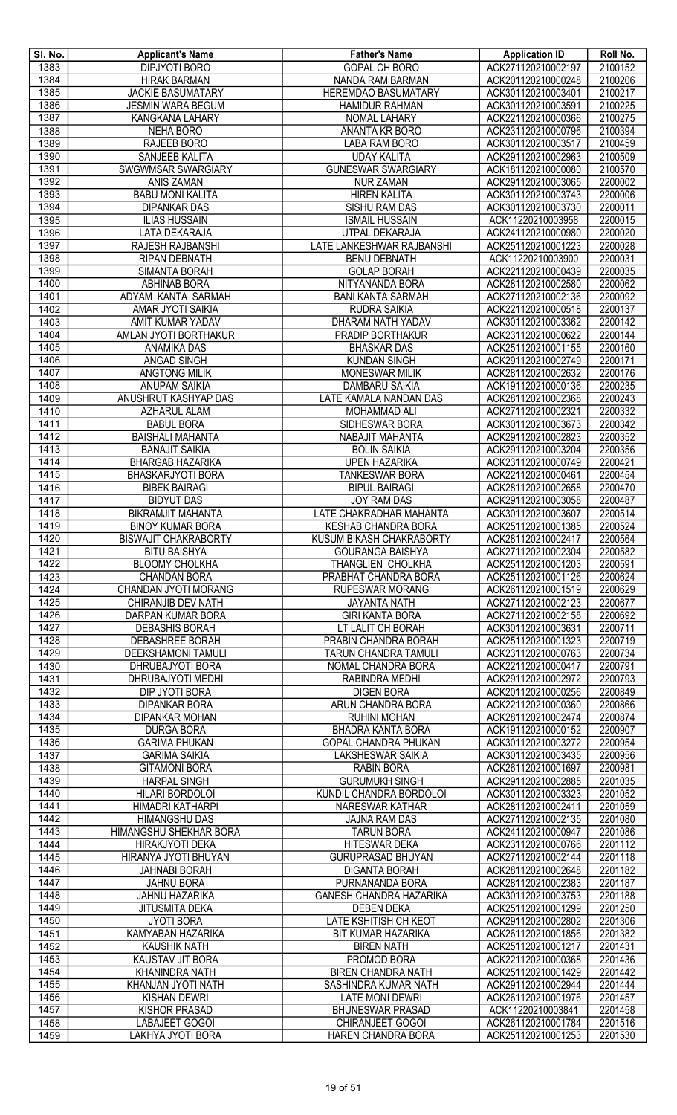| SI. No.      | <b>Applicant's Name</b>                              | <b>Father's Name</b>                             | <b>Application ID</b>                    | Roll No.           |
|--------------|------------------------------------------------------|--------------------------------------------------|------------------------------------------|--------------------|
| 1383         | <b>DIPJYOTI BORO</b>                                 | <b>GOPAL CH BORO</b>                             | ACK271120210002197                       | 2100152            |
| 1384         | <b>HIRAK BARMAN</b>                                  | NANDA RAM BARMAN                                 | ACK201120210000248                       | 2100206            |
| 1385<br>1386 | <b>JACKIE BASUMATARY</b><br><b>JESMIN WARA BEGUM</b> | HEREMDAO BASUMATARY<br><b>HAMIDUR RAHMAN</b>     | ACK301120210003401<br>ACK301120210003591 | 2100217<br>2100225 |
| 1387         | KANGKANA LAHARY                                      | NOMAL LAHARY                                     | ACK221120210000366                       | 2100275            |
| 1388         | NEHA BORO                                            | ANANTA KR BORO                                   | ACK231120210000796                       | 2100394            |
| 1389         | RAJEEB BORO                                          | LABA RAM BORO                                    | ACK301120210003517                       | 2100459            |
| 1390         | SANJEEB KALITA                                       | <b>UDAY KALITA</b>                               | ACK291120210002963                       | 2100509            |
| 1391         | SWGWMSAR SWARGIARY                                   | <b>GUNESWAR SWARGIARY</b>                        | ACK181120210000080                       | 2100570            |
| 1392         | ANIS ZAMAN                                           | <b>NUR ZAMAN</b>                                 | ACK291120210003065                       | 2200002            |
| 1393         | <b>BABU MONI KALITA</b>                              | <b>HIREN KALITA</b>                              | ACK301120210003743                       | 2200006            |
| 1394         | <b>DIPANKAR DAS</b>                                  | SISHU RAM DAS                                    | ACK301120210003730                       | 2200011            |
| 1395         | <b>ILIAS HUSSAIN</b>                                 | <b>ISMAIL HUSSAIN</b>                            | ACK11220210003958                        | 2200015            |
| 1396         | LATA DEKARAJA                                        | UTPAL DEKARAJA                                   | ACK241120210000980                       | 2200020            |
| 1397         | <b>RAJESH RAJBANSHI</b>                              | LATE LANKESHWAR RAJBANSHI                        | ACK251120210001223                       | 2200028            |
| 1398         | <b>RIPAN DEBNATH</b>                                 | <b>BENU DEBNATH</b>                              | ACK11220210003900                        | 2200031            |
| 1399         | <b>SIMANTA BORAH</b>                                 | <b>GOLAP BORAH</b>                               | ACK221120210000439                       | 2200035            |
| 1400<br>1401 | ABHINAB BORA<br>ADYAM KANTA SARMAH                   | NITYANANDA BORA                                  | ACK281120210002580<br>ACK271120210002136 | 2200062<br>2200092 |
| 1402         | AMAR JYOTI SAIKIA                                    | <b>BANI KANTA SARMAH</b><br><b>RUDRA SAIKIA</b>  | ACK221120210000518                       | 2200137            |
| 1403         | AMIT KUMAR YADAV                                     | DHARAM NATH YADAV                                | ACK301120210003362                       | 2200142            |
| 1404         | AMLAN JYOTI BORTHAKUR                                | PRADIP BORTHAKUR                                 | ACK231120210000622                       | 2200144            |
| 1405         | ANAMIKA DAS                                          | <b>BHASKAR DAS</b>                               | ACK251120210001155                       | 2200160            |
| 1406         | ANGAD SINGH                                          | <b>KUNDAN SINGH</b>                              | ACK291120210002749                       | 2200171            |
| 1407         | <b>ANGTONG MILIK</b>                                 | <b>MONESWAR MILIK</b>                            | ACK281120210002632                       | 2200176            |
| 1408         | <b>ANUPAM SAIKIA</b>                                 | <b>DAMBARU SAIKIA</b>                            | ACK191120210000136                       | 2200235            |
| 1409         | ANUSHRUT KASHYAP DAS                                 | LATE KAMALA NANDAN DAS                           | ACK281120210002368                       | 2200243            |
| 1410         | <b>AZHARUL ALAM</b>                                  | <b>MOHAMMAD ALI</b>                              | ACK271120210002321                       | 2200332            |
| 1411         | <b>BABUL BORA</b>                                    | SIDHESWAR BORA                                   | ACK301120210003673                       | 2200342            |
| 1412         | <b>BAISHALI MAHANTA</b>                              | NABAJIT MAHANTA                                  | ACK291120210002823                       | 2200352            |
| 1413         | <b>BANAJIT SAIKIA</b>                                | <b>BOLIN SAIKIA</b>                              | ACK291120210003204                       | 2200356            |
| 1414         | <b>BHARGAB HAZARIKA</b>                              | <b>UPEN HAZARIKA</b>                             | ACK231120210000749                       | 2200421            |
| 1415         | BHASKARJYOTI BORA<br><b>BIBEK BAIRAGI</b>            | <b>TANKESWAR BORA</b><br><b>BIPUL BAIRAGI</b>    | ACK221120210000461                       | 2200454<br>2200470 |
| 1416<br>1417 | <b>BIDYUT DAS</b>                                    | JOY RAM DAS                                      | ACK281120210002658<br>ACK291120210003058 | 2200487            |
| 1418         | <b>BIKRAMJIT MAHANTA</b>                             | LATE CHAKRADHAR MAHANTA                          | ACK301120210003607                       | 2200514            |
| 1419         | <b>BINOY KUMAR BORA</b>                              | <b>KESHAB CHANDRA BORA</b>                       | ACK251120210001385                       | 2200524            |
| 1420         | <b>BISWAJIT CHAKRABORTY</b>                          | <b>KUSUM BIKASH CHAKRABORTY</b>                  | ACK281120210002417                       | 2200564            |
| 1421         | <b>BITU BAISHYA</b>                                  | <b>GOURANGA BAISHYA</b>                          | ACK271120210002304                       | 2200582            |
| 1422         | <b>BLOOMY CHOLKHA</b>                                | THANGLIEN CHOLKHA                                | ACK251120210001203                       | 2200591            |
| 1423         | <b>CHANDAN BORA</b>                                  | PRABHAT CHANDRA BORA                             | ACK251120210001126                       | 2200624            |
| 1424         | CHANDAN JYOTI MORANG                                 | <b>RUPESWAR MORANG</b>                           | ACK261120210001519                       | 2200629            |
| 1425         | CHIRANJIB DEV NATH                                   | <b>JAYANTA NATH</b>                              | ACK271120210002123                       | 2200677            |
| 1426         | DARPAN KUMAR BORA                                    | <b>GIRI KANTA BORA</b>                           | ACK271120210002158                       | 2200692            |
| 1427         | <b>DEBASHIS BORAH</b>                                | LT LALIT CH BORAH                                | ACK301120210003631                       | 2200711            |
| 1428         | <b>DEBASHREE BORAH</b>                               | PRABIN CHANDRA BORAH                             | ACK251120210001323                       | 2200719            |
| 1429         | <b>DEEKSHAMONI TAMULI</b>                            | TARUN CHANDRA TAMULI                             | ACK231120210000763                       | 2200734            |
| 1430<br>1431 | DHRUBAJYOTI BORA<br>DHRUBAJYOTI MEDHI                | NOMAL CHANDRA BORA                               | ACK221120210000417<br>ACK291120210002972 | 2200791<br>2200793 |
| 1432         | DIP JYOTI BORA                                       | RABINDRA MEDHI<br><b>DIGEN BORA</b>              | ACK201120210000256                       | 2200849            |
| 1433         | <b>DIPANKAR BORA</b>                                 | ARUN CHANDRA BORA                                | ACK221120210000360                       | 2200866            |
| 1434         | <b>DIPANKAR MOHAN</b>                                | <b>RUHINI MOHAN</b>                              | ACK281120210002474                       | 2200874            |
| 1435         | <b>DURGA BORA</b>                                    | <b>BHADRA KANTA BORA</b>                         | ACK191120210000152                       | 2200907            |
| 1436         | <b>GARIMA PHUKAN</b>                                 | GOPAL CHANDRA PHUKAN                             | ACK301120210003272                       | 2200954            |
| 1437         | <b>GARIMA SAIKIA</b>                                 | <b>LAKSHESWAR SAIKIA</b>                         | ACK301120210003435                       | 2200956            |
| 1438         | <b>GITAMONI BORA</b>                                 | RABIN BORA                                       | ACK261120210001697                       | 2200981            |
| 1439         | <b>HARPAL SINGH</b>                                  | <b>GURUMUKH SINGH</b>                            | ACK291120210002885                       | 2201035            |
| 1440         | HILARI BORDOLOI                                      | KUNDIL CHANDRA BORDOLOI                          | ACK301120210003323                       | 2201052            |
| 1441         | HIMADRI KATHARPI                                     | <b>NARESWAR KATHAR</b>                           | ACK281120210002411                       | 2201059            |
| 1442         | <b>HIMANGSHU DAS</b>                                 | JAJNA RAM DAS                                    | ACK271120210002135                       | 2201080            |
| 1443         | HIMANGSHU SHEKHAR BORA                               | <b>TARUN BORA</b>                                | ACK241120210000947                       | 2201086            |
| 1444         | <b>HIRAKJYOTI DEKA</b>                               | <b>HITESWAR DEKA</b>                             | ACK231120210000766                       | 2201112            |
| 1445<br>1446 | HIRANYA JYOTI BHUYAN<br><b>JAHNABI BORAH</b>         | <b>GURUPRASAD BHUYAN</b><br><b>DIGANTA BORAH</b> | ACK271120210002144<br>ACK281120210002648 | 2201118<br>2201182 |
| 1447         | <b>JAHNU BORA</b>                                    | PURNANANDA BORA                                  | ACK281120210002383                       | 2201187            |
| 1448         | <b>JAHNU HAZARIKA</b>                                | <b>GANESH CHANDRA HAZARIKA</b>                   | ACK301120210003753                       | 2201188            |
| 1449         | <b>JITUSMITA DEKA</b>                                | <b>DEBEN DEKA</b>                                | ACK251120210001299                       | 2201250            |
| 1450         | <b>JYOTI BORA</b>                                    | <b>LATE KSHITISH CH KEOT</b>                     | ACK291120210002802                       | 2201306            |
| 1451         | KAMYABAN HAZARIKA                                    | BIT KUMAR HAZARIKA                               | ACK261120210001856                       | 2201382            |
| 1452         | <b>KAUSHIK NATH</b>                                  | <b>BIREN NATH</b>                                | ACK251120210001217                       | 2201431            |
| 1453         | KAUSTAV JIT BORA                                     | PROMOD BORA                                      | ACK221120210000368                       | 2201436            |
| 1454         | KHANINDRA NATH                                       | <b>BIREN CHANDRA NATH</b>                        | ACK251120210001429                       | 2201442            |
| 1455         | KHANJAN JYOTI NATH                                   | SASHINDRA KUMAR NATH                             | ACK291120210002944                       | 2201444            |
| 1456         | <b>KISHAN DEWRI</b>                                  | <b>LATE MONI DEWRI</b>                           | ACK261120210001976                       | 2201457            |
| 1457         | KISHOR PRASAD                                        | <b>BHUNESWAR PRASAD</b>                          | ACK11220210003841                        | 2201458            |
| 1458         | <b>LABAJEET GOGOI</b>                                | CHIRANJEET GOGOI                                 | ACK261120210001784                       | 2201516            |
| 1459         | LAKHYA JYOTI BORA                                    | HAREN CHANDRA BORA                               | ACK251120210001253                       | 2201530            |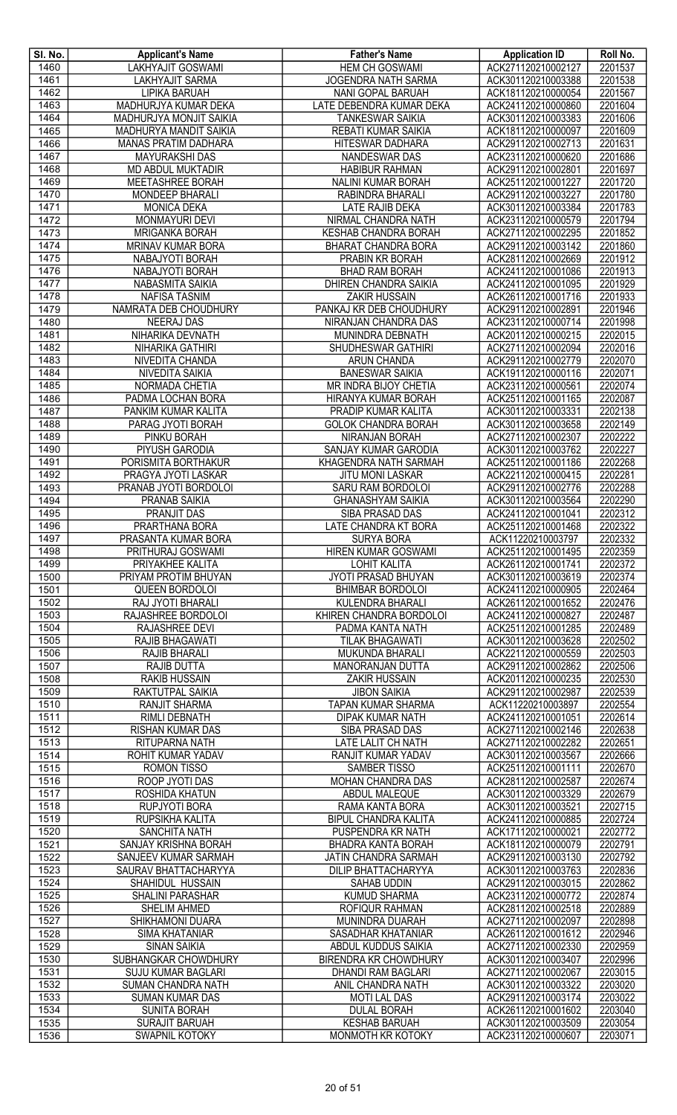| SI. No.      | <b>Applicant's Name</b>                      | <b>Father's Name</b>                        | <b>Application ID</b>                    | Roll No.           |
|--------------|----------------------------------------------|---------------------------------------------|------------------------------------------|--------------------|
| 1460         | <b>LAKHYAJIT GOSWAMI</b>                     | <b>HEM CH GOSWAMI</b>                       | ACK271120210002127                       | 2201537            |
| 1461         | <b>LAKHYAJIT SARMA</b>                       | <b>JOGENDRA NATH SARMA</b>                  | ACK301120210003388                       | 2201538            |
| 1462         | LIPIKA BARUAH                                | NANI GOPAL BARUAH                           | ACK181120210000054                       | 2201567            |
| 1463         | MADHURJYA KUMAR DEKA                         | LATE DEBENDRA KUMAR DEKA                    | ACK241120210000860                       | 2201604            |
| 1464         | <b>MADHURJYA MONJIT SAIKIA</b>               | <b>TANKESWAR SAIKIA</b>                     | ACK301120210003383                       | 2201606            |
| 1465         | MADHURYA MANDIT SAIKIA                       | REBATI KUMAR SAIKIA                         | ACK181120210000097                       | 2201609            |
| 1466         | <b>MANAS PRATIM DADHARA</b>                  | HITESWAR DADHARA                            | ACK291120210002713                       | 2201631            |
| 1467         | MAYURAKSHI DAS                               | NANDESWAR DAS                               | ACK231120210000620                       | 2201686            |
| 1468<br>1469 | <b>MD ABDUL MUKTADIR</b>                     | <b>HABIBUR RAHMAN</b>                       | ACK291120210002801                       | 2201697            |
| 1470         | MEETASHREE BORAH<br>MONDEEP BHARALI          | NALINI KUMAR BORAH<br>RABINDRA BHARALI      | ACK251120210001227<br>ACK291120210003227 | 2201720<br>2201780 |
| 1471         | <b>MONICA DEKA</b>                           | LATE RAJIB DEKA                             | ACK301120210003384                       | 2201783            |
| 1472         | MONMAYURI DEVI                               | NIRMAL CHANDRA NATH                         | ACK231120210000579                       | 2201794            |
| 1473         | <b>MRIGANKA BORAH</b>                        | KESHAB CHANDRA BORAH                        | ACK271120210002295                       | 2201852            |
| 1474         | MRINAV KUMAR BORA                            | BHARAT CHANDRA BORA                         | ACK291120210003142                       | 2201860            |
| 1475         | NABAJYOTI BORAH                              | PRABIN KR BORAH                             | ACK281120210002669                       | 2201912            |
| 1476         | NABAJYOTI BORAH                              | <b>BHAD RAM BORAH</b>                       | ACK241120210001086                       | 2201913            |
| 1477         | NABASMITA SAIKIA                             | DHIREN CHANDRA SAIKIA                       | ACK241120210001095                       | 2201929            |
| 1478         | <b>NAFISA TASNIM</b>                         | <b>ZAKIR HUSSAIN</b>                        | ACK261120210001716                       | 2201933            |
| 1479         | NAMRATA DEB CHOUDHURY                        | PANKAJ KR DEB CHOUDHURY                     | ACK291120210002891                       | 2201946            |
| 1480         | <b>NEERAJ DAS</b>                            | NIRANJAN CHANDRA DAS                        | ACK231120210000714                       | 2201998            |
| 1481         | NIHARIKA DEVNATH                             | MUNINDRA DEBNATH                            | ACK201120210000215                       | 2202015            |
| 1482         | NIHARIKA GATHIRI                             | SHUDHESWAR GATHIRI                          | ACK271120210002094                       | 2202016            |
| 1483         | NIVEDITA CHANDA                              | ARUN CHANDA                                 | ACK291120210002779                       | 2202070            |
| 1484         | NIVEDITA SAIKIA                              | <b>BANESWAR SAIKIA</b>                      | ACK191120210000116                       | 2202071            |
| 1485         | NORMADA CHETIA                               | MR INDRA BIJOY CHETIA                       | ACK231120210000561                       | 2202074            |
| 1486         | PADMA LOCHAN BORA                            | HIRANYA KUMAR BORAH                         | ACK251120210001165                       | 2202087            |
| 1487         | PANKIM KUMAR KALITA                          | PRADIP KUMAR KALITA                         | ACK301120210003331                       | 2202138            |
| 1488         | PARAG JYOTI BORAH                            | <b>GOLOK CHANDRA BORAH</b>                  | ACK301120210003658                       | 2202149            |
| 1489         | <b>PINKU BORAH</b>                           | <b>NIRANJAN BORAH</b>                       | ACK271120210002307                       | 2202222            |
| 1490         | PIYUSH GARODIA                               | SANJAY KUMAR GARODIA                        | ACK301120210003762                       | 2202227            |
| 1491         | PORISMITA BORTHAKUR                          | <b>KHAGENDRA NATH SARMAH</b>                | ACK251120210001186                       | 2202268            |
| 1492         | PRAGYA JYOTI LASKAR                          | <b>JITU MONI LASKAR</b>                     | ACK221120210000415                       | 2202281            |
| 1493         | PRANAB JYOTI BORDOLOI                        | SARU RAM BORDOLOI                           | ACK291120210002776                       | 2202288            |
| 1494<br>1495 | PRANAB SAIKIA<br><b>PRANJIT DAS</b>          | <b>GHANASHYAM SAIKIA</b><br>SIBA PRASAD DAS | ACK301120210003564<br>ACK241120210001041 | 2202290<br>2202312 |
| 1496         | PRARTHANA BORA                               | LATE CHANDRA KT BORA                        | ACK251120210001468                       | 2202322            |
| 1497         | PRASANTA KUMAR BORA                          | <b>SURYA BORA</b>                           | ACK11220210003797                        | 2202332            |
| 1498         | PRITHURAJ GOSWAMI                            | HIREN KUMAR GOSWAMI                         | ACK251120210001495                       | 2202359            |
| 1499         | <b>PRIYAKHEE KALITA</b>                      | <b>LOHIT KALITA</b>                         | ACK261120210001741                       | 2202372            |
| 1500         | PRIYAM PROTIM BHUYAN                         | <b>JYOTI PRASAD BHUYAN</b>                  | ACK301120210003619                       | 2202374            |
| 1501         | <b>QUEEN BORDOLOI</b>                        | <b>BHIMBAR BORDOLOI</b>                     | ACK241120210000905                       | 2202464            |
| 1502         | RAJ JYOTI BHARALI                            | KULENDRA BHARALI                            | ACK261120210001652                       | 2202476            |
| 1503         | RAJASHREE BORDOLOI                           | KHIREN CHANDRA BORDOLOI                     | ACK241120210000827                       | 2202487            |
| 1504         | RAJASHREE DEVI                               | PADMA KANTA NATH                            | ACK251120210001285                       | 2202489            |
| 1505         | RAJIB BHAGAWATI                              | <b>TILAK BHAGAWATI</b>                      | ACK301120210003628                       | 2202502            |
| 1506         | RAJIB BHARALI                                | MUKUNDA BHARALI                             | ACK221120210000559                       | 2202503            |
| 1507         | <b>RAJIB DUTTA</b>                           | MANORANJAN DUTTA                            | ACK291120210002862                       | 2202506            |
| 1508         | <b>RAKIB HUSSAIN</b>                         | <b>ZAKIR HUSSAIN</b>                        | ACK201120210000235                       | 2202530            |
| 1509         | RAKTUTPAL SAIKIA                             | <b>JIBON SAIKIA</b>                         | ACK291120210002987                       | 2202539            |
| 1510         | <b>RANJIT SHARMA</b>                         | <b>TAPAN KUMAR SHARMA</b>                   | ACK11220210003897                        | 2202554            |
| 1511         | <b>RIMLI DEBNATH</b>                         | <b>DIPAK KUMAR NATH</b>                     | ACK241120210001051                       | 2202614            |
| 1512         | <b>RISHAN KUMAR DAS</b>                      | SIBA PRASAD DAS                             | ACK271120210002146                       | 2202638            |
| 1513         | RITUPARNA NATH                               | <b>LATE LALIT CH NATH</b>                   | ACK271120210002282                       | 2202651            |
| 1514<br>1515 | ROHIT KUMAR YADAV                            | RANJIT KUMAR YADAV<br><b>SAMBER TISSO</b>   | ACK301120210003567<br>ACK251120210001111 | 2202666<br>2202670 |
| 1516         | <b>ROMON TISSO</b><br><b>ROOP JYOTI DAS</b>  | MOHAN CHANDRA DAS                           | ACK281120210002587                       | 2202674            |
| 1517         | ROSHIDA KHATUN                               | ABDUL MALEQUE                               | ACK301120210003329                       | 2202679            |
| 1518         | RUPJYOTI BORA                                | RAMA KANTA BORA                             | ACK301120210003521                       | 2202715            |
| 1519         | RUPSIKHA KALITA                              | BIPUL CHANDRA KALITA                        | ACK241120210000885                       | 2202724            |
| 1520         | <b>SANCHITA NATH</b>                         | PUSPENDRA KR NATH                           | ACK171120210000021                       | 2202772            |
| 1521         | SANJAY KRISHNA BORAH                         | BHADRA KANTA BORAH                          | ACK181120210000079                       | 2202791            |
| 1522         | SANJEEV KUMAR SARMAH                         | JATIN CHANDRA SARMAH                        | ACK291120210003130                       | 2202792            |
| 1523         | SAURAV BHATTACHARYYA                         | <b>DILIP BHATTACHARYYA</b>                  | ACK301120210003763                       | 2202836            |
| 1524         | SHAHIDUL HUSSAIN                             | SAHAB UDDIN                                 | ACK291120210003015                       | 2202862            |
| 1525         | <b>SHALINI PARASHAR</b>                      | <b>KUMUD SHARMA</b>                         | ACK231120210000772                       | 2202874            |
| 1526         | SHELIM AHMED                                 | <b>ROFIQUR RAHMAN</b>                       | ACK281120210002518                       | 2202889            |
| 1527         | SHIKHAMONI DUARA                             | <b>MUNINDRA DUARAH</b>                      | ACK271120210002097                       | 2202898            |
| 1528         | <b>SIMA KHATANIAR</b>                        | SASADHAR KHATANIAR                          | ACK261120210001612                       | 2202946            |
| 1529         | <b>SINAN SAIKIA</b>                          | ABDUL KUDDUS SAIKIA                         | ACK271120210002330                       | 2202959            |
| 1530         | SUBHANGKAR CHOWDHURY                         | <b>BIRENDRA KR CHOWDHURY</b>                | ACK301120210003407                       | 2202996            |
| 1531         | <b>SUJU KUMAR BAGLARI</b>                    | <b>DHANDI RAM BAGLARI</b>                   | ACK271120210002067                       | 2203015            |
| 1532         | <b>SUMAN CHANDRA NATH</b>                    | ANIL CHANDRA NATH                           | ACK301120210003322                       | 2203020            |
| 1533         | <b>SUMAN KUMAR DAS</b>                       | <b>MOTI LAL DAS</b>                         | ACK291120210003174                       | 2203022            |
| 1534<br>1535 | <b>SUNITA BORAH</b><br><b>SURAJIT BARUAH</b> | <b>DULAL BORAH</b><br><b>KESHAB BARUAH</b>  | ACK261120210001602<br>ACK301120210003509 | 2203040<br>2203054 |
| 1536         | <b>SWAPNIL KOTOKY</b>                        | MONMOTH KR KOTOKY                           | ACK231120210000607                       | 2203071            |
|              |                                              |                                             |                                          |                    |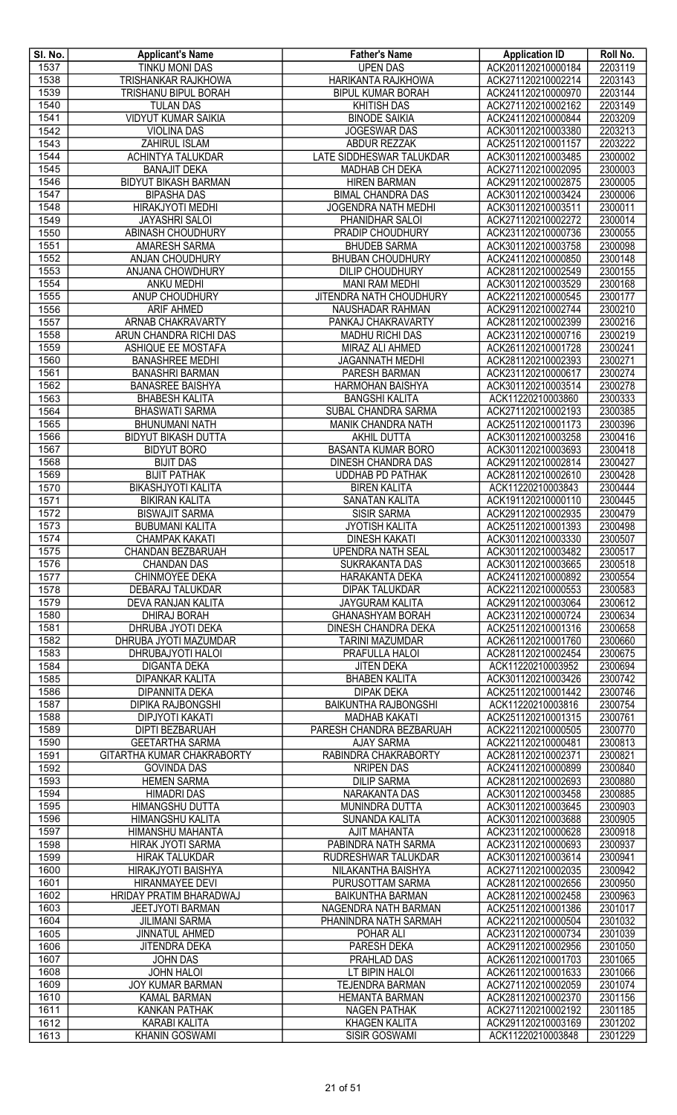| SI. No.      | <b>Applicant's Name</b>                                   | <b>Father's Name</b>                                  | <b>Application ID</b>                    | Roll No.           |
|--------------|-----------------------------------------------------------|-------------------------------------------------------|------------------------------------------|--------------------|
| 1537         | <b>TINKU MONI DAS</b>                                     | <b>UPEN DAS</b>                                       | ACK201120210000184                       | 2203119            |
| 1538<br>1539 | <b>TRISHANKAR RAJKHOWA</b><br><b>TRISHANU BIPUL BORAH</b> | HARIKANTA RAJKHOWA<br><b>BIPUL KUMAR BORAH</b>        | ACK271120210002214<br>ACK241120210000970 | 2203143<br>2203144 |
| 1540         | <b>TULAN DAS</b>                                          | <b>KHITISH DAS</b>                                    | ACK271120210002162                       | 2203149            |
| 1541         | <b>VIDYUT KUMAR SAIKIA</b>                                | <b>BINODE SAIKIA</b>                                  | ACK241120210000844                       | 2203209            |
| 1542         | <b>VIOLINA DAS</b>                                        | JOGESWAR DAS                                          | ACK301120210003380                       | 2203213            |
| 1543         | ZAHIRUL ISLAM                                             | ABDUR REZZAK                                          | ACK251120210001157                       | 2203222            |
| 1544         | ACHINTYA TALUKDAR                                         | LATE SIDDHESWAR TALUKDAR                              | ACK301120210003485                       | 2300002            |
| 1545         | <b>BANAJIT DEKA</b>                                       | MADHAB CH DEKA                                        | ACK271120210002095                       | 2300003            |
| 1546<br>1547 | <b>BIDYUT BIKASH BARMAN</b><br><b>BIPASHA DAS</b>         | <b>HIREN BARMAN</b><br><b>BIMAL CHANDRA DAS</b>       | ACK291120210002875<br>ACK301120210003424 | 2300005<br>2300006 |
| 1548         | HIRAKJYOTI MEDHI                                          | <b>JOGENDRA NATH MEDHI</b>                            | ACK301120210003511                       | 2300011            |
| 1549         | <b>JAYASHRI SALOI</b>                                     | PHANIDHAR SALOI                                       | ACK271120210002272                       | 2300014            |
| 1550         | ABINASH CHOUDHURY                                         | PRADIP CHOUDHURY                                      | ACK231120210000736                       | 2300055            |
| 1551         | <b>AMARESH SARMA</b>                                      | <b>BHUDEB SARMA</b>                                   | ACK301120210003758                       | 2300098            |
| 1552         | ANJAN CHOUDHURY                                           | <b>BHUBAN CHOUDHURY</b>                               | ACK241120210000850                       | 2300148            |
| 1553         | ANJANA CHOWDHURY                                          | <b>DILIP CHOUDHURY</b>                                | ACK281120210002549                       | 2300155            |
| 1554<br>1555 | ANKU MEDHI<br>ANUP CHOUDHURY                              | <b>MANI RAM MEDHI</b><br>JITENDRA NATH CHOUDHURY      | ACK301120210003529<br>ACK221120210000545 | 2300168<br>2300177 |
| 1556         | <b>ARIF AHMED</b>                                         | NAUSHADAR RAHMAN                                      | ACK291120210002744                       | 2300210            |
| 1557         | ARNAB CHAKRAVARTY                                         | PANKAJ CHAKRAVARTY                                    | ACK281120210002399                       | 2300216            |
| 1558         | ARUN CHANDRA RICHI DAS                                    | MADHU RICHI DAS                                       | ACK231120210000716                       | 2300219            |
| 1559         | ASHIQUE EE MOSTAFA                                        | <b>MIRAZ ALI AHMED</b>                                | ACK261120210001728                       | 2300241            |
| 1560         | <b>BANASHREE MEDHI</b>                                    | <b>JAGANNATH MEDHI</b>                                | ACK281120210002393                       | 2300271            |
| 1561<br>1562 | <b>BANASHRI BARMAN</b><br><b>BANASREE BAISHYA</b>         | PARESH BARMAN<br>HARMOHAN BAISHYA                     | ACK231120210000617<br>ACK301120210003514 | 2300274<br>2300278 |
| 1563         | <b>BHABESH KALITA</b>                                     | <b>BANGSHI KALITA</b>                                 | ACK11220210003860                        | 2300333            |
| 1564         | <b>BHASWATI SARMA</b>                                     | <b>SUBAL CHANDRA SARMA</b>                            | ACK271120210002193                       | 2300385            |
| 1565         | <b>BHUNUMANI NATH</b>                                     | MANIK CHANDRA NATH                                    | ACK251120210001173                       | 2300396            |
| 1566         | <b>BIDYUT BIKASH DUTTA</b>                                | AKHIL DUTTA                                           | ACK301120210003258                       | 2300416            |
| 1567         | <b>BIDYUT BORO</b>                                        | <b>BASANTA KUMAR BORO</b>                             | ACK301120210003693                       | 2300418            |
| 1568<br>1569 | <b>BIJIT DAS</b><br><b>BIJIT PATHAK</b>                   | DINESH CHANDRA DAS<br><b>UDDHAB PD PATHAK</b>         | ACK291120210002814<br>ACK281120210002610 | 2300427<br>2300428 |
| 1570         | BIKASHJYOTI KALITA                                        | <b>BIREN KALITA</b>                                   | ACK11220210003843                        | 2300444            |
| 1571         | <b>BIKIRAN KALITA</b>                                     | SANATAN KALITA                                        | ACK191120210000110                       | 2300445            |
| 1572         | <b>BISWAJIT SARMA</b>                                     | <b>SISIR SARMA</b>                                    | ACK291120210002935                       | 2300479            |
| 1573         | <b>BUBUMANI KALITA</b>                                    | <b>JYOTISH KALITA</b>                                 | ACK251120210001393                       | 2300498            |
| 1574<br>1575 | <b>CHAMPAK KAKATI</b><br>CHANDAN BEZBARUAH                | <b>DINESH KAKATI</b><br><b>UPENDRA NATH SEAL</b>      | ACK301120210003330<br>ACK301120210003482 | 2300507<br>2300517 |
| 1576         | <b>CHANDAN DAS</b>                                        | <b>SUKRAKANTA DAS</b>                                 | ACK301120210003665                       | 2300518            |
| 1577         | CHINMOYEE DEKA                                            | HARAKANTA DEKA                                        | ACK241120210000892                       | 2300554            |
| 1578         | DEBARAJ TALUKDAR                                          | <b>DIPAK TALUKDAR</b>                                 | ACK221120210000553                       | 2300583            |
| 1579         | <b>DEVA RANJAN KALITA</b>                                 | <b>JAYGURAM KALITA</b>                                | ACK291120210003064                       | 2300612            |
| 1580<br>1581 | <b>DHIRAJ BORAH</b><br>DHRUBA JYOTI DEKA                  | <b>GHANASHYAM BORAH</b><br><b>DINESH CHANDRA DEKA</b> | ACK231120210000724<br>ACK251120210001316 | 2300634<br>2300658 |
| 1582         | DHRUBA JYOTI MAZUMDAR                                     | TARINI MAZUMDAR                                       | ACK261120210001760                       | 2300660            |
| 1583         | DHRUBAJYOTI HALOI                                         | PRAFULLA HALOI                                        | ACK281120210002454                       | 2300675            |
| 1584         | <b>DIGANTA DEKA</b>                                       | <b>JITEN DEKA</b>                                     | ACK11220210003952                        | 2300694            |
| 1585         | <b>DIPANKAR KALITA</b>                                    | <b>BHABEN KALITA</b>                                  | ACK301120210003426                       | 2300742            |
| 1586         | <b>DIPANNITA DEKA</b>                                     | <b>DIPAK DEKA</b>                                     | ACK251120210001442                       | 2300746            |
| 1587<br>1588 | <b>DIPIKA RAJBONGSHI</b><br>DIPJYOTI KAKATI               | <b>BAIKUNTHA RAJBONGSHI</b><br><b>MADHAB KAKATI</b>   | ACK11220210003816<br>ACK251120210001315  | 2300754<br>2300761 |
| 1589         | <b>DIPTI BEZBARUAH</b>                                    | PARESH CHANDRA BEZBARUAH                              | ACK221120210000505                       | 2300770            |
| 1590         | <b>GEETARTHA SARMA</b>                                    | <b>AJAY SARMA</b>                                     | ACK221120210000481                       | 2300813            |
| 1591         | GITARTHA KUMAR CHAKRABORTY                                | RABINDRA CHAKRABORTY                                  | ACK281120210002371                       | 2300821            |
| 1592         | <b>GOVINDA DAS</b>                                        | <b>NRIPEN DAS</b>                                     | ACK241120210000899                       | 2300840            |
| 1593<br>1594 | <b>HEMEN SARMA</b><br><b>HIMADRI DAS</b>                  | <b>DILIP SARMA</b><br>NARAKANTA DAS                   | ACK281120210002693<br>ACK301120210003458 | 2300880<br>2300885 |
| 1595         | <b>HIMANGSHU DUTTA</b>                                    | MUNINDRA DUTTA                                        | ACK301120210003645                       | 2300903            |
| 1596         | HIMANGSHU KALITA                                          | SUNANDA KALITA                                        | ACK301120210003688                       | 2300905            |
| 1597         | HIMANSHU MAHANTA                                          | <b>AJIT MAHANTA</b>                                   | ACK231120210000628                       | 2300918            |
| 1598         | HIRAK JYOTI SARMA                                         | PABINDRA NATH SARMA                                   | ACK231120210000693                       | 2300937            |
| 1599<br>1600 | <b>HIRAK TALUKDAR</b>                                     | RUDRESHWAR TALUKDAR                                   | ACK301120210003614                       | 2300941            |
| 1601         | <b>HIRAKJYOTI BAISHYA</b><br><b>HIRANMAYEE DEVI</b>       | NILAKANTHA BAISHYA<br>PURUSOTTAM SARMA                | ACK271120210002035<br>ACK281120210002656 | 2300942<br>2300950 |
| 1602         | HRIDAY PRATIM BHARADWAJ                                   | <b>BAIKUNTHA BARMAN</b>                               | ACK281120210002458                       | 2300963            |
| 1603         | JEETJYOTI BARMAN                                          | NAGENDRA NATH BARMAN                                  | ACK251120210001386                       | 2301017            |
| 1604         | <b>JILIMANI SARMA</b>                                     | PHANINDRA NATH SARMAH                                 | ACK221120210000504                       | 2301032            |
| 1605         | <b>JINNATUL AHMED</b>                                     | POHAR ALI                                             | ACK231120210000734                       | 2301039            |
| 1606<br>1607 | <b>JITENDRA DEKA</b><br><b>JOHN DAS</b>                   | PARESH DEKA<br>PRAHLAD DAS                            | ACK291120210002956<br>ACK261120210001703 | 2301050<br>2301065 |
| 1608         | <b>JOHN HALOI</b>                                         | LT BIPIN HALOI                                        | ACK261120210001633                       | 2301066            |
| 1609         | JOY KUMAR BARMAN                                          | <b>TEJENDRA BARMAN</b>                                | ACK271120210002059                       | 2301074            |
| 1610         | KAMAL BARMAN                                              | <b>HEMANTA BARMAN</b>                                 | ACK281120210002370                       | 2301156            |
| 1611         | <b>KANKAN PATHAK</b>                                      | <b>NAGEN PATHAK</b>                                   | ACK271120210002192                       | 2301185            |
| 1612<br>1613 | <b>KARABI KALITA</b><br><b>KHANIN GOSWAMI</b>             | <b>KHAGEN KALITA</b><br><b>SISIR GOSWAMI</b>          | ACK291120210003169<br>ACK11220210003848  | 2301202<br>2301229 |
|              |                                                           |                                                       |                                          |                    |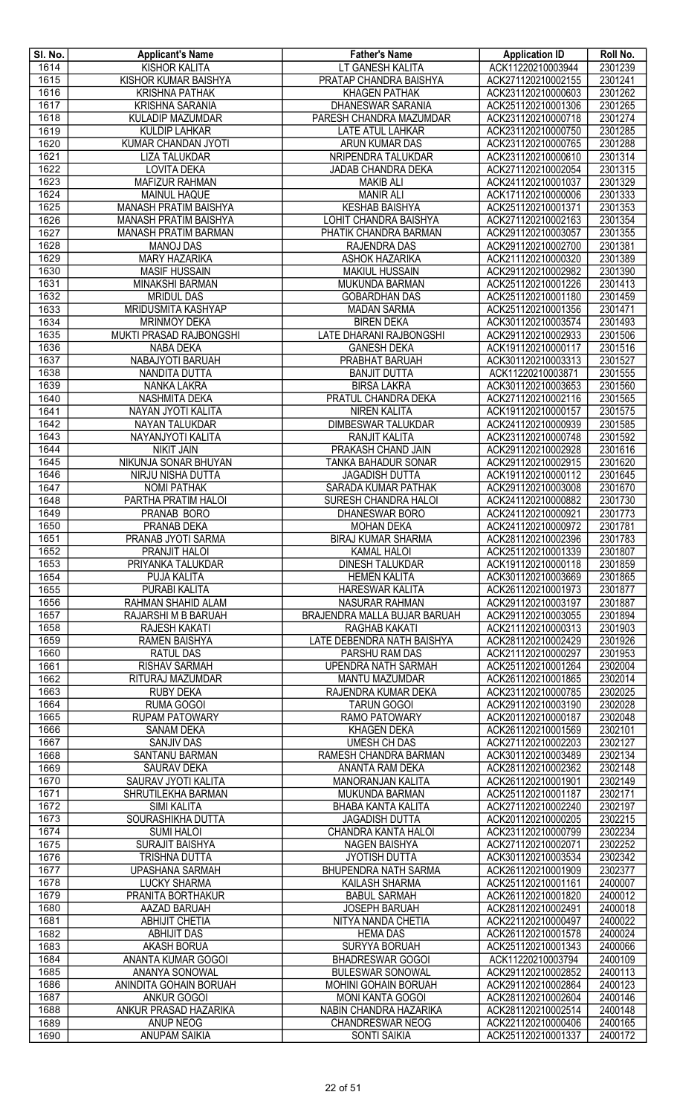| SI. No.          | <b>Applicant's Name</b>                          | <b>Father's Name</b>                              | <b>Application ID</b>                    | Roll No.           |
|------------------|--------------------------------------------------|---------------------------------------------------|------------------------------------------|--------------------|
| 1614             | <b>KISHOR KALITA</b>                             | LT GANESH KALITA                                  | ACK11220210003944                        | 2301239            |
| 1615             | KISHOR KUMAR BAISHYA                             | PRATAP CHANDRA BAISHYA                            | ACK271120210002155                       | 2301241            |
| 1616             | <b>KRISHNA PATHAK</b>                            | <b>KHAGEN PATHAK</b>                              | ACK231120210000603                       | 2301262            |
| 1617             | <b>KRISHNA SARANIA</b>                           | <b>DHANESWAR SARANIA</b>                          | ACK251120210001306                       | 2301265            |
| 1618             | <b>KULADIP MAZUMDAR</b>                          | PARESH CHANDRA MAZUMDAR                           | ACK231120210000718                       | 2301274            |
| 1619             | <b>KULDIP LAHKAR</b>                             | LATE ATUL LAHKAR                                  | ACK231120210000750                       | 2301285            |
| 1620             | KUMAR CHANDAN JYOTI                              | ARUN KUMAR DAS                                    | ACK231120210000765                       | 2301288            |
| $\frac{1621}{ }$ | <b>LIZA TALUKDAR</b>                             | NRIPENDRA TALUKDAR                                | ACK231120210000610                       | 2301314            |
| 1622             | <b>LOVITA DEKA</b>                               | JADAB CHANDRA DEKA                                | ACK271120210002054                       | 2301315            |
| 1623             | <b>MAFIZUR RAHMAN</b>                            | <b>MAKIB ALI</b>                                  | ACK241120210001037                       | 2301329            |
| 1624             | <b>MAINUL HAQUE</b>                              | <b>MANIR ALI</b>                                  | ACK171120210000006                       | 2301333            |
| 1625             | MANASH PRATIM BAISHYA                            | <b>KESHAB BAISHYA</b>                             | ACK251120210001371                       | 2301353            |
| 1626             | MANASH PRATIM BAISHYA                            | LOHIT CHANDRA BAISHYA                             | ACK271120210002163                       | 2301354            |
| 1627             | <b>MANASH PRATIM BARMAN</b>                      | PHATIK CHANDRA BARMAN                             | ACK291120210003057                       | 2301355            |
| 1628             | <b>MANOJ DAS</b>                                 | RAJENDRA DAS                                      | ACK291120210002700                       | 2301381            |
| 1629<br>1630     | <b>MARY HAZARIKA</b><br><b>MASIF HUSSAIN</b>     | <b>ASHOK HAZARIKA</b><br><b>MAKIUL HUSSAIN</b>    | ACK211120210000320<br>ACK291120210002982 | 2301389<br>2301390 |
| 1631             | <b>MINAKSHI BARMAN</b>                           | <b>MUKUNDA BARMAN</b>                             | ACK251120210001226                       | 2301413            |
| 1632             | <b>MRIDUL DAS</b>                                | <b>GOBARDHAN DAS</b>                              | ACK251120210001180                       | 2301459            |
| 1633             | MRIDUSMITA KASHYAP                               | <b>MADAN SARMA</b>                                | ACK251120210001356                       | 2301471            |
| 1634             | <b>MRINMOY DEKA</b>                              | <b>BIREN DEKA</b>                                 | ACK301120210003574                       | 2301493            |
| 1635             | <b>MUKTI PRASAD RAJBONGSHI</b>                   | LATE DHARANI RAJBONGSHI                           | ACK291120210002933                       | 2301506            |
| 1636             | NABA DEKA                                        | <b>GANESH DEKA</b>                                | ACK191120210000117                       | 2301516            |
| 1637             | NABAJYOTI BARUAH                                 | PRABHAT BARUAH                                    | ACK301120210003313                       | 2301527            |
| 1638             | NANDITA DUTTA                                    | <b>BANJIT DUTTA</b>                               | ACK11220210003871                        | 2301555            |
| 1639             | NANKA LAKRA                                      | <b>BIRSA LAKRA</b>                                | ACK301120210003653                       | 2301560            |
| 1640             | <b>NASHMITA DEKA</b>                             | PRATUL CHANDRA DEKA                               | ACK271120210002116                       | 2301565            |
| 1641             | NAYAN JYOTI KALITA                               | <b>NIREN KALITA</b>                               | ACK191120210000157                       | 2301575            |
| 1642             | NAYAN TALUKDAR                                   | <b>DIMBESWAR TALUKDAR</b>                         | ACK241120210000939                       | 2301585            |
| 1643             | NAYANJYOTI KALITA                                | <b>RANJIT KALITA</b>                              | ACK231120210000748                       | 2301592            |
| 1644             | <b>NIKIT JAIN</b>                                | PRAKASH CHAND JAIN                                | ACK291120210002928                       | 2301616            |
| 1645             | NIKUNJA SONAR BHUYAN                             | TANKA BAHADUR SONAR                               | ACK291120210002915                       | 2301620            |
| 1646             | NIRJU NISHA DUTTA                                | <b>JAGADISH DUTTA</b>                             | ACK191120210000112                       | 2301645            |
| 1647             | <b>NOMI PATHAK</b>                               | SARADA KUMAR PATHAK                               | ACK291120210003008                       | 2301670            |
| 1648             | PARTHA PRATIM HALOI                              | SURESH CHANDRA HALOI                              | ACK241120210000882                       | 2301730            |
| 1649             | <b>PRANAB BORO</b>                               | DHANESWAR BORO                                    | ACK241120210000921                       | 2301773            |
| 1650             | PRANAB DEKA                                      | <b>MOHAN DEKA</b>                                 | ACK241120210000972                       | 2301781            |
| 1651             | PRANAB JYOTI SARMA                               | <b>BIRAJ KUMAR SHARMA</b>                         | ACK281120210002396                       | 2301783            |
| 1652             | PRANJIT HALOI                                    | <b>KAMAL HALOI</b>                                | ACK251120210001339                       | 2301807            |
| 1653             | PRIYANKA TALUKDAR                                | <b>DINESH TALUKDAR</b>                            | ACK191120210000118                       | 2301859            |
| 1654             | <b>PUJA KALITA</b>                               | <b>HEMEN KALITA</b>                               | ACK301120210003669                       | 2301865            |
| 1655             | PURABI KALITA                                    | <b>HARESWAR KALITA</b>                            | ACK261120210001973                       | 2301877            |
| 1656             | RAHMAN SHAHID ALAM                               | <b>NASURAR RAHMAN</b>                             | ACK291120210003197                       | 2301887            |
| 1657             | RAJARSHI M B BARUAH                              | BRAJENDRA MALLA BUJAR BARUAH                      | ACK291120210003055                       | 2301894            |
| 1658             | <b>RAJESH KAKATI</b>                             | RAGHAB KAKATI                                     | ACK211120210000313                       | 2301903            |
| 1659             | <b>RAMEN BAISHYA</b>                             | LATE DEBENDRA NATH BAISHYA                        | ACK281120210002429                       | 2301926            |
| 1660             | RATUL DAS                                        | PARSHU RAM DAS<br><b>UPENDRA NATH SARMAH</b>      | ACK211120210000297                       | 2301953            |
| 1661<br>1662     | <b>RISHAV SARMAH</b><br>RITURAJ MAZUMDAR         | MANTU MAZUMDAR                                    | ACK251120210001264<br>ACK261120210001865 | 2302004<br>2302014 |
| 1663             | <b>RUBY DEKA</b>                                 | RAJENDRA KUMAR DEKA                               | ACK231120210000785                       | 2302025            |
| 1664             | RUMA GOGOI                                       | <b>TARUN GOGOI</b>                                | ACK291120210003190                       | 2302028            |
| 1665             | <b>RUPAM PATOWARY</b>                            | RAMO PATOWARY                                     | ACK201120210000187                       | 2302048            |
| 1666             | <b>SANAM DEKA</b>                                | <b>KHAGEN DEKA</b>                                | ACK261120210001569                       | 2302101            |
| 1667             | <b>SANJIV DAS</b>                                | <b>UMESH CH DAS</b>                               | ACK271120210002203                       | 2302127            |
| 1668             | SANTANU BARMAN                                   | RAMESH CHANDRA BARMAN                             | ACK301120210003489                       | 2302134            |
| 1669             | <b>SAURAV DEKA</b>                               | ANANTA RAM DEKA                                   | ACK281120210002362                       | 2302148            |
| 1670             | SAURAV JYOTI KALITA                              | MANORANJAN KALITA                                 | ACK261120210001901                       | 2302149            |
| 1671             | SHRUTILEKHA BARMAN                               | MUKUNDA BARMAN                                    | ACK251120210001187                       | 2302171            |
| 1672             | <b>SIMI KALITA</b>                               | BHABA KANTA KALITA                                | ACK271120210002240                       | 2302197            |
| 1673             | SOURASHIKHA DUTTA                                | <b>JAGADISH DUTTA</b>                             | ACK201120210000205                       | 2302215            |
| 1674             | <b>SUMI HALOI</b>                                | <b>CHANDRA KANTA HALOI</b>                        | ACK231120210000799                       | 2302234            |
| 1675             | SURAJIT BAISHYA                                  | <b>NAGEN BAISHYA</b>                              | ACK271120210002071                       | 2302252            |
| 1676             | TRISHNA DUTTA                                    | <b>JYOTISH DUTTA</b>                              | ACK301120210003534                       | 2302342            |
| 1677             | <b>UPASHANA SARMAH</b>                           | <b>BHUPENDRA NATH SARMA</b>                       | ACK261120210001909                       | 2302377            |
| 1678             | <b>LUCKY SHARMA</b>                              | <b>KAILASH SHARMA</b>                             | ACK251120210001161                       | 2400007            |
| 1679             | PRANITA BORTHAKUR                                | <b>BABUL SARMAH</b>                               | ACK261120210001820                       | 2400012            |
| 1680             | AAZAD BARUAH                                     | <b>JOSEPH BARUAH</b>                              | ACK281120210002491                       | 2400018            |
| 1681             | <b>ABHIJIT CHETIA</b>                            | NITYA NANDA CHETIA                                | ACK221120210000497                       | 2400022            |
| 1682             | <b>ABHIJIT DAS</b>                               | <b>HEMA DAS</b>                                   | ACK261120210001578                       | 2400024            |
| 1683             | <b>AKASH BORUA</b>                               | <b>SURYYA BORUAH</b>                              | ACK251120210001343                       | 2400066            |
| 1684             | ANANTA KUMAR GOGOI                               | <b>BHADRESWAR GOGOI</b>                           | ACK11220210003794                        | 2400109            |
| 1685             | ANANYA SONOWAL                                   | <b>BULESWAR SONOWAL</b>                           | ACK291120210002852                       | 2400113            |
| 1686             | ANINDITA GOHAIN BORUAH                           | MOHINI GOHAIN BORUAH                              | ACK291120210002864                       | 2400123            |
| 1687             | <b>ANKUR GOGOI</b>                               | <b>MONI KANTA GOGOI</b>                           | ACK281120210002604                       | 2400146            |
| 1688<br>1689     | <b>ANKUR PRASAD HAZARIKA</b><br><b>ANUP NEOG</b> | NABIN CHANDRA HAZARIKA<br><b>CHANDRESWAR NEOG</b> | ACK281120210002514<br>ACK221120210000406 | 2400148<br>2400165 |
| 1690             | <b>ANUPAM SAIKIA</b>                             | <b>SONTI SAIKIA</b>                               | ACK251120210001337                       | 2400172            |
|                  |                                                  |                                                   |                                          |                    |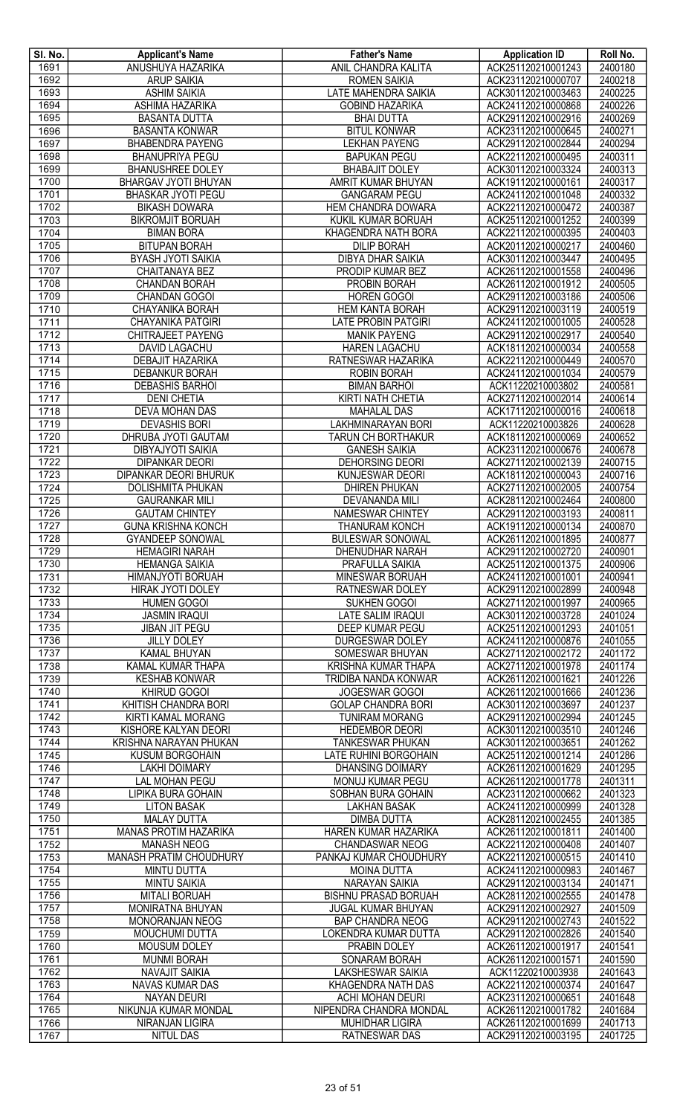| SI. No. | <b>Applicant's Name</b>                     | <b>Father's Name</b>               | <b>Application ID</b> | Roll No.           |
|---------|---------------------------------------------|------------------------------------|-----------------------|--------------------|
| 1691    | ANUSHUYA HAZARIKA                           | ANIL CHANDRA KALITA                | ACK251120210001243    | 2400180            |
| 1692    | <b>ARUP SAIKIA</b>                          | <b>ROMEN SAIKIA</b>                | ACK231120210000707    | 2400218            |
| 1693    | <b>ASHIM SAIKIA</b>                         | LATE MAHENDRA SAIKIA               | ACK301120210003463    | 2400225            |
| 1694    | <b>ASHIMA HAZARIKA</b>                      | <b>GOBIND HAZARIKA</b>             | ACK241120210000868    | 2400226            |
| 1695    | <b>BASANTA DUTTA</b>                        | <b>BHAI DUTTA</b>                  | ACK291120210002916    | 2400269            |
| 1696    | <b>BASANTA KONWAR</b>                       | <b>BITUL KONWAR</b>                | ACK231120210000645    | 2400271            |
| 1697    | <b>BHABENDRA PAYENG</b>                     | <b>LEKHAN PAYENG</b>               | ACK291120210002844    | 2400294            |
| 1698    | <b>BHANUPRIYA PEGU</b>                      | <b>BAPUKAN PEGU</b>                | ACK221120210000495    | 2400311            |
| 1699    | <b>BHANUSHREE DOLEY</b>                     | <b>BHABAJIT DOLEY</b>              | ACK301120210003324    | 2400313            |
| 1700    | BHARGAV JYOTI BHUYAN                        | AMRIT KUMAR BHUYAN                 | ACK191120210000161    | 2400317            |
| 1701    | <b>BHASKAR JYOTI PEGU</b>                   | <b>GANGARAM PEGU</b>               | ACK241120210001048    | 2400332            |
| 1702    | <b>BIKASH DOWARA</b>                        | <b>HEM CHANDRA DOWARA</b>          | ACK221120210000472    | 2400387            |
| 1703    | <b>BIKROMJIT BORUAH</b>                     | KUKIL KUMAR BORUAH                 | ACK251120210001252    | 2400399            |
| 1704    | <b>BIMAN BORA</b>                           | KHAGENDRA NATH BORA                | ACK221120210000395    | 2400403            |
| 1705    | <b>BITUPAN BORAH</b>                        | <b>DILIP BORAH</b>                 | ACK201120210000217    | 2400460            |
| 1706    | <b>BYASH JYOTI SAIKIA</b>                   | <b>DIBYA DHAR SAIKIA</b>           | ACK301120210003447    | 2400495            |
| 1707    | CHAITANAYA BEZ                              | PRODIP KUMAR BEZ                   | ACK261120210001558    | 2400496            |
| 1708    | <b>CHANDAN BORAH</b>                        | <b>PROBIN BORAH</b>                | ACK261120210001912    | 2400505            |
| 1709    | <b>CHANDAN GOGOI</b>                        | <b>HOREN GOGOI</b>                 | ACK291120210003186    | 2400506            |
| 1710    | CHAYANIKA BORAH                             | <b>HEM KANTA BORAH</b>             | ACK291120210003119    | 2400519            |
| 1711    | CHAYANIKA PATGIRI                           | <b>LATE PROBIN PATGIRI</b>         | ACK241120210001005    | 2400528            |
| 1712    | CHITRAJEET PAYENG                           | <b>MANIK PAYENG</b>                | ACK291120210002917    | 2400540            |
| 1713    | <b>DAVID LAGACHU</b>                        | <b>HAREN LAGACHU</b>               | ACK181120210000034    | 2400558            |
| 1714    | <b>DEBAJIT HAZARIKA</b>                     | RATNESWAR HAZARIKA                 | ACK221120210000449    | 2400570            |
| 1715    | DEBANKUR BORAH                              | <b>ROBIN BORAH</b>                 | ACK241120210001034    | 2400579            |
| 1716    | <b>DEBASHIS BARHOI</b>                      | <b>BIMAN BARHOI</b>                | ACK11220210003802     | 2400581            |
| 1717    | <b>DENI CHETIA</b>                          | KIRTI NATH CHETIA                  | ACK271120210002014    | 2400614            |
| 1718    | DEVA MOHAN DAS                              | <b>MAHALAL DAS</b>                 | ACK171120210000016    | 2400618            |
| 1719    | <b>DEVASHIS BORI</b>                        | LAKHMINARAYAN BORI                 | ACK11220210003826     | 2400628            |
| 1720    | DHRUBA JYOTI GAUTAM                         | <b>TARUN CH BORTHAKUR</b>          | ACK181120210000069    | 2400652            |
| 1721    | <b>DIBYAJYOTI SAIKIA</b>                    | <b>GANESH SAIKIA</b>               | ACK231120210000676    | 2400678            |
| 1722    | <b>DIPANKAR DEORI</b>                       | <b>DEHORSING DEORI</b>             | ACK271120210002139    | 2400715            |
| 1723    | <b>DIPANKAR DEORI BHURUK</b>                | <b>KUNJESWAR DEORI</b>             | ACK181120210000043    | 2400716            |
| 1724    | DOLISHMITA PHUKAN                           | <b>DHIREN PHUKAN</b>               | ACK271120210002005    | 2400754            |
| 1725    | <b>GAURANKAR MILI</b>                       | DEVANANDA MILI                     | ACK281120210002464    | 2400800            |
| 1726    | <b>GAUTAM CHINTEY</b>                       | NAMESWAR CHINTEY                   | ACK291120210003193    | 2400811            |
| 1727    | <b>GUNA KRISHNA KONCH</b>                   | <b>THANURAM KONCH</b>              | ACK191120210000134    | 2400870            |
| 1728    | <b>GYANDEEP SONOWAL</b>                     | <b>BULESWAR SONOWAL</b>            | ACK261120210001895    | 2400877            |
| 1729    | <b>HEMAGIRI NARAH</b>                       | DHENUDHAR NARAH                    | ACK291120210002720    | 2400901            |
| 1730    | <b>HEMANGA SAIKIA</b>                       | <b>PRAFULLA SAIKIA</b>             | ACK251120210001375    | 2400906            |
| 1731    | HIMANJYOTI BORUAH                           | MINESWAR BORUAH                    | ACK241120210001001    | 2400941            |
| 1732    | HIRAK JYOTI DOLEY                           | RATNESWAR DOLEY                    | ACK291120210002899    | 2400948            |
| 1733    | <b>HUMEN GOGOI</b>                          | <b>SUKHEN GOGOI</b>                | ACK271120210001997    | 2400965            |
| 1734    | <b>JASMIN IRAQUI</b>                        | LATE SALIM IRAQUI                  | ACK301120210003728    | 2401024            |
| 1735    | <b>JIBAN JIT PEGU</b>                       | <b>DEEP KUMAR PEGU</b>             | ACK251120210001293    | 2401051            |
| 1736    | <b>JILLY DOLEY</b>                          | <b>DURGESWAR DOLEY</b>             | ACK241120210000876    | 2401055            |
| 1737    | <b>KAMAL BHUYAN</b>                         | SOMESWAR BHUYAN                    | ACK271120210002172    | 2401172            |
| 1738    | KAMAL KUMAR THAPA                           | KRISHNA KUMAR THAPA                | ACK271120210001978    | 2401174            |
| 1739    | <b>KESHAB KONWAR</b>                        | TRIDIBA NANDA KONWAR               | ACK261120210001621    | 2401226            |
| 1740    | KHIRUD GOGOI                                | JOGESWAR GOGOI                     | ACK261120210001666    | 2401236            |
| 1741    | KHITISH CHANDRA BORI                        | <b>GOLAP CHANDRA BORI</b>          | ACK301120210003697    | 2401237            |
| 1742    | KIRTI KAMAL MORANG                          | <b>TUNIRAM MORANG</b>              | ACK291120210002994    | 2401245            |
| 1743    | KISHORE KALYAN DEORI                        | <b>HEDEMBOR DEORI</b>              | ACK301120210003510    | 2401246            |
| 1744    | KRISHNA NARAYAN PHUKAN                      | TANKESWAR PHUKAN                   | ACK301120210003651    | 2401262            |
| 1745    | <b>KUSUM BORGOHAIN</b>                      | <b>LATE RUHINI BORGOHAIN</b>       | ACK251120210001214    | 2401286            |
| 1746    | <b>LAKHI DOIMARY</b>                        | <b>DHANSING DOIMARY</b>            | ACK261120210001629    | 2401295            |
| 1747    | <b>LAL MOHAN PEGU</b>                       | <b>MONUJ KUMAR PEGU</b>            | ACK261120210001778    | 2401311            |
| 1748    | LIPIKA BURA GOHAIN                          | SOBHAN BURA GOHAIN                 | ACK231120210000662    | 2401323            |
| 1749    | <b>LITON BASAK</b>                          | <b>LAKHAN BASAK</b>                | ACK241120210000999    | 2401328            |
| 1750    | <b>MALAY DUTTA</b>                          | <b>DIMBA DUTTA</b>                 | ACK281120210002455    | 2401385            |
| 1751    | <b>MANAS PROTIM HAZARIKA</b>                | HAREN KUMAR HAZARIKA               | ACK261120210001811    | 2401400            |
| 1752    | <b>MANASH NEOG</b>                          | <b>CHANDASWAR NEOG</b>             | ACK221120210000408    | 2401407            |
| 1753    | MANASH PRATIM CHOUDHURY                     | PANKAJ KUMAR CHOUDHURY             | ACK221120210000515    | 2401410            |
| 1754    | <b>MINTU DUTTA</b>                          | <b>MOINA DUTTA</b>                 | ACK241120210000983    | 2401467            |
| 1755    | <b>MINTU SAIKIA</b>                         | <b>NARAYAN SAIKIA</b>              | ACK291120210003134    | 2401471            |
| 1756    | <b>MITALI BORUAH</b>                        | <b>BISHNU PRASAD BORUAH</b>        | ACK281120210002555    | 2401478            |
| 1757    | MONIRATNA BHUYAN                            | <b>JUGAL KUMAR BHUYAN</b>          | ACK291120210002927    | 2401509            |
| 1758    | MONORANJAN NEOG                             | <b>BAP CHANDRA NEOG</b>            | ACK291120210002743    | 2401522            |
| 1759    | <b>MOUCHUMI DUTTA</b>                       | LOKENDRA KUMAR DUTTA               | ACK291120210002826    | 2401540            |
| 1760    | <b>MOUSUM DOLEY</b>                         | PRABIN DOLEY                       | ACK261120210001917    | 2401541            |
| 1761    |                                             |                                    | ACK261120210001571    |                    |
| 1762    | <b>MUNMI BORAH</b><br><b>NAVAJIT SAIKIA</b> | SONARAM BORAH<br>LAKSHESWAR SAIKIA | ACK11220210003938     | 2401590<br>2401643 |
| 1763    | <b>NAVAS KUMAR DAS</b>                      | KHAGENDRA NATH DAS                 | ACK221120210000374    | 2401647            |
| 1764    | <b>NAYAN DEURI</b>                          | ACHI MOHAN DEURI                   | ACK231120210000651    | 2401648            |
| 1765    | NIKUNJA KUMAR MONDAL                        | NIPENDRA CHANDRA MONDAL            | ACK261120210001782    | 2401684            |
| 1766    | NIRANJAN LIGIRA                             |                                    | ACK261120210001699    | 2401713            |
|         |                                             | <b>MUHIDHAR LIGIRA</b>             |                       |                    |
| 1767    | <b>NITUL DAS</b>                            | <b>RATNESWAR DAS</b>               | ACK291120210003195    | 2401725            |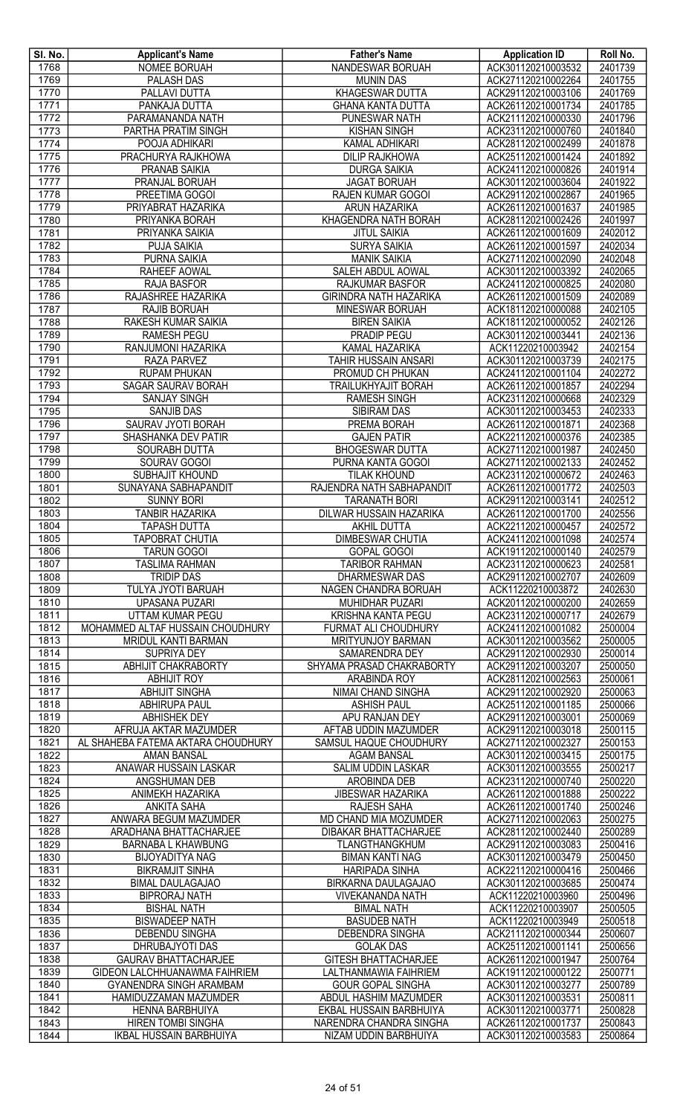| SI. No.      | <b>Applicant's Name</b>                           | <b>Father's Name</b>                             | <b>Application ID</b>                    | Roll No.           |
|--------------|---------------------------------------------------|--------------------------------------------------|------------------------------------------|--------------------|
| 1768         | <b>NOMEE BORUAH</b>                               | NANDESWAR BORUAH                                 | ACK301120210003532                       | 2401739            |
| 1769         | <b>PALASH DAS</b>                                 | <b>MUNIN DAS</b>                                 | ACK271120210002264                       | 2401755            |
| 1770         | PALLAVI DUTTA                                     | KHAGESWAR DUTTA                                  | ACK291120210003106                       | 2401769            |
| 1771<br>1772 | <b>PANKAJA DUTTA</b><br>PARAMANANDA NATH          | <b>GHANA KANTA DUTTA</b><br>PUNESWAR NATH        | ACK261120210001734<br>ACK211120210000330 | 2401785<br>2401796 |
| 1773         | PARTHA PRATIM SINGH                               | <b>KISHAN SINGH</b>                              | ACK231120210000760                       | 2401840            |
| 1774         | POOJA ADHIKARI                                    | <b>KAMAL ADHIKARI</b>                            | ACK281120210002499                       | 2401878            |
| 1775         | PRACHURYA RAJKHOWA                                | <b>DILIP RAJKHOWA</b>                            | ACK251120210001424                       | 2401892            |
| 1776         | PRANAB SAIKIA                                     | <b>DURGA SAIKIA</b>                              | ACK241120210000826                       | 2401914            |
| 1777         | PRANJAL BORUAH                                    | <b>JAGAT BORUAH</b>                              | ACK301120210003604                       | 2401922            |
| 1778         | PREETIMA GOGOI                                    | RAJEN KUMAR GOGOI                                | ACK291120210002867                       | 2401965            |
| 1779         | PRIYABRAT HAZARIKA                                | ARUN HAZARIKA                                    | ACK261120210001637                       | 2401985            |
| 1780         | PRIYANKA BORAH                                    | KHAGENDRA NATH BORAH                             | ACK281120210002426                       | 2401997            |
| 1781         | PRIYANKA SAIKIA                                   | <b>JITUL SAIKIA</b>                              | ACK261120210001609                       | 2402012            |
| 1782         | PUJA SAIKIA                                       | <b>SURYA SAIKIA</b>                              | ACK261120210001597                       | 2402034            |
| 1783         | PURNA SAIKIA                                      | <b>MANIK SAIKIA</b>                              | ACK271120210002090                       | 2402048            |
| 1784         | RAHEEF AOWAL                                      | <b>SALEH ABDUL AOWAL</b>                         | ACK301120210003392                       | 2402065            |
| 1785         | <b>RAJA BASFOR</b>                                | RAJKUMAR BASFOR                                  | ACK241120210000825                       | 2402080            |
| 1786<br>1787 | RAJASHREE HAZARIKA                                | <b>GIRINDRA NATH HAZARIKA</b><br>MINESWAR BORUAH | ACK261120210001509<br>ACK181120210000088 | 2402089<br>2402105 |
| 1788         | RAJIB BORUAH<br>RAKESH KUMAR SAIKIA               | <b>BIREN SAIKIA</b>                              | ACK181120210000052                       | 2402126            |
| 1789         | <b>RAMESH PEGU</b>                                | <b>PRADIP PEGU</b>                               | ACK301120210003441                       | 2402136            |
| 1790         | RANJUMONI HAZARIKA                                | <b>KAMAL HAZARIKA</b>                            | ACK11220210003942                        | 2402154            |
| 1791         | RAZA PARVEZ                                       | TAHIR HUSSAIN ANSARI                             | ACK301120210003739                       | 2402175            |
| 1792         | <b>RUPAM PHUKAN</b>                               | PROMUD CH PHUKAN                                 | ACK241120210001104                       | 2402272            |
| 1793         | <b>SAGAR SAURAV BORAH</b>                         | <b>TRAILUKHYAJIT BORAH</b>                       | ACK261120210001857                       | 2402294            |
| 1794         | <b>SANJAY SINGH</b>                               | <b>RAMESH SINGH</b>                              | ACK231120210000668                       | 2402329            |
| 1795         | SANJIB DAS                                        | <b>SIBIRAM DAS</b>                               | ACK301120210003453                       | 2402333            |
| 1796         | <b>SAURAV JYOTI BORAH</b>                         | <b>PREMA BORAH</b>                               | ACK261120210001871                       | 2402368            |
| 1797         | SHASHANKA DEV PATIR                               | <b>GAJEN PATIR</b>                               | ACK221120210000376                       | 2402385            |
| 1798         | SOURABH DUTTA                                     | <b>BHOGESWAR DUTTA</b>                           | ACK271120210001987                       | 2402450            |
| 1799         | SOURAV GOGOI                                      | PURNA KANTA GOGOI                                | ACK271120210002133                       | 2402452            |
| 1800         | SUBHAJIT KHOUND                                   | <b>TILAK KHOUND</b>                              | ACK231120210000672                       | 2402463            |
| 1801         | SUNAYANA SABHAPANDIT                              | RAJENDRA NATH SABHAPANDIT                        | ACK261120210001772                       | 2402503            |
| 1802         | <b>SUNNY BORI</b><br><b>TANBIR HAZARIKA</b>       | <b>TARANATH BORI</b><br>DILWAR HUSSAIN HAZARIKA  | ACK291120210003141<br>ACK261120210001700 | 2402512<br>2402556 |
| 1803<br>1804 | <b>TAPASH DUTTA</b>                               | AKHIL DUTTA                                      | ACK221120210000457                       | 2402572            |
| 1805         | <b>TAPOBRAT CHUTIA</b>                            | <b>DIMBESWAR CHUTIA</b>                          | ACK241120210001098                       | 2402574            |
| 1806         | <b>TARUN GOGOI</b>                                | <b>GOPAL GOGOI</b>                               | ACK191120210000140                       | 2402579            |
| 1807         | <b>TASLIMA RAHMAN</b>                             | <b>TARIBOR RAHMAN</b>                            | ACK231120210000623                       | 2402581            |
| 1808         | <b>TRIDIP DAS</b>                                 | <b>DHARMESWAR DAS</b>                            | ACK291120210002707                       | 2402609            |
| 1809         | TULYA JYOTI BARUAH                                | NAGEN CHANDRA BORUAH                             | ACK11220210003872                        | 2402630            |
| 1810         | <b>UPASANA PUZARI</b>                             | <b>MUHIDHAR PUZARI</b>                           | ACK201120210000200                       | 2402659            |
| 1811         | UTTAM KUMAR PEGU                                  | KRISHNA KANTA PEGU                               | ACK231120210000717                       | 2402679            |
| 1812         | MOHAMMED ALTAF HUSSAIN CHOUDHURY                  | FURMAT ALI CHOUDHURY                             | ACK241120210001082                       | 2500004            |
| 1813         | MRIDUL KANTI BARMAN                               | MRITYUNJOY BARMAN                                | ACK301120210003562                       | 2500005            |
| 1814         | SUPRIYA DEY                                       | SAMARENDRA DEY                                   | ACK291120210002930                       | 2500014            |
| 1815         | ABHIJIT CHAKRABORTY                               | SHYAMA PRASAD CHAKRABORTY                        | ACK291120210003207                       | 2500050            |
| 1816         | <b>ABHIJIT ROY</b>                                | ARABINDA ROY                                     | ACK281120210002563                       | 2500061            |
| 1817<br>1818 | <b>ABHIJIT SINGHA</b><br><b>ABHIRUPA PAUL</b>     | NIMAI CHAND SINGHA<br><b>ASHISH PAUL</b>         | ACK291120210002920<br>ACK251120210001185 | 2500063<br>2500066 |
| 1819         | <b>ABHISHEK DEY</b>                               | APU RANJAN DEY                                   | ACK291120210003001                       | 2500069            |
| 1820         | AFRUJA AKTAR MAZUMDER                             | AFTAB UDDIN MAZUMDER                             | ACK291120210003018                       | 2500115            |
| 1821         | AL SHAHEBA FATEMA AKTARA CHOUDHURY                | <b>SAMSUL HAQUE CHOUDHURY</b>                    | ACK271120210002327                       | 2500153            |
| 1822         | <b>AMAN BANSAL</b>                                | <b>AGAM BANSAL</b>                               | ACK301120210003415                       | 2500175            |
| 1823         | <b>ANAWAR HUSSAIN LASKAR</b>                      | SALIM UDDIN LASKAR                               | ACK301120210003555                       | 2500217            |
| 1824         | ANGSHUMAN DEB                                     | AROBINDA DEB                                     | ACK231120210000740                       | 2500220            |
| 1825         | ANIMEKH HAZARIKA                                  | <b>JIBESWAR HAZARIKA</b>                         | ACK261120210001888                       | 2500222            |
| 1826         | <b>ANKITA SAHA</b>                                | RAJESH SAHA                                      | ACK261120210001740                       | 2500246            |
| 1827         | ANWARA BEGUM MAZUMDER                             | MD CHAND MIA MOZUMDER                            | ACK271120210002063                       | 2500275            |
| 1828         | ARADHANA BHATTACHARJEE                            | DIBAKAR BHATTACHARJEE                            | ACK281120210002440                       | 2500289            |
| 1829         | <b>BARNABA L KHAWBUNG</b>                         | TLANGTHANGKHUM                                   | ACK291120210003083                       | 2500416            |
| 1830<br>1831 | <b>BIJOYADITYA NAG</b>                            | <b>BIMAN KANTI NAG</b>                           | ACK301120210003479                       | 2500450            |
| 1832         | <b>BIKRAMJIT SINHA</b><br><b>BIMAL DAULAGAJAO</b> | <b>HARIPADA SINHA</b><br>BIRKARNA DAULAGAJAO     | ACK221120210000416<br>ACK301120210003685 | 2500466<br>2500474 |
| 1833         | <b>BIPRORAJ NATH</b>                              | <b>VIVEKANANDA NATH</b>                          | ACK11220210003960                        | 2500496            |
| 1834         | <b>BISHAL NATH</b>                                | <b>BIMAL NATH</b>                                | ACK11220210003907                        | 2500505            |
| 1835         | <b>BISWADEEP NATH</b>                             | <b>BASUDEB NATH</b>                              | ACK11220210003949                        | 2500518            |
| 1836         | DEBENDU SINGHA                                    | DEBENDRA SINGHA                                  | ACK211120210000344                       | 2500607            |
| 1837         | DHRUBAJYOTI DAS                                   | <b>GOLAK DAS</b>                                 | ACK251120210001141                       | 2500656            |
| 1838         | <b>GAURAV BHATTACHARJEE</b>                       | <b>GITESH BHATTACHARJEE</b>                      | ACK261120210001947                       | 2500764            |
| 1839         | <b>GIDEON LALCHHUANAWMA FAIHRIEM</b>              | LALTHANMAWIA FAIHRIEM                            | ACK191120210000122                       | 2500771            |
| 1840         | GYANENDRA SINGH ARAMBAM                           | <b>GOUR GOPAL SINGHA</b>                         | ACK301120210003277                       | 2500789            |
| 1841         | HAMIDUZZAMAN MAZUMDER                             | ABDUL HASHIM MAZUMDER                            | ACK301120210003531                       | 2500811            |
| 1842         | <b>HENNA BARBHUIYA</b>                            | EKBAL HUSSAIN BARBHUIYA                          | ACK301120210003771                       | 2500828            |
| 1843         | <b>HIREN TOMBI SINGHA</b>                         | NARENDRA CHANDRA SINGHA                          | ACK261120210001737                       | 2500843            |
| 1844         | <b>IKBAL HUSSAIN BARBHUIYA</b>                    | NIZAM UDDIN BARBHUIYA                            | ACK301120210003583                       | 2500864            |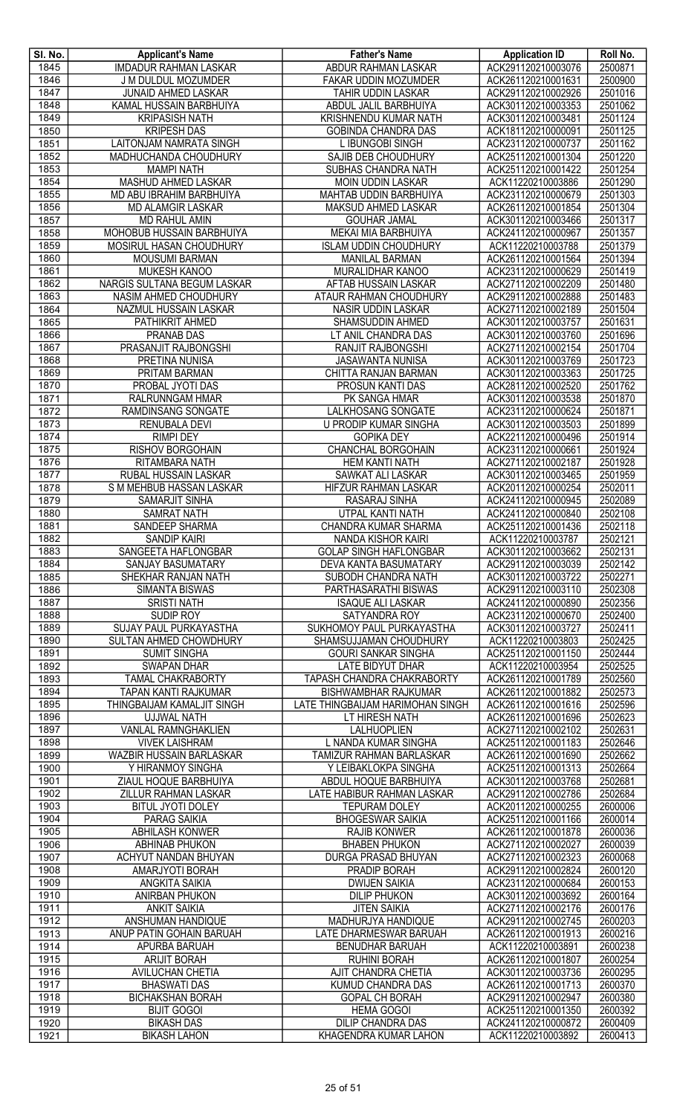| SI. No.      | <b>Applicant's Name</b>                     | <b>Father's Name</b>                            | <b>Application ID</b>                    | Roll No.           |
|--------------|---------------------------------------------|-------------------------------------------------|------------------------------------------|--------------------|
| 1845         | <b>IMDADUR RAHMAN LASKAR</b>                | ABDUR RAHMAN LASKAR                             | ACK291120210003076                       | 2500871            |
| 1846         | J M DULDUL MOZUMDER                         | FAKAR UDDIN MOZUMDER                            | ACK261120210001631                       | 2500900            |
| 1847         | <b>JUNAID AHMED LASKAR</b>                  | TAHIR UDDIN LASKAR                              | ACK291120210002926                       | 2501016            |
| 1848         | KAMAL HUSSAIN BARBHUIYA                     | ABDUL JALIL BARBHUIYA                           | ACK301120210003353                       | 2501062            |
| 1849         | <b>KRIPASISH NATH</b>                       | <b>KRISHNENDU KUMAR NATH</b>                    | ACK301120210003481                       | 2501124            |
| 1850         | <b>KRIPESH DAS</b>                          | <b>GOBINDA CHANDRA DAS</b>                      | ACK181120210000091                       | 2501125            |
| 1851         | <b>LAITONJAM NAMRATA SINGH</b>              | L IBUNGOBI SINGH                                | ACK231120210000737                       | 2501162            |
| 1852         | MADHUCHANDA CHOUDHURY                       | SAJIB DEB CHOUDHURY                             | ACK251120210001304                       | 2501220            |
| 1853<br>1854 | <b>MAMPI NATH</b><br>MASHUD AHMED LASKAR    | SUBHAS CHANDRA NATH<br><b>MOIN UDDIN LASKAR</b> | ACK251120210001422<br>ACK11220210003886  | 2501254<br>2501290 |
| 1855         | MD ABU IBRAHIM BARBHUIYA                    | MAHTAB UDDIN BARBHUIYA                          | ACK231120210000679                       | 2501303            |
| 1856         | <b>MD ALAMGIR LASKAR</b>                    | MAKSUD AHMED LASKAR                             | ACK261120210001854                       | 2501304            |
| 1857         | MD RAHUL AMIN                               | <b>GOUHAR JAMAL</b>                             | ACK301120210003466                       | 2501317            |
| 1858         | MOHOBUB HUSSAIN BARBHUIYA                   | MEKAI MIA BARBHUIYA                             | ACK241120210000967                       | 2501357            |
| 1859         | MOSIRUL HASAN CHOUDHURY                     | <b>ISLAM UDDIN CHOUDHURY</b>                    | ACK11220210003788                        | 2501379            |
| 1860         | <b>MOUSUMI BARMAN</b>                       | <b>MANILAL BARMAN</b>                           | ACK261120210001564                       | 2501394            |
| 1861         | MUKESH KANOO                                | MURALIDHAR KANOO                                | ACK231120210000629                       | 2501419            |
| 1862         | NARGIS SULTANA BEGUM LASKAR                 | AFTAB HUSSAIN LASKAR                            | ACK271120210002209                       | 2501480            |
| 1863         | NASIM AHMED CHOUDHURY                       | ATAUR RAHMAN CHOUDHURY                          | ACK291120210002888                       | 2501483            |
| 1864         | NAZMUL HUSSAIN LASKAR                       | NASIR UDDIN LASKAR                              | ACK271120210002189                       | 2501504            |
| 1865         | PATHIKRIT AHMED                             | SHAMSUDDIN AHMED                                | ACK301120210003757                       | 2501631            |
| 1866         | <b>PRANAB DAS</b>                           | LT ANIL CHANDRA DAS                             | ACK301120210003760                       | 2501696            |
| 1867         | PRASANJIT RAJBONGSHI                        | <b>RANJIT RAJBONGSHI</b>                        | ACK271120210002154                       | 2501704            |
| 1868         | PRETINA NUNISA                              | <b>JASAWANTA NUNISA</b>                         | ACK301120210003769                       | 2501723            |
| 1869         | PRITAM BARMAN                               | CHITTA RANJAN BARMAN                            | ACK301120210003363                       | 2501725            |
| 1870         | PROBAL JYOTI DAS                            | PROSUN KANTI DAS                                | ACK281120210002520                       | 2501762            |
| 1871         | RALRUNNGAM HMAR                             | PK SANGA HMAR                                   | ACK301120210003538                       | 2501870            |
| 1872         | RAMDINSANG SONGATE                          | LALKHOSANG SONGATE                              | ACK231120210000624                       | 2501871            |
| 1873         | RENUBALA DEVI                               | <b>U PRODIP KUMAR SINGHA</b>                    | ACK301120210003503                       | 2501899            |
| 1874         | <b>RIMPI DEY</b>                            | <b>GOPIKA DEY</b>                               | ACK221120210000496                       | 2501914            |
| 1875         | RISHOV BORGOHAIN                            | CHANCHAL BORGOHAIN                              | ACK231120210000661                       | 2501924            |
| 1876         | RITAMBARA NATH                              | <b>HEM KANTI NATH</b>                           | ACK271120210002187                       | 2501928            |
| 1877         | RUBAL HUSSAIN LASKAR                        | SAWKAT ALI LASKAR                               | ACK301120210003465                       | 2501959            |
| 1878         | S M MEHBUB HASSAN LASKAR                    | HIFZUR RAHMAN LASKAR                            | ACK201120210000254                       | 2502011            |
| 1879         | SAMARJIT SINHA                              | RASARAJ SINHA                                   | ACK241120210000945                       | 2502089<br>2502108 |
| 1880<br>1881 | <b>SAMRAT NATH</b><br><b>SANDEEP SHARMA</b> | UTPAL KANTI NATH                                | ACK241120210000840                       | 2502118            |
| 1882         | <b>SANDIP KAIRI</b>                         | CHANDRA KUMAR SHARMA<br>NANDA KISHOR KAIRI      | ACK251120210001436<br>ACK11220210003787  | 2502121            |
| 1883         | SANGEETA HAFLONGBAR                         | <b>GOLAP SINGH HAFLONGBAR</b>                   | ACK301120210003662                       | 2502131            |
| 1884         | SANJAY BASUMATARY                           | DEVA KANTA BASUMATARY                           | ACK291120210003039                       | 2502142            |
| 1885         | SHEKHAR RANJAN NATH                         | SUBODH CHANDRA NATH                             | ACK301120210003722                       | 2502271            |
| 1886         | <b>SIMANTA BISWAS</b>                       | PARTHASARATHI BISWAS                            | ACK291120210003110                       | 2502308            |
| 1887         | <b>SRISTI NATH</b>                          | <b>ISAQUE ALI LASKAR</b>                        | ACK241120210000890                       | 2502356            |
| 1888         | <b>SUDIP ROY</b>                            | SATYANDRA ROY                                   | ACK231120210000670                       | 2502400            |
| 1889         | <b>SUJAY PAUL PURKAYASTHA</b>               | SUKHOMOY PAUL PURKAYASTHA                       | ACK301120210003727                       | 2502411            |
| 1890         | SULTAN AHMED CHOWDHURY                      | SHAMSUJJAMAN CHOUDHURY                          | ACK11220210003803                        | 2502425            |
| 1891         | <b>SUMIT SINGHA</b>                         | <b>GOURI SANKAR SINGHA</b>                      | ACK251120210001150                       | 2502444            |
| 1892         | <b>SWAPAN DHAR</b>                          | LATE BIDYUT DHAR                                | ACK11220210003954                        | 2502525            |
| 1893         | <b>TAMAL CHAKRABORTY</b>                    | <b>TAPASH CHANDRA CHAKRABORTY</b>               | ACK261120210001789                       | 2502560            |
| 1894         | TAPAN KANTI RAJKUMAR                        | <b>BISHWAMBHAR RAJKUMAR</b>                     | ACK261120210001882                       | 2502573            |
| 1895         | THINGBAIJAM KAMALJIT SINGH                  | LATE THINGBAIJAM HARIMOHAN SINGH                | ACK261120210001616                       | 2502596            |
| 1896         | <b>UJJWAL NATH</b>                          | LT HIRESH NATH                                  | ACK261120210001696                       | 2502623            |
| 1897         | <b>VANLAL RAMNGHAKLIEN</b>                  | <b>LALHUOPLIEN</b>                              | ACK271120210002102                       | 2502631            |
| 1898         | <b>VIVEK LAISHRAM</b>                       | L NANDA KUMAR SINGHA                            | ACK251120210001183                       | 2502646            |
| 1899         | <b>WAZBIR HUSSAIN BARLASKAR</b>             | TAMIZUR RAHMAN BARLASKAR                        | ACK261120210001690                       | 2502662            |
| 1900<br>1901 | Y HIRANMOY SINGHA<br>ZIAUL HOQUE BARBHUIYA  | Y LEIBAKLOKPA SINGHA<br>ABDUL HOQUE BARBHUIYA   | ACK251120210001313<br>ACK301120210003768 | 2502664<br>2502681 |
| 1902         | ZILLUR RAHMAN LASKAR                        | LATE HABIBUR RAHMAN LASKAR                      | ACK291120210002786                       | 2502684            |
| 1903         | <b>BITUL JYOTI DOLEY</b>                    | <b>TEPURAM DOLEY</b>                            | ACK201120210000255                       | 2600006            |
| 1904         | PARAG SAIKIA                                | <b>BHOGESWAR SAIKIA</b>                         | ACK251120210001166                       | 2600014            |
| 1905         | ABHILASH KONWER                             | <b>RAJIB KONWER</b>                             | ACK261120210001878                       | 2600036            |
| 1906         | ABHINAB PHUKON                              | <b>BHABEN PHUKON</b>                            | ACK271120210002027                       | 2600039            |
| 1907         | ACHYUT NANDAN BHUYAN                        | <b>DURGA PRASAD BHUYAN</b>                      | ACK271120210002323                       | 2600068            |
| 1908         | AMARJYOTI BORAH                             | <b>PRADIP BORAH</b>                             | ACK291120210002824                       | 2600120            |
| 1909         | <b>ANGKITA SAIKIA</b>                       | <b>DWIJEN SAIKIA</b>                            | ACK231120210000684                       | 2600153            |
| 1910         | ANIRBAN PHUKON                              | <b>DILIP PHUKON</b>                             | ACK301120210003692                       | 2600164            |
| 1911         | <b>ANKIT SAIKIA</b>                         | <b>JITEN SAIKIA</b>                             | ACK271120210002176                       | 2600176            |
| 1912         | ANSHUMAN HANDIQUE                           | MADHURJYA HANDIQUE                              | ACK291120210002745                       | 2600203            |
| 1913         | ANUP PATIN GOHAIN BARUAH                    | LATE DHARMESWAR BARUAH                          | ACK261120210001913                       | 2600216            |
| 1914         | APURBA BARUAH                               | <b>BENUDHAR BARUAH</b>                          | ACK11220210003891                        | 2600238            |
| 1915         | ARIJIT BORAH                                | <b>RUHINI BORAH</b>                             | ACK261120210001807                       | 2600254            |
| 1916         | <b>AVILUCHAN CHETIA</b>                     | AJIT CHANDRA CHETIA                             | ACK301120210003736                       | 2600295            |
| 1917         | <b>BHASWATI DAS</b>                         | KUMUD CHANDRA DAS                               | ACK261120210001713                       | 2600370            |
| 1918         | <b>BICHAKSHAN BORAH</b>                     | <b>GOPAL CH BORAH</b>                           | ACK291120210002947                       | 2600380            |
| 1919         | <b>BIJIT GOGOI</b>                          | <b>HEMA GOGOI</b>                               | ACK251120210001350                       | 2600392            |
| 1920         | <b>BIKASH DAS</b>                           | <b>DILIP CHANDRA DAS</b>                        | ACK241120210000872                       | 2600409            |
| 1921         | <b>BIKASH LAHON</b>                         | KHAGENDRA KUMAR LAHON                           | ACK11220210003892                        | 2600413            |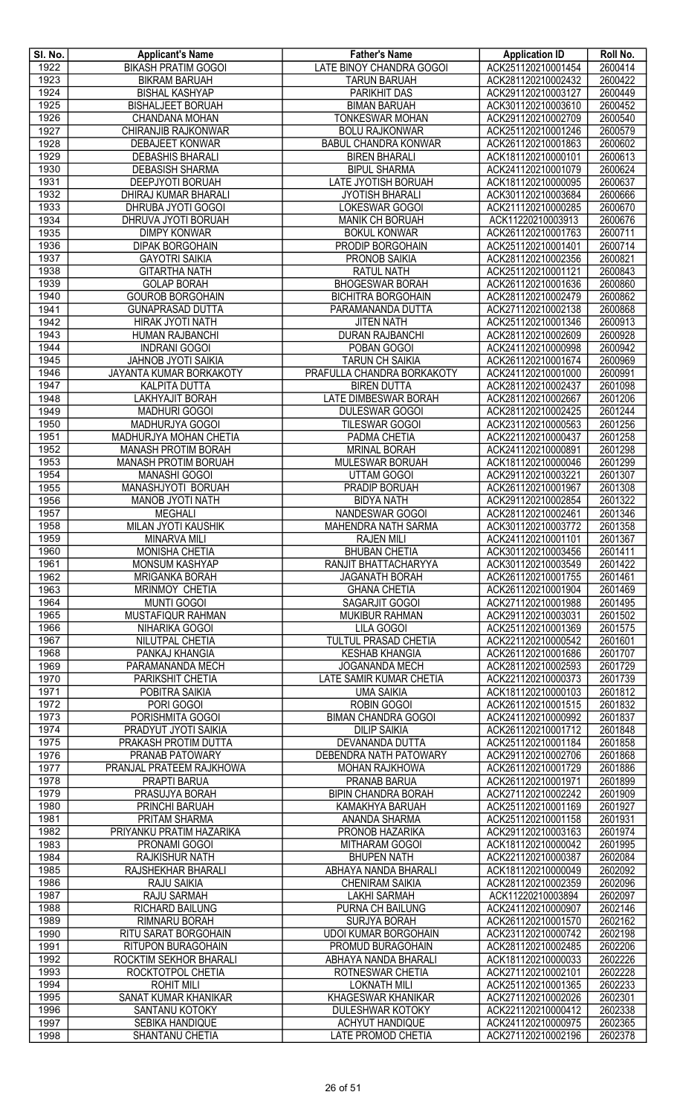| SI. No.      | <b>Applicant's Name</b>                           | <b>Father's Name</b>                              | <b>Application ID</b>                    | Roll No.           |
|--------------|---------------------------------------------------|---------------------------------------------------|------------------------------------------|--------------------|
| 1922         | <b>BIKASH PRATIM GOGOI</b>                        | LATE BINOY CHANDRA GOGOI                          | ACK251120210001454                       | 2600414            |
| 1923         | <b>BIKRAM BARUAH</b>                              | <b>TARUN BARUAH</b>                               | ACK281120210002432                       | 2600422            |
| 1924         | <b>BISHAL KASHYAP</b>                             | PARIKHIT DAS                                      | ACK291120210003127                       | 2600449            |
| 1925         | <b>BISHALJEET BORUAH</b>                          | <b>BIMAN BARUAH</b>                               | ACK301120210003610                       | 2600452            |
| 1926         | <b>CHANDANA MOHAN</b>                             | <b>TONKESWAR MOHAN</b>                            | ACK291120210002709                       | 2600540            |
| 1927         | CHIRANJIB RAJKONWAR                               | <b>BOLU RAJKONWAR</b>                             | ACK251120210001246                       | 2600579            |
| 1928         | <b>DEBAJEET KONWAR</b>                            | <b>BABUL CHANDRA KONWAR</b>                       | ACK261120210001863                       | 2600602            |
| 1929         | <b>DEBASHIS BHARALI</b>                           | <b>BIREN BHARALI</b>                              | ACK181120210000101                       | 2600613<br>2600624 |
| 1930<br>1931 | <b>DEBASISH SHARMA</b><br>DEEPJYOTI BORUAH        | <b>BIPUL SHARMA</b><br>LATE JYOTISH BORUAH        | ACK241120210001079<br>ACK181120210000095 | 2600637            |
| 1932         | DHIRAJ KUMAR BHARALI                              | <b>JYOTISH BHARALI</b>                            | ACK301120210003684                       | 2600666            |
| 1933         | DHRUBA JYOTI GOGOI                                | <b>LOKESWAR GOGOI</b>                             | ACK211120210000285                       | 2600670            |
| 1934         | DHRUVA JYOTI BORUAH                               | <b>MANIK CH BORUAH</b>                            | ACK11220210003913                        | 2600676            |
| 1935         | <b>DIMPY KONWAR</b>                               | <b>BOKUL KONWAR</b>                               | ACK261120210001763                       | 2600711            |
| 1936         | <b>DIPAK BORGOHAIN</b>                            | <b>PRODIP BORGOHAIN</b>                           | ACK251120210001401                       | 2600714            |
| 1937         | <b>GAYOTRI SAIKIA</b>                             | <b>PRONOB SAIKIA</b>                              | ACK281120210002356                       | 2600821            |
| 1938         | <b>GITARTHA NATH</b>                              | <b>RATUL NATH</b>                                 | ACK251120210001121                       | 2600843            |
| 1939         | <b>GOLAP BORAH</b>                                | <b>BHOGESWAR BORAH</b>                            | ACK261120210001636                       | 2600860            |
| 1940         | <b>GOUROB BORGOHAIN</b>                           | <b>BICHITRA BORGOHAIN</b>                         | ACK281120210002479                       | 2600862            |
| 1941         | <b>GUNAPRASAD DUTTA</b>                           | PARAMANANDA DUTTA                                 | ACK271120210002138                       | 2600868            |
| 1942<br>1943 | <b>HIRAK JYOTI NATH</b><br>HUMAN RAJBANCHI        | <b>JITEN NATH</b><br><b>DURAN RAJBANCHI</b>       | ACK251120210001346<br>ACK281120210002609 | 2600913<br>2600928 |
| 1944         | <b>INDRANI GOGOI</b>                              | POBAN GOGOI                                       | ACK241120210000998                       | 2600942            |
| 1945         | <b>JAHNOB JYOTI SAIKIA</b>                        | <b>TARUN CH SAIKIA</b>                            | ACK261120210001674                       | 2600969            |
| 1946         | JAYANTA KUMAR BORKAKOTY                           | PRAFULLA CHANDRA BORKAKOTY                        | ACK241120210001000                       | 2600991            |
| 1947         | <b>KALPITA DUTTA</b>                              | <b>BIREN DUTTA</b>                                | ACK281120210002437                       | 2601098            |
| 1948         | LAKHYAJIT BORAH                                   | LATE DIMBESWAR BORAH                              | ACK281120210002667                       | 2601206            |
| 1949         | <b>MADHURI GOGOI</b>                              | <b>DULESWAR GOGOI</b>                             | ACK281120210002425                       | 2601244            |
| 1950         | MADHURJYA GOGOI                                   | <b>TILESWAR GOGOI</b>                             | ACK231120210000563                       | 2601256            |
| 1951         | <b>MADHURJYA MOHAN CHETIA</b>                     | PADMA CHETIA                                      | ACK221120210000437                       | 2601258            |
| 1952         | <b>MANASH PROTIM BORAH</b>                        | <b>MRINAL BORAH</b>                               | ACK241120210000891                       | 2601298            |
| 1953         | <b>MANASH PROTIM BORUAH</b>                       | <b>MULESWAR BORUAH</b>                            | ACK181120210000046                       | 2601299            |
| 1954<br>1955 | <b>MANASHI GOGOI</b><br>MANASHJYOTI BORUAH        | UTTAM GOGOI<br>PRADIP BORUAH                      | ACK291120210003221<br>ACK261120210001967 | 2601307<br>2601308 |
| 1956         | MANOB JYOTI NATH                                  | <b>BIDYA NATH</b>                                 | ACK291120210002854                       | 2601322            |
| 1957         | <b>MEGHALI</b>                                    | <b>NANDESWAR GOGOI</b>                            | ACK281120210002461                       | 2601346            |
| 1958         | <b>MILAN JYOTI KAUSHIK</b>                        | MAHENDRA NATH SARMA                               | ACK301120210003772                       | 2601358            |
| 1959         | MINARVA MILI                                      | <b>RAJEN MILI</b>                                 | ACK241120210001101                       | 2601367            |
| 1960         | MONISHA CHETIA                                    | <b>BHUBAN CHETIA</b>                              | ACK301120210003456                       | 2601411            |
| 1961         | <b>MONSUM KASHYAP</b>                             | RANJIT BHATTACHARYYA                              | ACK301120210003549                       | 2601422            |
| 1962         | <b>MRIGANKA BORAH</b>                             | <b>JAGANATH BORAH</b>                             | ACK261120210001755                       | 2601461            |
| 1963         | <b>MRINMOY CHETIA</b>                             | <b>GHANA CHETIA</b>                               | ACK261120210001904                       | 2601469            |
| 1964         | <b>MUNTI GOGOI</b>                                | SAGARJIT GOGOI                                    | ACK271120210001988                       | 2601495            |
| 1965<br>1966 | <b>MUSTAFIQUR RAHMAN</b><br><b>NIHARIKA GOGOI</b> | <b>MUKIBUR RAHMAN</b><br>LILA GOGOI               | ACK291120210003031<br>ACK251120210001369 | 2601502<br>2601575 |
| 1967         | NILUTPAL CHETIA                                   | TULTUL PRASAD CHETIA                              | ACK221120210000542                       | 2601601            |
| 1968         | PANKAJ KHANGIA                                    | <b>KESHAB KHANGIA</b>                             | ACK261120210001686                       | 2601707            |
| 1969         | PARAMANANDA MECH                                  | JOGANANDA MECH                                    | ACK281120210002593                       | 2601729            |
| 1970         | PARIKSHIT CHETIA                                  | LATE SAMIR KUMAR CHETIA                           | ACK221120210000373                       | 2601739            |
| 1971         | POBITRA SAIKIA                                    | <b>UMA SAIKIA</b>                                 | ACK181120210000103                       | 2601812            |
| 1972         | PORI GOGOI                                        | ROBIN GOGOI                                       | ACK261120210001515                       | 2601832            |
| 1973         | PORISHMITA GOGOI                                  | <b>BIMAN CHANDRA GOGOI</b>                        | ACK241120210000992                       | 2601837            |
| 1974         | PRADYUT JYOTI SAIKIA                              | <b>DILIP SAIKIA</b>                               | ACK261120210001712                       | 2601848            |
| 1975         | PRAKASH PROTIM DUTTA                              | DEVANANDA DUTTA                                   | ACK251120210001184<br>ACK291120210002706 | 2601858<br>2601868 |
| 1976<br>1977 | PRANAB PATOWARY<br>PRANJAL PRATEEM RAJKHOWA       | DEBENDRA NATH PATOWARY<br><b>MOHAN RAJKHOWA</b>   | ACK261120210001729                       | 2601886            |
| 1978         | <b>PRAPTI BARUA</b>                               | <b>PRANAB BARUA</b>                               | ACK261120210001971                       | 2601899            |
| 1979         | PRASUJYA BORAH                                    | <b>BIPIN CHANDRA BORAH</b>                        | ACK271120210002242                       | 2601909            |
| 1980         | PRINCHI BARUAH                                    | KAMAKHYA BARUAH                                   | ACK251120210001169                       | 2601927            |
| 1981         | PRITAM SHARMA                                     | ANANDA SHARMA                                     | ACK251120210001158                       | 2601931            |
| 1982         | PRIYANKU PRATIM HAZARIKA                          | PRONOB HAZARIKA                                   | ACK291120210003163                       | 2601974            |
| 1983         | PRONAMI GOGOI                                     | MITHARAM GOGOI                                    | ACK181120210000042                       | 2601995            |
| 1984         | RAJKISHUR NATH                                    | <b>BHUPEN NATH</b>                                | ACK221120210000387                       | 2602084            |
| 1985         | RAJSHEKHAR BHARALI                                | ABHAYA NANDA BHARALI                              | ACK181120210000049                       | 2602092            |
| 1986<br>1987 | RAJU SAIKIA<br>RAJU SARMAH                        | <b>CHENIRAM SAIKIA</b><br><b>LAKHI SARMAH</b>     | ACK281120210002359<br>ACK11220210003894  | 2602096<br>2602097 |
| 1988         | RICHARD BAILUNG                                   | PURNA CH BAILUNG                                  | ACK241120210000907                       | 2602146            |
| 1989         | RIMNARU BORAH                                     | <b>SURJYA BORAH</b>                               | ACK261120210001570                       | 2602162            |
| 1990         | RITU SARAT BORGOHAIN                              | <b>UDOI KUMAR BORGOHAIN</b>                       | ACK231120210000742                       | 2602198            |
| 1991         | <b>RITUPON BURAGOHAIN</b>                         | PROMUD BURAGOHAIN                                 | ACK281120210002485                       | 2602206            |
| 1992         | ROCKTIM SEKHOR BHARALI                            | ABHAYA NANDA BHARALI                              | ACK181120210000033                       | 2602226            |
| 1993         | ROCKTOTPOL CHETIA                                 | ROTNESWAR CHETIA                                  | ACK271120210002101                       | 2602228            |
| 1994         | <b>ROHIT MILI</b>                                 | <b>LOKNATH MILI</b>                               | ACK251120210001365                       | 2602233            |
| 1995         | SANAT KUMAR KHANIKAR                              | <b>KHAGESWAR KHANIKAR</b>                         | ACK271120210002026                       | 2602301            |
| 1996<br>1997 | SANTANU KOTOKY                                    | <b>DULESHWAR KOTOKY</b><br><b>ACHYUT HANDIQUE</b> | ACK221120210000412<br>ACK241120210000975 | 2602338<br>2602365 |
| 1998         | SEBIKA HANDIQUE<br>SHANTANU CHETIA                | <b>LATE PROMOD CHETIA</b>                         | ACK271120210002196                       | 2602378            |
|              |                                                   |                                                   |                                          |                    |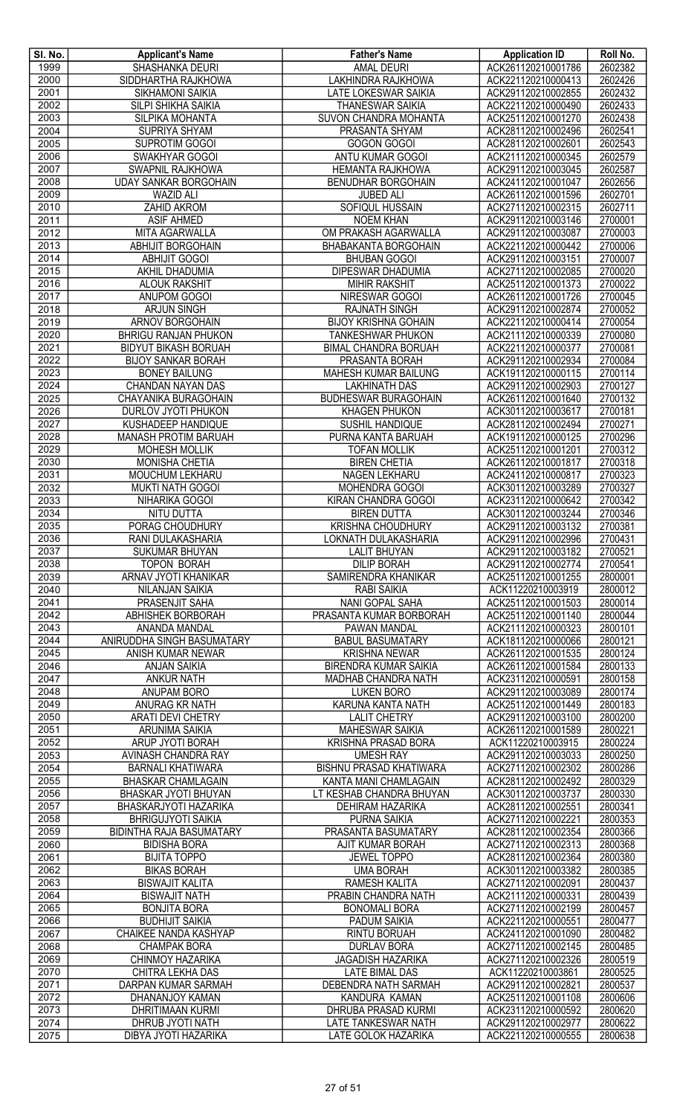| SI. No.      | <b>Applicant's Name</b>                            | <b>Father's Name</b>                                 | <b>Application ID</b>                    | Roll No.           |
|--------------|----------------------------------------------------|------------------------------------------------------|------------------------------------------|--------------------|
| 1999         | <b>SHASHANKA DEURI</b>                             | <b>AMAL DEURI</b><br><b>LAKHINDRA RAJKHOWA</b>       | ACK261120210001786                       | 2602382            |
| 2000<br>2001 | SIDDHARTHA RAJKHOWA<br><b>SIKHAMONI SAIKIA</b>     | <b>LATE LOKESWAR SAIKIA</b>                          | ACK221120210000413<br>ACK291120210002855 | 2602426<br>2602432 |
| 2002         | <b>SILPI SHIKHA SAIKIA</b>                         | <b>THANESWAR SAIKIA</b>                              | ACK221120210000490                       | 2602433            |
| 2003         | SILPIKA MOHANTA                                    | SUVON CHANDRA MOHANTA                                | ACK251120210001270                       | 2602438            |
| 2004         | SUPRIYA SHYAM                                      | PRASANTA SHYAM                                       | ACK281120210002496                       | 2602541            |
| 2005         | SUPROTIM GOGOI                                     | GOGON GOGOI                                          | ACK281120210002601                       | 2602543            |
| 2006         | SWAKHYAR GOGOI                                     | ANTU KUMAR GOGOI                                     | ACK211120210000345                       | 2602579            |
| 2007         | SWAPNIL RAJKHOWA                                   | HEMANTA RAJKHOWA                                     | ACK291120210003045                       | 2602587            |
| 2008<br>2009 | <b>UDAY SANKAR BORGOHAIN</b><br><b>WAZID ALI</b>   | <b>BENUDHAR BORGOHAIN</b><br><b>JUBED ALI</b>        | ACK241120210001047<br>ACK261120210001596 | 2602656<br>2602701 |
| 2010         | <b>ZAHID AKROM</b>                                 | SOFIQUL HUSSAIN                                      | ACK271120210002315                       | 2602711            |
| 2011         | <b>ASIF AHMED</b>                                  | <b>NOEM KHAN</b>                                     | ACK291120210003146                       | 2700001            |
| 2012         | MITA AGARWALLA                                     | OM PRAKASH AGARWALLA                                 | ACK291120210003087                       | 2700003            |
| 2013         | <b>ABHIJIT BORGOHAIN</b>                           | <b>BHABAKANTA BORGOHAIN</b>                          | ACK221120210000442                       | 2700006            |
| 2014         | <b>ABHIJIT GOGOI</b>                               | <b>BHUBAN GOGOI</b>                                  | ACK291120210003151                       | 2700007            |
| 2015         | AKHIL DHADUMIA                                     | DIPESWAR DHADUMIA                                    | ACK271120210002085                       | 2700020            |
| 2016<br>2017 | <b>ALOUK RAKSHIT</b><br>ANUPOM GOGOI               | <b>MIHIR RAKSHIT</b><br>NIRESWAR GOGOI               | ACK251120210001373<br>ACK261120210001726 | 2700022<br>2700045 |
| 2018         | <b>ARJUN SINGH</b>                                 | <b>RAJNATH SINGH</b>                                 | ACK291120210002874                       | 2700052            |
| 2019         | ARNOV BORGOHAIN                                    | <b>BIJOY KRISHNA GOHAIN</b>                          | ACK221120210000414                       | 2700054            |
| 2020         | <b>BHRIGU RANJAN PHUKON</b>                        | <b>TANKESHWAR PHUKON</b>                             | ACK211120210000339                       | 2700080            |
| 2021         | <b>BIDYUT BIKASH BORUAH</b>                        | <b>BIMAL CHANDRA BORUAH</b>                          | ACK221120210000377                       | 2700081            |
| 2022         | <b>BIJOY SANKAR BORAH</b>                          | PRASANTA BORAH                                       | ACK291120210002934                       | 2700084            |
| 2023         | <b>BONEY BAILUNG</b>                               | <b>MAHESH KUMAR BAILUNG</b>                          | ACK191120210000115                       | 2700114            |
| 2024         | <b>CHANDAN NAYAN DAS</b><br>CHAYANIKA BURAGOHAIN   | <b>LAKHINATH DAS</b>                                 | ACK291120210002903                       | 2700127            |
| 2025<br>2026 | DURLOV JYOTI PHUKON                                | <b>BUDHESWAR BURAGOHAIN</b><br><b>KHAGEN PHUKON</b>  | ACK261120210001640<br>ACK301120210003617 | 2700132<br>2700181 |
| 2027         | <b>KUSHADEEP HANDIQUE</b>                          | SUSHIL HANDIQUE                                      | ACK281120210002494                       | 2700271            |
| 2028         | <b>MANASH PROTIM BARUAH</b>                        | PURNA KANTA BARUAH                                   | ACK191120210000125                       | 2700296            |
| 2029         | <b>MOHESH MOLLIK</b>                               | <b>TOFAN MOLLIK</b>                                  | ACK251120210001201                       | 2700312            |
| 2030         | <b>MONISHA CHETIA</b>                              | <b>BIREN CHETIA</b>                                  | ACK261120210001817                       | 2700318            |
| 2031         | MOUCHUM LEKHARU                                    | NAGEN LEKHARU                                        | ACK241120210000817                       | 2700323            |
| 2032<br>2033 | <b>MUKTI NATH GOGOI</b><br>NIHARIKA GOGOI          | MOHENDRA GOGOI<br>KIRAN CHANDRA GOGOI                | ACK301120210003289<br>ACK231120210000642 | 2700327<br>2700342 |
| 2034         | NITU DUTTA                                         | <b>BIREN DUTTA</b>                                   | ACK301120210003244                       | 2700346            |
| 2035         | PORAG CHOUDHURY                                    | <b>KRISHNA CHOUDHURY</b>                             | ACK291120210003132                       | 2700381            |
| 2036         | RANI DULAKASHARIA                                  | LOKNATH DULAKASHARIA                                 | ACK291120210002996                       | 2700431            |
| 2037         | <b>SUKUMAR BHUYAN</b>                              | <b>LALIT BHUYAN</b>                                  | ACK291120210003182                       | 2700521            |
| 2038<br>2039 | <b>TOPON BORAH</b><br>ARNAV JYOTI KHANIKAR         | <b>DILIP BORAH</b><br>SAMIRENDRA KHANIKAR            | ACK291120210002774<br>ACK251120210001255 | 2700541<br>2800001 |
| 2040         | <b>NILANJAN SAIKIA</b>                             | <b>RABI SAIKIA</b>                                   | ACK11220210003919                        | 2800012            |
| 2041         | PRASENJIT SAHA                                     | NANI GOPAL SAHA                                      | ACK251120210001503                       | 2800014            |
| 2042         | ABHISHEK BORBORAH                                  | PRASANTA KUMAR BORBORAH                              | ACK251120210001140                       | 2800044            |
| 2043         | ANANDA MANDAL                                      | PAWAN MANDAL                                         | ACK211120210000323                       | 2800101            |
| 2044         | ANIRUDDHA SINGH BASUMATARY                         | <b>BABUL BASUMATARY</b>                              | ACK181120210000066                       | 2800121<br>2800124 |
| 2045<br>2046 | ANISH KUMAR NEWAR<br><b>ANJAN SAIKIA</b>           | <b>KRISHNA NEWAR</b><br><b>BIRENDRA KUMAR SAIKIA</b> | ACK261120210001535<br>ACK261120210001584 | 2800133            |
| 2047         | <b>ANKUR NATH</b>                                  | MADHAB CHANDRA NATH                                  | ACK231120210000591                       | 2800158            |
| 2048         | ANUPAM BORO                                        | <b>LUKEN BORO</b>                                    | ACK291120210003089                       | 2800174            |
| 2049         | ANURAG KR NATH                                     | <b>KARUNA KANTA NATH</b>                             | ACK251120210001449                       | 2800183            |
| 2050         | ARATI DEVI CHETRY                                  | <b>LALIT CHETRY</b>                                  | ACK291120210003100                       | 2800200            |
| 2051<br>2052 | <b>ARUNIMA SAIKIA</b><br>ARUP JYOTI BORAH          | <b>MAHESWAR SAIKIA</b><br><b>KRISHNA PRASAD BORA</b> | ACK261120210001589<br>ACK11220210003915  | 2800221<br>2800224 |
| 2053         | AVINASH CHANDRA RAY                                | <b>UMESH RAY</b>                                     | ACK291120210003033                       | 2800250            |
| 2054         | <b>BARNALI KHATIWARA</b>                           | BISHNU PRASAD KHATIWARA                              | ACK271120210002302                       | 2800286            |
| 2055         | <b>BHASKAR CHAMLAGAIN</b>                          | KANTA MANI CHAMLAGAIN                                | ACK281120210002492                       | 2800329            |
| 2056         | BHASKAR JYOTI BHUYAN                               | LT KESHAB CHANDRA BHUYAN                             | ACK301120210003737                       | 2800330            |
| 2057<br>2058 | BHASKARJYOTI HAZARIKA<br><b>BHRIGUJYOTI SAIKIA</b> | <b>DEHIRAM HAZARIKA</b><br>PURNA SAIKIA              | ACK281120210002551<br>ACK271120210002221 | 2800341<br>2800353 |
| 2059         | <b>BIDINTHA RAJA BASUMATARY</b>                    | PRASANTA BASUMATARY                                  | ACK281120210002354                       | 2800366            |
| 2060         | <b>BIDISHA BORA</b>                                | AJIT KUMAR BORAH                                     | ACK271120210002313                       | 2800368            |
| 2061         | <b>BIJITA TOPPO</b>                                | <b>JEWEL TOPPO</b>                                   | ACK281120210002364                       | 2800380            |
| 2062         | <b>BIKAS BORAH</b>                                 | <b>UMA BORAH</b>                                     | ACK301120210003382                       | 2800385            |
| 2063         | <b>BISWAJIT KALITA</b>                             | <b>RAMESH KALITA</b>                                 | ACK271120210002091                       | 2800437            |
| 2064<br>2065 | <b>BISWAJIT NATH</b><br><b>BONJITA BORA</b>        | PRABIN CHANDRA NATH<br><b>BONOMALI BORA</b>          | ACK211120210000331<br>ACK271120210002199 | 2800439<br>2800457 |
| 2066         | <b>BUDHIJIT SAIKIA</b>                             | PADUM SAIKIA                                         | ACK221120210000551                       | 2800477            |
| 2067         | CHAIKEE NANDA KASHYAP                              | <b>RINTU BORUAH</b>                                  | ACK241120210001090                       | 2800482            |
| 2068         | <b>CHAMPAK BORA</b>                                | <b>DURLAV BORA</b>                                   | ACK271120210002145                       | 2800485            |
| 2069         | CHINMOY HAZARIKA                                   | <b>JAGADISH HAZARIKA</b>                             | ACK271120210002326                       | 2800519            |
| 2070         | CHITRA LEKHA DAS<br><b>DARPAN KUMAR SARMAH</b>     | LATE BIMAL DAS                                       | ACK11220210003861                        | 2800525            |
| 2071<br>2072 | DHANANJOY KAMAN                                    | DEBENDRA NATH SARMAH<br>KANDURA KAMAN                | ACK291120210002821<br>ACK251120210001108 | 2800537<br>2800606 |
| 2073         | DHRITIMAAN KURMI                                   | DHRUBA PRASAD KURMI                                  | ACK231120210000592                       | 2800620            |
| 2074         | DHRUB JYOTI NATH                                   | <b>LATE TANKESWAR NATH</b>                           | ACK291120210002977                       | 2800622            |
| 2075         | DIBYA JYOTI HAZARIKA                               | <b>LATE GOLOK HAZARIKA</b>                           | ACK221120210000555                       | 2800638            |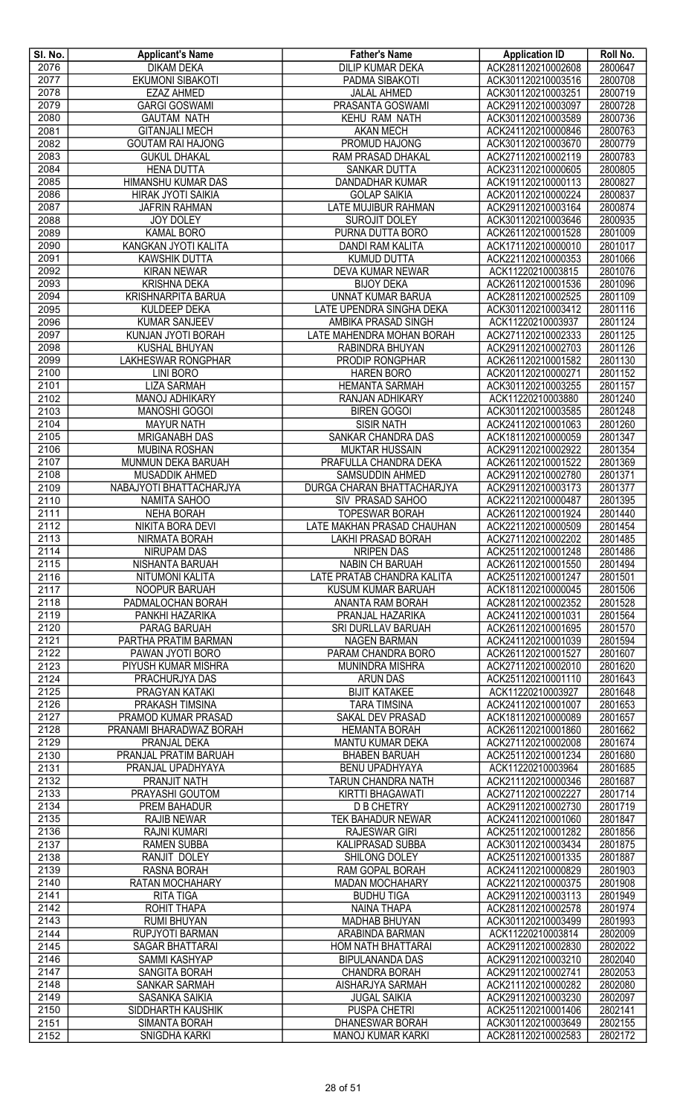| SI. No.      | <b>Applicant's Name</b>                     | <b>Father's Name</b>                      | <b>Application ID</b>                    | Roll No.           |
|--------------|---------------------------------------------|-------------------------------------------|------------------------------------------|--------------------|
| 2076         | <b>DIKAM DEKA</b>                           | <b>DILIP KUMAR DEKA</b>                   | ACK281120210002608                       | 2800647            |
| 2077         | <b>EKUMONI SIBAKOTI</b>                     | PADMA SIBAKOTI                            | ACK301120210003516                       | 2800708            |
| 2078         | <b>EZAZ AHMED</b>                           | <b>JALAL AHMED</b>                        | ACK301120210003251                       | 2800719            |
| 2079         | <b>GARGI GOSWAMI</b>                        | PRASANTA GOSWAMI                          | ACK291120210003097                       | 2800728            |
| 2080<br>2081 | <b>GAUTAM NATH</b><br><b>GITANJALI MECH</b> | <b>KEHU RAM NATH</b><br><b>AKAN MECH</b>  | ACK301120210003589<br>ACK241120210000846 | 2800736            |
| 2082         | <b>GOUTAM RAI HAJONG</b>                    | PROMUD HAJONG                             | ACK301120210003670                       | 2800763<br>2800779 |
| 2083         | <b>GUKUL DHAKAL</b>                         | RAM PRASAD DHAKAL                         | ACK271120210002119                       | 2800783            |
| 2084         | <b>HENA DUTTA</b>                           | SANKAR DUTTA                              | ACK231120210000605                       | 2800805            |
| 2085         | <b>HIMANSHU KUMAR DAS</b>                   | <b>DANDADHAR KUMAR</b>                    | ACK191120210000113                       | 2800827            |
| 2086         | HIRAK JYOTI SAIKIA                          | <b>GOLAP SAIKIA</b>                       | ACK201120210000224                       | 2800837            |
| 2087         | <b>JAFRIN RAHMAN</b>                        | <b>LATE MUJIBUR RAHMAN</b>                | ACK291120210003164                       | 2800874            |
| 2088         | <b>JOY DOLEY</b>                            | <b>SUROJIT DOLEY</b>                      | ACK301120210003646                       | 2800935            |
| 2089         | <b>KAMAL BORO</b>                           | PURNA DUTTA BORO                          | ACK261120210001528                       | 2801009            |
| 2090         | KANGKAN JYOTI KALITA                        | DANDI RAM KALITA                          | ACK171120210000010                       | 2801017            |
| 2091         | <b>KAWSHIK DUTTA</b>                        | <b>KUMUD DUTTA</b>                        | ACK221120210000353                       | 2801066            |
| 2092         | <b>KIRAN NEWAR</b>                          | DEVA KUMAR NEWAR                          | ACK11220210003815                        | 2801076            |
| 2093         | <b>KRISHNA DEKA</b>                         | <b>BIJOY DEKA</b>                         | ACK261120210001536                       | 2801096            |
| 2094         | <b>KRISHNARPITA BARUA</b>                   | <b>UNNAT KUMAR BARUA</b>                  | ACK281120210002525                       | 2801109            |
| 2095         | <b>KULDEEP DEKA</b>                         | LATE UPENDRA SINGHA DEKA                  | ACK301120210003412                       | 2801116            |
| 2096         | <b>KUMAR SANJEEV</b>                        | AMBIKA PRASAD SINGH                       | ACK11220210003937                        | 2801124            |
| 2097         | KUNJAN JYOTI BORAH                          | LATE MAHENDRA MOHAN BORAH                 | ACK271120210002333                       | 2801125            |
| 2098         | KUSHAL BHUYAN                               | RABINDRA BHUYAN                           | ACK291120210002703                       | 2801126            |
| 2099         | <b>LAKHESWAR RONGPHAR</b>                   | PRODIP RONGPHAR                           | ACK261120210001582                       | 2801130            |
| 2100         | <b>LINI BORO</b>                            | <b>HAREN BORO</b>                         | ACK201120210000271                       | 2801152            |
| 2101         | <b>LIZA SARMAH</b>                          | <b>HEMANTA SARMAH</b>                     | ACK301120210003255                       | 2801157            |
| 2102         | <b>MANOJ ADHIKARY</b>                       | RANJAN ADHIKARY                           | ACK11220210003880                        | 2801240            |
| 2103<br>2104 | <b>MANOSHI GOGOI</b><br><b>MAYUR NATH</b>   | <b>BIREN GOGOI</b><br><b>SISIR NATH</b>   | ACK301120210003585<br>ACK241120210001063 | 2801248<br>2801260 |
| 2105         | <b>MRIGANABH DAS</b>                        | SANKAR CHANDRA DAS                        | ACK181120210000059                       | 2801347            |
| 2106         | <b>MUBINA ROSHAN</b>                        | <b>MUKTAR HUSSAIN</b>                     | ACK291120210002922                       | 2801354            |
| 2107         | MUNMUN DEKA BARUAH                          | PRAFULLA CHANDRA DEKA                     | ACK261120210001522                       | 2801369            |
| 2108         | MUSADDIK AHMED                              | SAMSUDDIN AHMED                           | ACK291120210002780                       | 2801371            |
| 2109         | NABAJYOTI BHATTACHARJYA                     | DURGA CHARAN BHATTACHARJYA                | ACK291120210003173                       | 2801377            |
| 2110         | <b>NAMITA SAHOO</b>                         | SIV PRASAD SAHOO                          | ACK221120210000487                       | 2801395            |
| 2111         | <b>NEHA BORAH</b>                           | <b>TOPESWAR BORAH</b>                     | ACK261120210001924                       | 2801440            |
| 2112         | <b>NIKITA BORA DEVI</b>                     | LATE MAKHAN PRASAD CHAUHAN                | ACK221120210000509                       | 2801454            |
| 2113         | NIRMATA BORAH                               | <b>LAKHI PRASAD BORAH</b>                 | ACK271120210002202                       | 2801485            |
| 2114         | <b>NIRUPAM DAS</b>                          | <b>NRIPEN DAS</b>                         | ACK251120210001248                       | 2801486            |
| 2115         | NISHANTA BARUAH                             | <b>NABIN CH BARUAH</b>                    | ACK261120210001550                       | 2801494            |
| 2116         | NITUMONI KALITA                             | LATE PRATAB CHANDRA KALITA                | ACK251120210001247                       | 2801501            |
| 2117         | NOOPUR BARUAH                               | KUSUM KUMAR BARUAH                        | ACK181120210000045                       | 2801506            |
| 2118         | PADMALOCHAN BORAH                           | ANANTA RAM BORAH                          | ACK281120210002352                       | 2801528            |
| 2119<br>2120 | PANKHI HAZARIKA<br>PARAG BARUAH             | PRANJAL HAZARIKA<br>SRI DURLLAV BARUAH    | ACK241120210001031<br>ACK261120210001695 | 2801564<br>2801570 |
| 2121         | PARTHA PRATIM BARMAN                        | <b>NAGEN BARMAN</b>                       | ACK241120210001039                       | 2801594            |
| 2122         | PAWAN JYOTI BORO                            | PARAM CHANDRA BORO                        | ACK261120210001527                       | 2801607            |
| 2123         | PIYUSH KUMAR MISHRA                         | MUNINDRA MISHRA                           | ACK271120210002010                       | 2801620            |
| 2124         | PRACHURJYA DAS                              | <b>ARUN DAS</b>                           | ACK251120210001110                       | 2801643            |
| 2125         | PRAGYAN KATAKI                              | <b>BIJIT KATAKEE</b>                      | ACK11220210003927                        | 2801648            |
| 2126         | PRAKASH TIMSINA                             | <b>TARA TIMSINA</b>                       | ACK241120210001007                       | 2801653            |
| 2127         | PRAMOD KUMAR PRASAD                         | SAKAL DEV PRASAD                          | ACK181120210000089                       | 2801657            |
| 2128         | PRANAMI BHARADWAZ BORAH                     | <b>HEMANTA BORAH</b>                      | ACK261120210001860                       | 2801662            |
| 2129         | PRANJAL DEKA                                | MANTU KUMAR DEKA                          | ACK271120210002008                       | 2801674            |
| 2130         | PRANJAL PRATIM BARUAH                       | <b>BHABEN BARUAH</b>                      | ACK251120210001234                       | 2801680            |
| 2131         | PRANJAL UPADHYAYA                           | <b>BENU UPADHYAYA</b>                     | ACK11220210003964                        | 2801685            |
| 2132         | PRANJIT NATH                                | TARUN CHANDRA NATH                        | ACK211120210000346                       | 2801687            |
| 2133         | PRAYASHI GOUTOM                             | KIRTTI BHAGAWATI                          | ACK271120210002227                       | 2801714            |
| 2134         | <b>PREM BAHADUR</b>                         | <b>D B CHETRY</b>                         | ACK291120210002730                       | 2801719            |
| 2135<br>2136 | <b>RAJIB NEWAR</b><br>RAJNI KUMARI          | TEK BAHADUR NEWAR<br><b>RAJESWAR GIRI</b> | ACK241120210001060<br>ACK251120210001282 | 2801847<br>2801856 |
| 2137         | <b>RAMEN SUBBA</b>                          | <b>KALIPRASAD SUBBA</b>                   | ACK301120210003434                       | 2801875            |
| 2138         | RANJIT DOLEY                                | SHILONG DOLEY                             | ACK251120210001335                       | 2801887            |
| 2139         | RASNA BORAH                                 | RAM GOPAL BORAH                           | ACK241120210000829                       | 2801903            |
| 2140         | RATAN MOCHAHARY                             | <b>MADAN MOCHAHARY</b>                    | ACK221120210000375                       | 2801908            |
| 2141         | <b>RITA TIGA</b>                            | <b>BUDHU TIGA</b>                         | ACK291120210003113                       | 2801949            |
| 2142         | ROHIT THAPA                                 | NAINA THAPA                               | ACK281120210002578                       | 2801974            |
| 2143         | <b>RUMI BHUYAN</b>                          | <b>MADHAB BHUYAN</b>                      | ACK301120210003499                       | 2801993            |
| 2144         | <b>RUPJYOTI BARMAN</b>                      | ARABINDA BARMAN                           | ACK11220210003814                        | 2802009            |
| 2145         | SAGAR BHATTARAI                             | HOM NATH BHATTARAI                        | ACK291120210002830                       | 2802022            |
| 2146         | SAMMI KASHYAP                               | <b>BIPULANANDA DAS</b>                    | ACK291120210003210                       | 2802040            |
| 2147         | <b>SANGITA BORAH</b>                        | CHANDRA BORAH                             | ACK291120210002741                       | 2802053            |
| 2148         | <b>SANKAR SARMAH</b>                        | AISHARJYA SARMAH                          | ACK211120210000282                       | 2802080            |
| 2149         | SASANKA SAIKIA                              | <b>JUGAL SAIKIA</b>                       | ACK291120210003230                       | 2802097            |
| 2150         | SIDDHARTH KAUSHIK                           | <b>PUSPA CHETRI</b>                       | ACK251120210001406                       | 2802141            |
| 2151         | <b>SIMANTA BORAH</b><br>SNIGDHA KARKI       | <b>DHANESWAR BORAH</b>                    | ACK301120210003649                       | 2802155            |
| 2152         |                                             | <b>MANOJ KUMAR KARKI</b>                  | ACK281120210002583                       | 2802172            |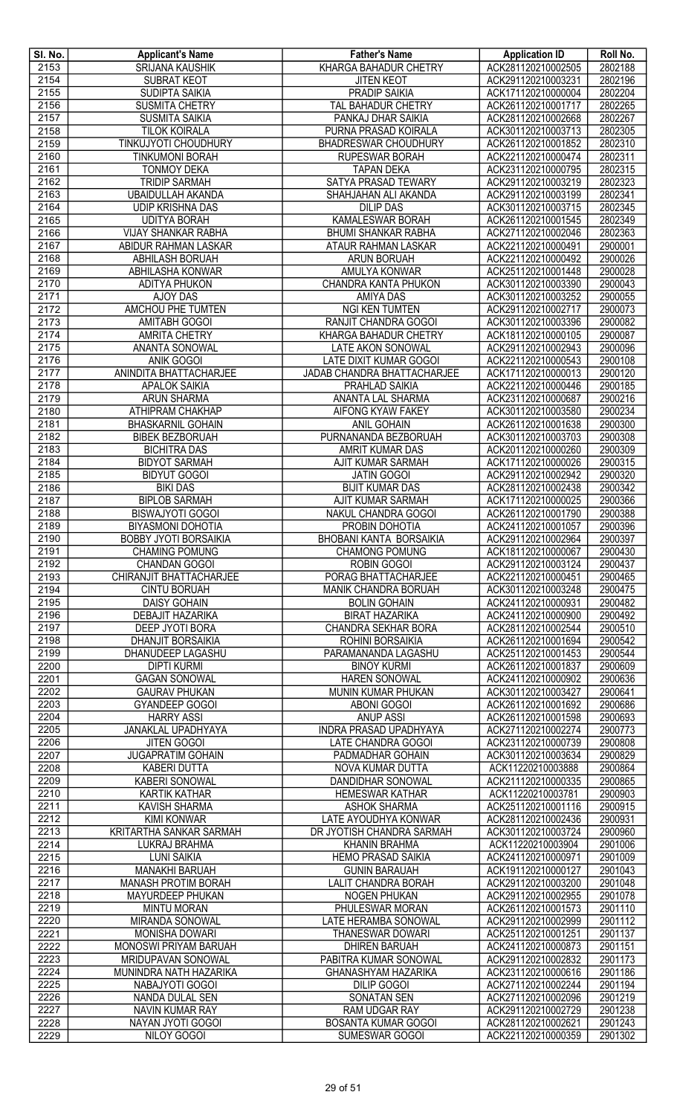| SI. No. | <b>Applicant's Name</b>        | <b>Father's Name</b>          | <b>Application ID</b> | Roll No.           |
|---------|--------------------------------|-------------------------------|-----------------------|--------------------|
| 2153    | <b>SRIJANA KAUSHIK</b>         | <b>KHARGA BAHADUR CHETRY</b>  | ACK281120210002505    | 2802188            |
| 2154    | <b>SUBRAT KEOT</b>             | <b>JITEN KEOT</b>             | ACK291120210003231    | 2802196            |
| 2155    | <b>SUDIPTA SAIKIA</b>          | <b>PRADIP SAIKIA</b>          | ACK171120210000004    | 2802204            |
| 2156    | <b>SUSMITA CHETRY</b>          | <b>TAL BAHADUR CHETRY</b>     | ACK261120210001717    | 2802265            |
| 2157    | <b>SUSMITA SAIKIA</b>          | PANKAJ DHAR SAIKIA            | ACK281120210002668    | 2802267            |
| 2158    | <b>TILOK KOIRALA</b>           | PURNA PRASAD KOIRALA          | ACK301120210003713    | 2802305            |
| 2159    | TINKUJYOTI CHOUDHURY           | <b>BHADRESWAR CHOUDHURY</b>   | ACK261120210001852    | 2802310            |
| 2160    | <b>TINKUMONI BORAH</b>         | RUPESWAR BORAH                | ACK221120210000474    | 2802311            |
| 2161    | <b>TONMOY DEKA</b>             | <b>TAPAN DEKA</b>             | ACK231120210000795    | 2802315            |
| 2162    | <b>TRIDIP SARMAH</b>           | SATYA PRASAD TEWARY           | ACK291120210003219    | 2802323            |
| 2163    | <b>UBAIDULLAH AKANDA</b>       | SHAHJAHAN ALI AKANDA          | ACK291120210003199    | 2802341            |
| 2164    | <b>UDIP KRISHNA DAS</b>        | <b>DILIP DAS</b>              | ACK301120210003715    | 2802345            |
| 2165    | <b>UDITYA BORAH</b>            | KAMALESWAR BORAH              | ACK261120210001545    | 2802349            |
| 2166    | <b>VIJAY SHANKAR RABHA</b>     | <b>BHUMI SHANKAR RABHA</b>    | ACK271120210002046    | 2802363            |
| 2167    | ABIDUR RAHMAN LASKAR           | ATAUR RAHMAN LASKAR           | ACK221120210000491    | 2900001            |
| 2168    | <b>ABHILASH BORUAH</b>         | <b>ARUN BORUAH</b>            | ACK221120210000492    | 2900026            |
| 2169    | ABHILASHA KONWAR               | AMULYA KONWAR                 | ACK251120210001448    | 2900028            |
| 2170    | <b>ADITYA PHUKON</b>           | CHANDRA KANTA PHUKON          | ACK301120210003390    | 2900043            |
| 2171    | <b>AJOY DAS</b>                | <b>AMIYA DAS</b>              | ACK301120210003252    | 2900055            |
| 2172    | <b>AMCHOU PHE TUMTEN</b>       | <b>NGI KEN TUMTEN</b>         | ACK291120210002717    | 2900073            |
| 2173    | <b>AMITABH GOGOI</b>           | RANJIT CHANDRA GOGOI          | ACK301120210003396    | 2900082            |
| 2174    | <b>AMRITA CHETRY</b>           | KHARGA BAHADUR CHETRY         | ACK181120210000105    | 2900087            |
| 2175    | ANANTA SONOWAL                 | LATE AKON SONOWAL             | ACK291120210002943    | 2900096            |
| 2176    | <b>ANIK GOGOI</b>              | LATE DIXIT KUMAR GOGOI        | ACK221120210000543    | 2900108            |
| 2177    | ANINDITA BHATTACHARJEE         | JADAB CHANDRA BHATTACHARJEE   | ACK171120210000013    | 2900120            |
| 2178    | <b>APALOK SAIKIA</b>           | PRAHLAD SAIKIA                | ACK221120210000446    | 2900185            |
| 2179    | <b>ARUN SHARMA</b>             | ANANTA LAL SHARMA             | ACK231120210000687    | 2900216            |
| 2180    | ATHIPRAM CHAKHAP               | <b>AIFONG KYAW FAKEY</b>      | ACK301120210003580    | 2900234            |
| 2181    | <b>BHASKARNIL GOHAIN</b>       | <b>ANIL GOHAIN</b>            | ACK261120210001638    | 2900300            |
| 2182    | <b>BIBEK BEZBORUAH</b>         | PURNANANDA BEZBORUAH          | ACK301120210003703    | 2900308            |
| 2183    | <b>BICHITRA DAS</b>            | AMRIT KUMAR DAS               | ACK201120210000260    | 2900309            |
| 2184    | <b>BIDYOT SARMAH</b>           | <b>AJIT KUMAR SARMAH</b>      | ACK171120210000026    | 2900315            |
| 2185    | <b>BIDYUT GOGOI</b>            | <b>JATIN GOGOI</b>            | ACK291120210002942    | 2900320            |
| 2186    | <b>BIKI DAS</b>                | <b>BIJIT KUMAR DAS</b>        | ACK281120210002438    | 2900342            |
| 2187    | <b>BIPLOB SARMAH</b>           | AJIT KUMAR SARMAH             | ACK171120210000025    | 2900366            |
| 2188    | <b>BISWAJYOTI GOGOI</b>        | NAKUL CHANDRA GOGOI           | ACK261120210001790    | 2900388            |
| 2189    | <b>BIYASMONI DOHOTIA</b>       | PROBIN DOHOTIA                | ACK241120210001057    | 2900396            |
| 2190    | <b>BOBBY JYOTI BORSAIKIA</b>   | BHOBANI KANTA BORSAIKIA       | ACK291120210002964    | 2900397            |
| 2191    | <b>CHAMING POMUNG</b>          | <b>CHAMONG POMUNG</b>         | ACK181120210000067    | 2900430            |
| 2192    | <b>CHANDAN GOGOI</b>           | <b>ROBIN GOGOI</b>            | ACK291120210003124    | 2900437            |
| 2193    | CHIRANJIT BHATTACHARJEE        | PORAG BHATTACHARJEE           | ACK221120210000451    | 2900465            |
| 2194    | <b>CINTU BORUAH</b>            | MANIK CHANDRA BORUAH          | ACK301120210003248    | 2900475            |
| 2195    | <b>DAISY GOHAIN</b>            | <b>BOLIN GOHAIN</b>           | ACK241120210000931    | 2900482            |
| 2196    | <b>DEBAJIT HAZARIKA</b>        | <b>BIRAT HAZARIKA</b>         | ACK241120210000900    | 2900492            |
| 2197    | DEEP JYOTI BORA                | <b>CHANDRA SEKHAR BORA</b>    | ACK281120210002544    | 2900510            |
| 2198    | DHANJIT BORSAIKIA              | ROHINI BORSAIKIA              | ACK261120210001694    | 2900542            |
| 2199    | DHANUDEEP LAGASHU              | PARAMANANDA LAGASHU           | ACK251120210001453    | 2900544            |
| 2200    | <b>DIPTI KURMI</b>             | <b>BINOY KURMI</b>            | ACK261120210001837    | 2900609            |
| 2201    | <b>GAGAN SONOWAL</b>           | <b>HAREN SONOWAL</b>          | ACK241120210000902    | 2900636            |
| 2202    | <b>GAURAV PHUKAN</b>           | MUNIN KUMAR PHUKAN            | ACK301120210003427    | 2900641            |
| 2203    | <b>GYANDEEP GOGOI</b>          | <b>ABONI GOGOI</b>            | ACK261120210001692    | 2900686            |
| 2204    | <b>HARRY ASSI</b>              | <b>ANUP ASSI</b>              | ACK261120210001598    | 2900693            |
| 2205    | JANAKLAL UPADHYAYA             | <b>INDRA PRASAD UPADHYAYA</b> | ACK271120210002274    | 2900773            |
| 2206    | <b>JITEN GOGOI</b>             | <b>LATE CHANDRA GOGOI</b>     | ACK231120210000739    | 2900808            |
| 2207    | <b>JUGAPRATIM GOHAIN</b>       | PADMADHAR GOHAIN              | ACK301120210003634    | 2900829            |
| 2208    | <b>KABERI DUTTA</b>            | NOVA KUMAR DUTTA              | ACK11220210003888     | 2900864            |
| 2209    | <b>KABERI SONOWAL</b>          | <b>DANDIDHAR SONOWAL</b>      | ACK211120210000335    | 2900865            |
| 2210    | <b>KARTIK KATHAR</b>           | <b>HEMESWAR KATHAR</b>        | ACK11220210003781     | 2900903            |
| 2211    | KAVISH SHARMA                  | <b>ASHOK SHARMA</b>           | ACK251120210001116    | 2900915            |
| 2212    | <b>KIMI KONWAR</b>             | LATE AYOUDHYA KONWAR          | ACK281120210002436    | 2900931            |
| 2213    | <b>KRITARTHA SANKAR SARMAH</b> | DR JYOTISH CHANDRA SARMAH     | ACK301120210003724    | 2900960            |
| 2214    | LUKRAJ BRAHMA                  | <b>KHANIN BRAHMA</b>          | ACK11220210003904     | 2901006            |
| 2215    | <b>LUNI SAIKIA</b>             | <b>HEMO PRASAD SAIKIA</b>     | ACK241120210000971    | 2901009            |
| 2216    | <b>MANAKHI BARUAH</b>          | <b>GUNIN BARAUAH</b>          | ACK191120210000127    | 2901043            |
| 2217    | <b>MANASH PROTIM BORAH</b>     | <b>LALIT CHANDRA BORAH</b>    | ACK291120210003200    | 2901048            |
| 2218    | <b>MAYURDEEP PHUKAN</b>        | <b>NOGEN PHUKAN</b>           | ACK291120210002955    | 2901078            |
| 2219    | <b>MINTU MORAN</b>             | PHULESWAR MORAN               | ACK261120210001573    | 2901110            |
| 2220    | MIRANDA SONOWAL                | LATE HERAMBA SONOWAL          | ACK291120210002999    | 2901112            |
| 2221    | <b>MONISHA DOWARI</b>          | <b>THANESWAR DOWARI</b>       | ACK251120210001251    | 2901137            |
| 2222    | MONOSWI PRIYAM BARUAH          | <b>DHIREN BARUAH</b>          | ACK241120210000873    | 2901151            |
| 2223    |                                | PABITRA KUMAR SONOWAL         |                       |                    |
|         | MRIDUPAVAN SONOWAL             |                               | ACK291120210002832    | 2901173            |
| 2224    | MUNINDRA NATH HAZARIKA         | <b>GHANASHYAM HAZARIKA</b>    | ACK231120210000616    | 2901186<br>2901194 |
| 2225    | NABAJYOTI GOGOI                | <b>DILIP GOGOI</b>            | ACK271120210002244    |                    |
| 2226    | NANDA DULAL SEN                | <b>SONATAN SEN</b>            | ACK271120210002096    | 2901219            |
| 2227    | NAVIN KUMAR RAY                | RAM UDGAR RAY                 | ACK291120210002729    | 2901238            |
| 2228    | <b>NAYAN JYOTI GOGOI</b>       | <b>BOSANTA KUMAR GOGOI</b>    | ACK281120210002621    | 2901243            |
| 2229    | NILOY GOGOI                    | <b>SUMESWAR GOGOI</b>         | ACK221120210000359    | 2901302            |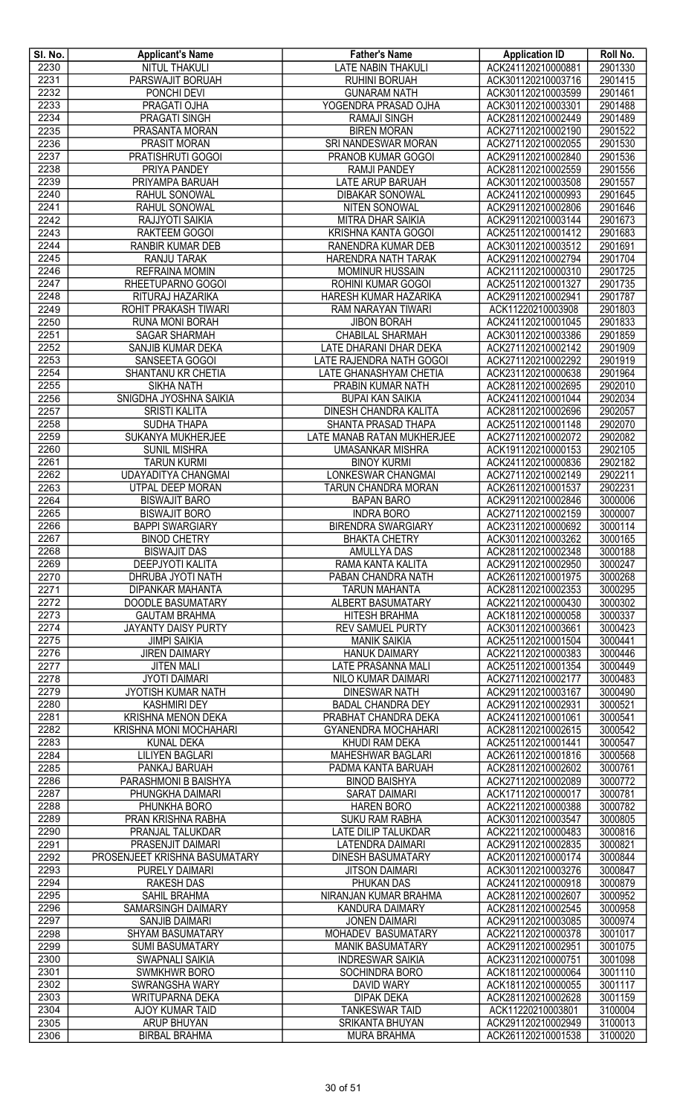| SI. No.      | <b>Applicant's Name</b>                      | <b>Father's Name</b>                        | <b>Application ID</b>                    | Roll No.           |
|--------------|----------------------------------------------|---------------------------------------------|------------------------------------------|--------------------|
| 2230         | <b>NITUL THAKULI</b>                         | <b>LATE NABIN THAKULI</b>                   | ACK241120210000881                       | 2901330            |
| 2231         | PARSWAJIT BORUAH                             | <b>RUHINI BORUAH</b>                        | ACK301120210003716                       | 2901415            |
| 2232         | PONCHI DEVI                                  | <b>GUNARAM NATH</b>                         | ACK301120210003599                       | 2901461            |
| 2233         | PRAGATI OJHA                                 | YOGENDRA PRASAD OJHA                        | ACK301120210003301                       | 2901488            |
| 2234<br>2235 | <b>PRAGATI SINGH</b><br>PRASANTA MORAN       | <b>RAMAJI SINGH</b><br><b>BIREN MORAN</b>   | ACK281120210002449<br>ACK271120210002190 | 2901489<br>2901522 |
| 2236         | PRASIT MORAN                                 | SRI NANDESWAR MORAN                         | ACK271120210002055                       | 2901530            |
| 2237         | PRATISHRUTI GOGOI                            | PRANOB KUMAR GOGOI                          | ACK291120210002840                       | 2901536            |
| 2238         | PRIYA PANDEY                                 | <b>RAMJI PANDEY</b>                         | ACK281120210002559                       | 2901556            |
| 2239         | PRIYAMPA BARUAH                              | LATE ARUP BARUAH                            | ACK301120210003508                       | 2901557            |
| 2240         | RAHUL SONOWAL                                | <b>DIBAKAR SONOWAL</b>                      | ACK241120210000993                       | 2901645            |
| 2241         | <b>RAHUL SONOWAL</b>                         | NITEN SONOWAL                               | ACK291120210002806                       | 2901646            |
| 2242         | RAJJYOTI SAIKIA                              | <b>MITRA DHAR SAIKIA</b>                    | ACK291120210003144                       | 2901673            |
| 2243         | RAKTEEM GOGOI                                | <b>KRISHNA KANTA GOGOI</b>                  | ACK251120210001412                       | 2901683            |
| 2244         | RANBIR KUMAR DEB                             | RANENDRA KUMAR DEB                          | ACK301120210003512                       | 2901691            |
| 2245         | <b>RANJU TARAK</b>                           | HARENDRA NATH TARAK                         | ACK291120210002794                       | 2901704            |
| 2246         | <b>REFRAINA MOMIN</b>                        | <b>MOMINUR HUSSAIN</b>                      | ACK211120210000310                       | 2901725            |
| 2247         | RHEETUPARNO GOGOI                            | ROHINI KUMAR GOGOI                          | ACK251120210001327                       | 2901735            |
| 2248         | RITURAJ HAZARIKA                             | HARESH KUMAR HAZARIKA                       | ACK291120210002941                       | 2901787            |
| 2249         | ROHIT PRAKASH TIWARI                         | RAM NARAYAN TIWARI                          | ACK11220210003908                        | 2901803            |
| 2250         | RUNA MONI BORAH                              | <b>JIBON BORAH</b>                          | ACK241120210001045                       | 2901833            |
| 2251         | <b>SAGAR SHARMAH</b>                         | <b>CHABILAL SHARMAH</b>                     | ACK301120210003386                       | 2901859            |
| 2252         | SANJIB KUMAR DEKA                            | LATE DHARANI DHAR DEKA                      | ACK271120210002142                       | 2901909            |
| 2253<br>2254 | SANSEETA GOGOI                               | LATE RAJENDRA NATH GOGOI                    | ACK271120210002292<br>ACK231120210000638 | 2901919<br>2901964 |
| 2255         | SHANTANU KR CHETIA<br><b>SIKHA NATH</b>      | LATE GHANASHYAM CHETIA<br>PRABIN KUMAR NATH | ACK281120210002695                       | 2902010            |
| 2256         | SNIGDHA JYOSHNA SAIKIA                       | <b>BUPAI KAN SAIKIA</b>                     | ACK241120210001044                       | 2902034            |
| 2257         | <b>SRISTI KALITA</b>                         | DINESH CHANDRA KALITA                       | ACK281120210002696                       | 2902057            |
| 2258         | SUDHA THAPA                                  | SHANTA PRASAD THAPA                         | ACK251120210001148                       | 2902070            |
| 2259         | SUKANYA MUKHERJEE                            | LATE MANAB RATAN MUKHERJEE                  | ACK271120210002072                       | 2902082            |
| 2260         | <b>SUNIL MISHRA</b>                          | <b>UMASANKAR MISHRA</b>                     | ACK191120210000153                       | 2902105            |
| 2261         | <b>TARUN KURMI</b>                           | <b>BINOY KURMI</b>                          | ACK241120210000836                       | 2902182            |
| 2262         | UDAYADITYA CHANGMAI                          | LONKESWAR CHANGMAI                          | ACK271120210002149                       | 2902211            |
| 2263         | UTPAL DEEP MORAN                             | TARUN CHANDRA MORAN                         | ACK261120210001537                       | 2902231            |
| 2264         | <b>BISWAJIT BARO</b>                         | <b>BAPAN BARO</b>                           | ACK291120210002846                       | 3000006            |
| 2265         | <b>BISWAJIT BORO</b>                         | <b>INDRA BORO</b>                           | ACK271120210002159                       | 3000007            |
| 2266         | <b>BAPPI SWARGIARY</b>                       | <b>BIRENDRA SWARGIARY</b>                   | ACK231120210000692                       | 3000114            |
| 2267         | <b>BINOD CHETRY</b>                          | <b>BHAKTA CHETRY</b>                        | ACK301120210003262                       | 3000165            |
| 2268         | <b>BISWAJIT DAS</b>                          | <b>AMULLYA DAS</b>                          | ACK281120210002348                       | 3000188            |
| 2269         | <b>DEEPJYOTI KALITA</b>                      | RAMA KANTA KALITA                           | ACK291120210002950                       | 3000247            |
| 2270         | DHRUBA JYOTI NATH                            | PABAN CHANDRA NATH                          | ACK261120210001975                       | 3000268            |
| 2271<br>2272 | <b>DIPANKAR MAHANTA</b><br>DOODLE BASUMATARY | <b>TARUN MAHANTA</b><br>ALBERT BASUMATARY   | ACK281120210002353<br>ACK221120210000430 | 3000295<br>3000302 |
| 2273         | <b>GAUTAM BRAHMA</b>                         | <b>HITESH BRAHMA</b>                        | ACK181120210000058                       | 3000337            |
| 2274         | JAYANTY DAISY PURTY                          | <b>REV SAMUEL PURTY</b>                     | ACK301120210003661                       | 3000423            |
| 2275         | <b>JIMPI SAIKIA</b>                          | <b>MANIK SAIKIA</b>                         | ACK251120210001504                       | 3000441            |
| 2276         | <b>JIREN DAIMARY</b>                         | <b>HANUK DAIMARY</b>                        | ACK221120210000383                       | 3000446            |
| 2277         | <b>JITEN MALI</b>                            | LATE PRASANNA MALI                          | ACK251120210001354                       | 3000449            |
| 2278         | <b>JYOTI DAIMARI</b>                         | NILO KUMAR DAIMARI                          | ACK271120210002177                       | 3000483            |
| 2279         | <b>JYOTISH KUMAR NATH</b>                    | <b>DINESWAR NATH</b>                        | ACK291120210003167                       | 3000490            |
| 2280         | <b>KASHMIRI DEY</b>                          | <b>BADAL CHANDRA DEY</b>                    | ACK291120210002931                       | 3000521            |
| 2281         | KRISHNA MENON DEKA                           | PRABHAT CHANDRA DEKA                        | ACK241120210001061                       | 3000541            |
| 2282         | KRISHNA MONI MOCHAHARI                       | <b>GYANENDRA MOCHAHARI</b>                  | ACK281120210002615                       | 3000542            |
| 2283         | <b>KUNAL DEKA</b>                            | KHUDI RAM DEKA                              | ACK251120210001441                       | 3000547            |
| 2284         | <b>LILIYEN BAGLARI</b>                       | <b>MAHESHWAR BAGLARI</b>                    | ACK261120210001816                       | 3000568            |
| 2285         | PANKAJ BARUAH                                | PADMA KANTA BARUAH                          | ACK281120210002602                       | 3000761            |
| 2286         | PARASHMONI B BAISHYA                         | <b>BINOD BAISHYA</b>                        | ACK271120210002089                       | 3000772            |
| 2287<br>2288 | PHUNGKHA DAIMARI<br>PHUNKHA BORO             | <b>SARAT DAIMARI</b><br><b>HAREN BORO</b>   | ACK171120210000017<br>ACK221120210000388 | 3000781<br>3000782 |
| 2289         | PRAN KRISHNA RABHA                           | <b>SUKU RAM RABHA</b>                       | ACK301120210003547                       | 3000805            |
| 2290         | PRANJAL TALUKDAR                             | LATE DILIP TALUKDAR                         | ACK221120210000483                       | 3000816            |
| 2291         | PRASENJIT DAIMARI                            | <b>LATENDRA DAIMARI</b>                     | ACK291120210002835                       | 3000821            |
| 2292         | PROSENJEET KRISHNA BASUMATARY                | <b>DINESH BASUMATARY</b>                    | ACK201120210000174                       | 3000844            |
| 2293         | <b>PURELY DAIMARI</b>                        | <b>JITSON DAIMARI</b>                       | ACK301120210003276                       | 3000847            |
| 2294         | <b>RAKESH DAS</b>                            | PHUKAN DAS                                  | ACK241120210000918                       | 3000879            |
| 2295         | SAHIL BRAHMA                                 | NIRANJAN KUMAR BRAHMA                       | ACK281120210002607                       | 3000952            |
| 2296         | SAMARSINGH DAIMARY                           | KANDURA DAIMARY                             | ACK281120210002545                       | 3000958            |
| 2297         | <b>SANJIB DAIMARI</b>                        | <b>JONEN DAIMARI</b>                        | ACK291120210003085                       | 3000974            |
| 2298         | SHYAM BASUMATARY                             | MOHADEV BASUMATARY                          | ACK221120210000378                       | 3001017            |
| 2299         | <b>SUMI BASUMATARY</b>                       | <b>MANIK BASUMATARY</b>                     | ACK291120210002951                       | 3001075            |
| 2300         | SWAPNALI SAIKIA                              | <b>INDRESWAR SAIKIA</b>                     | ACK231120210000751                       | 3001098            |
| 2301         | <b>SWMKHWR BORO</b>                          | SOCHINDRA BORO                              | ACK181120210000064                       | 3001110            |
| 2302<br>2303 | SWRANGSHA WARY<br><b>WRITUPARNA DEKA</b>     | DAVID WARY<br><b>DIPAK DEKA</b>             | ACK181120210000055<br>ACK281120210002628 | 3001117<br>3001159 |
| 2304         | AJOY KUMAR TAID                              | <b>TANKESWAR TAID</b>                       | ACK11220210003801                        | 3100004            |
| 2305         | <b>ARUP BHUYAN</b>                           | <b>SRIKANTA BHUYAN</b>                      | ACK291120210002949                       | 3100013            |
| 2306         | <b>BIRBAL BRAHMA</b>                         | <b>MURA BRAHMA</b>                          | ACK261120210001538                       | 3100020            |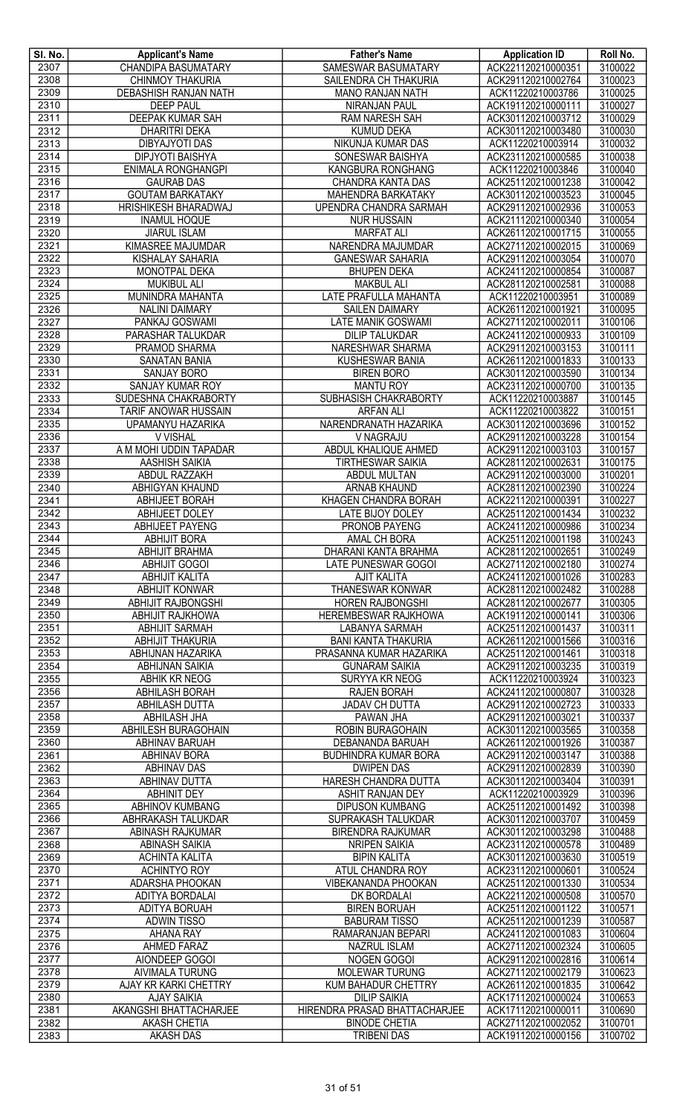| SI. No.      | <b>Applicant's Name</b>                          | <b>Father's Name</b>                                  | <b>Application ID</b>                    | Roll No.           |
|--------------|--------------------------------------------------|-------------------------------------------------------|------------------------------------------|--------------------|
| 2307         | <b>CHANDIPA BASUMATARY</b>                       | <b>SAMESWAR BASUMATARY</b>                            | ACK221120210000351                       | 3100022            |
| 2308         | <b>CHINMOY THAKURIA</b>                          | SAILENDRA CH THAKURIA                                 | ACK291120210002764                       | 3100023            |
| 2309         | DEBASHISH RANJAN NATH                            | <b>MANO RANJAN NATH</b>                               | ACK11220210003786                        | 3100025            |
| 2310         | <b>DEEP PAUL</b>                                 | <b>NIRANJAN PAUL</b>                                  | ACK191120210000111                       | 3100027            |
| 2311         | <b>DEEPAK KUMAR SAH</b>                          | <b>RAM NARESH SAH</b>                                 | ACK301120210003712                       | 3100029            |
| 2312         | <b>DHARITRI DEKA</b>                             | <b>KUMUD DEKA</b>                                     | ACK301120210003480                       | 3100030            |
| 2313         | <b>DIBYAJYOTI DAS</b>                            | NIKUNJA KUMAR DAS                                     | ACK11220210003914                        | 3100032            |
| 2314         | <b>DIPJYOTI BAISHYA</b>                          | SONESWAR BAISHYA                                      | ACK231120210000585                       | 3100038            |
| 2315<br>2316 | ENIMALA RONGHANGPI                               | KANGBURA RONGHANG                                     | ACK11220210003846                        | 3100040<br>3100042 |
| 2317         | <b>GAURAB DAS</b><br><b>GOUTAM BARKATAKY</b>     | CHANDRA KANTA DAS<br>MAHENDRA BARKATAKY               | ACK251120210001238<br>ACK301120210003523 | 3100045            |
| 2318         | HRISHIKESH BHARADWAJ                             | UPENDRA CHANDRA SARMAH                                | ACK291120210002936                       | 3100053            |
| 2319         | <b>INAMUL HOQUE</b>                              | <b>NUR HUSSAIN</b>                                    | ACK211120210000340                       | 3100054            |
| 2320         | <b>JIARUL ISLAM</b>                              | <b>MARFAT ALI</b>                                     | ACK261120210001715                       | 3100055            |
| 2321         | KIMASREE MAJUMDAR                                | NARENDRA MAJUMDAR                                     | ACK271120210002015                       | 3100069            |
| 2322         | <b>KISHALAY SAHARIA</b>                          | <b>GANESWAR SAHARIA</b>                               | ACK291120210003054                       | 3100070            |
| 2323         | MONOTPAL DEKA                                    | <b>BHUPEN DEKA</b>                                    | ACK241120210000854                       | 3100087            |
| 2324         | <b>MUKIBUL ALI</b>                               | <b>MAKBUL ALI</b>                                     | ACK281120210002581                       | 3100088            |
| 2325         | MUNINDRA MAHANTA                                 | LATE PRAFULLA MAHANTA                                 | ACK11220210003951                        | 3100089            |
| 2326         | <b>NALINI DAIMARY</b>                            | <b>SAILEN DAIMARY</b>                                 | ACK261120210001921                       | 3100095            |
| 2327         | PANKAJ GOSWAMI                                   | LATE MANIK GOSWAMI                                    | ACK271120210002011                       | 3100106            |
| 2328         | PARASHAR TALUKDAR                                | <b>DILIP TALUKDAR</b>                                 | ACK241120210000933                       | 3100109            |
| 2329         | PRAMOD SHARMA                                    | NARESHWAR SHARMA                                      | ACK291120210003153                       | 3100111            |
| 2330         | <b>SANATAN BANIA</b>                             | <b>KUSHESWAR BANIA</b>                                | ACK261120210001833                       | 3100133            |
| 2331         | SANJAY BORO                                      | <b>BIREN BORO</b>                                     | ACK301120210003590                       | 3100134            |
| 2332         | <b>SANJAY KUMAR ROY</b>                          | <b>MANTU ROY</b>                                      | ACK231120210000700                       | 3100135            |
| 2333         | SUDESHNA CHAKRABORTY                             | <b>SUBHASISH CHAKRABORTY</b>                          | ACK11220210003887                        | 3100145            |
| 2334<br>2335 | TARIF ANOWAR HUSSAIN<br><b>UPAMANYU HAZARIKA</b> | <b>ARFAN ALI</b><br>NARENDRANATH HAZARIKA             | ACK11220210003822<br>ACK301120210003696  | 3100151<br>3100152 |
| 2336         | V VISHAL                                         | V NAGRAJU                                             | ACK291120210003228                       | 3100154            |
| 2337         | A M MOHI UDDIN TAPADAR                           | ABDUL KHALIQUE AHMED                                  | ACK291120210003103                       | 3100157            |
| 2338         | <b>AASHISH SAIKIA</b>                            | <b>TIRTHESWAR SAIKIA</b>                              | ACK281120210002631                       | 3100175            |
| 2339         | ABDUL RAZZAKH                                    | ABDUL MULTAN                                          | ACK291120210003000                       | 3100201            |
| 2340         | ABHIGYAN KHAUND                                  | ARNAB KHAUND                                          | ACK281120210002390                       | 3100224            |
| 2341         | <b>ABHIJEET BORAH</b>                            | <b>KHAGEN CHANDRA BORAH</b>                           | ACK221120210000391                       | 3100227            |
| 2342         | <b>ABHIJEET DOLEY</b>                            | LATE BIJOY DOLEY                                      | ACK251120210001434                       | 3100232            |
| 2343         | <b>ABHIJEET PAYENG</b>                           | PRONOB PAYENG                                         | ACK241120210000986                       | 3100234            |
| 2344         | <b>ABHIJIT BORA</b>                              | AMAL CH BORA                                          | ACK251120210001198                       | 3100243            |
| 2345         | <b>ABHIJIT BRAHMA</b>                            | DHARANI KANTA BRAHMA                                  | ACK281120210002651                       | 3100249            |
| 2346         | <b>ABHIJIT GOGOI</b>                             | <b>LATE PUNESWAR GOGOI</b>                            | ACK271120210002180                       | 3100274            |
| 2347         | <b>ABHIJIT KALITA</b>                            | <b>AJIT KALITA</b>                                    | ACK241120210001026                       | 3100283            |
| 2348         | <b>ABHIJIT KONWAR</b>                            | <b>THANESWAR KONWAR</b>                               | ACK281120210002482                       | 3100288            |
| 2349         | <b>ABHIJIT RAJBONGSHI</b>                        | <b>HOREN RAJBONGSHI</b>                               | ACK281120210002677                       | 3100305            |
| 2350         | <b>ABHIJIT RAJKHOWA</b>                          | HEREMBESWAR RAJKHOWA                                  | ACK191120210000141                       | 3100306            |
| 2351         | <b>ABHIJIT SARMAH</b>                            | <b>LABANYA SARMAH</b>                                 | ACK251120210001437                       | 3100311            |
| 2352<br>2353 | <b>ABHIJIT THAKURIA</b><br>ABHIJNAN HAZARIKA     | <b>BANI KANTA THAKURIA</b><br>PRASANNA KUMAR HAZARIKA | ACK261120210001566<br>ACK251120210001461 | 3100316<br>3100318 |
| 2354         | <b>ABHIJNAN SAIKIA</b>                           | <b>GUNARAM SAIKIA</b>                                 | ACK291120210003235                       | 3100319            |
| 2355         | ABHIK KR NEOG                                    | SURYYA KR NEOG                                        | ACK11220210003924                        | 3100323            |
| 2356         | <b>ABHILASH BORAH</b>                            | RAJEN BORAH                                           | ACK241120210000807                       | 3100328            |
| 2357         | <b>ABHILASH DUTTA</b>                            | <b>JADAV CH DUTTA</b>                                 | ACK291120210002723                       | 3100333            |
| 2358         | <b>ABHILASH JHA</b>                              | PAWAN JHA                                             | ACK291120210003021                       | 3100337            |
| 2359         | ABHILESH BURAGOHAIN                              | ROBIN BURAGOHAIN                                      | ACK301120210003565                       | 3100358            |
| 2360         | ABHINAV BARUAH                                   | DEBANANDA BARUAH                                      | ACK261120210001926                       | 3100387            |
| 2361         | <b>ABHINAV BORA</b>                              | <b>BUDHINDRA KUMAR BORA</b>                           | ACK291120210003147                       | 3100388            |
| 2362         | <b>ABHINAV DAS</b>                               | <b>DWIPEN DAS</b>                                     | ACK291120210002839                       | 3100390            |
| 2363         | <b>ABHINAV DUTTA</b>                             | HARESH CHANDRA DUTTA                                  | ACK301120210003404                       | 3100391            |
| 2364         | <b>ABHINIT DEY</b>                               | ASHIT RANJAN DEY                                      | ACK11220210003929                        | 3100396            |
| 2365         | ABHINOV KUMBANG                                  | <b>DIPUSON KUMBANG</b>                                | ACK251120210001492                       | 3100398            |
| 2366         | ABHRAKASH TALUKDAR                               | SUPRAKASH TALUKDAR                                    | ACK301120210003707                       | 3100459            |
| 2367         | ABINASH RAJKUMAR                                 | <b>BIRENDRA RAJKUMAR</b>                              | ACK301120210003298<br>ACK231120210000578 | 3100488<br>3100489 |
| 2368         | <b>ABINASH SAIKIA</b>                            | <b>NRIPEN SAIKIA</b>                                  |                                          | 3100519            |
| 2369<br>2370 | ACHINTA KALITA<br><b>ACHINTYO ROY</b>            | <b>BIPIN KALITA</b><br>ATUL CHANDRA ROY               | ACK301120210003630<br>ACK231120210000601 | 3100524            |
| 2371         | ADARSHA PHOOKAN                                  | VIBEKANANDA PHOOKAN                                   | ACK251120210001330                       | 3100534            |
| 2372         | ADITYA BORDALAI                                  | DK BORDALAI                                           | ACK221120210000508                       | 3100570            |
| 2373         | ADITYA BORUAH                                    | <b>BIREN BORUAH</b>                                   | ACK251120210001122                       | 3100571            |
| 2374         | <b>ADWIN TISSO</b>                               | <b>BABURAM TISSO</b>                                  | ACK251120210001239                       | 3100587            |
| 2375         | <b>AHANA RAY</b>                                 | RAMARANJAN BEPARI                                     | ACK241120210001083                       | 3100604            |
| 2376         | <b>AHMED FARAZ</b>                               | <b>NAZRUL ISLAM</b>                                   | ACK271120210002324                       | 3100605            |
| 2377         | AIONDEEP GOGOI                                   | NOGEN GOGOI                                           | ACK291120210002816                       | 3100614            |
| 2378         | AIVIMALA TURUNG                                  | <b>MOLEWAR TURUNG</b>                                 | ACK271120210002179                       | 3100623            |
| 2379         | AJAY KR KARKI CHETTRY                            | <b>KUM BAHADUR CHETTRY</b>                            | ACK261120210001835                       | 3100642            |
| 2380         | <b>AJAY SAIKIA</b>                               | <b>DILIP SAIKIA</b>                                   | ACK171120210000024                       | 3100653            |
| 2381         | AKANGSHI BHATTACHARJEE                           | HIRENDRA PRASAD BHATTACHARJEE                         | ACK171120210000011                       | 3100690            |
| 2382         | <b>AKASH CHETIA</b>                              | <b>BINODE CHETIA</b>                                  | ACK271120210002052                       | 3100701            |
| 2383         | <b>AKASH DAS</b>                                 | <b>TRIBENI DAS</b>                                    | ACK191120210000156                       | 3100702            |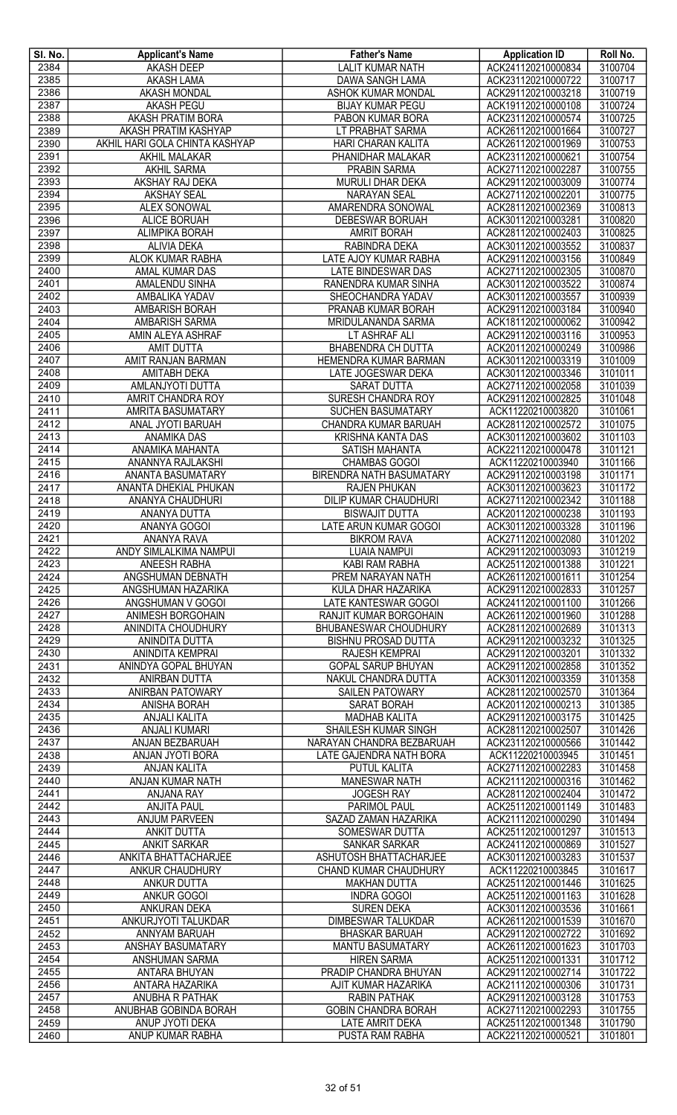| SI. No.      | <b>Applicant's Name</b>                                | <b>Father's Name</b>                                 | <b>Application ID</b>                    | Roll No.           |
|--------------|--------------------------------------------------------|------------------------------------------------------|------------------------------------------|--------------------|
| 2384         | <b>AKASH DEEP</b>                                      | <b>LALIT KUMAR NATH</b>                              | ACK241120210000834                       | 3100704            |
| 2385         | <b>AKASH LAMA</b>                                      | <b>DAWA SANGH LAMA</b>                               | ACK231120210000722                       | 3100717            |
| 2386         | AKASH MONDAL                                           | ASHOK KUMAR MONDAL                                   | ACK291120210003218                       | 3100719            |
| 2387         | <b>AKASH PEGU</b>                                      | <b>BIJAY KUMAR PEGU</b>                              | ACK191120210000108                       | 3100724            |
| 2388<br>2389 | <b>AKASH PRATIM BORA</b>                               | PABON KUMAR BORA                                     | ACK231120210000574                       | 3100725            |
| 2390         | AKASH PRATIM KASHYAP<br>AKHIL HARI GOLA CHINTA KASHYAP | LT PRABHAT SARMA<br>HARI CHARAN KALITA               | ACK261120210001664<br>ACK261120210001969 | 3100727<br>3100753 |
| 2391         | AKHIL MALAKAR                                          | PHANIDHAR MALAKAR                                    | ACK231120210000621                       | 3100754            |
| 2392         | <b>AKHIL SARMA</b>                                     | <b>PRABIN SARMA</b>                                  | ACK271120210002287                       | 3100755            |
| 2393         | AKSHAY RAJ DEKA                                        | MURULI DHAR DEKA                                     | ACK291120210003009                       | 3100774            |
| 2394         | <b>AKSHAY SEAL</b>                                     | <b>NARAYAN SEAL</b>                                  | ACK271120210002201                       | 3100775            |
| 2395         | <b>ALEX SONOWAL</b>                                    | AMARENDRA SONOWAL                                    | ACK281120210002369                       | 3100813            |
| 2396         | <b>ALICE BORUAH</b>                                    | DEBESWAR BORUAH                                      | ACK301120210003281                       | 3100820            |
| 2397         | ALIMPIKA BORAH                                         | <b>AMRIT BORAH</b>                                   | ACK281120210002403                       | 3100825            |
| 2398         | <b>ALIVIA DEKA</b>                                     | RABINDRA DEKA                                        | ACK301120210003552                       | 3100837            |
| 2399         | ALOK KUMAR RABHA                                       | LATE AJOY KUMAR RABHA                                | ACK291120210003156                       | 3100849            |
| 2400         | AMAL KUMAR DAS                                         | LATE BINDESWAR DAS                                   | ACK271120210002305                       | 3100870            |
| 2401         | <b>AMALENDU SINHA</b>                                  | RANENDRA KUMAR SINHA                                 | ACK301120210003522                       | 3100874            |
| 2402         | AMBALIKA YADAV                                         | SHEOCHANDRA YADAV                                    | ACK301120210003557                       | 3100939            |
| 2403         | AMBARISH BORAH                                         | PRANAB KUMAR BORAH                                   | ACK291120210003184                       | 3100940            |
| 2404         | AMBARISH SARMA                                         | MRIDULANANDA SARMA                                   | ACK181120210000062                       | 3100942            |
| 2405         | AMIN ALEYA ASHRAF                                      | LT ASHRAF ALI                                        | ACK291120210003116                       | 3100953            |
| 2406         | <b>AMIT DUTTA</b>                                      | <b>BHABENDRA CH DUTTA</b>                            | ACK201120210000249                       | 3100986            |
| 2407         | AMIT RANJAN BARMAN                                     | HEMENDRA KUMAR BARMAN                                | ACK301120210003319                       | 3101009            |
| 2408         | <b>AMITABH DEKA</b>                                    | LATE JOGESWAR DEKA                                   | ACK301120210003346                       | 3101011            |
| 2409         | AMLANJYOTI DUTTA                                       | <b>SARAT DUTTA</b>                                   | ACK271120210002058                       | 3101039            |
| 2410         | <b>AMRIT CHANDRA ROY</b>                               | SURESH CHANDRA ROY                                   | ACK291120210002825                       | 3101048            |
| 2411         | AMRITA BASUMATARY                                      | <b>SUCHEN BASUMATARY</b>                             | ACK11220210003820                        | 3101061            |
| 2412         | ANAL JYOTI BARUAH                                      | CHANDRA KUMAR BARUAH                                 | ACK281120210002572                       | 3101075            |
| 2413         | <b>ANAMIKA DAS</b>                                     | <b>KRISHNA KANTA DAS</b>                             | ACK301120210003602                       | 3101103            |
| 2414<br>2415 | ANAMIKA MAHANTA                                        | SATISH MAHANTA                                       | ACK221120210000478                       | 3101121            |
| 2416         | ANANNYA RAJLAKSHI<br>ANANTA BASUMATARY                 | <b>CHAMBAS GOGOI</b><br>BIRENDRA NATH BASUMATARY     | ACK11220210003940<br>ACK291120210003198  | 3101166<br>3101171 |
| 2417         | ANANTA DHEKIAL PHUKAN                                  | <b>RAJEN PHUKAN</b>                                  | ACK301120210003623                       | 3101172            |
| 2418         | ANANYA CHAUDHURI                                       | DILIP KUMAR CHAUDHURI                                | ACK271120210002342                       | 3101188            |
| 2419         | ANANYA DUTTA                                           | <b>BISWAJIT DUTTA</b>                                | ACK201120210000238                       | 3101193            |
| 2420         | ANANYA GOGOI                                           | LATE ARUN KUMAR GOGOI                                | ACK301120210003328                       | 3101196            |
| 2421         | <b>ANANYA RAVA</b>                                     | <b>BIKROM RAVA</b>                                   | ACK271120210002080                       | 3101202            |
| 2422         | ANDY SIMLALKIMA NAMPUI                                 | <b>LUAIA NAMPUI</b>                                  | ACK291120210003093                       | 3101219            |
| 2423         | ANEESH RABHA                                           | KABI RAM RABHA                                       | ACK251120210001388                       | 3101221            |
| 2424         | ANGSHUMAN DEBNATH                                      | <b>PREM NARAYAN NATH</b>                             | ACK261120210001611                       | 3101254            |
| 2425         | ANGSHUMAN HAZARIKA                                     | KULA DHAR HAZARIKA                                   | ACK291120210002833                       | 3101257            |
| 2426         | ANGSHUMAN V GOGOI                                      | LATE KANTESWAR GOGOI                                 | ACK241120210001100                       | 3101266            |
| 2427         | ANIMESH BORGOHAIN                                      | RANJIT KUMAR BORGOHAIN                               | ACK261120210001960                       | 3101288            |
| 2428         | ANINDITA CHOUDHURY                                     | BHUBANESWAR CHOUDHURY                                | ACK281120210002689                       | 3101313            |
| 2429         | ANINDITA DUTTA                                         | <b>BISHNU PROSAD DUTTA</b>                           | ACK291120210003232                       | 3101325            |
| 2430         | ANINDITA KEMPRAI                                       | RAJESH KEMPRAI                                       | ACK291120210003201                       | 3101332            |
| 2431         | ANINDYA GOPAL BHUYAN                                   | <b>GOPAL SARUP BHUYAN</b>                            | ACK291120210002858                       | 3101352            |
| 2432         | ANIRBAN DUTTA                                          | NAKUL CHANDRA DUTTA                                  | ACK301120210003359                       | 3101358            |
| 2433         | ANIRBAN PATOWARY                                       | <b>SAILEN PATOWARY</b>                               | ACK281120210002570                       | 3101364            |
| 2434         | ANISHA BORAH                                           | SARAT BORAH                                          | ACK201120210000213                       | 3101385            |
| 2435         | <b>ANJALI KALITA</b>                                   | <b>MADHAB KALITA</b>                                 | ACK291120210003175                       | 3101425            |
| 2436         | <b>ANJALI KUMARI</b>                                   | SHAILESH KUMAR SINGH                                 | ACK281120210002507                       | 3101426            |
| 2437<br>2438 | ANJAN BEZBARUAH<br>ANJAN JYOTI BORA                    | NARAYAN CHANDRA BEZBARUAH<br>LATE GAJENDRA NATH BORA | ACK231120210000566<br>ACK11220210003945  | 3101442<br>3101451 |
| 2439         | <b>ANJAN KALITA</b>                                    | <b>PUTUL KALITA</b>                                  | ACK271120210002283                       | 3101458            |
| 2440         | ANJAN KUMAR NATH                                       | <b>MANESWAR NATH</b>                                 | ACK211120210000316                       | 3101462            |
| 2441         | <b>ANJANA RAY</b>                                      | <b>JOGESH RAY</b>                                    | ACK281120210002404                       | 3101472            |
| 2442         | <b>ANJITA PAUL</b>                                     | PARIMOL PAUL                                         | ACK251120210001149                       | 3101483            |
| 2443         | ANJUM PARVEEN                                          | SAZAD ZAMAN HAZARIKA                                 | ACK211120210000290                       | 3101494            |
| 2444         | ANKIT DUTTA                                            | SOMESWAR DUTTA                                       | ACK251120210001297                       | 3101513            |
| 2445         | <b>ANKIT SARKAR</b>                                    | SANKAR SARKAR                                        | ACK241120210000869                       | 3101527            |
| 2446         | ANKITA BHATTACHARJEE                                   | ASHUTOSH BHATTACHARJEE                               | ACK301120210003283                       | 3101537            |
| 2447         | ANKUR CHAUDHURY                                        | CHAND KUMAR CHAUDHURY                                | ACK11220210003845                        | 3101617            |
| 2448         | ANKUR DUTTA                                            | <b>MAKHAN DUTTA</b>                                  | ACK251120210001446                       | 3101625            |
| 2449         | <b>ANKUR GOGOI</b>                                     | <b>INDRA GOGOI</b>                                   | ACK251120210001163                       | 3101628            |
| 2450         | ANKURAN DEKA                                           | <b>SUREN DEKA</b>                                    | ACK301120210003536                       | 3101661            |
| 2451         | ANKURJYOTI TALUKDAR                                    | DIMBESWAR TALUKDAR                                   | ACK261120210001539                       | 3101670            |
| 2452         | ANNYAM BARUAH                                          | <b>BHASKAR BARUAH</b>                                | ACK291120210002722                       | 3101692            |
| 2453         | ANSHAY BASUMATARY                                      | <b>MANTU BASUMATARY</b>                              | ACK261120210001623                       | 3101703            |
| 2454         | ANSHUMAN SARMA                                         | <b>HIREN SARMA</b>                                   | ACK251120210001331                       | 3101712            |
| 2455         | ANTARA BHUYAN                                          | PRADIP CHANDRA BHUYAN                                | ACK291120210002714                       | 3101722            |
| 2456         | ANTARA HAZARIKA                                        | AJIT KUMAR HAZARIKA                                  | ACK211120210000306                       | 3101731            |
| 2457<br>2458 | ANUBHA R PATHAK<br>ANUBHAB GOBINDA BORAH               | <b>RABIN PATHAK</b>                                  | ACK291120210003128<br>ACK271120210002293 | 3101753<br>3101755 |
| 2459         | ANUP JYOTI DEKA                                        | <b>GOBIN CHANDRA BORAH</b><br>LATE AMRIT DEKA        | ACK251120210001348                       | 3101790            |
| 2460         | ANUP KUMAR RABHA                                       | PUSTA RAM RABHA                                      | ACK221120210000521                       | 3101801            |
|              |                                                        |                                                      |                                          |                    |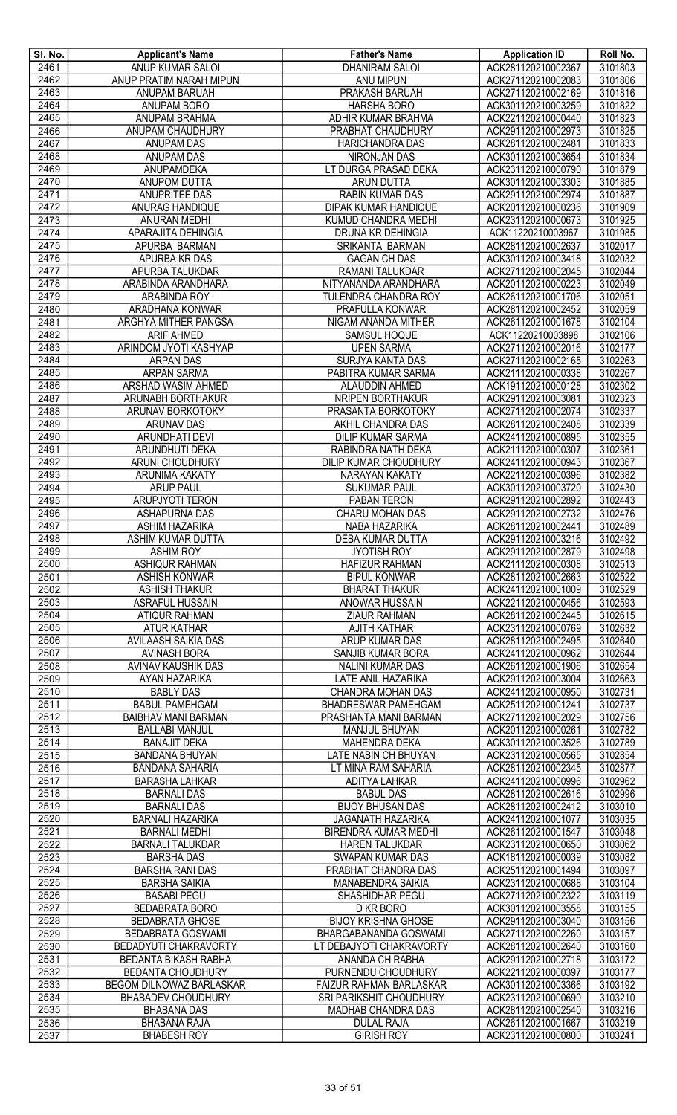| SI. No. | <b>Applicant's Name</b>      | <b>Father's Name</b>           | <b>Application ID</b> | Roll No. |
|---------|------------------------------|--------------------------------|-----------------------|----------|
| 2461    | ANUP KUMAR SALOI             | <b>DHANIRAM SALOI</b>          | ACK281120210002367    | 3101803  |
| 2462    | ANUP PRATIM NARAH MIPUN      | <b>ANU MIPUN</b>               | ACK271120210002083    | 3101806  |
| 2463    | ANUPAM BARUAH                | PRAKASH BARUAH                 | ACK271120210002169    | 3101816  |
| 2464    | <b>ANUPAM BORO</b>           | <b>HARSHA BORO</b>             | ACK301120210003259    | 3101822  |
| 2465    | <b>ANUPAM BRAHMA</b>         | ADHIR KUMAR BRAHMA             | ACK221120210000440    | 3101823  |
| 2466    | ANUPAM CHAUDHURY             | PRABHAT CHAUDHURY              | ACK291120210002973    | 3101825  |
| 2467    | ANUPAM DAS                   | <b>HARICHANDRA DAS</b>         | ACK281120210002481    | 3101833  |
| 2468    | ANUPAM DAS                   | NIRONJAN DAS                   | ACK301120210003654    | 3101834  |
| 2469    | ANUPAMDEKA                   | LT DURGA PRASAD DEKA           | ACK231120210000790    | 3101879  |
| 2470    | ANUPOM DUTTA                 | <b>ARUN DUTTA</b>              | ACK301120210003303    | 3101885  |
| 2471    | ANUPRITEE DAS                | <b>RABIN KUMAR DAS</b>         | ACK291120210002974    | 3101887  |
| 2472    | ANURAG HANDIQUE              | DIPAK KUMAR HANDIQUE           | ACK201120210000236    | 3101909  |
| 2473    | <b>ANURAN MEDHI</b>          | KUMUD CHANDRA MEDHI            | ACK231120210000673    | 3101925  |
| 2474    | APARAJITA DEHINGIA           | DRUNA KR DEHINGIA              | ACK11220210003967     | 3101985  |
| 2475    | APURBA BARMAN                | SRIKANTA BARMAN                | ACK281120210002637    | 3102017  |
| 2476    | <b>APURBA KR DAS</b>         | <b>GAGAN CH DAS</b>            | ACK301120210003418    | 3102032  |
| 2477    | <b>APURBA TALUKDAR</b>       | <b>RAMANI TALUKDAR</b>         | ACK271120210002045    | 3102044  |
| 2478    | ARABINDA ARANDHARA           | NITYANANDA ARANDHARA           | ACK201120210000223    | 3102049  |
| 2479    | ARABINDA ROY                 | <b>TULENDRA CHANDRA ROY</b>    | ACK261120210001706    | 3102051  |
| 2480    | ARADHANA KONWAR              | PRAFULLA KONWAR                | ACK281120210002452    | 3102059  |
| 2481    | ARGHYA MITHER PANGSA         | NIGAM ANANDA MITHER            | ACK261120210001678    | 3102104  |
| 2482    | <b>ARIF AHMED</b>            | SAMSUL HOQUE                   | ACK11220210003898     | 3102106  |
| 2483    | ARINDOM JYOTI KASHYAP        | <b>UPEN SARMA</b>              | ACK271120210002016    | 3102177  |
| 2484    | <b>ARPAN DAS</b>             | SURJYA KANTA DAS               | ACK271120210002165    | 3102263  |
| 2485    | <b>ARPAN SARMA</b>           | PABITRA KUMAR SARMA            | ACK211120210000338    | 3102267  |
| 2486    | <b>ARSHAD WASIM AHMED</b>    | ALAUDDIN AHMED                 | ACK191120210000128    | 3102302  |
| 2487    | ARUNABH BORTHAKUR            | NRIPEN BORTHAKUR               | ACK291120210003081    | 3102323  |
| 2488    | ARUNAV BORKOTOKY             | PRASANTA BORKOTOKY             | ACK271120210002074    | 3102337  |
| 2489    | <b>ARUNAV DAS</b>            | AKHIL CHANDRA DAS              | ACK281120210002408    | 3102339  |
| 2490    | <b>ARUNDHATI DEVI</b>        | <b>DILIP KUMAR SARMA</b>       | ACK241120210000895    | 3102355  |
| 2491    | ARUNDHUTI DEKA               | RABINDRA NATH DEKA             | ACK211120210000307    | 3102361  |
| 2492    | ARUNI CHOUDHURY              | DILIP KUMAR CHOUDHURY          | ACK241120210000943    | 3102367  |
| 2493    | ARUNIMA KAKATY               | NARAYAN KAKATY                 | ACK221120210000396    | 3102382  |
| 2494    | <b>ARUP PAUL</b>             | <b>SUKUMAR PAUL</b>            | ACK301120210003720    | 3102430  |
| 2495    | <b>ARUPJYOTI TERON</b>       | PABAN TERON                    | ACK291120210002892    | 3102443  |
| 2496    | <b>ASHAPURNA DAS</b>         | CHARU MOHAN DAS                | ACK291120210002732    | 3102476  |
| 2497    | <b>ASHIM HAZARIKA</b>        | NABA HAZARIKA                  | ACK281120210002441    | 3102489  |
| 2498    | <b>ASHIM KUMAR DUTTA</b>     | <b>DEBA KUMAR DUTTA</b>        | ACK291120210003216    | 3102492  |
| 2499    | <b>ASHIM ROY</b>             | <b>JYOTISH ROY</b>             | ACK291120210002879    | 3102498  |
| 2500    | <b>ASHIQUR RAHMAN</b>        | <b>HAFIZUR RAHMAN</b>          | ACK211120210000308    | 3102513  |
| 2501    | <b>ASHISH KONWAR</b>         | <b>BIPUL KONWAR</b>            | ACK281120210002663    | 3102522  |
| 2502    | <b>ASHISH THAKUR</b>         | <b>BHARAT THAKUR</b>           | ACK241120210001009    | 3102529  |
| 2503    | ASRAFUL HUSSAIN              | ANOWAR HUSSAIN                 | ACK221120210000456    | 3102593  |
| 2504    | <b>ATIQUR RAHMAN</b>         | <b>ZIAUR RAHMAN</b>            | ACK281120210002445    | 3102615  |
| 2505    | <b>ATUR KATHAR</b>           | <b>AJITH KATHAR</b>            | ACK231120210000769    | 3102632  |
| 2506    | AVILAASH SAIKIA DAS          | ARUP KUMAR DAS                 | ACK281120210002495    | 3102640  |
| 2507    | <b>AVINASH BORA</b>          | SANJIB KUMAR BORA              | ACK241120210000962    | 3102644  |
| 2508    | <b>AVINAV KAUSHIK DAS</b>    | <b>NALINI KUMAR DAS</b>        | ACK261120210001906    | 3102654  |
| 2509    | AYAN HAZARIKA                | LATE ANIL HAZARIKA             | ACK291120210003004    | 3102663  |
| 2510    | <b>BABLY DAS</b>             | CHANDRA MOHAN DAS              | ACK241120210000950    | 3102731  |
| 2511    | <b>BABUL PAMEHGAM</b>        | <b>BHADRESWAR PAMEHGAM</b>     | ACK251120210001241    | 3102737  |
| 2512    | BAIBHAV MANI BARMAN          | PRASHANTA MANI BARMAN          | ACK271120210002029    | 3102756  |
| 2513    | <b>BALLABI MANJUL</b>        | MANJUL BHUYAN                  | ACK201120210000261    | 3102782  |
| 2514    | <b>BANAJIT DEKA</b>          | <b>MAHENDRA DEKA</b>           | ACK301120210003526    | 3102789  |
| 2515    | <b>BANDANA BHUYAN</b>        | LATE NABIN CH BHUYAN           | ACK231120210000565    | 3102854  |
| 2516    | <b>BANDANA SAHARIA</b>       | LT MINA RAM SAHARIA            | ACK281120210002345    | 3102877  |
| 2517    | <b>BARASHA LAHKAR</b>        | <b>ADITYA LAHKAR</b>           | ACK241120210000996    | 3102962  |
| 2518    | <b>BARNALI DAS</b>           | <b>BABUL DAS</b>               | ACK281120210002616    | 3102996  |
| 2519    | <b>BARNALI DAS</b>           | <b>BIJOY BHUSAN DAS</b>        | ACK281120210002412    | 3103010  |
| 2520    | <b>BARNALI HAZARIKA</b>      | <b>JAGANATH HAZARIKA</b>       | ACK241120210001077    | 3103035  |
| 2521    | <b>BARNALI MEDHI</b>         | BIRENDRA KUMAR MEDHI           | ACK261120210001547    | 3103048  |
| 2522    | <b>BARNALI TALUKDAR</b>      | <b>HAREN TALUKDAR</b>          | ACK231120210000650    | 3103062  |
| 2523    | <b>BARSHA DAS</b>            | SWAPAN KUMAR DAS               | ACK181120210000039    | 3103082  |
| 2524    | <b>BARSHA RANI DAS</b>       | PRABHAT CHANDRA DAS            | ACK251120210001494    | 3103097  |
| 2525    | <b>BARSHA SAIKIA</b>         | MANABENDRA SAIKIA              | ACK231120210000688    | 3103104  |
| 2526    | <b>BASABI PEGU</b>           | SHASHIDHAR PEGU                | ACK271120210002322    | 3103119  |
| 2527    | <b>BEDABRATA BORO</b>        | D KR BORO                      | ACK301120210003558    | 3103155  |
| 2528    | <b>BEDABRATA GHOSE</b>       | <b>BIJOY KRISHNA GHOSE</b>     | ACK291120210003040    | 3103156  |
| 2529    | <b>BEDABRATA GOSWAMI</b>     | BHARGABANANDA GOSWAMI          | ACK271120210002260    | 3103157  |
| 2530    | <b>BEDADYUTI CHAKRAVORTY</b> | LT DEBAJYOTI CHAKRAVORTY       | ACK281120210002640    | 3103160  |
| 2531    | BEDANTA BIKASH RABHA         | ANANDA CH RABHA                | ACK291120210002718    | 3103172  |
| 2532    | <b>BEDANTA CHOUDHURY</b>     | PURNENDU CHOUDHURY             | ACK221120210000397    | 3103177  |
| 2533    | BEGOM DILNOWAZ BARLASKAR     | <b>FAIZUR RAHMAN BARLASKAR</b> | ACK301120210003366    | 3103192  |
| 2534    | <b>BHABADEV CHOUDHURY</b>    | SRI PARIKSHIT CHOUDHURY        | ACK231120210000690    | 3103210  |
| 2535    | <b>BHABANA DAS</b>           | <b>MADHAB CHANDRA DAS</b>      | ACK281120210002540    | 3103216  |
| 2536    | <b>BHABANA RAJA</b>          | <b>DULAL RAJA</b>              | ACK261120210001667    | 3103219  |
| 2537    | <b>BHABESH ROY</b>           | <b>GIRISH ROY</b>              | ACK231120210000800    | 3103241  |
|         |                              |                                |                       |          |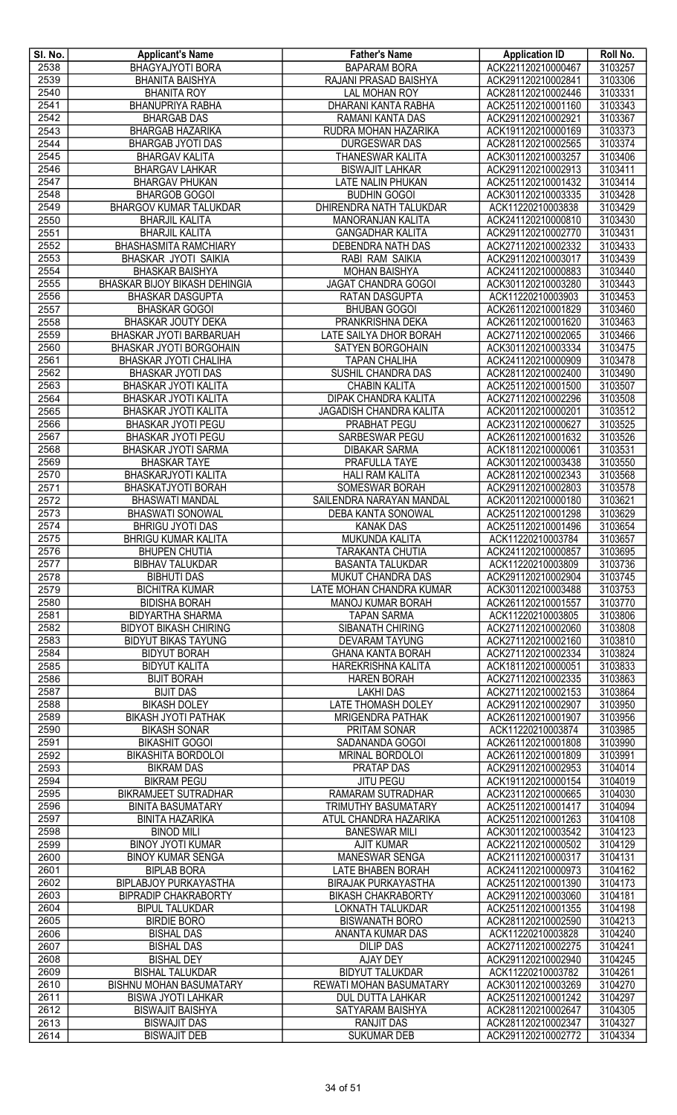| SI. No. | <b>Applicant's Name</b>              | <b>Father's Name</b>        | <b>Application ID</b> | Roll No. |
|---------|--------------------------------------|-----------------------------|-----------------------|----------|
| 2538    | <b>BHAGYAJYOTI BORA</b>              | <b>BAPARAM BORA</b>         | ACK221120210000467    | 3103257  |
| 2539    | <b>BHANITA BAISHYA</b>               | RAJANI PRASAD BAISHYA       | ACK291120210002841    | 3103306  |
| 2540    | <b>BHANITA ROY</b>                   | <b>LAL MOHAN ROY</b>        | ACK281120210002446    | 3103331  |
| 2541    | <b>BHANUPRIYA RABHA</b>              | DHARANI KANTA RABHA         | ACK251120210001160    | 3103343  |
| 2542    | <b>BHARGAB DAS</b>                   | <b>RAMANI KANTA DAS</b>     | ACK291120210002921    | 3103367  |
| 2543    | <b>BHARGAB HAZARIKA</b>              | RUDRA MOHAN HAZARIKA        | ACK191120210000169    | 3103373  |
| 2544    | <b>BHARGAB JYOTI DAS</b>             | <b>DURGESWAR DAS</b>        | ACK281120210002565    | 3103374  |
| 2545    | <b>BHARGAV KALITA</b>                | <b>THANESWAR KALITA</b>     | ACK301120210003257    | 3103406  |
| 2546    | <b>BHARGAV LAHKAR</b>                | <b>BISWAJIT LAHKAR</b>      | ACK291120210002913    | 3103411  |
| 2547    | <b>BHARGAV PHUKAN</b>                | LATE NALIN PHUKAN           | ACK251120210001432    | 3103414  |
| 2548    | <b>BHARGOB GOGOI</b>                 | <b>BUDHIN GOGOI</b>         | ACK301120210003335    | 3103428  |
| 2549    | <b>BHARGOV KUMAR TALUKDAR</b>        | DHIRENDRA NATH TALUKDAR     | ACK11220210003838     | 3103429  |
| 2550    | <b>BHARJIL KALITA</b>                | MANORANJAN KALITA           | ACK241120210000810    | 3103430  |
| 2551    | <b>BHARJIL KALITA</b>                | <b>GANGADHAR KALITA</b>     | ACK291120210002770    | 3103431  |
| 2552    | BHASHASMITA RAMCHIARY                | DEBENDRA NATH DAS           | ACK271120210002332    | 3103433  |
| 2553    | BHASKAR JYOTI SAIKIA                 | RABI RAM SAIKIA             | ACK291120210003017    | 3103439  |
| 2554    | <b>BHASKAR BAISHYA</b>               | <b>MOHAN BAISHYA</b>        | ACK241120210000883    | 3103440  |
| 2555    | <b>BHASKAR BIJOY BIKASH DEHINGIA</b> | JAGAT CHANDRA GOGOI         | ACK301120210003280    | 3103443  |
| 2556    | <b>BHASKAR DASGUPTA</b>              | RATAN DASGUPTA              | ACK11220210003903     | 3103453  |
| 2557    | <b>BHASKAR GOGOI</b>                 | <b>BHUBAN GOGOI</b>         | ACK261120210001829    | 3103460  |
| 2558    | <b>BHASKAR JOUTY DEKA</b>            | PRANKRISHNA DEKA            | ACK261120210001620    | 3103463  |
| 2559    | BHASKAR JYOTI BARBARUAH              | LATE SAILYA DHOR BORAH      | ACK271120210002065    | 3103466  |
| 2560    | BHASKAR JYOTI BORGOHAIN              | SATYEN BORGOHAIN            | ACK301120210003334    | 3103475  |
| 2561    | BHASKAR JYOTI CHALIHA                | <b>TAPAN CHALIHA</b>        | ACK241120210000909    | 3103478  |
| 2562    | BHASKAR JYOTI DAS                    | SUSHIL CHANDRA DAS          | ACK281120210002400    | 3103490  |
| 2563    | BHASKAR JYOTI KALITA                 | <b>CHABIN KALITA</b>        | ACK251120210001500    | 3103507  |
| 2564    | BHASKAR JYOTI KALITA                 | <b>DIPAK CHANDRA KALITA</b> | ACK271120210002296    | 3103508  |
| 2565    | <b>BHASKAR JYOTI KALITA</b>          | JAGADISH CHANDRA KALITA     | ACK201120210000201    | 3103512  |
| 2566    | <b>BHASKAR JYOTI PEGU</b>            | <b>PRABHAT PEGU</b>         | ACK231120210000627    | 3103525  |
| 2567    | <b>BHASKAR JYOTI PEGU</b>            | <b>SARBESWAR PEGU</b>       | ACK261120210001632    | 3103526  |
| 2568    | BHASKAR JYOTI SARMA                  | <b>DIBAKAR SARMA</b>        | ACK181120210000061    | 3103531  |
| 2569    | <b>BHASKAR TAYE</b>                  | PRAFULLA TAYE               | ACK301120210003438    | 3103550  |
| 2570    | BHASKARJYOTI KALITA                  | <b>HALI RAM KALITA</b>      | ACK281120210002343    | 3103568  |
| 2571    | BHASKATJYOTI BORAH                   | <b>SOMESWAR BORAH</b>       | ACK291120210002803    | 3103578  |
| 2572    | <b>BHASWATI MANDAL</b>               | SAILENDRA NARAYAN MANDAL    | ACK201120210000180    | 3103621  |
| 2573    | <b>BHASWATI SONOWAL</b>              | DEBA KANTA SONOWAL          | ACK251120210001298    | 3103629  |
| 2574    | <b>BHRIGU JYOTI DAS</b>              | <b>KANAK DAS</b>            | ACK251120210001496    | 3103654  |
| 2575    | <b>BHRIGU KUMAR KALITA</b>           | MUKUNDA KALITA              | ACK11220210003784     | 3103657  |
| 2576    | <b>BHUPEN CHUTIA</b>                 | <b>TARAKANTA CHUTIA</b>     | ACK241120210000857    | 3103695  |
| 2577    | <b>BIBHAV TALUKDAR</b>               | <b>BASANTA TALUKDAR</b>     | ACK11220210003809     | 3103736  |
| 2578    | <b>BIBHUTI DAS</b>                   | MUKUT CHANDRA DAS           | ACK291120210002904    | 3103745  |
| 2579    | <b>BICHITRA KUMAR</b>                | LATE MOHAN CHANDRA KUMAR    | ACK301120210003488    | 3103753  |
| 2580    | <b>BIDISHA BORAH</b>                 | <b>MANOJ KUMAR BORAH</b>    | ACK261120210001557    | 3103770  |
| 2581    | <b>BIDYARTHA SHARMA</b>              | <b>TAPAN SARMA</b>          | ACK11220210003805     | 3103806  |
| 2582    | <b>BIDYOT BIKASH CHIRING</b>         | SIBANATH CHIRING            | ACK271120210002060    | 3103808  |
| 2583    | <b>BIDYUT BIKAS TAYUNG</b>           | <b>DEVARAM TAYUNG</b>       | ACK271120210002160    | 3103810  |
| 2584    | <b>BIDYUT BORAH</b>                  | <b>GHANA KANTA BORAH</b>    | ACK271120210002334    | 3103824  |
| 2585    | <b>BIDYUT KALITA</b>                 | HAREKRISHNA KALITA          | ACK181120210000051    | 3103833  |
| 2586    | <b>BIJIT BORAH</b>                   | <b>HAREN BORAH</b>          | ACK271120210002335    | 3103863  |
| 2587    | <b>BIJIT DAS</b>                     | <b>LAKHI DAS</b>            | ACK271120210002153    | 3103864  |
| 2588    | <b>BIKASH DOLEY</b>                  | <b>LATE THOMASH DOLEY</b>   | ACK291120210002907    | 3103950  |
| 2589    | <b>BIKASH JYOTI PATHAK</b>           | <b>MRIGENDRA PATHAK</b>     | ACK261120210001907    | 3103956  |
| 2590    | <b>BIKASH SONAR</b>                  | PRITAM SONAR                | ACK11220210003874     | 3103985  |
| 2591    | <b>BIKASHIT GOGOI</b>                | SADANANDA GOGOI             | ACK261120210001808    | 3103990  |
| 2592    | <b>BIKASHITA BORDOLOI</b>            | MRINAL BORDOLOI             | ACK261120210001809    | 3103991  |
| 2593    | <b>BIKRAM DAS</b>                    | PRATAP DAS                  | ACK291120210002953    | 3104014  |
| 2594    | <b>BIKRAM PEGU</b>                   | <b>JITU PEGU</b>            | ACK191120210000154    | 3104019  |
| 2595    | <b>BIKRAMJEET SUTRADHAR</b>          | <b>RAMARAM SUTRADHAR</b>    | ACK231120210000665    | 3104030  |
| 2596    | <b>BINITA BASUMATARY</b>             | TRIMUTHY BASUMATARY         | ACK251120210001417    | 3104094  |
| 2597    | <b>BINITA HAZARIKA</b>               | ATUL CHANDRA HAZARIKA       | ACK251120210001263    | 3104108  |
| 2598    | <b>BINOD MILI</b>                    | <b>BANESWAR MILI</b>        | ACK301120210003542    | 3104123  |
| 2599    | <b>BINOY JYOTI KUMAR</b>             | <b>AJIT KUMAR</b>           | ACK221120210000502    | 3104129  |
| 2600    | <b>BINOY KUMAR SENGA</b>             | <b>MANESWAR SENGA</b>       | ACK211120210000317    | 3104131  |
| 2601    | <b>BIPLAB BORA</b>                   | LATE BHABEN BORAH           | ACK241120210000973    | 3104162  |
| 2602    | <b>BIPLABJOY PURKAYASTHA</b>         | <b>BIRAJAK PURKAYASTHA</b>  | ACK251120210001390    | 3104173  |
| 2603    | <b>BIPRADIP CHAKRABORTY</b>          | <b>BIKASH CHAKRABORTY</b>   | ACK291120210003060    | 3104181  |
| 2604    | <b>BIPUL TALUKDAR</b>                | <b>LOKNATH TALUKDAR</b>     | ACK251120210001355    | 3104198  |
| 2605    | <b>BIRDIE BORO</b>                   | <b>BISWANATH BORO</b>       | ACK281120210002590    | 3104213  |
| 2606    | <b>BISHAL DAS</b>                    | <b>ANANTA KUMAR DAS</b>     | ACK11220210003828     | 3104240  |
| 2607    | <b>BISHAL DAS</b>                    | <b>DILIP DAS</b>            | ACK271120210002275    | 3104241  |
| 2608    | <b>BISHAL DEY</b>                    | AJAY DEY                    | ACK291120210002940    | 3104245  |
| 2609    | <b>BISHAL TALUKDAR</b>               | <b>BIDYUT TALUKDAR</b>      | ACK11220210003782     | 3104261  |
| 2610    | BISHNU MOHAN BASUMATARY              | REWATI MOHAN BASUMATARY     | ACK301120210003269    | 3104270  |
| 2611    | <b>BISWA JYOTI LAHKAR</b>            | DUL DUTTA LAHKAR            | ACK251120210001242    | 3104297  |
| 2612    | <b>BISWAJIT BAISHYA</b>              | SATYARAM BAISHYA            | ACK281120210002647    | 3104305  |
| 2613    | <b>BISWAJIT DAS</b>                  | <b>RANJIT DAS</b>           | ACK281120210002347    | 3104327  |
| 2614    | <b>BISWAJIT DEB</b>                  | <b>SUKUMAR DEB</b>          | ACK291120210002772    | 3104334  |
|         |                                      |                             |                       |          |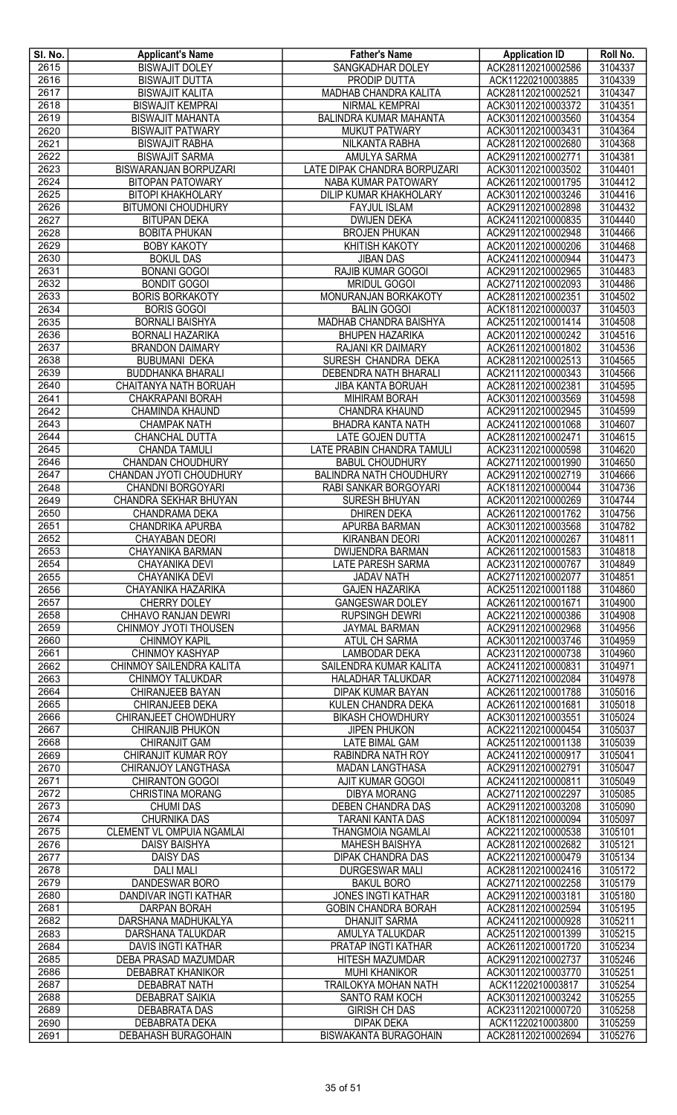| SI. No. | <b>Applicant's Name</b>          | <b>Father's Name</b>                           | <b>Application ID</b> | Roll No. |
|---------|----------------------------------|------------------------------------------------|-----------------------|----------|
| 2615    | <b>BISWAJIT DOLEY</b>            | SANGKADHAR DOLEY                               | ACK281120210002586    | 3104337  |
| 2616    | <b>BISWAJIT DUTTA</b>            | <b>PRODIP DUTTA</b>                            | ACK11220210003885     | 3104339  |
| 2617    | <b>BISWAJIT KALITA</b>           | MADHAB CHANDRA KALITA                          | ACK281120210002521    | 3104347  |
| 2618    | <b>BISWAJIT KEMPRAI</b>          | <b>NIRMAL KEMPRAI</b>                          | ACK301120210003372    | 3104351  |
| 2619    | <b>BISWAJIT MAHANTA</b>          | <b>BALINDRA KUMAR MAHANTA</b>                  | ACK301120210003560    | 3104354  |
| 2620    | <b>BISWAJIT PATWARY</b>          | <b>MUKUT PATWARY</b>                           | ACK301120210003431    | 3104364  |
| 2621    | <b>BISWAJIT RABHA</b>            | NILKANTA RABHA                                 | ACK281120210002680    | 3104368  |
| 2622    | <b>BISWAJIT SARMA</b>            | AMULYA SARMA                                   | ACK291120210002771    | 3104381  |
| 2623    | <b>BISWARANJAN BORPUZARI</b>     | LATE DIPAK CHANDRA BORPUZARI                   | ACK301120210003502    | 3104401  |
| 2624    | <b>BITOPAN PATOWARY</b>          | NABA KUMAR PATOWARY                            | ACK261120210001795    | 3104412  |
| 2625    | <b>BITOPI KHAKHOLARY</b>         | <b>DILIP KUMAR KHAKHOLARY</b>                  | ACK301120210003246    | 3104416  |
| 2626    | <b>BITUMONI CHOUDHURY</b>        | <b>FAYJUL ISLAM</b>                            | ACK291120210002898    | 3104432  |
| 2627    | <b>BITUPAN DEKA</b>              | <b>DWIJEN DEKA</b>                             | ACK241120210000835    | 3104440  |
| 2628    | <b>BOBITA PHUKAN</b>             | <b>BROJEN PHUKAN</b>                           | ACK291120210002948    | 3104466  |
| 2629    | <b>BOBY KAKOTY</b>               | <b>KHITISH KAKOTY</b>                          | ACK201120210000206    | 3104468  |
| 2630    | <b>BOKUL DAS</b>                 | <b>JIBAN DAS</b>                               | ACK241120210000944    | 3104473  |
| 2631    | <b>BONANI GOGOI</b>              | <b>RAJIB KUMAR GOGOI</b>                       | ACK291120210002965    | 3104483  |
| 2632    | <b>BONDIT GOGOI</b>              | <b>MRIDUL GOGOI</b>                            | ACK271120210002093    | 3104486  |
| 2633    | <b>BORIS BORKAKOTY</b>           | MONURANJAN BORKAKOTY                           | ACK281120210002351    | 3104502  |
| 2634    | <b>BORIS GOGOI</b>               | <b>BALIN GOGOI</b>                             | ACK181120210000037    | 3104503  |
| 2635    | <b>BORNALI BAISHYA</b>           | MADHAB CHANDRA BAISHYA                         | ACK251120210001414    | 3104508  |
| 2636    | <b>BORNALI HAZARIKA</b>          | <b>BHUPEN HAZARIKA</b>                         | ACK201120210000242    | 3104516  |
| 2637    | <b>BRANDON DAIMARY</b>           | RAJANI KR DAIMARY                              | ACK261120210001802    | 3104536  |
| 2638    | <b>BUBUMANI DEKA</b>             | SURESH CHANDRA DEKA                            | ACK281120210002513    | 3104565  |
| 2639    | <b>BUDDHANKA BHARALI</b>         | DEBENDRA NATH BHARALI                          | ACK211120210000343    | 3104566  |
| 2640    | CHAITANYA NATH BORUAH            | <b>JIBA KANTA BORUAH</b>                       | ACK281120210002381    | 3104595  |
| 2641    | CHAKRAPANI BORAH                 | <b>MIHIRAM BORAH</b>                           | ACK301120210003569    | 3104598  |
| 2642    | CHAMINDA KHAUND                  | <b>CHANDRA KHAUND</b>                          | ACK291120210002945    | 3104599  |
| 2643    | <b>CHAMPAK NATH</b>              | BHADRA KANTA NATH                              | ACK241120210001068    | 3104607  |
| 2644    | CHANCHAL DUTTA                   | <b>LATE GOJEN DUTTA</b>                        | ACK281120210002471    | 3104615  |
| 2645    | <b>CHANDA TAMULI</b>             | LATE PRABIN CHANDRA TAMULI                     | ACK231120210000598    | 3104620  |
| 2646    | CHANDAN CHOUDHURY                | <b>BABUL CHOUDHURY</b>                         | ACK271120210001990    | 3104650  |
| 2647    | CHANDAN JYOTI CHOUDHURY          | BALINDRA NATH CHOUDHURY                        | ACK291120210002719    | 3104666  |
| 2648    | CHANDNI BORGOYARI                | RABI SANKAR BORGOYARI                          | ACK181120210000044    | 3104736  |
| 2649    | CHANDRA SEKHAR BHUYAN            | SURESH BHUYAN                                  | ACK201120210000269    | 3104744  |
| 2650    | CHANDRAMA DEKA                   | <b>DHIREN DEKA</b>                             | ACK261120210001762    | 3104756  |
| 2651    | <b>CHANDRIKA APURBA</b>          | APURBA BARMAN                                  | ACK301120210003568    | 3104782  |
| 2652    | <b>CHAYABAN DEORI</b>            | <b>KIRANBAN DEORI</b>                          | ACK201120210000267    | 3104811  |
| 2653    | CHAYANIKA BARMAN                 | <b>DWIJENDRA BARMAN</b>                        | ACK261120210001583    | 3104818  |
| 2654    | CHAYANIKA DEVI                   | <b>LATE PARESH SARMA</b>                       | ACK231120210000767    | 3104849  |
| 2655    | <b>CHAYANIKA DEVI</b>            | <b>JADAV NATH</b>                              | ACK271120210002077    | 3104851  |
| 2656    | CHAYANIKA HAZARIKA               | <b>GAJEN HAZARIKA</b>                          | ACK251120210001188    | 3104860  |
| 2657    | CHERRY DOLEY                     | <b>GANGESWAR DOLEY</b>                         | ACK261120210001671    | 3104900  |
| 2658    | <b>CHHAVO RANJAN DEWRI</b>       | <b>RUPSINGH DEWRI</b>                          | ACK221120210000386    | 3104908  |
| 2659    | CHINMOY JYOTI THOUSEN            | <b>JAYMAL BARMAN</b>                           | ACK291120210002968    | 3104956  |
| 2660    | <b>CHINMOY KAPIL</b>             | ATUL CH SARMA                                  | ACK301120210003746    | 3104959  |
| 2661    | CHINMOY KASHYAP                  | LAMBODAR DEKA                                  | ACK231120210000738    | 3104960  |
| 2662    | CHINMOY SAILENDRA KALITA         | SAILENDRA KUMAR KALITA                         | ACK241120210000831    | 3104971  |
| 2663    | CHINMOY TALUKDAR                 | HALADHAR TALUKDAR                              | ACK271120210002084    | 3104978  |
| 2664    | CHIRANJEEB BAYAN                 | DIPAK KUMAR BAYAN                              | ACK261120210001788    | 3105016  |
| 2665    | CHIRANJEEB DEKA                  | KULEN CHANDRA DEKA                             | ACK261120210001681    | 3105018  |
| 2666    | CHIRANJEET CHOWDHURY             | <b>BIKASH CHOWDHURY</b>                        | ACK301120210003551    | 3105024  |
| 2667    | CHIRANJIB PHUKON                 | <b>JIPEN PHUKON</b>                            | ACK221120210000454    | 3105037  |
| 2668    | <b>CHIRANJIT GAM</b>             | <b>LATE BIMAL GAM</b>                          | ACK251120210001138    | 3105039  |
| 2669    | <b>CHIRANJIT KUMAR ROY</b>       | RABINDRA NATH ROY                              | ACK241120210000917    | 3105041  |
| 2670    | CHIRANJOY LANGTHASA              | <b>MADAN LANGTHASA</b>                         | ACK291120210002791    | 3105047  |
| 2671    | <b>CHIRANTON GOGOI</b>           | AJIT KUMAR GOGOI                               | ACK241120210000811    | 3105049  |
| 2672    | <b>CHRISTINA MORANG</b>          | <b>DIBYA MORANG</b>                            | ACK271120210002297    | 3105085  |
| 2673    | <b>CHUMI DAS</b>                 | DEBEN CHANDRA DAS                              | ACK291120210003208    | 3105090  |
| 2674    | CHURNIKA DAS                     | TARANI KANTA DAS                               | ACK181120210000094    | 3105097  |
| 2675    | <b>CLEMENT VL OMPUIA NGAMLAI</b> | THANGMOIA NGAMLAI                              | ACK221120210000538    | 3105101  |
| 2676    | <b>DAISY BAISHYA</b>             | <b>MAHESH BAISHYA</b>                          | ACK281120210002682    | 3105121  |
| 2677    | <b>DAISY DAS</b>                 | DIPAK CHANDRA DAS                              | ACK221120210000479    | 3105134  |
| 2678    | <b>DALI MALI</b>                 | <b>DURGESWAR MALI</b>                          | ACK281120210002416    | 3105172  |
| 2679    | <b>DANDESWAR BORO</b>            | <b>BAKUL BORO</b>                              | ACK271120210002258    | 3105179  |
| 2680    | DANDIVAR INGTI KATHAR            | <b>JONES INGTI KATHAR</b>                      | ACK291120210003181    | 3105180  |
| 2681    | <b>DARPAN BORAH</b>              | <b>GOBIN CHANDRA BORAH</b>                     | ACK281120210002594    | 3105195  |
| 2682    | DARSHANA MADHUKALYA              | <b>DHANJIT SARMA</b>                           | ACK241120210000928    | 3105211  |
| 2683    | DARSHANA TALUKDAR                | <b>AMULYA TALUKDAR</b>                         | ACK251120210001399    | 3105215  |
| 2684    | <b>DAVIS INGTI KATHAR</b>        | PRATAP INGTI KATHAR                            | ACK261120210001720    | 3105234  |
| 2685    |                                  |                                                |                       |          |
|         | DEBA PRASAD MAZUMDAR             | <b>HITESH MAZUMDAR</b><br><b>MUHI KHANIKOR</b> | ACK291120210002737    | 3105246  |
| 2686    | DEBABRAT KHANIKOR                |                                                | ACK301120210003770    | 3105251  |
| 2687    | <b>DEBABRAT NATH</b>             | TRAILOKYA MOHAN NATH                           | ACK11220210003817     | 3105254  |
| 2688    | DEBABRAT SAIKIA                  | SANTO RAM KOCH                                 | ACK301120210003242    | 3105255  |
| 2689    | DEBABRATA DAS                    | <b>GIRISH CH DAS</b>                           | ACK231120210000720    | 3105258  |
| 2690    | DEBABRATA DEKA                   | <b>DIPAK DEKA</b>                              | ACK11220210003800     | 3105259  |
| 2691    | <b>DEBAHASH BURAGOHAIN</b>       | <b>BISWAKANTA BURAGOHAIN</b>                   | ACK281120210002694    | 3105276  |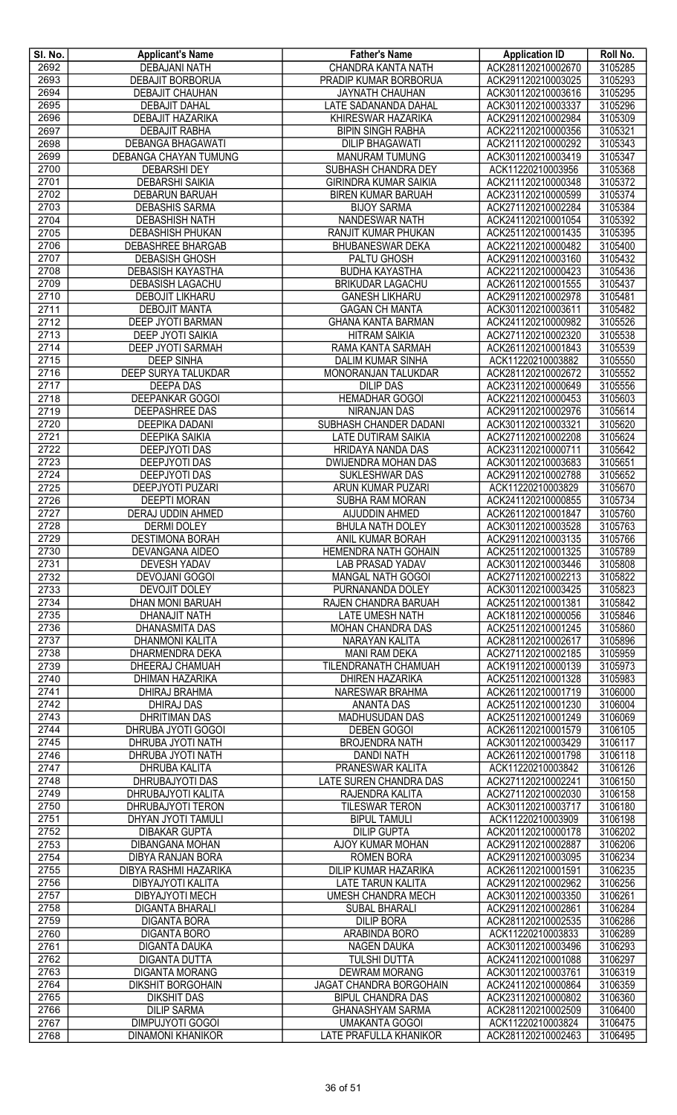| SI. No.      | <b>Applicant's Name</b>                         | <b>Father's Name</b>                                | <b>Application ID</b>                    | Roll No.           |
|--------------|-------------------------------------------------|-----------------------------------------------------|------------------------------------------|--------------------|
| 2692         | <b>DEBAJANI NATH</b>                            | CHANDRA KANTA NATH                                  | ACK281120210002670                       | 3105285            |
| 2693         | DEBAJIT BORBORUA                                | PRADIP KUMAR BORBORUA                               | ACK291120210003025                       | 3105293            |
| 2694         | DEBAJIT CHAUHAN                                 | <b>JAYNATH CHAUHAN</b>                              | ACK301120210003616                       | 3105295            |
| 2695<br>2696 | <b>DEBAJIT DAHAL</b><br><b>DEBAJIT HAZARIKA</b> | LATE SADANANDA DAHAL<br>KHIRESWAR HAZARIKA          | ACK301120210003337<br>ACK291120210002984 | 3105296<br>3105309 |
| 2697         | <b>DEBAJIT RABHA</b>                            | <b>BIPIN SINGH RABHA</b>                            | ACK221120210000356                       | 3105321            |
| 2698         | <b>DEBANGA BHAGAWATI</b>                        | <b>DILIP BHAGAWATI</b>                              | ACK211120210000292                       | 3105343            |
| 2699         | DEBANGA CHAYAN TUMUNG                           | <b>MANURAM TUMUNG</b>                               | ACK301120210003419                       | 3105347            |
| 2700         | <b>DEBARSHI DEY</b>                             | SUBHASH CHANDRA DEY                                 | ACK11220210003956                        | 3105368            |
| 2701         | <b>DEBARSHI SAIKIA</b>                          | <b>GIRINDRA KUMAR SAIKIA</b>                        | ACK211120210000348                       | 3105372            |
| 2702         | <b>DEBARUN BARUAH</b>                           | <b>BIREN KUMAR BARUAH</b>                           | ACK231120210000599                       | 3105374            |
| 2703         | DEBASHIS SARMA                                  | <b>BIJOY SARMA</b>                                  | ACK271120210002284                       | 3105384            |
| 2704         | <b>DEBASHISH NATH</b>                           | NANDESWAR NATH                                      | ACK241120210001054                       | 3105392            |
| 2705<br>2706 | <b>DEBASHISH PHUKAN</b><br>DEBASHREE BHARGAB    | RANJIT KUMAR PHUKAN<br><b>BHUBANESWAR DEKA</b>      | ACK251120210001435<br>ACK221120210000482 | 3105395<br>3105400 |
| 2707         | <b>DEBASISH GHOSH</b>                           | PALTU GHOSH                                         | ACK291120210003160                       | 3105432            |
| 2708         | <b>DEBASISH KAYASTHA</b>                        | <b>BUDHA KAYASTHA</b>                               | ACK221120210000423                       | 3105436            |
| 2709         | <b>DEBASISH LAGACHU</b>                         | <b>BRIKUDAR LAGACHU</b>                             | ACK261120210001555                       | 3105437            |
| 2710         | <b>DEBOJIT LIKHARU</b>                          | <b>GANESH LIKHARU</b>                               | ACK291120210002978                       | 3105481            |
| 2711         | <b>DEBOJIT MANTA</b>                            | <b>GAGAN CH MANTA</b>                               | ACK301120210003611                       | 3105482            |
| 2712         | DEEP JYOTI BARMAN                               | <b>GHANA KANTA BARMAN</b>                           | ACK241120210000982                       | 3105526            |
| 2713         | DEEP JYOTI SAIKIA                               | <b>HITRAM SAIKIA</b>                                | ACK271120210002320                       | 3105538            |
| 2714         | DEEP JYOTI SARMAH                               | RAMA KANTA SARMAH                                   | ACK261120210001843                       | 3105539            |
| 2715<br>2716 | <b>DEEP SINHA</b><br>DEEP SURYA TALUKDAR        | <b>DALIM KUMAR SINHA</b><br>MONORANJAN TALUKDAR     | ACK11220210003882<br>ACK281120210002672  | 3105550<br>3105552 |
| 2717         | <b>DEEPA DAS</b>                                | <b>DILIP DAS</b>                                    | ACK231120210000649                       | 3105556            |
| 2718         | DEEPANKAR GOGOI                                 | <b>HEMADHAR GOGOI</b>                               | ACK221120210000453                       | 3105603            |
| 2719         | <b>DEEPASHREE DAS</b>                           | NIRANJAN DAS                                        | ACK291120210002976                       | 3105614            |
| 2720         | <b>DEEPIKA DADANI</b>                           | SUBHASH CHANDER DADANI                              | ACK301120210003321                       | 3105620            |
| 2721         | <b>DEEPIKA SAIKIA</b>                           | LATE DUTIRAM SAIKIA                                 | ACK271120210002208                       | 3105624            |
| 2722         | <b>DEEPJYOTI DAS</b>                            | <b>HRIDAYA NANDA DAS</b>                            | ACK231120210000711                       | 3105642            |
| 2723         | <b>DEEPJYOTI DAS</b>                            | DWIJENDRA MOHAN DAS                                 | ACK301120210003683                       | 3105651            |
| 2724         | <b>DEEPJYOTI DAS</b>                            | SUKLESHWAR DAS                                      | ACK291120210002788                       | 3105652            |
| 2725         | <b>DEEPJYOTI PUZARI</b>                         | ARUN KUMAR PUZARI                                   | ACK11220210003829                        | 3105670            |
| 2726<br>2727 | <b>DEEPTI MORAN</b><br><b>DERAJ UDDIN AHMED</b> | SUBHA RAM MORAN<br>AIJUDDIN AHMED                   | ACK241120210000855<br>ACK261120210001847 | 3105734<br>3105760 |
| 2728         | <b>DERMI DOLEY</b>                              | <b>BHULA NATH DOLEY</b>                             | ACK301120210003528                       | 3105763            |
| 2729         | <b>DESTIMONA BORAH</b>                          | ANIL KUMAR BORAH                                    | ACK291120210003135                       | 3105766            |
| 2730         | DEVANGANA AIDEO                                 | HEMENDRA NATH GOHAIN                                | ACK251120210001325                       | 3105789            |
| 2731         | <b>DEVESH YADAV</b>                             | <b>LAB PRASAD YADAV</b>                             | ACK301120210003446                       | 3105808            |
| 2732         | <b>DEVOJANI GOGOI</b>                           | <b>MANGAL NATH GOGOI</b>                            | ACK271120210002213                       | 3105822            |
| 2733         | DEVOJIT DOLEY                                   | PURNANANDA DOLEY                                    | ACK301120210003425                       | 3105823            |
| 2734         | <b>DHAN MONI BARUAH</b>                         | RAJEN CHANDRA BARUAH                                | ACK251120210001381                       | 3105842            |
| 2735         | <b>DHANAJIT NATH</b>                            | <b>LATE UMESH NATH</b>                              | ACK181120210000056                       | 3105846            |
| 2736<br>2737 | DHANASMITA DAS<br><b>DHANMONI KALITA</b>        | MOHAN CHANDRA DAS<br>NARAYAN KALITA                 | ACK251120210001245<br>ACK281120210002617 | 3105860<br>3105896 |
| 2738         | <b>DHARMENDRA DEKA</b>                          | <b>MANI RAM DEKA</b>                                | ACK271120210002185                       | 3105959            |
| 2739         | DHEERAJ CHAMUAH                                 | TILENDRANATH CHAMUAH                                | ACK191120210000139                       | 3105973            |
| 2740         | DHIMAN HAZARIKA                                 | <b>DHIREN HAZARIKA</b>                              | ACK251120210001328                       | 3105983            |
| 2741         | <b>DHIRAJ BRAHMA</b>                            | NARESWAR BRAHMA                                     | ACK261120210001719                       | 3106000            |
| 2742         | <b>DHIRAJ DAS</b>                               | <b>ANANTA DAS</b>                                   | ACK251120210001230                       | 3106004            |
| 2743         | DHRITIMAN DAS                                   | <b>MADHUSUDAN DAS</b>                               | ACK251120210001249                       | 3106069            |
| 2744         | DHRUBA JYOTI GOGOI                              | <b>DEBEN GOGOI</b>                                  | ACK261120210001579                       | 3106105            |
| 2745<br>2746 | DHRUBA JYOTI NATH<br>DHRUBA JYOTI NATH          | <b>BROJENDRA NATH</b><br><b>DANDI NATH</b>          | ACK301120210003429<br>ACK261120210001798 | 3106117<br>3106118 |
| 2747         | DHRUBA KALITA                                   | PRANESWAR KALITA                                    | ACK11220210003842                        | 3106126            |
| 2748         | DHRUBAJYOTI DAS                                 | <b>LATE SUREN CHANDRA DAS</b>                       | ACK271120210002241                       | 3106150            |
| 2749         | DHRUBAJYOTI KALITA                              | RAJENDRA KALITA                                     | ACK271120210002030                       | 3106158            |
| 2750         | DHRUBAJYOTI TERON                               | <b>TILESWAR TERON</b>                               | ACK301120210003717                       | 3106180            |
| 2751         | DHYAN JYOTI TAMULI                              | <b>BIPUL TAMULI</b>                                 | ACK11220210003909                        | 3106198            |
| 2752         | <b>DIBAKAR GUPTA</b>                            | <b>DILIP GUPTA</b>                                  | ACK201120210000178                       | 3106202            |
| 2753         | <b>DIBANGANA MOHAN</b>                          | AJOY KUMAR MOHAN                                    | ACK291120210002887                       | 3106206            |
| 2754<br>2755 | DIBYA RANJAN BORA                               | <b>ROMEN BORA</b>                                   | ACK291120210003095                       | 3106234            |
| 2756         | DIBYA RASHMI HAZARIKA<br>DIBYAJYOTI KALITA      | DILIP KUMAR HAZARIKA<br><b>LATE TARUN KALITA</b>    | ACK261120210001591<br>ACK291120210002962 | 3106235<br>3106256 |
| 2757         | <b>DIBYAJYOTI MECH</b>                          | <b>UMESH CHANDRA MECH</b>                           | ACK301120210003350                       | 3106261            |
| 2758         | <b>DIGANTA BHARALI</b>                          | <b>SUBAL BHARALI</b>                                | ACK291120210002861                       | 3106284            |
| 2759         | <b>DIGANTA BORA</b>                             | <b>DILIP BORA</b>                                   | ACK281120210002535                       | 3106286            |
| 2760         | <b>DIGANTA BORO</b>                             | ARABINDA BORO                                       | ACK11220210003833                        | 3106289            |
| 2761         | <b>DIGANTA DAUKA</b>                            | NAGEN DAUKA                                         | ACK301120210003496                       | 3106293            |
| 2762         | <b>DIGANTA DUTTA</b>                            | <b>TULSHI DUTTA</b>                                 | ACK241120210001088                       | 3106297            |
| 2763         | <b>DIGANTA MORANG</b>                           | <b>DEWRAM MORANG</b>                                | ACK301120210003761                       | 3106319            |
| 2764<br>2765 | <b>DIKSHIT BORGOHAIN</b>                        | JAGAT CHANDRA BORGOHAIN                             | ACK241120210000864<br>ACK231120210000802 | 3106359<br>3106360 |
| 2766         | <b>DIKSHIT DAS</b><br><b>DILIP SARMA</b>        | <b>BIPUL CHANDRA DAS</b><br><b>GHANASHYAM SARMA</b> | ACK281120210002509                       | 3106400            |
| 2767         | <b>DIMPUJYOTI GOGOI</b>                         | <b>UMAKANTA GOGOI</b>                               | ACK11220210003824                        | 3106475            |
| 2768         | <b>DINAMONI KHANIKOR</b>                        | LATE PRAFULLA KHANIKOR                              | ACK281120210002463                       | 3106495            |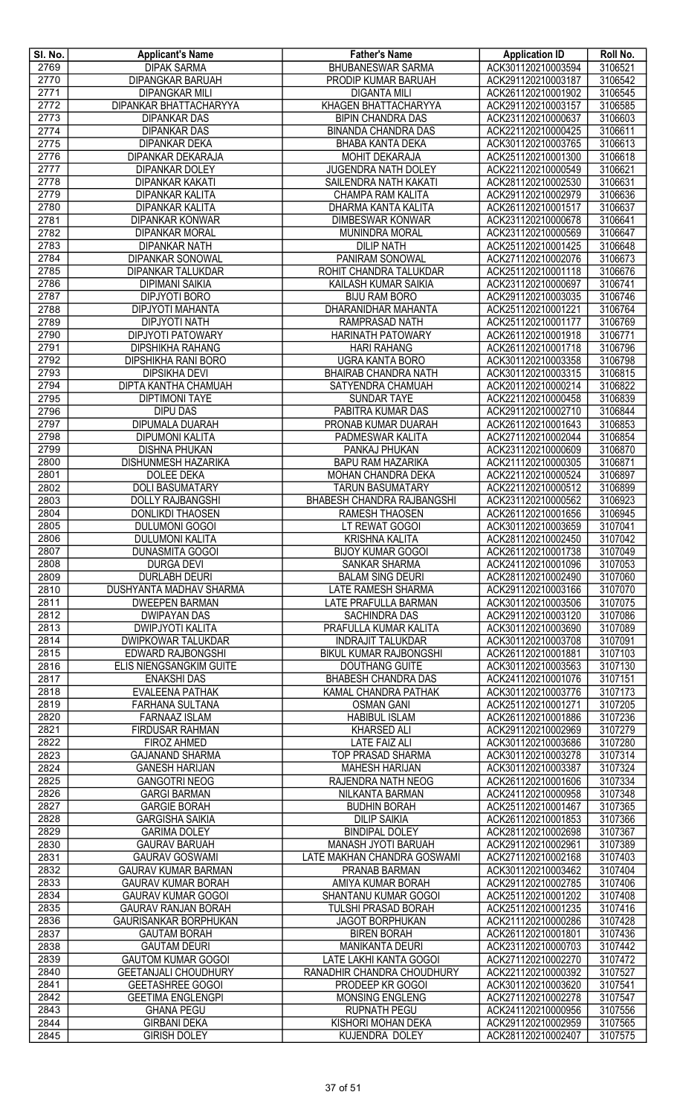| SI. No. | <b>Applicant's Name</b>        | <b>Father's Name</b>              | <b>Application ID</b> | Roll No. |
|---------|--------------------------------|-----------------------------------|-----------------------|----------|
| 2769    | <b>DIPAK SARMA</b>             | <b>BHUBANESWAR SARMA</b>          | ACK301120210003594    | 3106521  |
| 2770    | DIPANGKAR BARUAH               | PRODIP KUMAR BARUAH               | ACK291120210003187    | 3106542  |
| 2771    | <b>DIPANGKAR MILI</b>          | <b>DIGANTA MILI</b>               | ACK261120210001902    | 3106545  |
| 2772    | <b>DIPANKAR BHATTACHARYYA</b>  | KHAGEN BHATTACHARYYA              | ACK291120210003157    | 3106585  |
| 2773    | <b>DIPANKAR DAS</b>            | <b>BIPIN CHANDRA DAS</b>          | ACK231120210000637    | 3106603  |
| 2774    | <b>DIPANKAR DAS</b>            | <b>BINANDA CHANDRA DAS</b>        | ACK221120210000425    | 3106611  |
| 2775    | <b>DIPANKAR DEKA</b>           | BHABA KANTA DEKA                  | ACK301120210003765    | 3106613  |
| 2776    | DIPANKAR DEKARAJA              | MOHIT DEKARAJA                    | ACK251120210001300    | 3106618  |
| 2777    | <b>DIPANKAR DOLEY</b>          | JUGENDRA NATH DOLEY               | ACK221120210000549    | 3106621  |
| 2778    | <b>DIPANKAR KAKATI</b>         | SAILENDRA NATH KAKATI             | ACK281120210002530    | 3106631  |
| 2779    | <b>DIPANKAR KALITA</b>         | <b>CHAMPA RAM KALITA</b>          | ACK291120210002979    | 3106636  |
| 2780    | <b>DIPANKAR KALITA</b>         | DHARMA KANTA KALITA               | ACK261120210001517    | 3106637  |
| 2781    | <b>DIPANKAR KONWAR</b>         | <b>DIMBESWAR KONWAR</b>           | ACK231120210000678    | 3106641  |
| 2782    | <b>DIPANKAR MORAL</b>          | MUNINDRA MORAL                    | ACK231120210000569    | 3106647  |
| 2783    | <b>DIPANKAR NATH</b>           | <b>DILIP NATH</b>                 | ACK251120210001425    | 3106648  |
| 2784    | <b>DIPANKAR SONOWAL</b>        | PANIRAM SONOWAL                   | ACK271120210002076    | 3106673  |
| 2785    | DIPANKAR TALUKDAR              | ROHIT CHANDRA TALUKDAR            | ACK251120210001118    | 3106676  |
| 2786    | <b>DIPIMANI SAIKIA</b>         | KAILASH KUMAR SAIKIA              | ACK231120210000697    | 3106741  |
| 2787    | DIPJYOTI BORO                  | <b>BIJU RAM BORO</b>              | ACK291120210003035    | 3106746  |
| 2788    | DIPJYOTI MAHANTA               | DHARANIDHAR MAHANTA               | ACK251120210001221    | 3106764  |
| 2789    | <b>DIPJYOTI NATH</b>           | RAMPRASAD NATH                    | ACK251120210001177    | 3106769  |
| 2790    | <b>DIPJYOTI PATOWARY</b>       | <b>HARINATH PATOWARY</b>          | ACK261120210001918    | 3106771  |
| 2791    | <b>DIPSHIKHA RAHANG</b>        | <b>HARI RAHANG</b>                | ACK261120210001718    | 3106796  |
| 2792    | <b>DIPSHIKHA RANI BORO</b>     | UGRA KANTA BORO                   | ACK301120210003358    | 3106798  |
| 2793    | <b>DIPSIKHA DEVI</b>           | <b>BHAIRAB CHANDRA NATH</b>       | ACK301120210003315    | 3106815  |
| 2794    | <b>DIPTA KANTHA CHAMUAH</b>    | SATYENDRA CHAMUAH                 | ACK201120210000214    | 3106822  |
| 2795    | <b>DIPTIMONI TAYE</b>          | <b>SUNDAR TAYE</b>                | ACK221120210000458    | 3106839  |
| 2796    | <b>DIPU DAS</b>                | PABITRA KUMAR DAS                 | ACK291120210002710    | 3106844  |
| 2797    | <b>DIPUMALA DUARAH</b>         | PRONAB KUMAR DUARAH               | ACK261120210001643    | 3106853  |
| 2798    | <b>DIPUMONI KALITA</b>         | PADMESWAR KALITA                  | ACK271120210002044    | 3106854  |
| 2799    | <b>DISHNA PHUKAN</b>           | PANKAJ PHUKAN                     | ACK231120210000609    | 3106870  |
| 2800    | <b>DISHUNMESH HAZARIKA</b>     | <b>BAPU RAM HAZARIKA</b>          | ACK211120210000305    | 3106871  |
| 2801    | <b>DOLEE DEKA</b>              | MOHAN CHANDRA DEKA                | ACK221120210000524    | 3106897  |
| 2802    | <b>DOLI BASUMATARY</b>         | <b>TARUN BASUMATARY</b>           | ACK221120210000512    | 3106899  |
| 2803    | <b>DOLLY RAJBANGSHI</b>        | <b>BHABESH CHANDRA RAJBANGSHI</b> | ACK231120210000562    | 3106923  |
| 2804    | <b>DONLIKDI THAOSEN</b>        | RAMESH THAOSEN                    | ACK261120210001656    | 3106945  |
| 2805    | <b>DULUMONI GOGOI</b>          | LT REWAT GOGOI                    | ACK301120210003659    | 3107041  |
| 2806    | <b>DULUMONI KALITA</b>         | <b>KRISHNA KALITA</b>             | ACK281120210002450    | 3107042  |
| 2807    | <b>DUNASMITA GOGOI</b>         | <b>BIJOY KUMAR GOGOI</b>          | ACK261120210001738    | 3107049  |
| 2808    | <b>DURGA DEVI</b>              | SANKAR SHARMA                     | ACK241120210001096    | 3107053  |
| 2809    | <b>DURLABH DEURI</b>           | <b>BALAM SING DEURI</b>           | ACK281120210002490    | 3107060  |
| 2810    | <b>DUSHYANTA MADHAV SHARMA</b> | LATE RAMESH SHARMA                | ACK291120210003166    | 3107070  |
| 2811    | <b>DWEEPEN BARMAN</b>          | LATE PRAFULLA BARMAN              | ACK301120210003506    | 3107075  |
| 2812    | <b>DWIPAYAN DAS</b>            | <b>SACHINDRA DAS</b>              | ACK291120210003120    | 3107086  |
| 2813    | <b>DWIPJYOTI KALITA</b>        | PRAFULLA KUMAR KALITA             | ACK301120210003690    | 3107089  |
| 2814    | <b>DWIPKOWAR TALUKDAR</b>      | <b>INDRAJIT TALUKDAR</b>          | ACK301120210003708    | 3107091  |
| 2815    | EDWARD RAJBONGSHI              | BIKUL KUMAR RAJBONGSHI            | ACK261120210001881    | 3107103  |
| 2816    | ELIS NIENGSANGKIM GUITE        | <b>DOUTHANG GUITE</b>             | ACK301120210003563    | 3107130  |
| 2817    | <b>ENAKSHI DAS</b>             | <b>BHABESH CHANDRA DAS</b>        | ACK241120210001076    | 3107151  |
| 2818    | <b>EVALEENA PATHAK</b>         | KAMAL CHANDRA PATHAK              | ACK301120210003776    | 3107173  |
| 2819    | <b>FARHANA SULTANA</b>         | <b>OSMAN GANI</b>                 | ACK251120210001271    | 3107205  |
| 2820    | <b>FARNAAZ ISLAM</b>           | <b>HABIBUL ISLAM</b>              | ACK261120210001886    | 3107236  |
| 2821    | <b>FIRDUSAR RAHMAN</b>         | <b>KHARSED ALI</b>                | ACK291120210002969    | 3107279  |
| 2822    | <b>FIROZ AHMED</b>             | <b>LATE FAIZ ALI</b>              | ACK301120210003686    | 3107280  |
| 2823    | <b>GAJANAND SHARMA</b>         | <b>TOP PRASAD SHARMA</b>          | ACK301120210003278    | 3107314  |
| 2824    | <b>GANESH HARIJAN</b>          | <b>MAHESH HARIJAN</b>             | ACK301120210003387    | 3107324  |
| 2825    | <b>GANGOTRI NEOG</b>           | RAJENDRA NATH NEOG                | ACK261120210001606    | 3107334  |
| 2826    | <b>GARGI BARMAN</b>            | NILKANTA BARMAN                   | ACK241120210000958    | 3107348  |
| 2827    | <b>GARGIE BORAH</b>            | <b>BUDHIN BORAH</b>               | ACK251120210001467    | 3107365  |
| 2828    | <b>GARGISHA SAIKIA</b>         | <b>DILIP SAIKIA</b>               | ACK261120210001853    | 3107366  |
| 2829    | <b>GARIMA DOLEY</b>            | <b>BINDIPAL DOLEY</b>             | ACK281120210002698    | 3107367  |
| 2830    | <b>GAURAV BARUAH</b>           | MANASH JYOTI BARUAH               | ACK291120210002961    | 3107389  |
| 2831    | <b>GAURAV GOSWAMI</b>          | LATE MAKHAN CHANDRA GOSWAMI       | ACK271120210002168    | 3107403  |
| 2832    | <b>GAURAV KUMAR BARMAN</b>     | PRANAB BARMAN                     | ACK301120210003462    | 3107404  |
| 2833    | <b>GAURAV KUMAR BORAH</b>      | AMIYA KUMAR BORAH                 | ACK291120210002785    | 3107406  |
| 2834    | <b>GAURAV KUMAR GOGOI</b>      | SHANTANU KUMAR GOGOI              | ACK251120210001202    | 3107408  |
| 2835    | <b>GAURAV RANJAN BORAH</b>     | TULSHI PRASAD BORAH               | ACK251120210001235    | 3107416  |
| 2836    | <b>GAURISANKAR BORPHUKAN</b>   | <b>JAGOT BORPHUKAN</b>            | ACK211120210000286    | 3107428  |
| 2837    | <b>GAUTAM BORAH</b>            | <b>BIREN BORAH</b>                | ACK261120210001801    | 3107436  |
| 2838    | <b>GAUTAM DEURI</b>            | <b>MANIKANTA DEURI</b>            | ACK231120210000703    | 3107442  |
| 2839    | <b>GAUTOM KUMAR GOGOI</b>      | LATE LAKHI KANTA GOGOI            | ACK271120210002270    | 3107472  |
| 2840    | <b>GEETANJALI CHOUDHURY</b>    | RANADHIR CHANDRA CHOUDHURY        | ACK221120210000392    | 3107527  |
| 2841    | <b>GEETASHREE GOGOI</b>        | PRODEEP KR GOGOI                  | ACK301120210003620    | 3107541  |
| 2842    | <b>GEETIMA ENGLENGPI</b>       | MONSING ENGLENG                   | ACK271120210002278    | 3107547  |
| 2843    | <b>GHANA PEGU</b>              | <b>RUPNATH PEGU</b>               | ACK241120210000956    | 3107556  |
| 2844    | <b>GIRBANI DEKA</b>            | KISHORI MOHAN DEKA                | ACK291120210002959    | 3107565  |
| 2845    | <b>GIRISH DOLEY</b>            | <b>KUJENDRA DOLEY</b>             | ACK281120210002407    | 3107575  |
|         |                                |                                   |                       |          |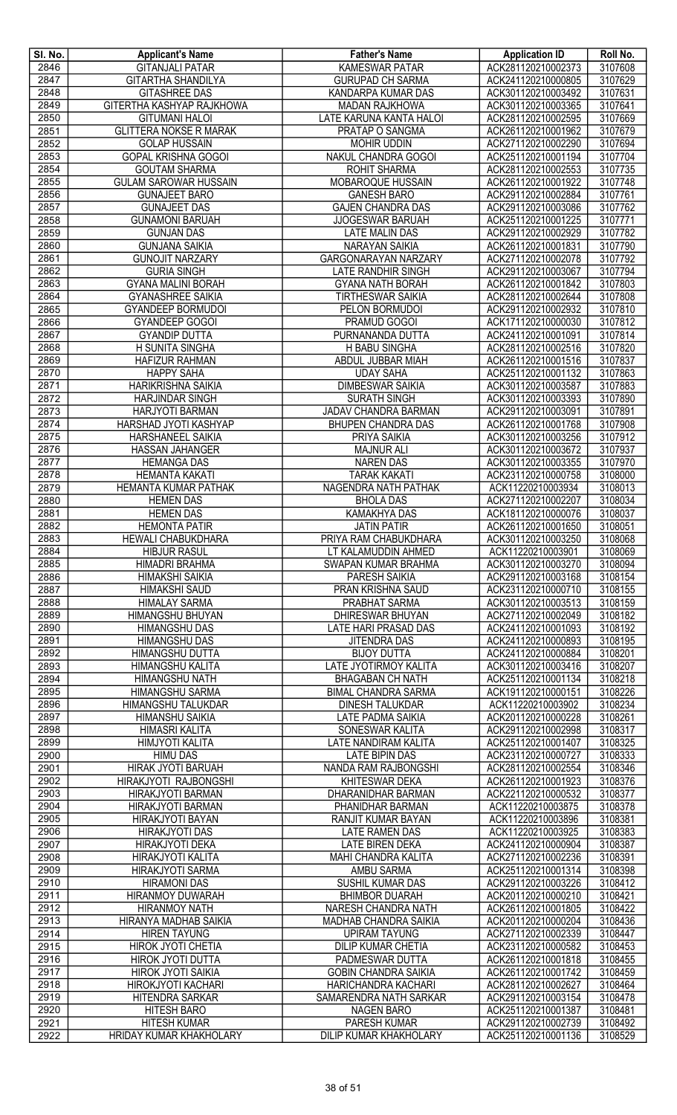| SI. No.      | <b>Applicant's Name</b>                               | <b>Father's Name</b>                                 | <b>Application ID</b>                    | Roll No.           |
|--------------|-------------------------------------------------------|------------------------------------------------------|------------------------------------------|--------------------|
| 2846         | <b>GITANJALI PATAR</b>                                | <b>KAMESWAR PATAR</b>                                | ACK281120210002373                       | 3107608            |
| 2847         | <b>GITARTHA SHANDILYA</b>                             | <b>GURUPAD CH SARMA</b>                              | ACK241120210000805                       | 3107629            |
| 2848         | <b>GITASHREE DAS</b>                                  | KANDARPA KUMAR DAS                                   | ACK301120210003492                       | 3107631            |
| 2849         | GITERTHA KASHYAP RAJKHOWA                             | <b>MADAN RAJKHOWA</b>                                | ACK301120210003365                       | 3107641            |
| 2850         | <b>GITUMANI HALOI</b>                                 | LATE KARUNA KANTA HALOI                              | ACK281120210002595                       | 3107669            |
| 2851<br>2852 | <b>GLITTERA NOKSE R MARAK</b><br><b>GOLAP HUSSAIN</b> | PRATAP O SANGMA<br><b>MOHIR UDDIN</b>                | ACK261120210001962<br>ACK271120210002290 | 3107679<br>3107694 |
| 2853         | <b>GOPAL KRISHNA GOGOI</b>                            | NAKUL CHANDRA GOGOI                                  | ACK251120210001194                       | 3107704            |
| 2854         | <b>GOUTAM SHARMA</b>                                  | <b>ROHIT SHARMA</b>                                  | ACK281120210002553                       | 3107735            |
| 2855         | <b>GULAM SAROWAR HUSSAIN</b>                          | MOBAROQUE HUSSAIN                                    | ACK261120210001922                       | 3107748            |
| 2856         | <b>GUNAJEET BARO</b>                                  | <b>GANESH BARO</b>                                   | ACK291120210002884                       | 3107761            |
| 2857         | <b>GUNAJEET DAS</b>                                   | <b>GAJEN CHANDRA DAS</b>                             | ACK291120210003086                       | 3107762            |
| 2858         | <b>GUNAMONI BARUAH</b>                                | <b>JJOGESWAR BARUAH</b>                              | ACK251120210001225                       | 3107771            |
| 2859         | <b>GUNJAN DAS</b>                                     | <b>LATE MALIN DAS</b>                                | ACK291120210002929                       | 3107782            |
| 2860         | <b>GUNJANA SAIKIA</b>                                 | <b>NARAYAN SAIKIA</b>                                | ACK261120210001831                       | 3107790            |
| 2861         | <b>GUNOJIT NARZARY</b>                                | <b>GARGONARAYAN NARZARY</b>                          | ACK271120210002078                       | 3107792            |
| 2862         | <b>GURIA SINGH</b>                                    | <b>LATE RANDHIR SINGH</b>                            | ACK291120210003067                       | 3107794            |
| 2863         | <b>GYANA MALINI BORAH</b>                             | <b>GYANA NATH BORAH</b>                              | ACK261120210001842                       | 3107803            |
| 2864         | <b>GYANASHREE SAIKIA</b>                              | <b>TIRTHESWAR SAIKIA</b>                             | ACK281120210002644                       | 3107808            |
| 2865         | <b>GYANDEEP BORMUDOI</b>                              | PELON BORMUDOI                                       | ACK291120210002932                       | 3107810            |
| 2866         | <b>GYANDEEP GOGOI</b>                                 | PRAMUD GOGOI                                         | ACK171120210000030                       | 3107812            |
| 2867         | <b>GYANDIP DUTTA</b>                                  | PURNANANDA DUTTA                                     | ACK241120210001091                       | 3107814            |
| 2868         | H SUNITA SINGHA                                       | H BABU SINGHA                                        | ACK281120210002516                       | 3107820            |
| 2869         | <b>HAFIZUR RAHMAN</b>                                 | ABDUL JUBBAR MIAH                                    | ACK261120210001516                       | 3107837            |
| 2870         | <b>HAPPY SAHA</b>                                     | <b>UDAY SAHA</b>                                     | ACK251120210001132                       | 3107863            |
| 2871         | <b>HARIKRISHNA SAIKIA</b>                             | <b>DIMBESWAR SAIKIA</b>                              | ACK301120210003587                       | 3107883            |
| 2872<br>2873 | <b>HARJINDAR SINGH</b><br><b>HARJYOTI BARMAN</b>      | <b>SURATH SINGH</b><br>JADAV CHANDRA BARMAN          | ACK301120210003393<br>ACK291120210003091 | 3107890<br>3107891 |
| 2874         | HARSHAD JYOTI KASHYAP                                 | <b>BHUPEN CHANDRA DAS</b>                            | ACK261120210001768                       | 3107908            |
| 2875         | HARSHANEEL SAIKIA                                     | <b>PRIYA SAIKIA</b>                                  | ACK301120210003256                       | 3107912            |
| 2876         | <b>HASSAN JAHANGER</b>                                | <b>MAJNUR ALI</b>                                    | ACK301120210003672                       | 3107937            |
| 2877         | <b>HEMANGA DAS</b>                                    | <b>NAREN DAS</b>                                     | ACK301120210003355                       | 3107970            |
| 2878         | <b>HEMANTA KAKATI</b>                                 | <b>TARAK KAKATI</b>                                  | ACK231120210000758                       | 3108000            |
| 2879         | HEMANTA KUMAR PATHAK                                  | NAGENDRA NATH PATHAK                                 | ACK11220210003934                        | 3108013            |
| 2880         | <b>HEMEN DAS</b>                                      | <b>BHOLA DAS</b>                                     | ACK271120210002207                       | 3108034            |
| 2881         | <b>HEMEN DAS</b>                                      | <b>KAMAKHYA DAS</b>                                  | ACK181120210000076                       | 3108037            |
| 2882         | <b>HEMONTA PATIR</b>                                  | <b>JATIN PATIR</b>                                   | ACK261120210001650                       | 3108051            |
| 2883         | <b>HEWALI CHABUKDHARA</b>                             | PRIYA RAM CHABUKDHARA                                | ACK301120210003250                       | 3108068            |
| 2884         | <b>HIBJUR RASUL</b>                                   | LT KALAMUDDIN AHMED                                  | ACK11220210003901                        | 3108069            |
| 2885         | HIMADRI BRAHMA                                        | SWAPAN KUMAR BRAHMA                                  | ACK301120210003270                       | 3108094            |
| 2886         | <b>HIMAKSHI SAIKIA</b>                                | <b>PARESH SAIKIA</b>                                 | ACK291120210003168                       | 3108154            |
| 2887         | <b>HIMAKSHI SAUD</b>                                  | PRAN KRISHNA SAUD                                    | ACK231120210000710                       | 3108155            |
| 2888         | <b>HIMALAY SARMA</b>                                  | PRABHAT SARMA                                        | ACK301120210003513                       | 3108159            |
| 2889         | HIMANGSHU BHUYAN                                      | DHIRESWAR BHUYAN                                     | ACK271120210002049                       | 3108182            |
| 2890         | <b>HIMANGSHU DAS</b>                                  | LATE HARI PRASAD DAS                                 | ACK241120210001093                       | 3108192            |
| 2891<br>2892 | <b>HIMANGSHU DAS</b><br><b>HIMANGSHU DUTTA</b>        | JITENDRA DAS<br><b>BIJOY DUTTA</b>                   | ACK241120210000893<br>ACK241120210000884 | 3108195<br>3108201 |
| 2893         | HIMANGSHU KALITA                                      | LATE JYOTIRMOY KALITA                                | ACK301120210003416                       | 3108207            |
| 2894         | <b>HIMANGSHU NATH</b>                                 | <b>BHAGABAN CH NATH</b>                              | ACK251120210001134                       | 3108218            |
| 2895         | <b>HIMANGSHU SARMA</b>                                | <b>BIMAL CHANDRA SARMA</b>                           | ACK191120210000151                       | 3108226            |
| 2896         | HIMANGSHU TALUKDAR                                    | <b>DINESH TALUKDAR</b>                               | ACK11220210003902                        | 3108234            |
| 2897         | <b>HIMANSHU SAIKIA</b>                                | <b>LATE PADMA SAIKIA</b>                             | ACK201120210000228                       | 3108261            |
| 2898         | <b>HIMASRI KALITA</b>                                 | SONESWAR KALITA                                      | ACK291120210002998                       | 3108317            |
| 2899         | <b>HIMJYOTI KALITA</b>                                | LATE NANDIRAM KALITA                                 | ACK251120210001407                       | 3108325            |
| 2900         | <b>HIMU DAS</b>                                       | <b>LATE BIPIN DAS</b>                                | ACK231120210000727                       | 3108333            |
| 2901         | <b>HIRAK JYOTI BARUAH</b>                             | NANDA RAM RAJBONGSHI                                 | ACK281120210002554                       | 3108346            |
| 2902         | HIRAKJYOTI RAJBONGSHI                                 | KHITESWAR DEKA                                       | ACK261120210001923                       | 3108376            |
| 2903         | <b>HIRAKJYOTI BARMAN</b>                              | DHARANIDHAR BARMAN                                   | ACK221120210000532                       | 3108377            |
| 2904         | <b>HIRAKJYOTI BARMAN</b>                              | PHANIDHAR BARMAN                                     | ACK11220210003875                        | 3108378            |
| 2905         | HIRAKJYOTI BAYAN                                      | RANJIT KUMAR BAYAN                                   | ACK11220210003896                        | 3108381            |
| 2906<br>2907 | <b>HIRAKJYOTI DAS</b>                                 | <b>LATE RAMEN DAS</b>                                | ACK11220210003925<br>ACK241120210000904  | 3108383<br>3108387 |
|              | HIRAKJYOTI DEKA                                       | <b>LATE BIREN DEKA</b><br><b>MAHI CHANDRA KALITA</b> | ACK271120210002236                       | 3108391            |
| 2908<br>2909 | HIRAKJYOTI KALITA<br>HIRAKJYOTI SARMA                 | AMBU SARMA                                           | ACK251120210001314                       | 3108398            |
| 2910         | <b>HIRAMONI DAS</b>                                   | SUSHIL KUMAR DAS                                     | ACK291120210003226                       | 3108412            |
| 2911         | <b>HIRANMOY DUWARAH</b>                               | <b>BHIMBOR DUARAH</b>                                | ACK201120210000210                       | 3108421            |
| 2912         | <b>HIRANMOY NATH</b>                                  | NARESH CHANDRA NATH                                  | ACK261120210001805                       | 3108422            |
| 2913         | <b>HIRANYA MADHAB SAIKIA</b>                          | <b>MADHAB CHANDRA SAIKIA</b>                         | ACK201120210000204                       | 3108436            |
| 2914         | <b>HIREN TAYUNG</b>                                   | <b>UPIRAM TAYUNG</b>                                 | ACK271120210002339                       | 3108447            |
| 2915         | <b>HIROK JYOTI CHETIA</b>                             | <b>DILIP KUMAR CHETIA</b>                            | ACK231120210000582                       | 3108453            |
| 2916         | HIROK JYOTI DUTTA                                     | PADMESWAR DUTTA                                      | ACK261120210001818                       | 3108455            |
| 2917         | <b>HIROK JYOTI SAIKIA</b>                             | <b>GOBIN CHANDRA SAIKIA</b>                          | ACK261120210001742                       | 3108459            |
| 2918         | HIROKJYOTI KACHARI                                    | HARICHANDRA KACHARI                                  | ACK281120210002627                       | 3108464            |
| 2919         | HITENDRA SARKAR                                       | SAMARENDRA NATH SARKAR                               | ACK291120210003154                       | 3108478            |
| 2920         | <b>HITESH BARO</b>                                    | <b>NAGEN BARO</b>                                    | ACK251120210001387                       | 3108481            |
| 2921         | <b>HITESH KUMAR</b>                                   | PARESH KUMAR                                         | ACK291120210002739                       | 3108492            |
| 2922         | HRIDAY KUMAR KHAKHOLARY                               | <b>DILIP KUMAR KHAKHOLARY</b>                        | ACK251120210001136                       | 3108529            |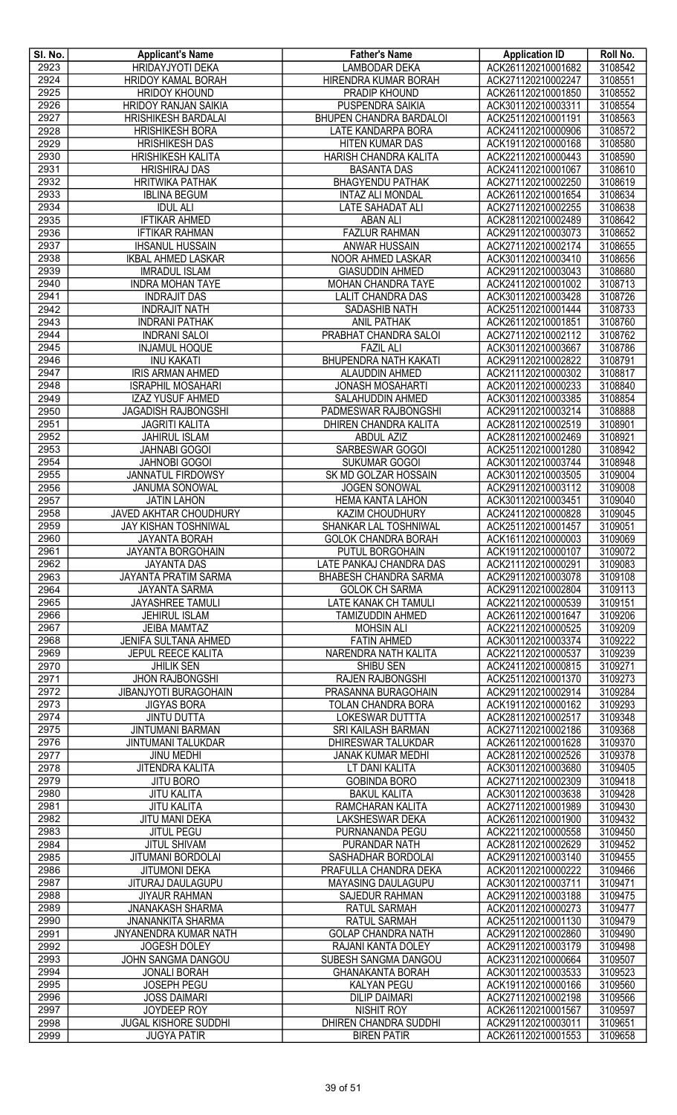| SI. No.      | <b>Applicant's Name</b>                                   | <b>Father's Name</b>                                  | <b>Application ID</b>                    | Roll No.           |
|--------------|-----------------------------------------------------------|-------------------------------------------------------|------------------------------------------|--------------------|
| 2923         | <b>HRIDAYJYOTI DEKA</b>                                   | <b>LAMBODAR DEKA</b>                                  | ACK261120210001682                       | 3108542            |
| 2924         | <b>HRIDOY KAMAL BORAH</b>                                 | HIRENDRA KUMAR BORAH                                  | ACK271120210002247                       | 3108551            |
| 2925         | <b>HRIDOY KHOUND</b>                                      | PRADIP KHOUND                                         | ACK261120210001850                       | 3108552            |
| 2926<br>2927 | <b>HRIDOY RANJAN SAIKIA</b><br><b>HRISHIKESH BARDALAI</b> | <b>PUSPENDRA SAIKIA</b><br>BHUPEN CHANDRA BARDALOI    | ACK301120210003311<br>ACK251120210001191 | 3108554<br>3108563 |
| 2928         | <b>HRISHIKESH BORA</b>                                    | LATE KANDARPA BORA                                    | ACK241120210000906                       | 3108572            |
| 2929         | <b>HRISHIKESH DAS</b>                                     | <b>HITEN KUMAR DAS</b>                                | ACK191120210000168                       | 3108580            |
| 2930         | <b>HRISHIKESH KALITA</b>                                  | HARISH CHANDRA KALITA                                 | ACK221120210000443                       | 3108590            |
| 2931         | <b>HRISHIRAJ DAS</b>                                      | <b>BASANTA DAS</b>                                    | ACK241120210001067                       | 3108610            |
| 2932         | <b>HRITWIKA PATHAK</b>                                    | <b>BHAGYENDU PATHAK</b>                               | ACK271120210002250                       | 3108619            |
| 2933         | <b>IBLINA BEGUM</b>                                       | <b>INTAZ ALI MONDAL</b>                               | ACK261120210001654                       | 3108634            |
| 2934         | <b>IDUL ALI</b>                                           | <b>LATE SAHADAT ALI</b>                               | ACK271120210002255                       | 3108638            |
| 2935         | <b>IFTIKAR AHMED</b>                                      | <b>ABAN ALI</b>                                       | ACK281120210002489                       | 3108642            |
| 2936         | <b>IFTIKAR RAHMAN</b>                                     | <b>FAZLUR RAHMAN</b>                                  | ACK291120210003073                       | 3108652            |
| 2937         | <b>IHSANUL HUSSAIN</b>                                    | ANWAR HUSSAIN                                         | ACK271120210002174                       | 3108655            |
| 2938         | <b>IKBAL AHMED LASKAR</b>                                 | NOOR AHMED LASKAR                                     | ACK301120210003410                       | 3108656            |
| 2939         | <b>IMRADUL ISLAM</b>                                      | <b>GIASUDDIN AHMED</b>                                | ACK291120210003043                       | 3108680            |
| 2940<br>2941 | <b>INDRA MOHAN TAYE</b>                                   | <b>MOHAN CHANDRA TAYE</b><br><b>LALIT CHANDRA DAS</b> | ACK241120210001002<br>ACK301120210003428 | 3108713<br>3108726 |
| 2942         | <b>INDRAJIT DAS</b><br><b>INDRAJIT NATH</b>               | <b>SADASHIB NATH</b>                                  | ACK251120210001444                       | 3108733            |
| 2943         | <b>INDRANI PATHAK</b>                                     | ANIL PATHAK                                           | ACK261120210001851                       | 3108760            |
| 2944         | <b>INDRANI SALOI</b>                                      | PRABHAT CHANDRA SALOI                                 | ACK271120210002112                       | 3108762            |
| 2945         | <b>INJAMUL HOQUE</b>                                      | <b>FAZIL ALI</b>                                      | ACK301120210003667                       | 3108786            |
| 2946         | <b>INU KAKATI</b>                                         | BHUPENDRA NATH KAKATI                                 | ACK291120210002822                       | 3108791            |
| 2947         | <b>IRIS ARMAN AHMED</b>                                   | <b>ALAUDDIN AHMED</b>                                 | ACK211120210000302                       | 3108817            |
| 2948         | <b>ISRAPHIL MOSAHARI</b>                                  | <b>JONASH MOSAHARTI</b>                               | ACK201120210000233                       | 3108840            |
| 2949         | <b>IZAZ YUSUF AHMED</b>                                   | SALAHUDDIN AHMED                                      | ACK301120210003385                       | 3108854            |
| 2950         | <b>JAGADISH RAJBONGSHI</b>                                | PADMESWAR RAJBONGSHI                                  | ACK291120210003214                       | 3108888            |
| 2951         | <b>JAGRITI KALITA</b>                                     | <b>DHIREN CHANDRA KALITA</b>                          | ACK281120210002519                       | 3108901            |
| 2952         | <b>JAHIRUL ISLAM</b>                                      | <b>ABDUL AZIZ</b>                                     | ACK281120210002469                       | 3108921            |
| 2953         | <b>JAHNABI GOGOI</b>                                      | SARBESWAR GOGOI                                       | ACK251120210001280                       | 3108942            |
| 2954         | <b>JAHNOBI GOGOI</b>                                      | <b>SUKUMAR GOGOI</b>                                  | ACK301120210003744                       | 3108948            |
| 2955         | JANNATUL FIRDOWSY                                         | SK MD GOLZAR HOSSAIN                                  | ACK301120210003505                       | 3109004            |
| 2956<br>2957 | <b>JANUMA SONOWAL</b><br><b>JATIN LAHON</b>               | <b>JOGEN SONOWAL</b><br><b>HEMA KANTA LAHON</b>       | ACK291120210003112<br>ACK301120210003451 | 3109008<br>3109040 |
| 2958         | JAVED AKHTAR CHOUDHURY                                    | KAZIM CHOUDHURY                                       | ACK241120210000828                       | 3109045            |
| 2959         | JAY KISHAN TOSHNIWAL                                      | SHANKAR LAL TOSHNIWAL                                 | ACK251120210001457                       | 3109051            |
| 2960         | <b>JAYANTA BORAH</b>                                      | <b>GOLOK CHANDRA BORAH</b>                            | ACK161120210000003                       | 3109069            |
| 2961         | JAYANTA BORGOHAIN                                         | PUTUL BORGOHAIN                                       | ACK191120210000107                       | 3109072            |
| 2962         | <b>JAYANTA DAS</b>                                        | LATE PANKAJ CHANDRA DAS                               | ACK211120210000291                       | 3109083            |
| 2963         | JAYANTA PRATIM SARMA                                      | <b>BHABESH CHANDRA SARMA</b>                          | ACK291120210003078                       | 3109108            |
| 2964         | <b>JAYANTA SARMA</b>                                      | <b>GOLOK CH SARMA</b>                                 | ACK291120210002804                       | 3109113            |
| 2965         | <b>JAYASHREE TAMULI</b>                                   | <b>LATE KANAK CH TAMULI</b>                           | ACK221120210000539                       | 3109151            |
| 2966         | <b>JEHIRUL ISLAM</b>                                      | <b>TAMIZUDDIN AHMED</b>                               | ACK261120210001647                       | 3109206            |
| 2967         | <b>JEIBA MAMTAZ</b>                                       | <b>MOHSIN ALI</b>                                     | ACK221120210000525                       | 3109209            |
| 2968         | JENIFA SULTANA AHMED                                      | <b>FATIN AHMED</b>                                    | ACK301120210003374                       | 3109222            |
| 2969         | JEPUL REECE KALITA                                        | NARENDRA NATH KALITA                                  | ACK221120210000537                       | 3109239            |
| 2970<br>2971 | <b>JHILIK SEN</b>                                         | SHIBU SEN                                             | ACK241120210000815                       | 3109271<br>3109273 |
| 2972         | <b>JHON RAJBONGSHI</b><br><b>JIBANJYOTI BURAGOHAIN</b>    | RAJEN RAJBONGSHI<br>PRASANNA BURAGOHAIN               | ACK251120210001370<br>ACK291120210002914 | 3109284            |
| 2973         | <b>JIGYAS BORA</b>                                        | TOLAN CHANDRA BORA                                    | ACK191120210000162                       | 3109293            |
| 2974         | <b>JINTU DUTTA</b>                                        | <b>LOKESWAR DUTTTA</b>                                | ACK281120210002517                       | 3109348            |
| 2975         | <b>JINTUMANI BARMAN</b>                                   | SRI KAILASH BARMAN                                    | ACK271120210002186                       | 3109368            |
| 2976         | <b>JINTUMANI TALUKDAR</b>                                 | <b>DHIRESWAR TALUKDAR</b>                             | ACK261120210001628                       | 3109370            |
| 2977         | <b>JINU MEDHI</b>                                         | <b>JANAK KUMAR MEDHI</b>                              | ACK281120210002526                       | 3109378            |
| 2978         | JITENDRA KALITA                                           | LT DANI KALITA                                        | ACK301120210003680                       | 3109405            |
| 2979         | <b>JITU BORO</b>                                          | <b>GOBINDA BORO</b>                                   | ACK271120210002309                       | 3109418            |
| 2980         | <b>JITU KALITA</b>                                        | <b>BAKUL KALITA</b>                                   | ACK301120210003638                       | 3109428            |
| 2981         | <b>JITU KALITA</b>                                        | RAMCHARAN KALITA                                      | ACK271120210001989                       | 3109430            |
| 2982         | JITU MANI DEKA                                            | LAKSHESWAR DEKA                                       | ACK261120210001900                       | 3109432            |
| 2983         | <b>JITUL PEGU</b>                                         | PURNANANDA PEGU                                       | ACK221120210000558                       | 3109450<br>3109452 |
| 2984<br>2985 | <b>JITUL SHIVAM</b><br>JITUMANI BORDOLAI                  | PURANDAR NATH<br>SASHADHAR BORDOLAI                   | ACK281120210002629<br>ACK291120210003140 | 3109455            |
| 2986         | <b>JITUMONI DEKA</b>                                      | PRAFULLA CHANDRA DEKA                                 | ACK201120210000222                       | 3109466            |
| 2987         | <b>JITURAJ DAULAGUPU</b>                                  | MAYASING DAULAGUPU                                    | ACK301120210003711                       | 3109471            |
| 2988         | <b>JIYAUR RAHMAN</b>                                      | SAJEDUR RAHMAN                                        | ACK291120210003188                       | 3109475            |
| 2989         | <b>JNANAKASH SHARMA</b>                                   | RATUL SARMAH                                          | ACK201120210000273                       | 3109477            |
| 2990         | <b>JNANANKITA SHARMA</b>                                  | <b>RATUL SARMAH</b>                                   | ACK251120210001130                       | 3109479            |
| 2991         | <b>JNYANENDRA KUMAR NATH</b>                              | <b>GOLAP CHANDRA NATH</b>                             | ACK291120210002860                       | 3109490            |
| 2992         | <b>JOGESH DOLEY</b>                                       | RAJANI KANTA DOLEY                                    | ACK291120210003179                       | 3109498            |
| 2993         | JOHN SANGMA DANGOU                                        | SUBESH SANGMA DANGOU                                  | ACK231120210000664                       | 3109507            |
| 2994         | <b>JONALI BORAH</b>                                       | <b>GHANAKANTA BORAH</b>                               | ACK301120210003533                       | 3109523            |
| 2995         | <b>JOSEPH PEGU</b>                                        | <b>KALYAN PEGU</b>                                    | ACK191120210000166                       | 3109560            |
| 2996         | <b>JOSS DAIMARI</b>                                       | <b>DILIP DAIMARI</b>                                  | ACK271120210002198                       | 3109566            |
| 2997         | <b>JOYDEEP ROY</b>                                        | <b>NISHIT ROY</b>                                     | ACK261120210001567                       | 3109597            |
| 2998         | <b>JUGAL KISHORE SUDDHI</b>                               | <b>DHIREN CHANDRA SUDDHI</b>                          | ACK291120210003011                       | 3109651            |
| 2999         | <b>JUGYA PATIR</b>                                        | <b>BIREN PATIR</b>                                    | ACK261120210001553                       | 3109658            |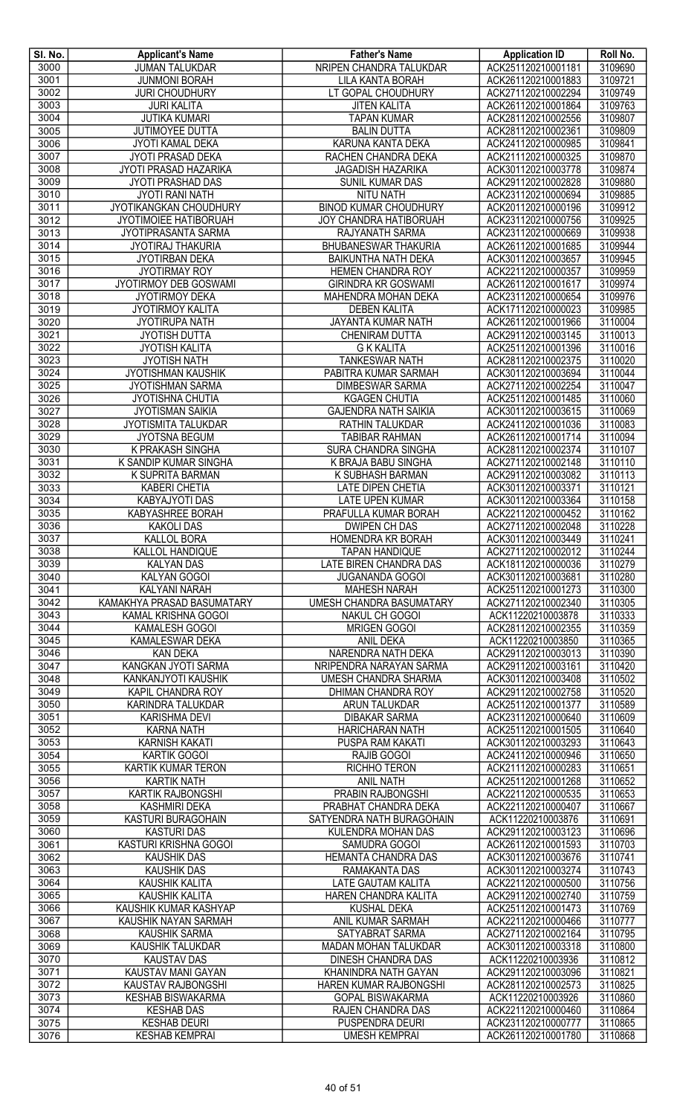| SI. No.      | <b>Applicant's Name</b>                         | <b>Father's Name</b>                              | <b>Application ID</b>                    | Roll No.           |
|--------------|-------------------------------------------------|---------------------------------------------------|------------------------------------------|--------------------|
| 3000         | JUMAN TALUKDAR                                  | NRIPEN CHANDRA TALUKDAR                           | ACK251120210001181                       | 3109690            |
| 3001         | <b>JUNMONI BORAH</b>                            | <b>LILA KANTA BORAH</b>                           | ACK261120210001883                       | 3109721            |
| 3002         | <b>JURI CHOUDHURY</b>                           | LT GOPAL CHOUDHURY                                | ACK271120210002294                       | 3109749            |
| 3003         | <b>JURI KALITA</b>                              | <b>JITEN KALITA</b>                               | ACK261120210001864                       | 3109763            |
| 3004<br>3005 | <b>JUTIKA KUMARI</b><br>JUTIMOYEE DUTTA         | <b>TAPAN KUMAR</b>                                | ACK281120210002556                       | 3109807<br>3109809 |
| 3006         | JYOTI KAMAL DEKA                                | <b>BALIN DUTTA</b><br>KARUNA KANTA DEKA           | ACK281120210002361<br>ACK241120210000985 | 3109841            |
| 3007         | JYOTI PRASAD DEKA                               | RACHEN CHANDRA DEKA                               | ACK211120210000325                       | 3109870            |
| 3008         | JYOTI PRASAD HAZARIKA                           | <b>JAGADISH HAZARIKA</b>                          | ACK301120210003778                       | 3109874            |
| 3009         | JYOTI PRASHAD DAS                               | SUNIL KUMAR DAS                                   | ACK291120210002828                       | 3109880            |
| 3010         | <b>JYOTI RANI NATH</b>                          | <b>NITU NATH</b>                                  | ACK231120210000694                       | 3109885            |
| 3011         | JYOTIKANGKAN CHOUDHURY                          | <b>BINOD KUMAR CHOUDHURY</b>                      | ACK201120210000196                       | 3109912            |
| 3012         | JYOTIMOIEE HATIBORUAH                           | <b>JOY CHANDRA HATIBORUAH</b>                     | ACK231120210000756                       | 3109925            |
| 3013         | <b>JYOTIPRASANTA SARMA</b>                      | RAJYANATH SARMA                                   | ACK231120210000669                       | 3109938            |
| 3014         | <b>JYOTIRAJ THAKURIA</b>                        | <b>BHUBANESWAR THAKURIA</b>                       | ACK261120210001685                       | 3109944            |
| 3015         | <b>JYOTIRBAN DEKA</b>                           | <b>BAIKUNTHA NATH DEKA</b>                        | ACK301120210003657                       | 3109945            |
| 3016         | <b>JYOTIRMAY ROY</b>                            | HEMEN CHANDRA ROY                                 | ACK221120210000357                       | 3109959            |
| 3017         | JYOTIRMOY DEB GOSWAMI                           | <b>GIRINDRA KR GOSWAMI</b>                        | ACK261120210001617                       | 3109974            |
| 3018         | <b>JYOTIRMOY DEKA</b>                           | MAHENDRA MOHAN DEKA                               | ACK231120210000654                       | 3109976            |
| 3019         | JYOTIRMOY KALITA                                | <b>DEBEN KALITA</b>                               | ACK171120210000023                       | 3109985            |
| 3020         | <b>JYOTIRUPA NATH</b>                           | JAYANTA KUMAR NATH                                | ACK261120210001966                       | 3110004            |
| 3021         | <b>JYOTISH DUTTA</b>                            | CHENIRAM DUTTA                                    | ACK291120210003145                       | 3110013            |
| 3022         | <b>JYOTISH KALITA</b>                           | <b>G K KALITA</b>                                 | ACK251120210001396                       | 3110016            |
| 3023         | <b>JYOTISH NATH</b>                             | <b>TANKESWAR NATH</b>                             | ACK281120210002375                       | 3110020            |
| 3024         | <b>JYOTISHMAN KAUSHIK</b>                       | PABITRA KUMAR SARMAH                              | ACK301120210003694                       | 3110044            |
| 3025         | <b>JYOTISHMAN SARMA</b>                         | <b>DIMBESWAR SARMA</b>                            | ACK271120210002254                       | 3110047            |
| 3026         | JYOTISHNA CHUTIA                                | <b>KGAGEN CHUTIA</b>                              | ACK251120210001485                       | 3110060            |
| 3027         | <b>JYOTISMAN SAIKIA</b>                         | <b>GAJENDRA NATH SAIKIA</b>                       | ACK301120210003615                       | 3110069            |
| 3028         | JYOTISMITA TALUKDAR                             | RATHIN TALUKDAR                                   | ACK241120210001036                       | 3110083            |
| 3029<br>3030 | <b>JYOTSNA BEGUM</b>                            | <b>TABIBAR RAHMAN</b>                             | ACK261120210001714                       | 3110094            |
| 3031         | K PRAKASH SINGHA<br>K SANDIP KUMAR SINGHA       | <b>SURA CHANDRA SINGHA</b><br>K BRAJA BABU SINGHA | ACK281120210002374<br>ACK271120210002148 | 3110107<br>3110110 |
| 3032         | K SUPRITA BARMAN                                | K SUBHASH BARMAN                                  | ACK291120210003082                       | 3110113            |
| 3033         | <b>KABERI CHETIA</b>                            | <b>LATE DIPEN CHETIA</b>                          | ACK301120210003371                       | 3110121            |
| 3034         | KABYAJYOTI DAS                                  | <b>LATE UPEN KUMAR</b>                            | ACK301120210003364                       | 3110158            |
| 3035         | KABYASHREE BORAH                                | PRAFULLA KUMAR BORAH                              | ACK221120210000452                       | 3110162            |
| 3036         | <b>KAKOLI DAS</b>                               | <b>DWIPEN CH DAS</b>                              | ACK271120210002048                       | 3110228            |
| 3037         | <b>KALLOL BORA</b>                              | HOMENDRA KR BORAH                                 | ACK301120210003449                       | 3110241            |
| 3038         | KALLOL HANDIQUE                                 | <b>TAPAN HANDIQUE</b>                             | ACK271120210002012                       | 3110244            |
| 3039         | <b>KALYAN DAS</b>                               | LATE BIREN CHANDRA DAS                            | ACK181120210000036                       | 3110279            |
| 3040         | <b>KALYAN GOGOI</b>                             | <b>JUGANANDA GOGOI</b>                            | ACK301120210003681                       | 3110280            |
| 3041         | KALYANI NARAH                                   | <b>MAHESH NARAH</b>                               | ACK251120210001273                       | 3110300            |
| 3042         | KAMAKHYA PRASAD BASUMATARY                      | UMESH CHANDRA BASUMATARY                          | ACK271120210002340                       | 3110305            |
| 3043         | KAMAL KRISHNA GOGOI                             | NAKUL CH GOGOI                                    | ACK11220210003878                        | 3110333            |
| 3044         | KAMALESH GOGOI                                  | <b>MRIGEN GOGOI</b>                               | ACK281120210002355                       | 3110359            |
| 3045         | KAMALESWAR DEKA                                 | ANIL DEKA                                         | ACK11220210003850                        | 3110365            |
| 3046         | <b>KAN DEKA</b>                                 | NARENDRA NATH DEKA                                | ACK291120210003013                       | 3110390            |
| 3047         | KANGKAN JYOTI SARMA                             | NRIPENDRA NARAYAN SARMA                           | ACK291120210003161                       | 3110420            |
| 3048         | KANKANJYOTI KAUSHIK                             | UMESH CHANDRA SHARMA                              | ACK301120210003408                       | 3110502            |
| 3049         | KAPIL CHANDRA ROY                               | DHIMAN CHANDRA ROY                                | ACK291120210002758                       | 3110520            |
| 3050<br>3051 | KARINDRA TALUKDAR<br><b>KARISHMA DEVI</b>       | ARUN TALUKDAR<br><b>DIBAKAR SARMA</b>             | ACK251120210001377<br>ACK231120210000640 | 3110589<br>3110609 |
| 3052         | <b>KARNA NATH</b>                               | <b>HARICHARAN NATH</b>                            | ACK251120210001505                       | 3110640            |
| 3053         | <b>KARNISH KAKATI</b>                           | PUSPA RAM KAKATI                                  | ACK301120210003293                       | 3110643            |
| 3054         | <b>KARTIK GOGOI</b>                             | RAJIB GOGOI                                       | ACK241120210000946                       | 3110650            |
| 3055         | KARTIK KUMAR TERON                              | RICHHO TERON                                      | ACK211120210000283                       | 3110651            |
| 3056         | <b>KARTIK NATH</b>                              | <b>ANIL NATH</b>                                  | ACK251120210001268                       | 3110652            |
| 3057         | KARTIK RAJBONGSHI                               | PRABIN RAJBONGSHI                                 | ACK221120210000535                       | 3110653            |
| 3058         | <b>KASHMIRI DEKA</b>                            | PRABHAT CHANDRA DEKA                              | ACK221120210000407                       | 3110667            |
| 3059         | KASTURI BURAGOHAIN                              | SATYENDRA NATH BURAGOHAIN                         | ACK11220210003876                        | 3110691            |
| 3060         | <b>KASTURI DAS</b>                              | KULENDRA MOHAN DAS                                | ACK291120210003123                       | 3110696            |
| 3061         | KASTURI KRISHNA GOGOI                           | SAMUDRA GOGOI                                     | ACK261120210001593                       | 3110703            |
| 3062         | <b>KAUSHIK DAS</b>                              | <b>HEMANTA CHANDRA DAS</b>                        | ACK301120210003676                       | 3110741            |
| 3063         | <b>KAUSHIK DAS</b>                              | RAMAKANTA DAS                                     | ACK301120210003274                       | 3110743            |
| 3064         | <b>KAUSHIK KALITA</b>                           | <b>LATE GAUTAM KALITA</b>                         | ACK221120210000500                       | 3110756            |
| 3065         | <b>KAUSHIK KALITA</b>                           | HAREN CHANDRA KALITA                              | ACK291120210002740                       | 3110759            |
| 3066         | KAUSHIK KUMAR KASHYAP                           | <b>KUSHAL DEKA</b>                                | ACK251120210001473                       | 3110769            |
| 3067         | KAUSHIK NAYAN SARMAH                            | ANIL KUMAR SARMAH                                 | ACK221120210000466                       | 3110777            |
| 3068         | <b>KAUSHIK SARMA</b><br><b>KAUSHIK TALUKDAR</b> | SATYABRAT SARMA                                   | ACK271120210002164                       | 3110795<br>3110800 |
| 3069<br>3070 | <b>KAUSTAV DAS</b>                              | MADAN MOHAN TALUKDAR                              | ACK301120210003318<br>ACK11220210003936  | 3110812            |
| 3071         | KAUSTAV MANI GAYAN                              | DINESH CHANDRA DAS<br>KHANINDRA NATH GAYAN        | ACK291120210003096                       | 3110821            |
| 3072         | KAUSTAV RAJBONGSHI                              | HAREN KUMAR RAJBONGSHI                            | ACK281120210002573                       | 3110825            |
| 3073         | <b>KESHAB BISWAKARMA</b>                        | <b>GOPAL BISWAKARMA</b>                           | ACK11220210003926                        | 3110860            |
| 3074         | <b>KESHAB DAS</b>                               | <b>RAJEN CHANDRA DAS</b>                          | ACK221120210000460                       | 3110864            |
| 3075         | <b>KESHAB DEURI</b>                             | PUSPENDRA DEURI                                   | ACK231120210000777                       | 3110865            |
| 3076         | <b>KESHAB KEMPRAI</b>                           | <b>UMESH KEMPRAI</b>                              | ACK261120210001780                       | 3110868            |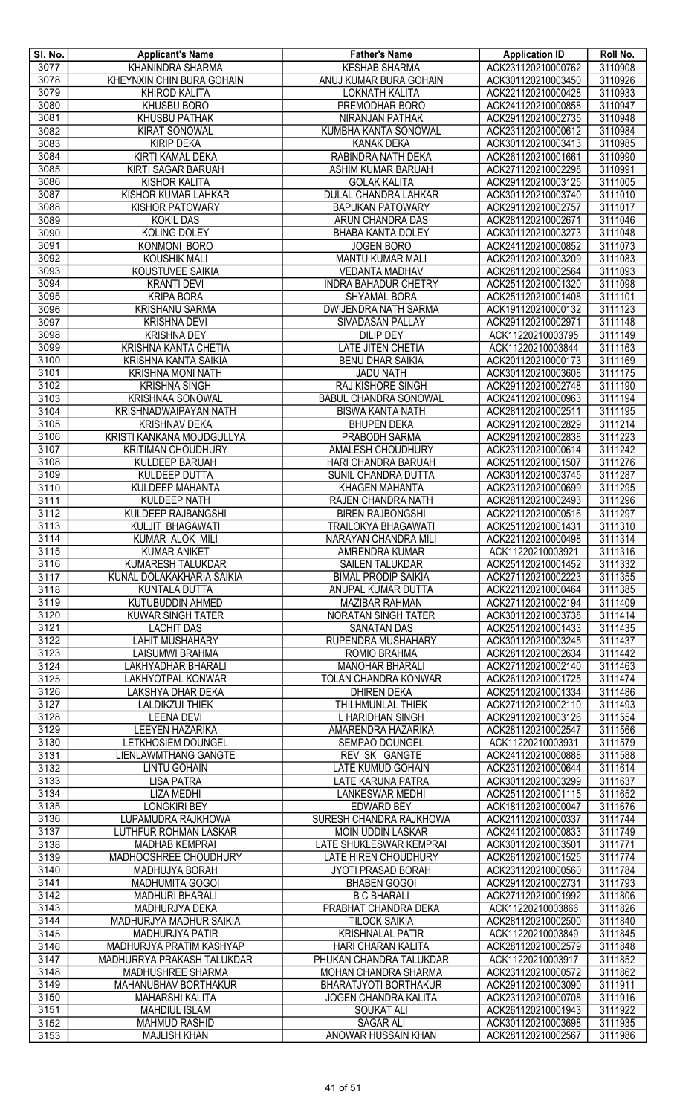| SI. No. | <b>Applicant's Name</b>                            | <b>Father's Name</b>         | <b>Application ID</b> | Roll No. |
|---------|----------------------------------------------------|------------------------------|-----------------------|----------|
| 3077    | <b>KHANINDRA SHARMA</b>                            | <b>KESHAB SHARMA</b>         | ACK231120210000762    | 3110908  |
| 3078    | KHEYNXIN CHIN BURA GOHAIN                          | ANUJ KUMAR BURA GOHAIN       | ACK301120210003450    | 3110926  |
| 3079    | <b>KHIROD KALITA</b>                               | LOKNATH KALITA               | ACK221120210000428    | 3110933  |
| 3080    | <b>KHUSBU BORO</b>                                 | PREMODHAR BORO               | ACK241120210000858    | 3110947  |
| 3081    | <b>KHUSBU PATHAK</b>                               | <b>NIRANJAN PATHAK</b>       | ACK291120210002735    | 3110948  |
| 3082    | <b>KIRAT SONOWAL</b>                               | KUMBHA KANTA SONOWAL         | ACK231120210000612    | 3110984  |
| 3083    | <b>KIRIP DEKA</b>                                  | <b>KANAK DEKA</b>            | ACK301120210003413    | 3110985  |
| 3084    | KIRTI KAMAL DEKA                                   | RABINDRA NATH DEKA           | ACK261120210001661    | 3110990  |
|         |                                                    |                              |                       |          |
| 3085    | KIRTI SAGAR BARUAH                                 | ASHIM KUMAR BARUAH           | ACK271120210002298    | 3110991  |
| 3086    | <b>KISHOR KALITA</b>                               | <b>GOLAK KALITA</b>          | ACK291120210003125    | 3111005  |
| 3087    | <b>KISHOR KUMAR LAHKAR</b>                         | <b>DULAL CHANDRA LAHKAR</b>  | ACK301120210003740    | 3111010  |
| 3088    | <b>KISHOR PATOWARY</b>                             | <b>BAPUKAN PATOWARY</b>      | ACK291120210002757    | 3111017  |
| 3089    | <b>KOKIL DAS</b>                                   | ARUN CHANDRA DAS             | ACK281120210002671    | 3111046  |
| 3090    | <b>KOLING DOLEY</b>                                | <b>BHABA KANTA DOLEY</b>     | ACK301120210003273    | 3111048  |
| 3091    | KONMONI BORO                                       | <b>JOGEN BORO</b>            | ACK241120210000852    | 3111073  |
| 3092    | <b>KOUSHIK MALI</b>                                | <b>MANTU KUMAR MALI</b>      | ACK291120210003209    | 3111083  |
| 3093    | KOUSTUVEE SAIKIA                                   | <b>VEDANTA MADHAV</b>        | ACK281120210002564    | 3111093  |
| 3094    | <b>KRANTI DEVI</b>                                 | <b>INDRA BAHADUR CHETRY</b>  | ACK251120210001320    | 3111098  |
| 3095    | <b>KRIPA BORA</b>                                  | SHYAMAL BORA                 | ACK251120210001408    | 3111101  |
| 3096    | <b>KRISHANU SARMA</b>                              | <b>DWIJENDRA NATH SARMA</b>  | ACK191120210000132    | 3111123  |
| 3097    | <b>KRISHNA DEVI</b>                                | SIVADASAN PALLAY             | ACK291120210002971    | 3111148  |
| 3098    | <b>KRISHNA DEY</b>                                 | <b>DILIP DEY</b>             | ACK11220210003795     | 3111149  |
| 3099    | KRISHNA KANTA CHETIA                               | <b>LATE JITEN CHETIA</b>     | ACK11220210003844     | 3111163  |
| 3100    | <b>KRISHNA KANTA SAIKIA</b>                        | <b>BENU DHAR SAIKIA</b>      | ACK201120210000173    | 3111169  |
| 3101    | <b>KRISHNA MONI NATH</b>                           | <b>JADU NATH</b>             | ACK301120210003608    | 3111175  |
| 3102    | <b>KRISHNA SINGH</b>                               | <b>RAJ KISHORE SINGH</b>     | ACK291120210002748    | 3111190  |
| 3103    | <b>KRISHNAA SONOWAL</b>                            | <b>BABUL CHANDRA SONOWAL</b> | ACK241120210000963    | 3111194  |
|         |                                                    |                              |                       |          |
| 3104    | KRISHNADWAIPAYAN NATH                              | <b>BISWA KANTA NATH</b>      | ACK281120210002511    | 3111195  |
| 3105    | <b>KRISHNAV DEKA</b>                               | <b>BHUPEN DEKA</b>           | ACK291120210002829    | 3111214  |
| 3106    | KRISTI KANKANA MOUDGULLYA                          | <b>PRABODH SARMA</b>         | ACK291120210002838    | 3111223  |
| 3107    | <b>KRITIMAN CHOUDHURY</b>                          | AMALESH CHOUDHURY            | ACK231120210000614    | 3111242  |
| 3108    | <b>KULDEEP BARUAH</b>                              | HARI CHANDRA BARUAH          | ACK251120210001507    | 3111276  |
| 3109    | <b>KULDEEP DUTTA</b>                               | SUNIL CHANDRA DUTTA          | ACK301120210003745    | 3111287  |
| 3110    | KULDEEP MAHANTA                                    | <b>KHAGEN MAHANTA</b>        | ACK231120210000699    | 3111295  |
| 3111    | <b>KULDEEP NATH</b>                                | RAJEN CHANDRA NATH           | ACK281120210002493    | 3111296  |
| 3112    | KULDEEP RAJBANGSHI                                 | <b>BIREN RAJBONGSHI</b>      | ACK221120210000516    | 3111297  |
| 3113    | KULJIT BHAGAWATI                                   | <b>TRAILOKYA BHAGAWATI</b>   | ACK251120210001431    | 3111310  |
| 3114    | KUMAR ALOK MILI                                    | NARAYAN CHANDRA MILI         | ACK221120210000498    | 3111314  |
| 3115    | <b>KUMAR ANIKET</b>                                | AMRENDRA KUMAR               | ACK11220210003921     | 3111316  |
| 3116    | KUMARESH TALUKDAR                                  | <b>SAILEN TALUKDAR</b>       | ACK251120210001452    | 3111332  |
| 3117    | KUNAL DOLAKAKHARIA SAIKIA                          | <b>BIMAL PRODIP SAIKIA</b>   | ACK271120210002223    | 3111355  |
| 3118    | <b>KUNTALA DUTTA</b>                               | ANUPAL KUMAR DUTTA           | ACK221120210000464    | 3111385  |
| 3119    | KUTUBUDDIN AHMED                                   | <b>MAZIBAR RAHMAN</b>        | ACK271120210002194    | 3111409  |
| 3120    | <b>KUWAR SINGH TATER</b>                           | <b>NORATAN SINGH TATER</b>   | ACK301120210003738    | 3111414  |
| 3121    | <b>LACHIT DAS</b>                                  | <b>SANATAN DAS</b>           | ACK251120210001433    | 3111435  |
|         |                                                    |                              |                       |          |
| 3122    | <b>LAHIT MUSHAHARY</b>                             | RUPENDRA MUSHAHARY           | ACK301120210003245    | 3111437  |
| 3123    | <b>LAISUMWI BRAHMA</b>                             | ROMIO BRAHMA                 | ACK281120210002634    | 3111442  |
| 3124    | <b>LAKHYADHAR BHARALI</b>                          | <b>MANOHAR BHARALI</b>       | ACK271120210002140    | 3111463  |
| 3125    | LAKHYOTPAL KONWAR                                  | TOLAN CHANDRA KONWAR         | ACK261120210001725    | 3111474  |
| 3126    | LAKSHYA DHAR DEKA                                  | <b>DHIREN DEKA</b>           | ACK251120210001334    | 3111486  |
| 3127    | <b>LALDIKZUI THIEK</b>                             | THILHMUNLAL THIEK            | ACK271120210002110    | 3111493  |
| 3128    | <b>LEENA DEVI</b>                                  | L HARIDHAN SINGH             | ACK291120210003126    | 3111554  |
| 3129    | <b>LEEYEN HAZARIKA</b>                             | AMARENDRA HAZARIKA           | ACK281120210002547    | 3111566  |
| 3130    | <b>LETKHOSIEM DOUNGEL</b>                          | SEMPAO DOUNGEL               | ACK11220210003931     | 3111579  |
| 3131    | <b>LIENLAWMTHANG GANGTE</b>                        | <b>REV SK GANGTE</b>         | ACK241120210000888    | 3111588  |
| 3132    | <b>LINTU GOHAIN</b>                                | LATE KUMUD GOHAIN            | ACK231120210000644    | 3111614  |
| 3133    | <b>LISA PATRA</b>                                  | <b>LATE KARUNA PATRA</b>     | ACK301120210003299    | 3111637  |
| 3134    | <b>LIZA MEDHI</b>                                  | <b>LANKESWAR MEDHI</b>       | ACK251120210001115    | 3111652  |
| 3135    | <b>LONGKIRI BEY</b>                                | <b>EDWARD BEY</b>            | ACK181120210000047    | 3111676  |
| 3136    | LUPAMUDRA RAJKHOWA                                 | SURESH CHANDRA RAJKHOWA      | ACK211120210000337    | 3111744  |
| 3137    | LUTHFUR ROHMAN LASKAR                              | <b>MOIN UDDIN LASKAR</b>     | ACK241120210000833    | 3111749  |
| 3138    | <b>MADHAB KEMPRAI</b>                              | LATE SHUKLESWAR KEMPRAI      | ACK301120210003501    | 3111771  |
| 3139    | MADHOOSHREE CHOUDHURY                              | LATE HIREN CHOUDHURY         | ACK261120210001525    | 3111774  |
| 3140    | MADHUJYA BORAH                                     | JYOTI PRASAD BORAH           | ACK231120210000560    | 3111784  |
| 3141    | <b>MADHUMITA GOGOI</b>                             | <b>BHABEN GOGOI</b>          | ACK291120210002731    | 3111793  |
| 3142    | <b>MADHURI BHARALI</b>                             | <b>B C BHARALI</b>           | ACK271120210001992    | 3111806  |
| 3143    | MADHURJYA DEKA                                     | PRABHAT CHANDRA DEKA         | ACK11220210003866     | 3111826  |
| 3144    | MADHURJYA MADHUR SAIKIA                            | <b>TILOCK SAIKIA</b>         | ACK281120210002500    | 3111840  |
| 3145    |                                                    |                              | ACK11220210003849     | 3111845  |
|         | <b>MADHURJYA PATIR</b><br>MADHURJYA PRATIM KASHYAP | <b>KRISHNALAL PATIR</b>      |                       |          |
| 3146    |                                                    | HARI CHARAN KALITA           | ACK281120210002579    | 3111848  |
| 3147    | MADHURRYA PRAKASH TALUKDAR                         | PHUKAN CHANDRA TALUKDAR      | ACK11220210003917     | 3111852  |
| 3148    | <b>MADHUSHREE SHARMA</b>                           | MOHAN CHANDRA SHARMA         | ACK231120210000572    | 3111862  |
| 3149    | MAHANUBHAV BORTHAKUR                               | BHARATJYOTI BORTHAKUR        | ACK291120210003090    | 3111911  |
| 3150    | <b>MAHARSHI KALITA</b>                             | <b>JOGEN CHANDRA KALITA</b>  | ACK231120210000708    | 3111916  |
| 3151    | <b>MAHDIUL ISLAM</b>                               | <b>SOUKAT ALI</b>            | ACK261120210001943    | 3111922  |
| 3152    | <b>MAHMUD RASHID</b>                               | <b>SAGAR ALI</b>             | ACK301120210003698    | 3111935  |
| 3153    | <b>MAJLISH KHAN</b>                                | ANOWAR HUSSAIN KHAN          | ACK281120210002567    | 3111986  |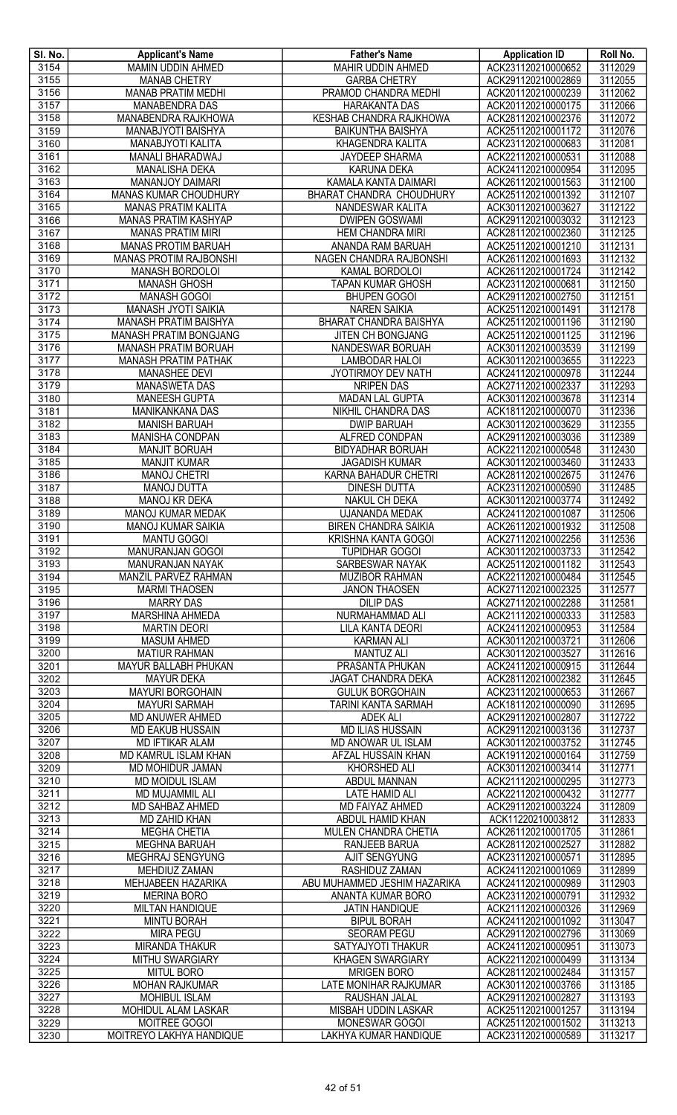| SI. No. | <b>Applicant's Name</b>       | <b>Father's Name</b>           | <b>Application ID</b> | Roll No. |
|---------|-------------------------------|--------------------------------|-----------------------|----------|
| 3154    | MAMIN UDDIN AHMED             | MAHIR UDDIN AHMED              | ACK231120210000652    | 3112029  |
| 3155    | <b>MANAB CHETRY</b>           | <b>GARBA CHETRY</b>            | ACK291120210002869    | 3112055  |
| 3156    | <b>MANAB PRATIM MEDHI</b>     | PRAMOD CHANDRA MEDHI           | ACK201120210000239    | 3112062  |
| 3157    | <b>MANABENDRA DAS</b>         | <b>HARAKANTA DAS</b>           | ACK201120210000175    | 3112066  |
| 3158    | MANABENDRA RAJKHOWA           | <b>KESHAB CHANDRA RAJKHOWA</b> | ACK281120210002376    | 3112072  |
| 3159    | MANABJYOTI BAISHYA            | <b>BAIKUNTHA BAISHYA</b>       | ACK251120210001172    | 3112076  |
| 3160    | MANABJYOTI KALITA             | KHAGENDRA KALITA               | ACK231120210000683    | 3112081  |
| 3161    | MANALI BHARADWAJ              | <b>JAYDEEP SHARMA</b>          | ACK221120210000531    | 3112088  |
| 3162    | <b>MANALISHA DEKA</b>         | <b>KARUNA DEKA</b>             | ACK241120210000954    | 3112095  |
| 3163    | MANANJOY DAIMARI              | KAMALA KANTA DAIMARI           | ACK261120210001563    | 3112100  |
| 3164    | MANAS KUMAR CHOUDHURY         | BHARAT CHANDRA CHOUDHURY       | ACK251120210001392    | 3112107  |
| 3165    | <b>MANAS PRATIM KALITA</b>    | NANDESWAR KALITA               | ACK301120210003627    | 3112122  |
| 3166    | <b>MANAS PRATIM KASHYAP</b>   | <b>DWIPEN GOSWAMI</b>          | ACK291120210003032    | 3112123  |
| 3167    | <b>MANAS PRATIM MIRI</b>      | <b>HEM CHANDRA MIRI</b>        | ACK281120210002360    | 3112125  |
| 3168    | <b>MANAS PROTIM BARUAH</b>    | ANANDA RAM BARUAH              | ACK251120210001210    | 3112131  |
| 3169    | <b>MANAS PROTIM RAJBONSHI</b> | NAGEN CHANDRA RAJBONSHI        | ACK261120210001693    | 3112132  |
| 3170    | MANASH BORDOLOI               | KAMAL BORDOLOI                 | ACK261120210001724    | 3112142  |
| 3171    | <b>MANASH GHOSH</b>           | <b>TAPAN KUMAR GHOSH</b>       | ACK231120210000681    | 3112150  |
| 3172    | <b>MANASH GOGOI</b>           | <b>BHUPEN GOGOI</b>            | ACK291120210002750    | 3112151  |
| 3173    | MANASH JYOTI SAIKIA           | <b>NAREN SAIKIA</b>            | ACK251120210001491    | 3112178  |
| 3174    | MANASH PRATIM BAISHYA         | <b>BHARAT CHANDRA BAISHYA</b>  | ACK251120210001196    | 3112190  |
| 3175    | MANASH PRATIM BONGJANG        | JITEN CH BONGJANG              | ACK251120210001125    | 3112196  |
| 3176    | <b>MANASH PRATIM BORUAH</b>   | NANDESWAR BORUAH               | ACK301120210003539    | 3112199  |
| 3177    | <b>MANASH PRATIM PATHAK</b>   | LAMBODAR HALOI                 | ACK301120210003655    | 3112223  |
| 3178    | <b>MANASHEE DEVI</b>          | JYOTIRMOY DEV NATH             | ACK241120210000978    | 3112244  |
| 3179    | <b>MANASWETA DAS</b>          | <b>NRIPEN DAS</b>              | ACK271120210002337    | 3112293  |
| 3180    | <b>MANEESH GUPTA</b>          | <b>MADAN LAL GUPTA</b>         | ACK301120210003678    | 3112314  |
| 3181    | MANIKANKANA DAS               | NIKHIL CHANDRA DAS             | ACK181120210000070    | 3112336  |
| 3182    | <b>MANISH BARUAH</b>          | <b>DWIP BARUAH</b>             | ACK301120210003629    | 3112355  |
| 3183    | <b>MANISHA CONDPAN</b>        | <b>ALFRED CONDPAN</b>          | ACK291120210003036    | 3112389  |
| 3184    | <b>MANJIT BORUAH</b>          | <b>BIDYADHAR BORUAH</b>        | ACK221120210000548    | 3112430  |
| 3185    | <b>MANJIT KUMAR</b>           | <b>JAGADISH KUMAR</b>          | ACK301120210003460    | 3112433  |
| 3186    | <b>MANOJ CHETRI</b>           | KARNA BAHADUR CHETRI           | ACK281120210002675    | 3112476  |
| 3187    | <b>MANOJ DUTTA</b>            | <b>DINESH DUTTA</b>            | ACK231120210000590    | 3112485  |
| 3188    | MANOJ KR DEKA                 | NAKUL CH DEKA                  | ACK301120210003774    | 3112492  |
| 3189    | <b>MANOJ KUMAR MEDAK</b>      | UJANANDA MEDAK                 | ACK241120210001087    | 3112506  |
| 3190    | <b>MANOJ KUMAR SAIKIA</b>     | <b>BIREN CHANDRA SAIKIA</b>    | ACK261120210001932    | 3112508  |
| 3191    | <b>MANTU GOGOI</b>            | <b>KRISHNA KANTA GOGOI</b>     | ACK271120210002256    | 3112536  |
| 3192    | MANURANJAN GOGOI              | <b>TUPIDHAR GOGOI</b>          | ACK301120210003733    | 3112542  |
| 3193    | <b>MANURANJAN NAYAK</b>       | <b>SARBESWAR NAYAK</b>         | ACK251120210001182    | 3112543  |
| 3194    | MANZIL PARVEZ RAHMAN          | <b>MUZIBOR RAHMAN</b>          | ACK221120210000484    | 3112545  |
| 3195    | <b>MARMI THAOSEN</b>          | <b>JANON THAOSEN</b>           | ACK271120210002325    | 3112577  |
| 3196    | <b>MARRY DAS</b>              | <b>DILIP DAS</b>               | ACK271120210002288    | 3112581  |
| 3197    | <b>MARSHINA AHMEDA</b>        | NURMAHAMMAD ALI                | ACK211120210000333    | 3112583  |
| 3198    | <b>MARTIN DEORI</b>           | LILA KANTA DEORI               | ACK241120210000953    | 3112584  |
| 3199    | <b>MASUM AHMED</b>            | <b>KARMAN ALI</b>              | ACK301120210003721    | 3112606  |
| 3200    | <b>MATIUR RAHMAN</b>          | <b>MANTUZ ALI</b>              | ACK301120210003527    | 3112616  |
| 3201    | MAYUR BALLABH PHUKAN          | PRASANTA PHUKAN                | ACK241120210000915    | 3112644  |
| 3202    | <b>MAYUR DEKA</b>             | JAGAT CHANDRA DEKA             | ACK281120210002382    | 3112645  |
| 3203    | <b>MAYURI BORGOHAIN</b>       | <b>GULUK BORGOHAIN</b>         | ACK231120210000653    | 3112667  |
| 3204    | <b>MAYURI SARMAH</b>          | TARINI KANTA SARMAH            | ACK181120210000090    | 3112695  |
| 3205    | MD ANUWER AHMED               | <b>ADEK ALI</b>                | ACK291120210002807    | 3112722  |
| 3206    | <b>MD EAKUB HUSSAIN</b>       | <b>MD ILIAS HUSSAIN</b>        | ACK291120210003136    | 3112737  |
| 3207    | <b>MD IFTIKAR ALAM</b>        | MD ANOWAR UL ISLAM             | ACK301120210003752    | 3112745  |
| 3208    | MD KAMRUL ISLAM KHAN          | AFZAL HUSSAIN KHAN             | ACK191120210000164    | 3112759  |
| 3209    | MD MOHIDUR JAMAN              | <b>KHORSHED ALI</b>            | ACK301120210003414    | 3112771  |
| 3210    | <b>MD MOIDUL ISLAM</b>        | ABDUL MANNAN                   | ACK211120210000295    | 3112773  |
| 3211    | MD MUJAMMIL ALI               | <b>LATE HAMID ALI</b>          | ACK221120210000432    | 3112777  |
| 3212    | MD SAHBAZ AHMED               | MD FAIYAZ AHMED                | ACK291120210003224    | 3112809  |
| 3213    | MD ZAHID KHAN                 | ABDUL HAMID KHAN               | ACK11220210003812     | 3112833  |
| 3214    | <b>MEGHA CHETIA</b>           | MULEN CHANDRA CHETIA           | ACK261120210001705    | 3112861  |
| 3215    | MEGHNA BARUAH                 | RANJEEB BARUA                  | ACK281120210002527    | 3112882  |
| 3216    | MEGHRAJ SENGYUNG              | AJIT SENGYUNG                  | ACK231120210000571    | 3112895  |
| 3217    | MEHDIUZ ZAMAN                 | RASHIDUZ ZAMAN                 | ACK241120210001069    | 3112899  |
| 3218    | MEHJABEEN HAZARIKA            | ABU MUHAMMED JESHIM HAZARIKA   | ACK241120210000989    | 3112903  |
| 3219    | <b>MERINA BORO</b>            | ANANTA KUMAR BORO              | ACK231120210000791    | 3112932  |
| 3220    | <b>MILTAN HANDIQUE</b>        | <b>JATIN HANDIQUE</b>          | ACK211120210000326    | 3112969  |
| 3221    | <b>MINTU BORAH</b>            | <b>BIPUL BORAH</b>             | ACK241120210001092    | 3113047  |
| 3222    | <b>MIRA PEGU</b>              | <b>SEORAM PEGU</b>             | ACK291120210002796    | 3113069  |
| 3223    | <b>MIRANDA THAKUR</b>         | SATYAJYOTI THAKUR              | ACK241120210000951    | 3113073  |
| 3224    | MITHU SWARGIARY               | <b>KHAGEN SWARGIARY</b>        | ACK221120210000499    | 3113134  |
| 3225    | <b>MITUL BORO</b>             | <b>MRIGEN BORO</b>             | ACK281120210002484    | 3113157  |
| 3226    | <b>MOHAN RAJKUMAR</b>         | LATE MONIHAR RAJKUMAR          | ACK301120210003766    | 3113185  |
| 3227    | <b>MOHIBUL ISLAM</b>          | RAUSHAN JALAL                  | ACK291120210002827    | 3113193  |
| 3228    | MOHIDUL ALAM LASKAR           | MISBAH UDDIN LASKAR            | ACK251120210001257    | 3113194  |
| 3229    | MOITREE GOGOI                 | MONESWAR GOGOI                 | ACK251120210001502    | 3113213  |
| 3230    | MOITREYO LAKHYA HANDIQUE      | LAKHYA KUMAR HANDIQUE          | ACK231120210000589    | 3113217  |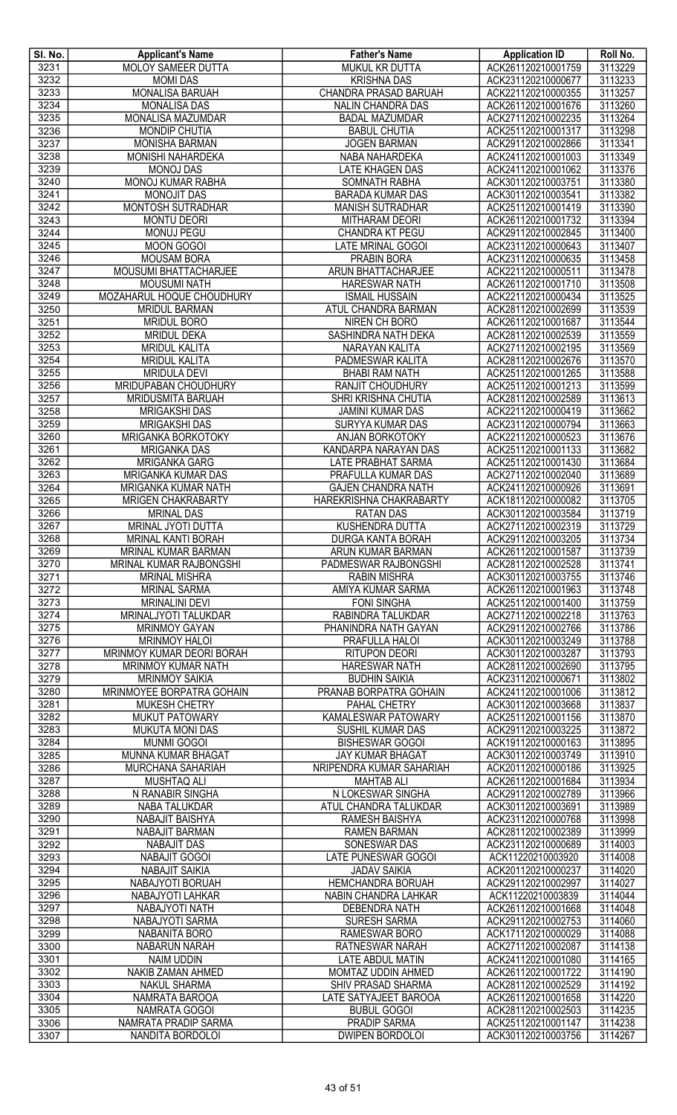| SI. No.      | <b>Applicant's Name</b>                   | <b>Father's Name</b>                                | <b>Application ID</b>                    | Roll No.           |
|--------------|-------------------------------------------|-----------------------------------------------------|------------------------------------------|--------------------|
| 3231         | MOLOY SAMEER DUTTA                        | MUKUL KR DUTTA                                      | ACK261120210001759                       | 3113229            |
| 3232         | <b>MOMI DAS</b>                           | <b>KRISHNA DAS</b>                                  | ACK231120210000677                       | 3113233            |
| 3233         | MONALISA BARUAH                           | CHANDRA PRASAD BARUAH                               | ACK221120210000355                       | 3113257            |
| 3234         | <b>MONALISA DAS</b>                       | NALIN CHANDRA DAS                                   | ACK261120210001676                       | 3113260            |
| 3235         | <b>MONALISA MAZUMDAR</b>                  | <b>BADAL MAZUMDAR</b>                               | ACK271120210002235                       | 3113264            |
| 3236         | <b>MONDIP CHUTIA</b>                      | <b>BABUL CHUTIA</b>                                 | ACK251120210001317                       | 3113298            |
| 3237         | <b>MONISHA BARMAN</b>                     | <b>JOGEN BARMAN</b>                                 | ACK291120210002866                       | 3113341            |
| 3238         | MONISHI NAHARDEKA                         | NABA NAHARDEKA                                      | ACK241120210001003                       | 3113349            |
| 3239         | <b>MONOJ DAS</b>                          | <b>LATE KHAGEN DAS</b>                              | ACK241120210001062                       | 3113376            |
| 3240         | MONOJ KUMAR RABHA                         | SOMNATH RABHA                                       | ACK301120210003751                       | 3113380            |
| 3241         | MONOJIT DAS                               | <b>BARADA KUMAR DAS</b>                             | ACK301120210003541                       | 3113382            |
| 3242         | <b>MONTOSH SUTRADHAR</b>                  | <b>MANISH SUTRADHAR</b>                             | ACK251120210001419                       | 3113390            |
| 3243         | <b>MONTU DEORI</b>                        | <b>MITHARAM DEORI</b>                               | ACK261120210001732                       | 3113394            |
| 3244<br>3245 | <b>MONUJ PEGU</b>                         | CHANDRA KT PEGU<br><b>LATE MRINAL GOGOI</b>         | ACK291120210002845                       | 3113400<br>3113407 |
| 3246         | <b>MOON GOGOI</b><br><b>MOUSAM BORA</b>   | PRABIN BORA                                         | ACK231120210000643<br>ACK231120210000635 | 3113458            |
| 3247         | MOUSUMI BHATTACHARJEE                     | <b>ARUN BHATTACHARJEE</b>                           | ACK221120210000511                       | 3113478            |
| 3248         | <b>MOUSUMI NATH</b>                       | <b>HARESWAR NATH</b>                                | ACK261120210001710                       | 3113508            |
| 3249         | MOZAHARUL HOQUE CHOUDHURY                 | <b>ISMAIL HUSSAIN</b>                               | ACK221120210000434                       | 3113525            |
| 3250         | <b>MRIDUL BARMAN</b>                      | <b>ATUL CHANDRA BARMAN</b>                          | ACK281120210002699                       | 3113539            |
| 3251         | <b>MRIDUL BORO</b>                        | NIREN CH BORO                                       | ACK261120210001687                       | 3113544            |
| 3252         | <b>MRIDUL DEKA</b>                        | SASHINDRA NATH DEKA                                 | ACK281120210002539                       | 3113559            |
| 3253         | <b>MRIDUL KALITA</b>                      | NARAYAN KALITA                                      | ACK271120210002195                       | 3113569            |
| 3254         | <b>MRIDUL KALITA</b>                      | PADMESWAR KALITA                                    | ACK281120210002676                       | 3113570            |
| 3255         | <b>MRIDULA DEVI</b>                       | <b>BHABI RAM NATH</b>                               | ACK251120210001265                       | 3113588            |
| 3256         | MRIDUPABAN CHOUDHURY                      | <b>RANJIT CHOUDHURY</b>                             | ACK251120210001213                       | 3113599            |
| 3257         | MRIDUSMITA BARUAH                         | SHRI KRISHNA CHUTIA                                 | ACK281120210002589                       | 3113613            |
| 3258         | <b>MRIGAKSHI DAS</b>                      | <b>JAMINI KUMAR DAS</b>                             | ACK221120210000419                       | 3113662            |
| 3259         | <b>MRIGAKSHI DAS</b>                      | SURYYA KUMAR DAS                                    | ACK231120210000794                       | 3113663            |
| 3260         | MRIGANKA BORKOTOKY                        | <b>ANJAN BORKOTOKY</b>                              | ACK221120210000523                       | 3113676            |
| 3261         | <b>MRIGANKA DAS</b>                       | KANDARPA NARAYAN DAS                                | ACK251120210001133                       | 3113682            |
| 3262         | <b>MRIGANKA GARG</b>                      | <b>LATE PRABHAT SARMA</b>                           | ACK251120210001430                       | 3113684            |
| 3263         | MRIGANKA KUMAR DAS                        | PRAFULLA KUMAR DAS                                  | ACK271120210002040                       | 3113689            |
| 3264         | MRIGANKA KUMAR NATH                       | <b>GAJEN CHANDRA NATH</b>                           | ACK241120210000926                       | 3113691            |
| 3265         | <b>MRIGEN CHAKRABARTY</b>                 | HAREKRISHNA CHAKRABARTY                             | ACK181120210000082                       | 3113705            |
| 3266         | <b>MRINAL DAS</b>                         | RATAN DAS                                           | ACK301120210003584                       | 3113719            |
| 3267         | MRINAL JYOTI DUTTA                        | <b>KUSHENDRA DUTTA</b>                              | ACK271120210002319                       | 3113729            |
| 3268<br>3269 | MRINAL KANTI BORAH<br>MRINAL KUMAR BARMAN | DURGA KANTA BORAH<br>ARUN KUMAR BARMAN              | ACK291120210003205<br>ACK261120210001587 | 3113734<br>3113739 |
| 3270         | <b>MRINAL KUMAR RAJBONGSHI</b>            | PADMESWAR RAJBONGSHI                                | ACK281120210002528                       | 3113741            |
| 3271         | <b>MRINAL MISHRA</b>                      | <b>RABIN MISHRA</b>                                 | ACK301120210003755                       | 3113746            |
| 3272         | <b>MRINAL SARMA</b>                       | AMIYA KUMAR SARMA                                   | ACK261120210001963                       | 3113748            |
| 3273         | <b>MRINALINI DEVI</b>                     | <b>FONI SINGHA</b>                                  | ACK251120210001400                       | 3113759            |
| 3274         | MRINALJYOTI TALUKDAR                      | RABINDRA TALUKDAR                                   | ACK271120210002218                       | 3113763            |
| 3275         | <b>MRINMOY GAYAN</b>                      | PHANINDRA NATH GAYAN                                | ACK291120210002766                       | 3113786            |
| 3276         | <b>MRINMOY HALOI</b>                      | PRAFULLA HALOI                                      | ACK301120210003249                       | 3113788            |
| 3277         | MRINMOY KUMAR DEORI BORAH                 | <b>RITUPON DEORI</b>                                | ACK301120210003287                       | 3113793            |
| 3278         | MRINMOY KUMAR NATH                        | <b>HARESWAR NATH</b>                                | ACK281120210002690                       | 3113795            |
| 3279         | <b>MRINMOY SAIKIA</b>                     | <b>BUDHIN SAIKIA</b>                                | ACK231120210000671                       | 3113802            |
| 3280         | MRINMOYEE BORPATRA GOHAIN                 | PRANAB BORPATRA GOHAIN                              | ACK241120210001006                       | 3113812            |
| 3281         | MUKESH CHETRY                             | PAHAL CHETRY                                        | ACK301120210003668                       | 3113837            |
| 3282         | MUKUT PATOWARY                            | KAMALESWAR PATOWARY                                 | ACK251120210001156                       | 3113870            |
| 3283         | <b>MUKUTA MONI DAS</b>                    | SUSHIL KUMAR DAS                                    | ACK291120210003225                       | 3113872            |
| 3284         | <b>MUNMI GOGOI</b>                        | <b>BISHESWAR GOGOI</b>                              | ACK191120210000163                       | 3113895            |
| 3285<br>3286 | MUNNA KUMAR BHAGAT<br>MURCHANA SAHARIAH   | <b>JAY KUMAR BHAGAT</b><br>NRIPENDRA KUMAR SAHARIAH | ACK301120210003749<br>ACK201120210000186 | 3113910<br>3113925 |
| 3287         | MUSHTAQ ALI                               | <b>MAHTAB ALI</b>                                   | ACK261120210001684                       | 3113934            |
| 3288         | N RANABIR SINGHA                          | N LOKESWAR SINGHA                                   | ACK291120210002789                       | 3113966            |
| 3289         | NABA TALUKDAR                             | ATUL CHANDRA TALUKDAR                               | ACK301120210003691                       | 3113989            |
| 3290         | NABAJIT BAISHYA                           | RAMESH BAISHYA                                      | ACK231120210000768                       | 3113998            |
| 3291         | NABAJIT BARMAN                            | <b>RAMEN BARMAN</b>                                 | ACK281120210002389                       | 3113999            |
| 3292         | <b>NABAJIT DAS</b>                        | SONESWAR DAS                                        | ACK231120210000689                       | 3114003            |
| 3293         | NABAJIT GOGOI                             | LATE PUNESWAR GOGOI                                 | ACK11220210003920                        | 3114008            |
| 3294         | <b>NABAJIT SAIKIA</b>                     | <b>JADAV SAIKIA</b>                                 | ACK201120210000237                       | 3114020            |
| 3295         | NABAJYOTI BORUAH                          | <b>HEMCHANDRA BORUAH</b>                            | ACK291120210002997                       | 3114027            |
| 3296         | NABAJYOTI LAHKAR                          | NABIN CHANDRA LAHKAR                                | ACK11220210003839                        | 3114044            |
| 3297         | NABAJYOTI NATH                            | <b>DEBENDRA NATH</b>                                | ACK261120210001668                       | 3114048            |
| 3298         | <b>NABAJYOTI SARMA</b>                    | <b>SURESH SARMA</b>                                 | ACK291120210002753                       | 3114060            |
| 3299         | <b>NABANITA BORO</b>                      | RAMESWAR BORO                                       | ACK171120210000029                       | 3114088            |
| 3300         | NABARUN NARAH                             | <b>RATNESWAR NARAH</b>                              | ACK271120210002087                       | 3114138            |
| 3301         | <b>NAIM UDDIN</b>                         | <b>LATE ABDUL MATIN</b>                             | ACK241120210001080                       | 3114165            |
| 3302         | NAKIB ZAMAN AHMED                         | MOMTAZ UDDIN AHMED                                  | ACK261120210001722                       | 3114190            |
| 3303         | <b>NAKUL SHARMA</b>                       | SHIV PRASAD SHARMA                                  | ACK281120210002529                       | 3114192            |
| 3304         | NAMRATA BAROOA                            | LATE SATYAJEET BAROOA                               | ACK261120210001658                       | 3114220            |
| 3305<br>3306 | NAMRATA GOGOI<br>NAMRATA PRADIP SARMA     | <b>BUBUL GOGOI</b><br><b>PRADIP SARMA</b>           | ACK281120210002503<br>ACK251120210001147 | 3114235<br>3114238 |
| 3307         | NANDITA BORDOLOI                          | <b>DWIPEN BORDOLOI</b>                              | ACK301120210003756                       | 3114267            |
|              |                                           |                                                     |                                          |                    |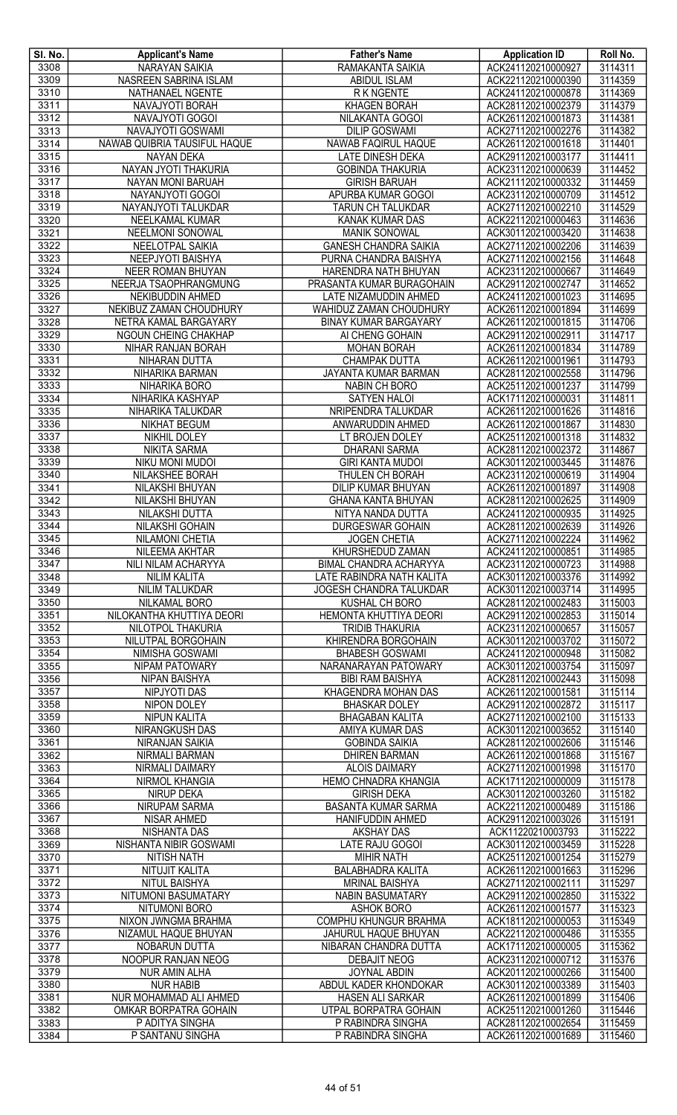| SI. No.      | <b>Applicant's Name</b>                           | <b>Father's Name</b>                          | <b>Application ID</b>                    | Roll No.           |
|--------------|---------------------------------------------------|-----------------------------------------------|------------------------------------------|--------------------|
| 3308         | <b>NARAYAN SAIKIA</b>                             | RAMAKANTA SAIKIA                              | ACK241120210000927                       | 3114311            |
| 3309         | NASREEN SABRINA ISLAM                             | <b>ABIDUL ISLAM</b>                           | ACK221120210000390                       | 3114359            |
| 3310         | NATHANAEL NGENTE                                  | R K NGENTE                                    | ACK241120210000878                       | 3114369            |
| 3311         | NAVAJYOTI BORAH                                   | <b>KHAGEN BORAH</b>                           | ACK281120210002379                       | 3114379            |
| 3312<br>3313 | NAVAJYOTI GOGOI                                   | NILAKANTA GOGOI<br><b>DILIP GOSWAMI</b>       | ACK261120210001873                       | 3114381            |
| 3314         | NAVAJYOTI GOSWAMI<br>NAWAB QUIBRIA TAUSIFUL HAQUE | NAWAB FAQIRUL HAQUE                           | ACK271120210002276<br>ACK261120210001618 | 3114382<br>3114401 |
| 3315         | <b>NAYAN DEKA</b>                                 | LATE DINESH DEKA                              | ACK291120210003177                       | 3114411            |
| 3316         | NAYAN JYOTI THAKURIA                              | <b>GOBINDA THAKURIA</b>                       | ACK231120210000639                       | 3114452            |
| 3317         | NAYAN MONI BARUAH                                 | <b>GIRISH BARUAH</b>                          | ACK211120210000332                       | 3114459            |
| 3318         | NAYANJYOTI GOGOI                                  | APURBA KUMAR GOGOI                            | ACK231120210000709                       | 3114512            |
| 3319         | NAYANJYOTI TALUKDAR                               | TARUN CH TALUKDAR                             | ACK271120210002210                       | 3114529            |
| 3320         | NEELKAMAL KUMAR                                   | <b>KANAK KUMAR DAS</b>                        | ACK221120210000463                       | 3114636            |
| 3321         | NEELMONI SONOWAL                                  | <b>MANIK SONOWAL</b>                          | ACK301120210003420                       | 3114638            |
| 3322         | NEELOTPAL SAIKIA                                  | <b>GANESH CHANDRA SAIKIA</b>                  | ACK271120210002206                       | 3114639            |
| 3323         | <b>NEEPJYOTI BAISHYA</b>                          | PURNA CHANDRA BAISHYA                         | ACK271120210002156                       | 3114648            |
| 3324         | NEER ROMAN BHUYAN                                 | HARENDRA NATH BHUYAN                          | ACK231120210000667                       | 3114649            |
| 3325         | NEERJA TSAOPHRANGMUNG                             | PRASANTA KUMAR BURAGOHAIN                     | ACK291120210002747                       | 3114652            |
| 3326         | NEKIBUDDIN AHMED                                  | LATE NIZAMUDDIN AHMED                         | ACK241120210001023                       | 3114695            |
| 3327         | NEKIBUZ ZAMAN CHOUDHURY                           | WAHIDUZ ZAMAN CHOUDHURY                       | ACK261120210001894                       | 3114699            |
| 3328         | NETRA KAMAL BARGAYARY                             | <b>BINAY KUMAR BARGAYARY</b>                  | ACK261120210001815                       | 3114706            |
| 3329         | NGOUN CHEING CHAKHAP                              | AI CHENG GOHAIN                               | ACK291120210002911                       | 3114717            |
| 3330         | NIHAR RANJAN BORAH                                | <b>MOHAN BORAH</b>                            | ACK261120210001834                       | 3114789            |
| 3331         | NIHARAN DUTTA                                     | CHAMPAK DUTTA                                 | ACK261120210001961                       | 3114793            |
| 3332         | NIHARIKA BARMAN                                   | JAYANTA KUMAR BARMAN<br><b>NABIN CH BORO</b>  | ACK281120210002558<br>ACK251120210001237 | 3114796<br>3114799 |
| 3333<br>3334 | NIHARIKA BORO<br>NIHARIKA KASHYAP                 | <b>SATYEN HALOI</b>                           | ACK171120210000031                       | 3114811            |
| 3335         | NIHARIKA TALUKDAR                                 | NRIPENDRA TALUKDAR                            | ACK261120210001626                       | 3114816            |
| 3336         | <b>NIKHAT BEGUM</b>                               | ANWARUDDIN AHMED                              | ACK261120210001867                       | 3114830            |
| 3337         | NIKHIL DOLEY                                      | LT BROJEN DOLEY                               | ACK251120210001318                       | 3114832            |
| 3338         | <b>NIKITA SARMA</b>                               | <b>DHARANI SARMA</b>                          | ACK281120210002372                       | 3114867            |
| 3339         | NIKU MONI MUDOI                                   | <b>GIRI KANTA MUDOI</b>                       | ACK301120210003445                       | 3114876            |
| 3340         | NILAKSHEE BORAH                                   | THULEN CH BORAH                               | ACK231120210000619                       | 3114904            |
| 3341         | NILAKSHI BHUYAN                                   | DILIP KUMAR BHUYAN                            | ACK261120210001897                       | 3114908            |
| 3342         | NILAKSHI BHUYAN                                   | <b>GHANA KANTA BHUYAN</b>                     | ACK281120210002625                       | 3114909            |
| 3343         | NILAKSHI DUTTA                                    | NITYA NANDA DUTTA                             | ACK241120210000935                       | 3114925            |
| 3344         | NILAKSHI GOHAIN                                   | <b>DURGESWAR GOHAIN</b>                       | ACK281120210002639                       | 3114926            |
| 3345         | <b>NILAMONI CHETIA</b>                            | <b>JOGEN CHETIA</b>                           | ACK271120210002224                       | 3114962            |
| 3346         | NILEEMA AKHTAR                                    | KHURSHEDUD ZAMAN                              | ACK241120210000851                       | 3114985            |
| 3347         | NILI NILAM ACHARYYA                               | BIMAL CHANDRA ACHARYYA                        | ACK231120210000723                       | 3114988            |
| 3348         | <b>NILIM KALITA</b>                               | LATE RABINDRA NATH KALITA                     | ACK301120210003376                       | 3114992            |
| 3349         | <b>NILIM TALUKDAR</b>                             | JOGESH CHANDRA TALUKDAR                       | ACK301120210003714                       | 3114995            |
| 3350         | NILKAMAL BORO                                     | KUSHAL CH BORO                                | ACK281120210002483                       | 3115003            |
| 3351         | NILOKANTHA KHUTTIYA DEORI                         | HEMONTA KHUTTIYA DEORI                        | ACK291120210002853                       | 3115014            |
| 3352<br>3353 | NILOTPOL THAKURIA<br>NILUTPAL BORGOHAIN           | <b>TRIDIB THAKURIA</b><br>KHIRENDRA BORGOHAIN | ACK231120210000657<br>ACK301120210003702 | 3115057<br>3115072 |
| 3354         | NIMISHA GOSWAMI                                   | <b>BHABESH GOSWAMI</b>                        | ACK241120210000948                       | 3115082            |
| 3355         | NIPAM PATOWARY                                    | NARANARAYAN PATOWARY                          | ACK301120210003754                       | 3115097            |
| 3356         | NIPAN BAISHYA                                     | <b>BIBI RAM BAISHYA</b>                       | ACK281120210002443                       | 3115098            |
| 3357         | <b>NIPJYOTI DAS</b>                               | KHAGENDRA MOHAN DAS                           | ACK261120210001581                       | 3115114            |
| 3358         | NIPON DOLEY                                       | <b>BHASKAR DOLEY</b>                          | ACK291120210002872                       | 3115117            |
| 3359         | <b>NIPUN KALITA</b>                               | <b>BHAGABAN KALITA</b>                        | ACK271120210002100                       | 3115133            |
| 3360         | NIRANGKUSH DAS                                    | AMIYA KUMAR DAS                               | ACK301120210003652                       | 3115140            |
| 3361         | NIRANJAN SAIKIA                                   | <b>GOBINDA SAIKIA</b>                         | ACK281120210002606                       | 3115146            |
| 3362         | NIRMALI BARMAN                                    | <b>DHIREN BARMAN</b>                          | ACK261120210001868                       | 3115167            |
| 3363         | NIRMALI DAIMARY                                   | <b>ALOIS DAIMARY</b>                          | ACK271120210001998                       | 3115170            |
| 3364         | NIRMOL KHANGIA                                    | HEMO CHNADRA KHANGIA                          | ACK171120210000009                       | 3115178            |
| 3365         | <b>NIRUP DEKA</b>                                 | <b>GIRISH DEKA</b>                            | ACK301120210003260                       | 3115182            |
| 3366         | <b>NIRUPAM SARMA</b>                              | <b>BASANTA KUMAR SARMA</b>                    | ACK221120210000489                       | 3115186            |
| 3367         | NISAR AHMED                                       | HANIFUDDIN AHMED                              | ACK291120210003026<br>ACK11220210003793  | 3115191<br>3115222 |
| 3368<br>3369 | NISHANTA DAS<br>NISHANTA NIBIR GOSWAMI            | <b>AKSHAY DAS</b><br>LATE RAJU GOGOI          | ACK301120210003459                       | 3115228            |
| 3370         | <b>NITISH NATH</b>                                | <b>MIHIR NATH</b>                             | ACK251120210001254                       | 3115279            |
| 3371         | NITUJIT KALITA                                    | <b>BALABHADRA KALITA</b>                      | ACK261120210001663                       | 3115296            |
| 3372         | <b>NITUL BAISHYA</b>                              | <b>MRINAL BAISHYA</b>                         | ACK271120210002111                       | 3115297            |
| 3373         | NITUMONI BASUMATARY                               | <b>NABIN BASUMATARY</b>                       | ACK291120210002850                       | 3115322            |
| 3374         | <b>NITUMONI BORO</b>                              | <b>ASHOK BORO</b>                             | ACK261120210001577                       | 3115323            |
| 3375         | NIXON JWNGMA BRAHMA                               | <b>COMPHU KHUNGUR BRAHMA</b>                  | ACK181120210000053                       | 3115349            |
| 3376         | NIZAMUL HAQUE BHUYAN                              | JAHURUL HAQUE BHUYAN                          | ACK221120210000486                       | 3115355            |
| 3377         | NOBARUN DUTTA                                     | NIBARAN CHANDRA DUTTA                         | ACK171120210000005                       | 3115362            |
| 3378         | NOOPUR RANJAN NEOG                                | DEBAJIT NEOG                                  | ACK231120210000712                       | 3115376            |
| 3379         | <b>NUR AMIN ALHA</b>                              | JOYNAL ABDIN                                  | ACK201120210000266                       | 3115400            |
| 3380         | <b>NUR HABIB</b>                                  | ABDUL KADER KHONDOKAR                         | ACK301120210003389                       | 3115403            |
| 3381         | NUR MOHAMMAD ALI AHMED                            | <b>HASEN ALI SARKAR</b>                       | ACK261120210001899                       | 3115406            |
| 3382         | OMKAR BORPATRA GOHAIN                             | UTPAL BORPATRA GOHAIN                         | ACK251120210001260                       | 3115446            |
| 3383         | P ADITYA SINGHA                                   | P RABINDRA SINGHA                             | ACK281120210002654                       | 3115459            |
| 3384         | P SANTANU SINGHA                                  | P RABINDRA SINGHA                             | ACK261120210001689                       | 3115460            |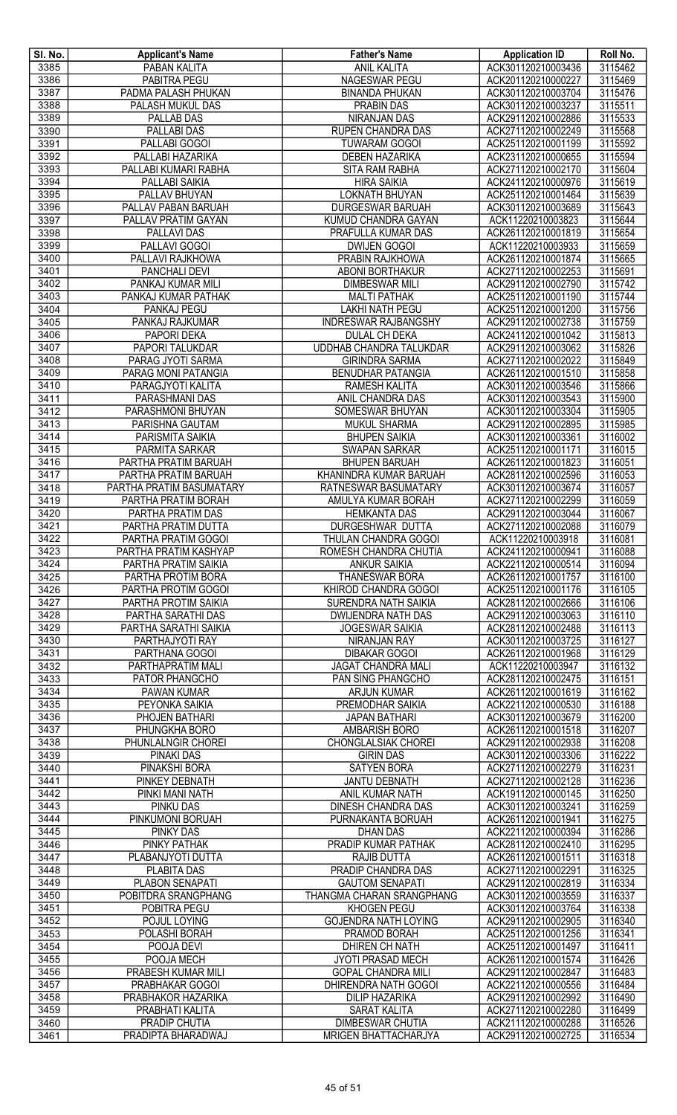| SI. No.      | <b>Applicant's Name</b>                    | <b>Father's Name</b>                             | <b>Application ID</b>                    | Roll No.           |
|--------------|--------------------------------------------|--------------------------------------------------|------------------------------------------|--------------------|
| 3385         | PABAN KALITA                               | <b>ANIL KALITA</b>                               | ACK301120210003436                       | 3115462            |
| 3386         | <b>PABITRA PEGU</b>                        | <b>NAGESWAR PEGU</b>                             | ACK201120210000227                       | 3115469            |
| 3387         | PADMA PALASH PHUKAN                        | <b>BINANDA PHUKAN</b>                            | ACK301120210003704                       | 3115476            |
| 3388         | <b>PALASH MUKUL DAS</b>                    | <b>PRABIN DAS</b>                                | ACK301120210003237                       | 3115511            |
| 3389         | PALLAB DAS<br><b>PALLABI DAS</b>           | NIRANJAN DAS                                     | ACK291120210002886                       | 3115533            |
| 3390<br>3391 | PALLABI GOGOI                              | <b>RUPEN CHANDRA DAS</b><br><b>TUWARAM GOGOI</b> | ACK271120210002249<br>ACK251120210001199 | 3115568<br>3115592 |
| 3392         | PALLABI HAZARIKA                           | <b>DEBEN HAZARIKA</b>                            | ACK231120210000655                       | 3115594            |
| 3393         | PALLABI KUMARI RABHA                       | SITA RAM RABHA                                   | ACK271120210002170                       | 3115604            |
| 3394         | PALLABI SAIKIA                             | <b>HIRA SAIKIA</b>                               | ACK241120210000976                       | 3115619            |
| 3395         | PALLAV BHUYAN                              | <b>LOKNATH BHUYAN</b>                            | ACK251120210001464                       | 3115639            |
| 3396         | PALLAV PABAN BARUAH                        | DURGESWAR BARUAH                                 | ACK301120210003689                       | 3115643            |
| 3397         | PALLAV PRATIM GAYAN                        | KUMUD CHANDRA GAYAN                              | ACK11220210003823                        | 3115644            |
| 3398         | <b>PALLAVIDAS</b>                          | PRAFULLA KUMAR DAS                               | ACK261120210001819                       | 3115654            |
| 3399         | <b>PALLAVI GOGOI</b>                       | <b>DWIJEN GOGOI</b>                              | ACK11220210003933                        | 3115659            |
| 3400         | PALLAVI RAJKHOWA                           | PRABIN RAJKHOWA                                  | ACK261120210001874                       | 3115665            |
| 3401         | <b>PANCHALI DEVI</b>                       | ABONI BORTHAKUR                                  | ACK271120210002253                       | 3115691            |
| 3402         | PANKAJ KUMAR MILI                          | <b>DIMBESWAR MILI</b>                            | ACK291120210002790                       | 3115742            |
| 3403         | PANKAJ KUMAR PATHAK                        | <b>MALTI PATHAK</b>                              | ACK251120210001190                       | 3115744            |
| 3404         | PANKAJ PEGU                                | <b>LAKHI NATH PEGU</b>                           | ACK251120210001200                       | 3115756            |
| 3405         | PANKAJ RAJKUMAR                            | <b>INDRESWAR RAJBANGSHY</b>                      | ACK291120210002738                       | 3115759            |
| 3406<br>3407 | PAPORI DEKA<br><b>PAPORI TALUKDAR</b>      | <b>DULAL CH DEKA</b>                             | ACK241120210001042                       | 3115813<br>3115826 |
| 3408         | PARAG JYOTI SARMA                          | UDDHAB CHANDRA TALUKDAR<br><b>GIRINDRA SARMA</b> | ACK291120210003062<br>ACK271120210002022 | 3115849            |
| 3409         | PARAG MONI PATANGIA                        | <b>BENUDHAR PATANGIA</b>                         | ACK261120210001510                       | 3115858            |
| 3410         | PARAGJYOTI KALITA                          | RAMESH KALITA                                    | ACK301120210003546                       | 3115866            |
| 3411         | PARASHMANI DAS                             | ANIL CHANDRA DAS                                 | ACK301120210003543                       | 3115900            |
| 3412         | PARASHMONI BHUYAN                          | SOMESWAR BHUYAN                                  | ACK301120210003304                       | 3115905            |
| 3413         | <b>PARISHNA GAUTAM</b>                     | <b>MUKUL SHARMA</b>                              | ACK291120210002895                       | 3115985            |
| 3414         | PARISMITA SAIKIA                           | <b>BHUPEN SAIKIA</b>                             | ACK301120210003361                       | 3116002            |
| 3415         | PARMITA SARKAR                             | <b>SWAPAN SARKAR</b>                             | ACK251120210001171                       | 3116015            |
| 3416         | PARTHA PRATIM BARUAH                       | <b>BHUPEN BARUAH</b>                             | ACK261120210001823                       | 3116051            |
| 3417         | PARTHA PRATIM BARUAH                       | KHANINDRA KUMAR BARUAH                           | ACK281120210002596                       | 3116053            |
| 3418         | PARTHA PRATIM BASUMATARY                   | RATNESWAR BASUMATARY                             | ACK301120210003674                       | 3116057            |
| 3419         | PARTHA PRATIM BORAH                        | AMULYA KUMAR BORAH                               | ACK271120210002299                       | 3116059            |
| 3420<br>3421 | PARTHA PRATIM DAS                          | <b>HEMKANTA DAS</b><br><b>DURGESHWAR DUTTA</b>   | ACK291120210003044                       | 3116067<br>3116079 |
| 3422         | PARTHA PRATIM DUTTA<br>PARTHA PRATIM GOGOI | THULAN CHANDRA GOGOI                             | ACK271120210002088<br>ACK11220210003918  | 3116081            |
| 3423         | PARTHA PRATIM KASHYAP                      | ROMESH CHANDRA CHUTIA                            | ACK241120210000941                       | 3116088            |
| 3424         | PARTHA PRATIM SAIKIA                       | <b>ANKUR SAIKIA</b>                              | ACK221120210000514                       | 3116094            |
| 3425         | PARTHA PROTIM BORA                         | <b>THANESWAR BORA</b>                            | ACK261120210001757                       | 3116100            |
| 3426         | PARTHA PROTIM GOGOI                        | KHIROD CHANDRA GOGOI                             | ACK251120210001176                       | 3116105            |
| 3427         | PARTHA PROTIM SAIKIA                       | <b>SURENDRA NATH SAIKIA</b>                      | ACK281120210002666                       | 3116106            |
| 3428         | PARTHA SARATHI DAS                         | <b>DWIJENDRA NATH DAS</b>                        | ACK291120210003063                       | 3116110            |
| 3429         | PARTHA SARATHI SAIKIA                      | <b>JOGESWAR SAIKIA</b>                           | ACK281120210002488                       | 3116113            |
| 3430         | PARTHAJYOTI RAY                            | NIRANJAN RAY                                     | ACK301120210003725                       | 3116127            |
| 3431         | PARTHANA GOGOI                             | <b>DIBAKAR GOGOI</b>                             | ACK261120210001968                       | 3116129            |
| 3432<br>3433 | PARTHAPRATIM MALI                          | <b>JAGAT CHANDRA MALI</b>                        | ACK11220210003947                        | 3116132            |
| 3434         | PATOR PHANGCHO<br>PAWAN KUMAR              | PAN SING PHANGCHO<br><b>ARJUN KUMAR</b>          | ACK281120210002475<br>ACK261120210001619 | 3116151<br>3116162 |
| 3435         | PEYONKA SAIKIA                             | PREMODHAR SAIKIA                                 | ACK221120210000530                       | 3116188            |
| 3436         | PHOJEN BATHARI                             | <b>JAPAN BATHARI</b>                             | ACK301120210003679                       | 3116200            |
| 3437         | PHUNGKHA BORO                              | AMBARISH BORO                                    | ACK261120210001518                       | 3116207            |
| 3438         | PHUNLALNGIR CHOREI                         | <b>CHONGLALSIAK CHOREI</b>                       | ACK291120210002938                       | 3116208            |
| 3439         | PINAKI DAS                                 | <b>GIRIN DAS</b>                                 | ACK301120210003306                       | 3116222            |
| 3440         | <b>PINAKSHI BORA</b>                       | <b>SATYEN BORA</b>                               | ACK271120210002279                       | 3116231            |
| 3441         | PINKEY DEBNATH                             | <b>JANTU DEBNATH</b>                             | ACK271120210002128                       | 3116236            |
| 3442         | PINKI MANI NATH                            | ANIL KUMAR NATH                                  | ACK191120210000145                       | 3116250            |
| 3443         | PINKU DAS                                  | DINESH CHANDRA DAS                               | ACK301120210003241                       | 3116259            |
| 3444         | PINKUMONI BORUAH                           | PURNAKANTA BORUAH                                | ACK261120210001941                       | 3116275<br>3116286 |
| 3445<br>3446 | <b>PINKY DAS</b><br><b>PINKY PATHAK</b>    | <b>DHAN DAS</b><br>PRADIP KUMAR PATHAK           | ACK221120210000394<br>ACK281120210002410 | 3116295            |
| 3447         | PLABANJYOTI DUTTA                          | <b>RAJIB DUTTA</b>                               | ACK261120210001511                       | 3116318            |
| 3448         | <b>PLABITA DAS</b>                         | PRADIP CHANDRA DAS                               | ACK271120210002291                       | 3116325            |
| 3449         | <b>PLABON SENAPATI</b>                     | <b>GAUTOM SENAPATI</b>                           | ACK291120210002819                       | 3116334            |
| 3450         | POBITDRA SRANGPHANG                        | <b>THANGMA CHARAN SRANGPHANG</b>                 | ACK301120210003559                       | 3116337            |
| 3451         | POBITRA PEGU                               | <b>KHOGEN PEGU</b>                               | ACK301120210003764                       | 3116338            |
| 3452         | POJUL LOYING                               | <b>GOJENDRA NATH LOYING</b>                      | ACK291120210002905                       | 3116340            |
| 3453         | POLASHI BORAH                              | PRAMOD BORAH                                     | ACK251120210001256                       | 3116341            |
| 3454         | POOJA DEVI                                 | <b>DHIREN CH NATH</b>                            | ACK251120210001497                       | 3116411            |
| 3455         | POOJA MECH                                 | JYOTI PRASAD MECH                                | ACK261120210001574                       | 3116426            |
| 3456         | PRABESH KUMAR MILI                         | <b>GOPAL CHANDRA MILI</b>                        | ACK291120210002847<br>ACK221120210000556 | 3116483<br>3116484 |
| 3457<br>3458 | PRABHAKAR GOGOI<br>PRABHAKOR HAZARIKA      | DHIRENDRA NATH GOGOI<br><b>DILIP HAZARIKA</b>    | ACK291120210002992                       | 3116490            |
| 3459         | PRABHATI KALITA                            | <b>SARAT KALITA</b>                              | ACK271120210002280                       | 3116499            |
| 3460         | <b>PRADIP CHUTIA</b>                       | <b>DIMBESWAR CHUTIA</b>                          | ACK211120210000288                       | 3116526            |
| 3461         | PRADIPTA BHARADWAJ                         | <b>MRIGEN BHATTACHARJYA</b>                      | ACK291120210002725                       | 3116534            |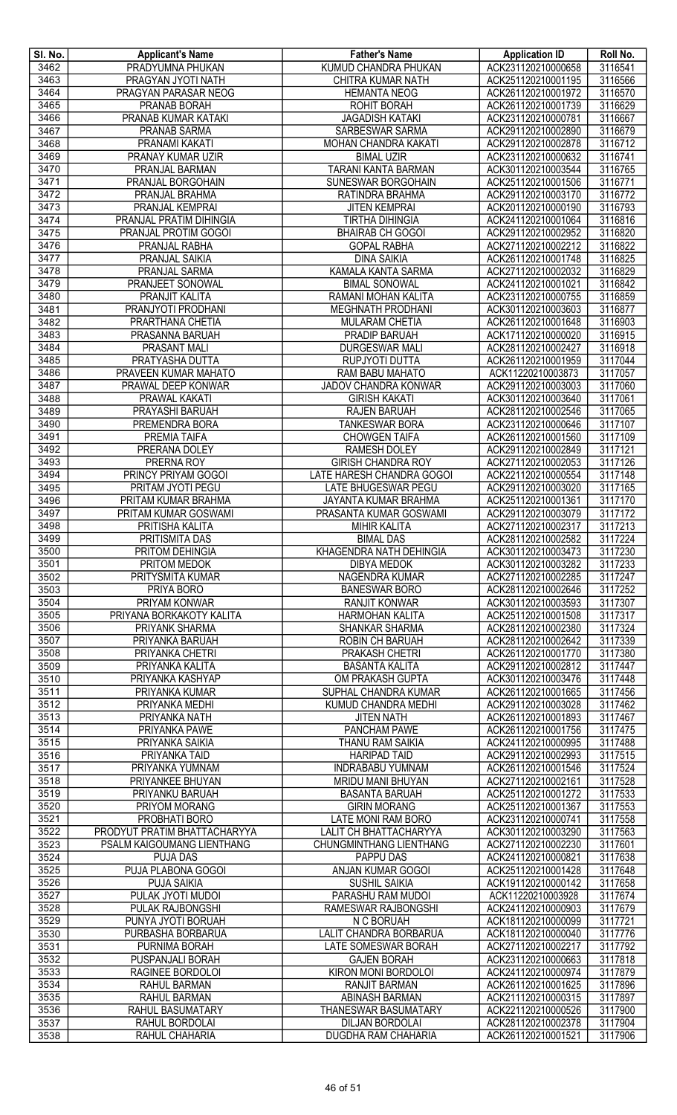| SI. No.      | <b>Applicant's Name</b>                  | <b>Father's Name</b>                             | <b>Application ID</b>                    | Roll No.           |
|--------------|------------------------------------------|--------------------------------------------------|------------------------------------------|--------------------|
| 3462         | PRADYUMNA PHUKAN                         | <b>KUMUD CHANDRA PHUKAN</b>                      | ACK231120210000658                       | 3116541            |
| 3463         | PRAGYAN JYOTI NATH                       | CHITRA KUMAR NATH                                | ACK251120210001195                       | 3116566            |
| 3464         | PRAGYAN PARASAR NEOG                     | <b>HEMANTA NEOG</b>                              | ACK261120210001972                       | 3116570            |
| 3465         | <b>PRANAB BORAH</b>                      | <b>ROHIT BORAH</b>                               | ACK261120210001739                       | 3116629            |
| 3466<br>3467 | PRANAB KUMAR KATAKI                      | <b>JAGADISH KATAKI</b><br><b>SARBESWAR SARMA</b> | ACK231120210000781<br>ACK291120210002890 | 3116667<br>3116679 |
| 3468         | PRANAB SARMA<br>PRANAMI KAKATI           | MOHAN CHANDRA KAKATI                             | ACK291120210002878                       | 3116712            |
| 3469         | PRANAY KUMAR UZIR                        | <b>BIMAL UZIR</b>                                | ACK231120210000632                       | 3116741            |
| 3470         | PRANJAL BARMAN                           | TARANI KANTA BARMAN                              | ACK301120210003544                       | 3116765            |
| 3471         | PRANJAL BORGOHAIN                        | SUNESWAR BORGOHAIN                               | ACK251120210001506                       | 3116771            |
| 3472         | PRANJAL BRAHMA                           | RATINDRA BRAHMA                                  | ACK291120210003170                       | 3116772            |
| 3473         | PRANJAL KEMPRAI                          | <b>JITEN KEMPRAI</b>                             | ACK201120210000190                       | 3116793            |
| 3474         | PRANJAL PRATIM DIHINGIA                  | <b>TIRTHA DIHINGIA</b>                           | ACK241120210001064                       | 3116816            |
| 3475         | PRANJAL PROTIM GOGOI                     | <b>BHAIRAB CH GOGOI</b>                          | ACK291120210002952                       | 3116820            |
| 3476         | PRANJAL RABHA                            | <b>GOPAL RABHA</b>                               | ACK271120210002212                       | 3116822            |
| 3477         | <b>PRANJAL SAIKIA</b>                    | <b>DINA SAIKIA</b>                               | ACK261120210001748                       | 3116825            |
| 3478         | PRANJAL SARMA                            | KAMALA KANTA SARMA                               | ACK271120210002032                       | 3116829            |
| 3479         | PRANJEET SONOWAL                         | <b>BIMAL SONOWAL</b>                             | ACK241120210001021                       | 3116842            |
| 3480         | PRANJIT KALITA                           | RAMANI MOHAN KALITA                              | ACK231120210000755                       | 3116859            |
| 3481<br>3482 | PRANJYOTI PRODHANI                       | MEGHNATH PRODHANI                                | ACK301120210003603                       | 3116877            |
|              | PRARTHANA CHETIA                         | <b>MULARAM CHETIA</b>                            | ACK261120210001648                       | 3116903            |
| 3483<br>3484 | PRASANNA BARUAH<br>PRASANT MALI          | PRADIP BARUAH<br><b>DURGESWAR MALI</b>           | ACK171120210000020<br>ACK281120210002427 | 3116915<br>3116918 |
| 3485         | PRATYASHA DUTTA                          | RUPJYOTI DUTTA                                   | ACK261120210001959                       | 3117044            |
| 3486         | PRAVEEN KUMAR MAHATO                     | RAM BABU MAHATO                                  | ACK11220210003873                        | 3117057            |
| 3487         | PRAWAL DEEP KONWAR                       | <b>JADOV CHANDRA KONWAR</b>                      | ACK291120210003003                       | 3117060            |
| 3488         | <b>PRAWAL KAKATI</b>                     | <b>GIRISH KAKATI</b>                             | ACK301120210003640                       | 3117061            |
| 3489         | PRAYASHI BARUAH                          | RAJEN BARUAH                                     | ACK281120210002546                       | 3117065            |
| 3490         | PREMENDRA BORA                           | <b>TANKESWAR BORA</b>                            | ACK231120210000646                       | 3117107            |
| 3491         | PREMIA TAIFA                             | <b>CHOWGEN TAIFA</b>                             | ACK261120210001560                       | 3117109            |
| 3492         | PRERANA DOLEY                            | <b>RAMESH DOLEY</b>                              | ACK291120210002849                       | 3117121            |
| 3493         | PRERNA ROY                               | <b>GIRISH CHANDRA ROY</b>                        | ACK271120210002053                       | 3117126            |
| 3494         | PRINCY PRIYAM GOGOI                      | LATE HARESH CHANDRA GOGOI                        | ACK221120210000554                       | 3117148            |
| 3495         | PRITAM JYOTI PEGU                        | LATE BHUGESWAR PEGU                              | ACK291120210003020                       | 3117165            |
| 3496         | PRITAM KUMAR BRAHMA                      | JAYANTA KUMAR BRAHMA                             | ACK251120210001361                       | 3117170            |
| 3497         | PRITAM KUMAR GOSWAMI                     | PRASANTA KUMAR GOSWAMI                           | ACK291120210003079                       | 3117172            |
| 3498<br>3499 | PRITISHA KALITA<br><b>PRITISMITA DAS</b> | <b>MIHIR KALITA</b><br><b>BIMAL DAS</b>          | ACK271120210002317<br>ACK281120210002582 | 3117213<br>3117224 |
| 3500         | PRITOM DEHINGIA                          | KHAGENDRA NATH DEHINGIA                          | ACK301120210003473                       | 3117230            |
| 3501         | <b>PRITOM MEDOK</b>                      | <b>DIBYA MEDOK</b>                               | ACK301120210003282                       | 3117233            |
| 3502         | PRITYSMITA KUMAR                         | <b>NAGENDRA KUMAR</b>                            | ACK271120210002285                       | 3117247            |
| 3503         | PRIYA BORO                               | <b>BANESWAR BORO</b>                             | ACK281120210002646                       | 3117252            |
| 3504         | <b>PRIYAM KONWAR</b>                     | <b>RANJIT KONWAR</b>                             | ACK301120210003593                       | 3117307            |
| 3505         | PRIYANA BORKAKOTY KALITA                 | <b>HARMOHAN KALITA</b>                           | ACK251120210001508                       | 3117317            |
| 3506         | PRIYANK SHARMA                           | SHANKAR SHARMA                                   | ACK281120210002380                       | 3117324            |
| 3507         | PRIYANKA BARUAH                          | ROBIN CH BARUAH                                  | ACK281120210002642                       | 3117339            |
| 3508         | PRIYANKA CHETRI                          | PRAKASH CHETRI                                   | ACK261120210001770                       | 3117380            |
| 3509         | PRIYANKA KALITA                          | <b>BASANTA KALITA</b>                            | ACK291120210002812                       | 3117447            |
| 3510         | PRIYANKA KASHYAP                         | OM PRAKASH GUPTA                                 | ACK301120210003476                       | 3117448            |
| 3511         | PRIYANKA KUMAR                           | SUPHAL CHANDRA KUMAR                             | ACK261120210001665                       | 3117456            |
| 3512         | PRIYANKA MEDHI                           | KUMUD CHANDRA MEDHI                              | ACK291120210003028                       | 3117462            |
| 3513<br>3514 | PRIYANKA NATH                            | <b>JITEN NATH</b>                                | ACK261120210001893                       | 3117467            |
| 3515         | PRIYANKA PAWE<br><b>PRIYANKA SAIKIA</b>  | PANCHAM PAWE<br>THANU RAM SAIKIA                 | ACK261120210001756<br>ACK241120210000995 | 3117475<br>3117488 |
| 3516         | PRIYANKA TAID                            | <b>HARIPAD TAID</b>                              | ACK291120210002993                       | 3117515            |
| 3517         | PRIYANKA YUMNAM                          | <b>INDRABABU YUMNAM</b>                          | ACK261120210001546                       | 3117524            |
| 3518         | <b>PRIYANKEE BHUYAN</b>                  | MRIDU MANI BHUYAN                                | ACK271120210002161                       | 3117528            |
| 3519         | PRIYANKU BARUAH                          | <b>BASANTA BARUAH</b>                            | ACK251120210001272                       | 3117533            |
| 3520         | PRIYOM MORANG                            | <b>GIRIN MORANG</b>                              | ACK251120210001367                       | 3117553            |
| 3521         | PROBHATI BORO                            | LATE MONI RAM BORO                               | ACK231120210000741                       | 3117558            |
| 3522         | PRODYUT PRATIM BHATTACHARYYA             | LALIT CH BHATTACHARYYA                           | ACK301120210003290                       | 3117563            |
| 3523         | PSALM KAIGOUMANG LIENTHANG               | CHUNGMINTHANG LIENTHANG                          | ACK271120210002230                       | 3117601            |
| 3524         | <b>PUJA DAS</b>                          | PAPPU DAS                                        | ACK241120210000821                       | 3117638            |
| 3525         | PUJA PLABONA GOGOI                       | ANJAN KUMAR GOGOI                                | ACK251120210001428                       | 3117648            |
| 3526         | PUJA SAIKIA                              | <b>SUSHIL SAIKIA</b>                             | ACK191120210000142                       | 3117658            |
| 3527         | PULAK JYOTI MUDOI                        | PARASHU RAM MUDOI                                | ACK11220210003928<br>ACK241120210000903  | 3117674            |
| 3528<br>3529 | PULAK RAJBONGSHI<br>PUNYA JYOTI BORUAH   | RAMESWAR RAJBONGSHI<br>N C BORUAH                | ACK181120210000099                       | 3117679<br>3117721 |
| 3530         | PURBASHA BORBARUA                        | LALIT CHANDRA BORBARUA                           | ACK181120210000040                       | 3117776            |
| 3531         | <b>PURNIMA BORAH</b>                     | LATE SOMESWAR BORAH                              | ACK271120210002217                       | 3117792            |
| 3532         | PUSPANJALI BORAH                         | <b>GAJEN BORAH</b>                               | ACK231120210000663                       | 3117818            |
| 3533         | RAGINEE BORDOLOI                         | KIRON MONI BORDOLOI                              | ACK241120210000974                       | 3117879            |
| 3534         | RAHUL BARMAN                             | <b>RANJIT BARMAN</b>                             | ACK261120210001625                       | 3117896            |
| 3535         | RAHUL BARMAN                             | ABINASH BARMAN                                   | ACK211120210000315                       | 3117897            |
| 3536         | RAHUL BASUMATARY                         | <b>THANESWAR BASUMATARY</b>                      | ACK221120210000526                       | 3117900            |
| 3537         | RAHUL BORDOLAI                           | <b>DILJAN BORDOLAI</b>                           | ACK281120210002378                       | 3117904            |
| 3538         | RAHUL CHAHARIA                           | <b>DUGDHA RAM CHAHARIA</b>                       | ACK261120210001521                       | 3117906            |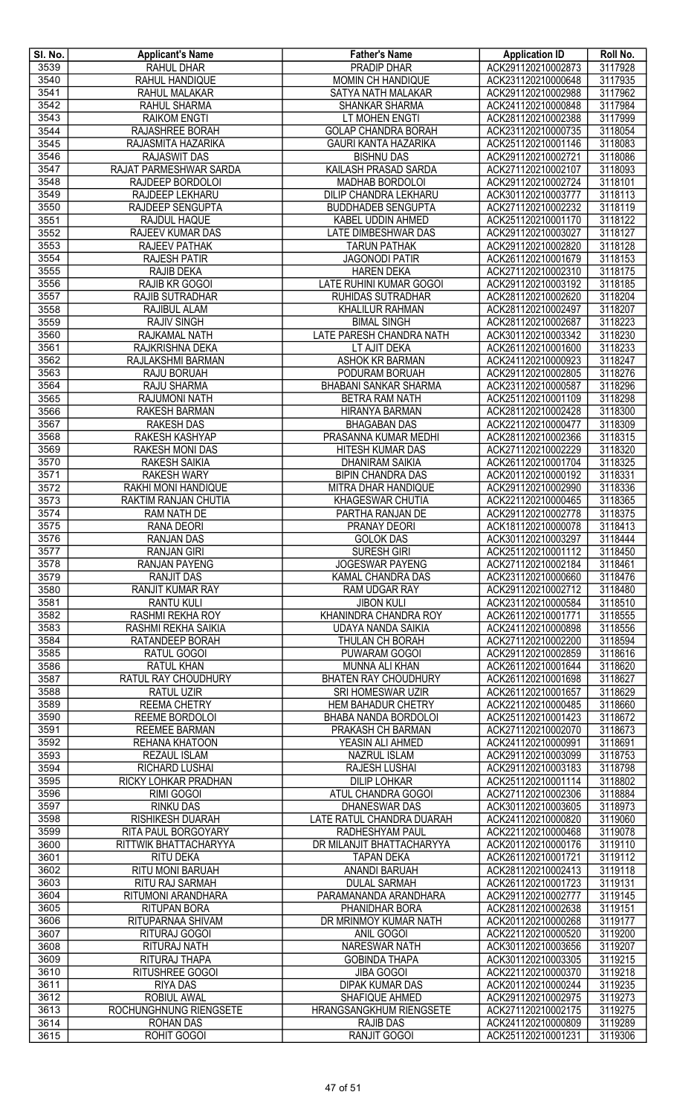| SI. No.      | <b>Applicant's Name</b>                      | <b>Father's Name</b>                               | <b>Application ID</b>                    | Roll No.           |
|--------------|----------------------------------------------|----------------------------------------------------|------------------------------------------|--------------------|
| 3539         | RAHUL DHAR<br>RAHUL HANDIQUE                 | <b>PRADIP DHAR</b>                                 | ACK291120210002873                       | 3117928            |
| 3540<br>3541 | RAHUL MALAKAR                                | MOMIN CH HANDIQUE<br>SATYA NATH MALAKAR            | ACK231120210000648<br>ACK291120210002988 | 3117935<br>3117962 |
| 3542         | <b>RAHUL SHARMA</b>                          | <b>SHANKAR SHARMA</b>                              | ACK241120210000848                       | 3117984            |
| 3543         | <b>RAIKOM ENGTI</b>                          | LT MOHEN ENGTI                                     | ACK281120210002388                       | 3117999            |
| 3544         | RAJASHREE BORAH                              | <b>GOLAP CHANDRA BORAH</b>                         | ACK231120210000735                       | 3118054            |
| 3545         | RAJASMITA HAZARIKA                           | <b>GAURI KANTA HAZARIKA</b>                        | ACK251120210001146                       | 3118083            |
| 3546         | RAJASWIT DAS                                 | <b>BISHNU DAS</b>                                  | ACK291120210002721                       | 3118086            |
| 3547         | RAJAT PARMESHWAR SARDA                       | KAILASH PRASAD SARDA                               | ACK271120210002107                       | 3118093            |
| 3548<br>3549 | RAJDEEP BORDOLOI<br>RAJDEEP LEKHARU          | MADHAB BORDOLOI                                    | ACK291120210002724                       | 3118101<br>3118113 |
| 3550         | RAJDEEP SENGUPTA                             | DILIP CHANDRA LEKHARU<br><b>BUDDHADEB SENGUPTA</b> | ACK301120210003777<br>ACK271120210002232 | 3118119            |
| 3551         | RAJDUL HAQUE                                 | KABEL UDDIN AHMED                                  | ACK251120210001170                       | 3118122            |
| 3552         | RAJEEV KUMAR DAS                             | LATE DIMBESHWAR DAS                                | ACK291120210003027                       | 3118127            |
| 3553         | <b>RAJEEV PATHAK</b>                         | <b>TARUN PATHAK</b>                                | ACK291120210002820                       | 3118128            |
| 3554         | <b>RAJESH PATIR</b>                          | <b>JAGONODI PATIR</b>                              | ACK261120210001679                       | 3118153            |
| 3555         | RAJIB DEKA                                   | <b>HAREN DEKA</b>                                  | ACK271120210002310                       | 3118175            |
| 3556         | RAJIB KR GOGOI                               | <b>LATE RUHINI KUMAR GOGOI</b>                     | ACK291120210003192                       | 3118185            |
| 3557<br>3558 | RAJIB SUTRADHAR<br>RAJIBUL ALAM              | <b>RUHIDAS SUTRADHAR</b><br><b>KHALILUR RAHMAN</b> | ACK281120210002620<br>ACK281120210002497 | 3118204<br>3118207 |
| 3559         | <b>RAJIV SINGH</b>                           | <b>BIMAL SINGH</b>                                 | ACK281120210002687                       | 3118223            |
| 3560         | RAJKAMAL NATH                                | LATE PARESH CHANDRA NATH                           | ACK301120210003342                       | 3118230            |
| 3561         | RAJKRISHNA DEKA                              | LT AJIT DEKA                                       | ACK261120210001600                       | 3118233            |
| 3562         | RAJLAKSHMI BARMAN                            | ASHOK KR BARMAN                                    | ACK241120210000923                       | 3118247            |
| 3563         | RAJU BORUAH                                  | PODURAM BORUAH                                     | ACK291120210002805                       | 3118276            |
| 3564         | <b>RAJU SHARMA</b>                           | <b>BHABANI SANKAR SHARMA</b>                       | ACK231120210000587                       | 3118296            |
| 3565         | RAJUMONI NATH                                | BETRA RAM NATH                                     | ACK251120210001109                       | 3118298            |
| 3566<br>3567 | <b>RAKESH BARMAN</b><br><b>RAKESH DAS</b>    | <b>HIRANYA BARMAN</b><br><b>BHAGABAN DAS</b>       | ACK281120210002428<br>ACK221120210000477 | 3118300<br>3118309 |
| 3568         | RAKESH KASHYAP                               | PRASANNA KUMAR MEDHI                               | ACK281120210002366                       | 3118315            |
| 3569         | RAKESH MONI DAS                              | HITESH KUMAR DAS                                   | ACK271120210002229                       | 3118320            |
| 3570         | RAKESH SAIKIA                                | <b>DHANIRAM SAIKIA</b>                             | ACK261120210001704                       | 3118325            |
| 3571         | <b>RAKESH WARY</b>                           | <b>BIPIN CHANDRA DAS</b>                           | ACK201120210000192                       | 3118331            |
| 3572         | RAKHI MONI HANDIQUE                          | MITRA DHAR HANDIQUE                                | ACK291120210002990                       | 3118336            |
| 3573<br>3574 | RAKTIM RANJAN CHUTIA                         | KHAGESWAR CHUTIA                                   | ACK221120210000465<br>ACK291120210002778 | 3118365<br>3118375 |
| 3575         | RAM NATH DE<br>RANA DEORI                    | PARTHA RANJAN DE<br><b>PRANAY DEORI</b>            | ACK181120210000078                       | 3118413            |
| 3576         | <b>RANJAN DAS</b>                            | <b>GOLOK DAS</b>                                   | ACK301120210003297                       | 3118444            |
| 3577         | <b>RANJAN GIRI</b>                           | <b>SURESH GIRI</b>                                 | ACK251120210001112                       | 3118450            |
| 3578         | <b>RANJAN PAYENG</b>                         | <b>JOGESWAR PAYENG</b>                             | ACK271120210002184                       | 3118461            |
| 3579         | <b>RANJIT DAS</b>                            | KAMAL CHANDRA DAS                                  | ACK231120210000660                       | 3118476            |
| 3580<br>3581 | <b>RANJIT KUMAR RAY</b><br><b>RANTU KULI</b> | <b>RAM UDGAR RAY</b><br><b>JIBON KULI</b>          | ACK291120210002712<br>ACK231120210000584 | 3118480<br>3118510 |
| 3582         | RASHMI REKHA ROY                             | KHANINDRA CHANDRA ROY                              | ACK261120210001771                       | 3118555            |
| 3583         | RASHMI REKHA SAIKIA                          | UDAYA NANDA SAIKIA                                 | ACK241120210000898                       | 3118556            |
| 3584         | RATANDEEP BORAH                              | THULAN CH BORAH                                    | ACK271120210002200                       | 3118594            |
| 3585         | RATUL GOGOI                                  | <b>PUWARAM GOGOI</b>                               | ACK291120210002859                       | 3118616            |
| 3586         | <b>RATUL KHAN</b>                            | <b>MUNNA ALI KHAN</b>                              | ACK261120210001644                       | 3118620            |
| 3587         | RATUL RAY CHOUDHURY                          | <b>BHATEN RAY CHOUDHURY</b>                        | ACK261120210001698                       | 3118627            |
| 3588<br>3589 | <b>RATUL UZIR</b><br><b>REEMA CHETRY</b>     | SRI HOMESWAR UZIR<br><b>HEM BAHADUR CHETRY</b>     | ACK261120210001657<br>ACK221120210000485 | 3118629<br>3118660 |
| 3590         | REEME BORDOLOI                               | BHABA NANDA BORDOLOI                               | ACK251120210001423                       | 3118672            |
| 3591         | <b>REEMEE BARMAN</b>                         | PRAKASH CH BARMAN                                  | ACK271120210002070                       | 3118673            |
| 3592         | REHANA KHATOON                               | YEASIN ALI AHMED                                   | ACK241120210000991                       | 3118691            |
| 3593         | <b>REZAUL ISLAM</b>                          | <b>NAZRUL ISLAM</b>                                | ACK291120210003099                       | 3118753            |
| 3594         | RICHARD LUSHAI                               | <b>RAJESH LUSHAI</b>                               | ACK291120210003183                       | 3118798            |
| 3595         | RICKY LOHKAR PRADHAN                         | <b>DILIP LOHKAR</b>                                | ACK251120210001114                       | 3118802            |
| 3596<br>3597 | RIMI GOGOI<br><b>RINKU DAS</b>               | ATUL CHANDRA GOGOI<br><b>DHANESWAR DAS</b>         | ACK271120210002306<br>ACK301120210003605 | 3118884<br>3118973 |
| 3598         | RISHIKESH DUARAH                             | LATE RATUL CHANDRA DUARAH                          | ACK241120210000820                       | 3119060            |
| 3599         | RITA PAUL BORGOYARY                          | RADHESHYAM PAUL                                    | ACK221120210000468                       | 3119078            |
| 3600         | RITTWIK BHATTACHARYYA                        | DR MILANJIT BHATTACHARYYA                          | ACK201120210000176                       | 3119110            |
| 3601         | RITU DEKA                                    | <b>TAPAN DEKA</b>                                  | ACK261120210001721                       | 3119112            |
| 3602         | RITU MONI BARUAH                             | <b>ANANDI BARUAH</b>                               | ACK281120210002413                       | 3119118            |
| 3603<br>3604 | RITU RAJ SARMAH<br>RITUMONI ARANDHARA        | <b>DULAL SARMAH</b><br>PARAMANANDA ARANDHARA       | ACK261120210001723<br>ACK291120210002777 | 3119131<br>3119145 |
| 3605         | <b>RITUPAN BORA</b>                          | PHANIDHAR BORA                                     | ACK281120210002638                       | 3119151            |
| 3606         | RITUPARNAA SHIVAM                            | DR MRINMOY KUMAR NATH                              | ACK201120210000268                       | 3119177            |
| 3607         | RITURAJ GOGOI                                | ANIL GOGOI                                         | ACK221120210000520                       | 3119200            |
| 3608         | RITURAJ NATH                                 | <b>NARESWAR NATH</b>                               | ACK301120210003656                       | 3119207            |
| 3609         | RITURAJ THAPA                                | <b>GOBINDA THAPA</b>                               | ACK301120210003305                       | 3119215            |
| 3610<br>3611 | <b>RITUSHREE GOGOI</b><br><b>RIYA DAS</b>    | <b>JIBA GOGOI</b><br><b>DIPAK KUMAR DAS</b>        | ACK221120210000370<br>ACK201120210000244 | 3119218<br>3119235 |
| 3612         | <b>ROBIUL AWAL</b>                           | SHAFIQUE AHMED                                     | ACK291120210002975                       | 3119273            |
| 3613         | ROCHUNGHNUNG RIENGSETE                       | HRANGSANGKHUM RIENGSETE                            | ACK271120210002175                       | 3119275            |
| 3614         | <b>ROHAN DAS</b>                             | <b>RAJIB DAS</b>                                   | ACK241120210000809                       | 3119289            |
| 3615         | ROHIT GOGOI                                  | <b>RANJIT GOGOI</b>                                | ACK251120210001231                       | 3119306            |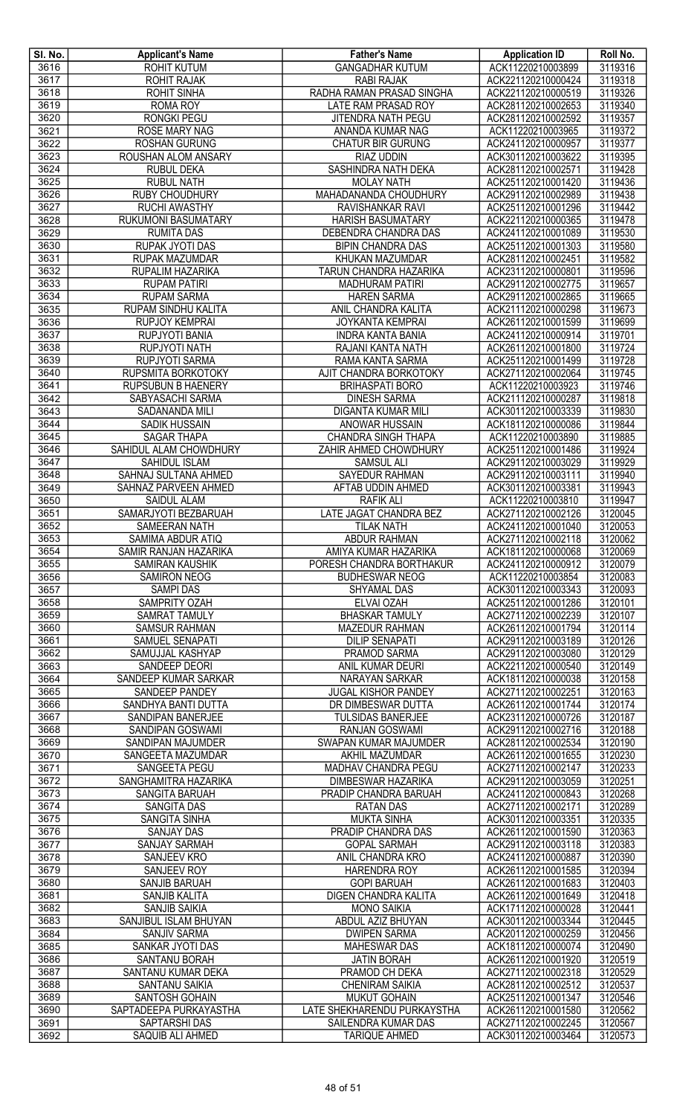| SI. No.      | <b>Applicant's Name</b>                   | <b>Father's Name</b>                             | <b>Application ID</b>                    | Roll No.           |
|--------------|-------------------------------------------|--------------------------------------------------|------------------------------------------|--------------------|
| 3616         | <b>ROHIT KUTUM</b>                        | <b>GANGADHAR KUTUM</b>                           | ACK11220210003899                        | 3119316            |
| 3617         | <b>ROHIT RAJAK</b>                        | <b>RABI RAJAK</b>                                | ACK221120210000424                       | 3119318            |
| 3618         | <b>ROHIT SINHA</b>                        | RADHA RAMAN PRASAD SINGHA                        | ACK221120210000519                       | 3119326            |
| 3619         | <b>ROMA ROY</b>                           | LATE RAM PRASAD ROY                              | ACK281120210002653                       | 3119340            |
| 3620         | <b>RONGKI PEGU</b>                        | <b>JITENDRA NATH PEGU</b>                        | ACK281120210002592                       | 3119357            |
| 3621         | <b>ROSE MARY NAG</b>                      | ANANDA KUMAR NAG                                 | ACK11220210003965                        | 3119372            |
| 3622         | <b>ROSHAN GURUNG</b>                      | <b>CHATUR BIR GURUNG</b>                         | ACK241120210000957                       | 3119377            |
| 3623         | ROUSHAN ALOM ANSARY                       | <b>RIAZ UDDIN</b>                                | ACK301120210003622                       | 3119395            |
| 3624         | <b>RUBUL DEKA</b>                         | SASHINDRA NATH DEKA                              | ACK281120210002571                       | 3119428            |
| 3625         | <b>RUBUL NATH</b>                         | <b>MOLAY NATH</b>                                | ACK251120210001420                       | 3119436            |
| 3626         | <b>RUBY CHOUDHURY</b>                     | MAHADANANDA CHOUDHURY                            | ACK291120210002989                       | 3119438            |
| 3627         | RUCHI AWASTHY                             | RAVISHANKAR RAVI                                 | ACK251120210001296                       | 3119442            |
| 3628         | RUKUMONI BASUMATARY                       | <b>HARISH BASUMATARY</b>                         | ACK221120210000365                       | 3119478            |
| 3629         | <b>RUMITA DAS</b>                         | DEBENDRA CHANDRA DAS                             | ACK241120210001089                       | 3119530            |
| 3630         | <b>RUPAK JYOTI DAS</b>                    | <b>BIPIN CHANDRA DAS</b>                         | ACK251120210001303                       | 3119580            |
| 3631<br>3632 | RUPAK MAZUMDAR<br>RUPALIM HAZARIKA        | KHUKAN MAZUMDAR                                  | ACK281120210002451                       | 3119582<br>3119596 |
| 3633         | <b>RUPAM PATIRI</b>                       | TARUN CHANDRA HAZARIKA<br><b>MADHURAM PATIRI</b> | ACK231120210000801<br>ACK291120210002775 | 3119657            |
| 3634         |                                           |                                                  | ACK291120210002865                       | 3119665            |
| 3635         | <b>RUPAM SARMA</b><br>RUPAM SINDHU KALITA | <b>HAREN SARMA</b><br>ANIL CHANDRA KALITA        | ACK211120210000298                       | 3119673            |
| 3636         | <b>RUPJOY KEMPRAI</b>                     | <b>JOYKANTA KEMPRAI</b>                          | ACK261120210001599                       | 3119699            |
| 3637         | <b>RUPJYOTI BANIA</b>                     | <b>INDRA KANTA BANIA</b>                         | ACK241120210000914                       | 3119701            |
| 3638         | <b>RUPJYOTI NATH</b>                      | RAJANI KANTA NATH                                | ACK261120210001800                       | 3119724            |
| 3639         | RUPJYOTI SARMA                            | RAMA KANTA SARMA                                 | ACK251120210001499                       | 3119728            |
| 3640         | RUPSMITA BORKOTOKY                        | AJIT CHANDRA BORKOTOKY                           | ACK271120210002064                       | 3119745            |
| 3641         | <b>RUPSUBUN B HAENERY</b>                 | <b>BRIHASPATI BORO</b>                           | ACK11220210003923                        | 3119746            |
| 3642         | SABYASACHI SARMA                          | <b>DINESH SARMA</b>                              | ACK211120210000287                       | 3119818            |
| 3643         | SADANANDA MILI                            | <b>DIGANTA KUMAR MILI</b>                        | ACK301120210003339                       | 3119830            |
| 3644         | <b>SADIK HUSSAIN</b>                      | ANOWAR HUSSAIN                                   | ACK181120210000086                       | 3119844            |
| 3645         | <b>SAGAR THAPA</b>                        | <b>CHANDRA SINGH THAPA</b>                       | ACK11220210003890                        | 3119885            |
| 3646         | SAHIDUL ALAM CHOWDHURY                    | ZAHIR AHMED CHOWDHURY                            | ACK251120210001486                       | 3119924            |
| 3647         | SAHIDUL ISLAM                             | <b>SAMSUL ALI</b>                                | ACK291120210003029                       | 3119929            |
| 3648         | SAHNAJ SULTANA AHMED                      | SAYEDUR RAHMAN                                   | ACK291120210003111                       | 3119940            |
| 3649         | SAHNAZ PARVEEN AHMED                      | AFTAB UDDIN AHMED                                | ACK301120210003381                       | 3119943            |
| 3650         | SAIDUL ALAM                               | <b>RAFIK ALI</b>                                 | ACK11220210003810                        | 3119947            |
| 3651         | SAMARJYOTI BEZBARUAH                      | LATE JAGAT CHANDRA BEZ                           | ACK271120210002126                       | 3120045            |
| 3652         | <b>SAMEERAN NATH</b>                      | <b>TILAK NATH</b>                                | ACK241120210001040                       | 3120053            |
| 3653         | SAMIMA ABDUR ATIQ                         | <b>ABDUR RAHMAN</b>                              | ACK271120210002118                       | 3120062            |
| 3654         | SAMIR RANJAN HAZARIKA                     | AMIYA KUMAR HAZARIKA                             | ACK181120210000068                       | 3120069            |
| 3655         | <b>SAMIRAN KAUSHIK</b>                    | PORESH CHANDRA BORTHAKUR                         | ACK241120210000912                       | 3120079            |
| 3656         | <b>SAMIRON NEOG</b>                       | <b>BUDHESWAR NEOG</b>                            | ACK11220210003854                        | 3120083            |
| 3657         | <b>SAMPI DAS</b>                          | <b>SHYAMAL DAS</b>                               | ACK301120210003343                       | 3120093            |
| 3658         | SAMPRITY OZAH                             | ELVAI OZAH                                       | ACK251120210001286                       | 3120101            |
| 3659         | <b>SAMRAT TAMULY</b>                      | <b>BHASKAR TAMULY</b>                            | ACK271120210002239                       | 3120107            |
| 3660         | <b>SAMSUR RAHMAN</b>                      | <b>MAZEDUR RAHMAN</b>                            | ACK261120210001794                       | 3120114            |
| 3661         | SAMUEL SENAPATI                           | <b>DILIP SENAPATI</b>                            | ACK291120210003189                       | 3120126            |
| 3662         | SAMUJJAL KASHYAP                          | PRAMOD SARMA                                     | ACK291120210003080                       | 3120129            |
| 3663         | SANDEEP DEORI                             | ANIL KUMAR DEURI                                 | ACK221120210000540                       | 3120149            |
| 3664         | SANDEEP KUMAR SARKAR                      | NARAYAN SARKAR                                   | ACK181120210000038                       | 3120158            |
| 3665         | SANDEEP PANDEY                            | <b>JUGAL KISHOR PANDEY</b>                       | ACK271120210002251                       | 3120163            |
| 3666         | SANDHYA BANTI DUTTA                       | DR DIMBESWAR DUTTA                               | ACK261120210001744                       | 3120174            |
| 3667         | SANDIPAN BANERJEE                         | <b>TULSIDAS BANERJEE</b>                         | ACK231120210000726                       | 3120187            |
| 3668         | SANDIPAN GOSWAMI                          | RANJAN GOSWAMI                                   | ACK291120210002716                       | 3120188            |
| 3669         | SANDIPAN MAJUMDER                         | SWAPAN KUMAR MAJUMDER                            | ACK281120210002534                       | 3120190            |
| 3670<br>3671 | SANGEETA MAZUMDAR<br>SANGEETA PEGU        | AKHIL MAZUMDAR<br>MADHAV CHANDRA PEGU            | ACK261120210001655<br>ACK271120210002147 | 3120230<br>3120233 |
| 3672         | SANGHAMITRA HAZARIKA                      | <b>DIMBESWAR HAZARIKA</b>                        | ACK291120210003059                       | 3120251            |
| 3673         | SANGITA BARUAH                            | PRADIP CHANDRA BARUAH                            | ACK241120210000843                       | 3120268            |
| 3674         | SANGITA DAS                               | <b>RATAN DAS</b>                                 | ACK271120210002171                       | 3120289            |
| 3675         | SANGITA SINHA                             | <b>MUKTA SINHA</b>                               | ACK301120210003351                       | 3120335            |
| 3676         | <b>SANJAY DAS</b>                         | PRADIP CHANDRA DAS                               | ACK261120210001590                       | 3120363            |
| 3677         | <b>SANJAY SARMAH</b>                      | <b>GOPAL SARMAH</b>                              | ACK291120210003118                       | 3120383            |
| 3678         | SANJEEV KRO                               | ANIL CHANDRA KRO                                 | ACK241120210000887                       | 3120390            |
| 3679         | SANJEEV ROY                               | <b>HARENDRA ROY</b>                              | ACK261120210001585                       | 3120394            |
| 3680         | SANJIB BARUAH                             | <b>GOPI BARUAH</b>                               | ACK261120210001683                       | 3120403            |
| 3681         | SANJIB KALITA                             | DIGEN CHANDRA KALITA                             | ACK261120210001649                       | 3120418            |
| 3682         | <b>SANJIB SAIKIA</b>                      | <b>MONO SAIKIA</b>                               | ACK171120210000028                       | 3120441            |
| 3683         | SANJIBUL ISLAM BHUYAN                     | ABDUL AZIZ BHUYAN                                | ACK301120210003344                       | 3120445            |
| 3684         | <b>SANJIV SARMA</b>                       | <b>DWIPEN SARMA</b>                              | ACK201120210000259                       | 3120456            |
| 3685         | SANKAR JYOTI DAS                          | <b>MAHESWAR DAS</b>                              | ACK181120210000074                       | 3120490            |
| 3686         | SANTANU BORAH                             | <b>JATIN BORAH</b>                               | ACK261120210001920                       | 3120519            |
| 3687         | SANTANU KUMAR DEKA                        | PRAMOD CH DEKA                                   | ACK271120210002318                       | 3120529            |
| 3688         | SANTANU SAIKIA                            | <b>CHENIRAM SAIKIA</b>                           | ACK281120210002512                       | 3120537            |
| 3689         | SANTOSH GOHAIN                            | <b>MUKUT GOHAIN</b>                              | ACK251120210001347                       | 3120546            |
| 3690         | SAPTADEEPA PURKAYASTHA                    | LATE SHEKHARENDU PURKAYSTHA                      | ACK261120210001580                       | 3120562            |
| 3691         | <b>SAPTARSHI DAS</b>                      | SAILENDRA KUMAR DAS                              | ACK271120210002245                       | 3120567            |
| 3692         | SAQUIB ALI AHMED                          | <b>TARIQUE AHMED</b>                             | ACK301120210003464                       | 3120573            |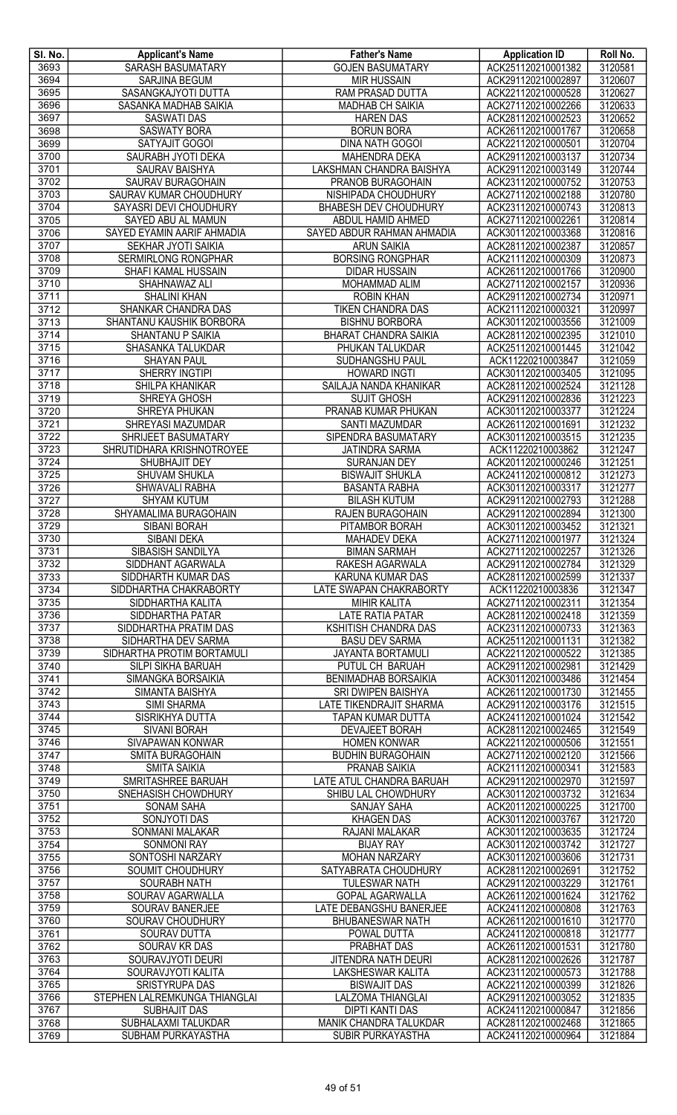| SI. No. | <b>Applicant's Name</b>       | <b>Father's Name</b>         | <b>Application ID</b> | Roll No. |
|---------|-------------------------------|------------------------------|-----------------------|----------|
| 3693    | <b>SARASH BASUMATARY</b>      | <b>GOJEN BASUMATARY</b>      | ACK251120210001382    | 3120581  |
| 3694    | <b>SARJINA BEGUM</b>          | <b>MIR HUSSAIN</b>           | ACK291120210002897    | 3120607  |
| 3695    | SASANGKAJYOTI DUTTA           | RAM PRASAD DUTTA             | ACK221120210000528    | 3120627  |
| 3696    | SASANKA MADHAB SAIKIA         | <b>MADHAB CH SAIKIA</b>      | ACK271120210002266    | 3120633  |
| 3697    | <b>SASWATI DAS</b>            | <b>HAREN DAS</b>             | ACK281120210002523    | 3120652  |
| 3698    | <b>SASWATY BORA</b>           | <b>BORUN BORA</b>            | ACK261120210001767    | 3120658  |
| 3699    | SATYAJIT GOGOI                | <b>DINA NATH GOGOI</b>       | ACK221120210000501    | 3120704  |
| 3700    | SAURABH JYOTI DEKA            | MAHENDRA DEKA                | ACK291120210003137    | 3120734  |
| 3701    | <b>SAURAV BAISHYA</b>         | LAKSHMAN CHANDRA BAISHYA     | ACK291120210003149    | 3120744  |
| 3702    | SAURAV BURAGOHAIN             | PRANOB BURAGOHAIN            | ACK231120210000752    | 3120753  |
| 3703    | SAURAV KUMAR CHOUDHURY        | <b>NISHIPADA CHOUDHURY</b>   | ACK271120210002188    | 3120780  |
| 3704    | SAYASRI DEVI CHOUDHURY        | BHABESH DEV CHOUDHURY        | ACK231120210000743    | 3120813  |
| 3705    | SAYED ABU AL MAMUN            | ABDUL HAMID AHMED            | ACK271120210002261    | 3120814  |
| 3706    | SAYED EYAMIN AARIF AHMADIA    | SAYED ABDUR RAHMAN AHMADIA   | ACK301120210003368    | 3120816  |
| 3707    | SEKHAR JYOTI SAIKIA           | <b>ARUN SAIKIA</b>           | ACK281120210002387    | 3120857  |
| 3708    | SERMIRLONG RONGPHAR           | <b>BORSING RONGPHAR</b>      | ACK211120210000309    | 3120873  |
| 3709    | SHAFI KAMAL HUSSAIN           | <b>DIDAR HUSSAIN</b>         | ACK261120210001766    | 3120900  |
| 3710    | SHAHNAWAZ ALI                 | MOHAMMAD ALIM                | ACK271120210002157    | 3120936  |
| 3711    | <b>SHALINI KHAN</b>           | <b>ROBIN KHAN</b>            | ACK291120210002734    | 3120971  |
| 3712    | SHANKAR CHANDRA DAS           | <b>TIKEN CHANDRA DAS</b>     | ACK211120210000321    | 3120997  |
| 3713    | SHANTANU KAUSHIK BORBORA      | <b>BISHNU BORBORA</b>        | ACK301120210003556    | 3121009  |
| 3714    | SHANTANU P SAIKIA             | <b>BHARAT CHANDRA SAIKIA</b> | ACK281120210002395    | 3121010  |
| 3715    | SHASANKA TALUKDAR             | PHUKAN TALUKDAR              | ACK251120210001445    | 3121042  |
| 3716    | <b>SHAYAN PAUL</b>            | SUDHANGSHU PAUL              | ACK11220210003847     | 3121059  |
| 3717    | SHERRY INGTIPI                | <b>HOWARD INGTI</b>          | ACK301120210003405    | 3121095  |
| 3718    | SHILPA KHANIKAR               | SAILAJA NANDA KHANIKAR       | ACK281120210002524    | 3121128  |
| 3719    | SHREYA GHOSH                  | <b>SUJIT GHOSH</b>           | ACK291120210002836    | 3121223  |
| 3720    | SHREYA PHUKAN                 | PRANAB KUMAR PHUKAN          | ACK301120210003377    | 3121224  |
| 3721    | SHREYASI MAZUMDAR             | <b>SANTI MAZUMDAR</b>        | ACK261120210001691    | 3121232  |
| 3722    | SHRIJEET BASUMATARY           | SIPENDRA BASUMATARY          | ACK301120210003515    | 3121235  |
| 3723    | SHRUTIDHARA KRISHNOTROYEE     | <b>JATINDRA SARMA</b>        | ACK11220210003862     | 3121247  |
| 3724    | SHUBHAJIT DEY                 | <b>SURANJAN DEY</b>          | ACK201120210000246    | 3121251  |
| 3725    | SHUVAM SHUKLA                 | <b>BISWAJIT SHUKLA</b>       | ACK241120210000812    | 3121273  |
| 3726    | SHWAVALI RABHA                | <b>BASANTA RABHA</b>         | ACK301120210003317    | 3121277  |
| 3727    | <b>SHYAM KUTUM</b>            | <b>BILASH KUTUM</b>          | ACK291120210002793    | 3121288  |
| 3728    | SHYAMALIMA BURAGOHAIN         | RAJEN BURAGOHAIN             | ACK291120210002894    | 3121300  |
| 3729    | <b>SIBANI BORAH</b>           | PITAMBOR BORAH               | ACK301120210003452    | 3121321  |
| 3730    | <b>SIBANI DEKA</b>            | <b>MAHADEV DEKA</b>          | ACK271120210001977    | 3121324  |
| 3731    | SIBASISH SANDILYA             | <b>BIMAN SARMAH</b>          | ACK271120210002257    | 3121326  |
| 3732    | SIDDHANT AGARWALA             | <b>RAKESH AGARWALA</b>       | ACK291120210002784    | 3121329  |
| 3733    | SIDDHARTH KUMAR DAS           | <b>KARUNA KUMAR DAS</b>      | ACK281120210002599    | 3121337  |
| 3734    | SIDDHARTHA CHAKRABORTY        | LATE SWAPAN CHAKRABORTY      | ACK11220210003836     | 3121347  |
| 3735    | SIDDHARTHA KALITA             | <b>MIHIR KALITA</b>          | ACK271120210002311    | 3121354  |
| 3736    | SIDDHARTHA PATAR              | <b>LATE RATIA PATAR</b>      | ACK281120210002418    | 3121359  |
| 3737    | SIDDHARTHA PRATIM DAS         | KSHITISH CHANDRA DAS         | ACK231120210000733    | 3121363  |
| 3738    | SIDHARTHA DEV SARMA           | <b>BASU DEV SARMA</b>        | ACK251120210001131    | 3121382  |
| 3739    | SIDHARTHA PROTIM BORTAMULI    | <b>JAYANTA BORTAMULI</b>     | ACK221120210000522    | 3121385  |
| 3740    | SILPI SIKHA BARUAH            | PUTUL CH BARUAH              | ACK291120210002981    | 3121429  |
| 3741    | SIMANGKA BORSAIKIA            | <b>BENIMADHAB BORSAIKIA</b>  | ACK301120210003486    | 3121454  |
| 3742    | SIMANTA BAISHYA               | SRI DWIPEN BAISHYA           | ACK261120210001730    | 3121455  |
| 3743    | <b>SIMI SHARMA</b>            | LATE TIKENDRAJIT SHARMA      | ACK291120210003176    | 3121515  |
| 3744    | SISRIKHYA DUTTA               | <b>TAPAN KUMAR DUTTA</b>     | ACK241120210001024    | 3121542  |
| 3745    | SIVANI BORAH                  | <b>DEVAJEET BORAH</b>        | ACK281120210002465    | 3121549  |
| 3746    | SIVAPAWAN KONWAR              | <b>HOMEN KONWAR</b>          | ACK221120210000506    | 3121551  |
| 3747    | <b>SMITA BURAGOHAIN</b>       | <b>BUDHIN BURAGOHAIN</b>     | ACK271120210002120    | 3121566  |
| 3748    | <b>SMITA SAIKIA</b>           | PRANAB SAIKIA                | ACK211120210000341    | 3121583  |
| 3749    | <b>SMRITASHREE BARUAH</b>     | LATE ATUL CHANDRA BARUAH     | ACK291120210002970    | 3121597  |
| 3750    | SNEHASISH CHOWDHURY           | SHIBU LAL CHOWDHURY          | ACK301120210003732    | 3121634  |
| 3751    | <b>SONAM SAHA</b>             | SANJAY SAHA                  | ACK201120210000225    | 3121700  |
| 3752    | SONJYOTI DAS                  | <b>KHAGEN DAS</b>            | ACK301120210003767    | 3121720  |
| 3753    | SONMANI MALAKAR               | RAJANI MALAKAR               | ACK301120210003635    | 3121724  |
| 3754    | <b>SONMONI RAY</b>            | <b>BIJAY RAY</b>             | ACK301120210003742    | 3121727  |
| 3755    | SONTOSHI NARZARY              | <b>MOHAN NARZARY</b>         | ACK301120210003606    | 3121731  |
| 3756    | SOUMIT CHOUDHURY              | SATYABRATA CHOUDHURY         | ACK281120210002691    | 3121752  |
| 3757    | SOURABH NATH                  | <b>TULESWAR NATH</b>         | ACK291120210003229    | 3121761  |
| 3758    | SOURAV AGARWALLA              | <b>GOPAL AGARWALLA</b>       | ACK261120210001624    | 3121762  |
| 3759    | SOURAV BANERJEE               | LATE DEBANGSHU BANERJEE      | ACK241120210000808    | 3121763  |
| 3760    | <b>SOURAV CHOUDHURY</b>       | <b>BHUBANESWAR NATH</b>      | ACK261120210001610    | 3121770  |
| 3761    | <b>SOURAV DUTTA</b>           | POWAL DUTTA                  | ACK241120210000818    | 3121777  |
| 3762    | SOURAV KR DAS                 | PRABHAT DAS                  | ACK261120210001531    | 3121780  |
| 3763    | SOURAVJYOTI DEURI             | JITENDRA NATH DEURI          | ACK281120210002626    | 3121787  |
| 3764    | SOURAVJYOTI KALITA            | <b>LAKSHESWAR KALITA</b>     | ACK231120210000573    | 3121788  |
| 3765    | SRISTYRUPA DAS                | <b>BISWAJIT DAS</b>          | ACK221120210000399    | 3121826  |
| 3766    | STEPHEN LALREMKUNGA THIANGLAI | <b>LALZOMA THIANGLAI</b>     | ACK291120210003052    | 3121835  |
| 3767    | SUBHAJIT DAS                  | <b>DIPTI KANTI DAS</b>       | ACK241120210000847    | 3121856  |
| 3768    | SUBHALAXMI TALUKDAR           | MANIK CHANDRA TALUKDAR       | ACK281120210002468    | 3121865  |
| 3769    | SUBHAM PURKAYASTHA            | <b>SUBIR PURKAYASTHA</b>     | ACK241120210000964    | 3121884  |
|         |                               |                              |                       |          |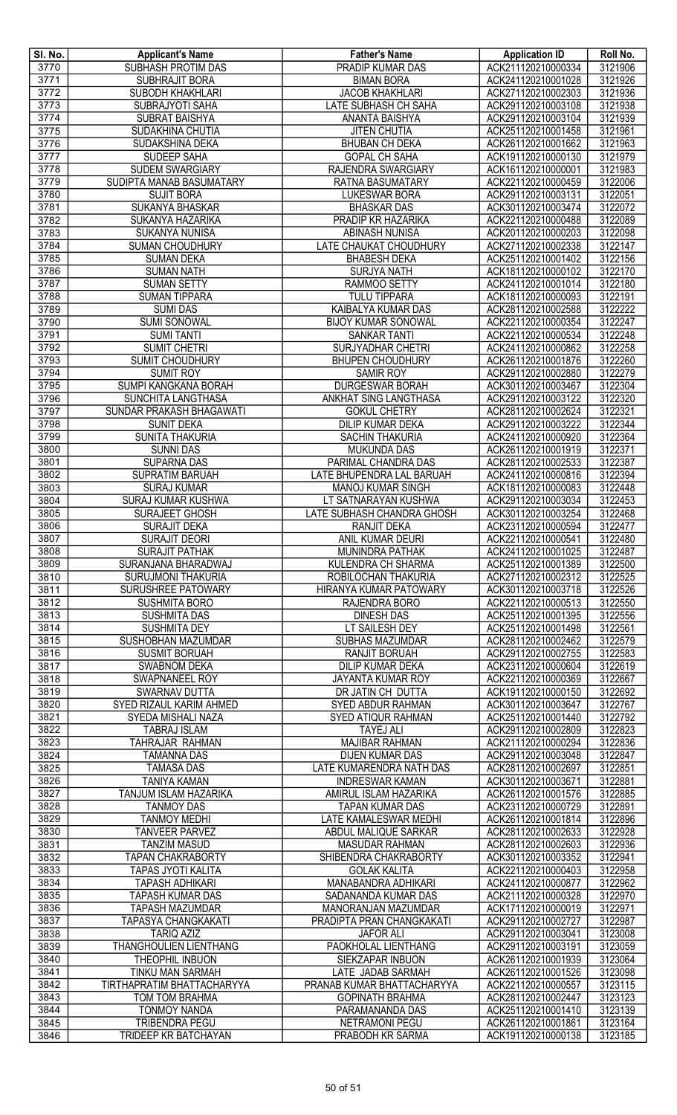| SI. No.      | <b>Applicant's Name</b>                            | <b>Father's Name</b>                           | <b>Application ID</b>                    | Roll No.           |
|--------------|----------------------------------------------------|------------------------------------------------|------------------------------------------|--------------------|
| 3770         | <b>SUBHASH PROTIM DAS</b>                          | <b>PRADIP KUMAR DAS</b>                        | ACK211120210000334                       | 3121906            |
| 3771         | SUBHRAJIT BORA                                     | <b>BIMAN BORA</b>                              | ACK241120210001028                       | 3121926            |
| 3772         | SUBODH KHAKHLARI                                   | <b>JACOB KHAKHLARI</b>                         | ACK271120210002303                       | 3121936            |
| 3773         | <b>SUBRAJYOTI SAHA</b>                             | LATE SUBHASH CH SAHA                           | ACK291120210003108                       | 3121938            |
| 3774         | <b>SUBRAT BAISHYA</b>                              | ANANTA BAISHYA                                 | ACK291120210003104                       | 3121939            |
| 3775         | SUDAKHINA CHUTIA                                   | <b>JITEN CHUTIA</b>                            | ACK251120210001458                       | 3121961            |
| 3776         | SUDAKSHINA DEKA                                    | <b>BHUBAN CH DEKA</b>                          | ACK261120210001662                       | 3121963            |
| 3777         | SUDEEP SAHA                                        | <b>GOPAL CH SAHA</b>                           | ACK191120210000130                       | 3121979            |
| 3778<br>3779 | <b>SUDEM SWARGIARY</b><br>SUDIPTA MANAB BASUMATARY | RAJENDRA SWARGIARY                             | ACK161120210000001                       | 3121983<br>3122006 |
| 3780         | <b>SUJIT BORA</b>                                  | RATNA BASUMATARY<br>LUKESWAR BORA              | ACK221120210000459<br>ACK291120210003131 | 3122051            |
| 3781         | <b>SUKANYA BHASKAR</b>                             | <b>BHASKAR DAS</b>                             | ACK301120210003474                       | 3122072            |
| 3782         | SUKANYA HAZARIKA                                   | PRADIP KR HAZARIKA                             | ACK221120210000488                       | 3122089            |
| 3783         | <b>SUKANYA NUNISA</b>                              | <b>ABINASH NUNISA</b>                          | ACK201120210000203                       | 3122098            |
| 3784         | <b>SUMAN CHOUDHURY</b>                             | LATE CHAUKAT CHOUDHURY                         | ACK271120210002338                       | 3122147            |
| 3785         | <b>SUMAN DEKA</b>                                  | <b>BHABESH DEKA</b>                            | ACK251120210001402                       | 3122156            |
| 3786         | <b>SUMAN NATH</b>                                  | <b>SURJYA NATH</b>                             | ACK181120210000102                       | 3122170            |
| 3787         | <b>SUMAN SETTY</b>                                 | RAMMOO SETTY                                   | ACK241120210001014                       | 3122180            |
| 3788         | <b>SUMAN TIPPARA</b>                               | <b>TULU TIPPARA</b>                            | ACK181120210000093                       | 3122191            |
| 3789         | <b>SUMI DAS</b>                                    | KAIBALYA KUMAR DAS                             | ACK281120210002588                       | 3122222            |
| 3790         | <b>SUMI SONOWAL</b>                                | <b>BIJOY KUMAR SONOWAL</b>                     | ACK221120210000354                       | 3122247            |
| 3791         | <b>SUMI TANTI</b>                                  | <b>SANKAR TANTI</b>                            | ACK221120210000534                       | 3122248            |
| 3792         | <b>SUMIT CHETRI</b>                                | <b>SURJYADHAR CHETRI</b>                       | ACK241120210000862                       | 3122258            |
| 3793         | SUMIT CHOUDHURY                                    | <b>BHUPEN CHOUDHURY</b>                        | ACK261120210001876                       | 3122260            |
| 3794         | <b>SUMIT ROY</b>                                   | SAMIR ROY                                      | ACK291120210002880                       | 3122279            |
| 3795         | SUMPI KANGKANA BORAH                               | <b>DURGESWAR BORAH</b>                         | ACK301120210003467                       | 3122304            |
| 3796         | SUNCHITA LANGTHASA                                 | ANKHAT SING LANGTHASA                          | ACK291120210003122                       | 3122320            |
| 3797<br>3798 | SUNDAR PRAKASH BHAGAWATI<br><b>SUNIT DEKA</b>      | <b>GOKUL CHETRY</b><br><b>DILIP KUMAR DEKA</b> | ACK281120210002624<br>ACK291120210003222 | 3122321<br>3122344 |
| 3799         | SUNITA THAKURIA                                    | <b>SACHIN THAKURIA</b>                         | ACK241120210000920                       | 3122364            |
| 3800         | <b>SUNNI DAS</b>                                   | <b>MUKUNDA DAS</b>                             | ACK261120210001919                       | 3122371            |
| 3801         | <b>SUPARNA DAS</b>                                 | PARIMAL CHANDRA DAS                            | ACK281120210002533                       | 3122387            |
| 3802         | SUPRATIM BARUAH                                    | LATE BHUPENDRA LAL BARUAH                      | ACK241120210000816                       | 3122394            |
| 3803         | <b>SURAJ KUMAR</b>                                 | <b>MANOJ KUMAR SINGH</b>                       | ACK181120210000083                       | 3122448            |
| 3804         | SURAJ KUMAR KUSHWA                                 | LT SATNARAYAN KUSHWA                           | ACK291120210003034                       | 3122453            |
| 3805         | SURAJEET GHOSH                                     | LATE SUBHASH CHANDRA GHOSH                     | ACK301120210003254                       | 3122468            |
| 3806         | SURAJIT DEKA                                       | <b>RANJIT DEKA</b>                             | ACK231120210000594                       | 3122477            |
| 3807         | <b>SURAJIT DEORI</b>                               | ANIL KUMAR DEURI                               | ACK221120210000541                       | 3122480            |
| 3808         | <b>SURAJIT PATHAK</b>                              | MUNINDRA PATHAK                                | ACK241120210001025                       | 3122487            |
| 3809         | SURANJANA BHARADWAJ                                | KULENDRA CH SHARMA                             | ACK251120210001389                       | 3122500            |
| 3810         | <b>SURUJMONI THAKURIA</b>                          | ROBILOCHAN THAKURIA                            | ACK271120210002312                       | 3122525            |
| 3811         | <b>SURUSHREE PATOWARY</b>                          | HIRANYA KUMAR PATOWARY                         | ACK301120210003718                       | 3122526            |
| 3812         | <b>SUSHMITA BORO</b>                               | RAJENDRA BORO                                  | ACK221120210000513                       | 3122550            |
| 3813         | <b>SUSHMITA DAS</b>                                | <b>DINESH DAS</b>                              | ACK251120210001395                       | 3122556            |
| 3814<br>3815 | <b>SUSHMITA DEY</b>                                | LT SAILESH DEY                                 | ACK251120210001498                       | 3122561<br>3122579 |
| 3816         | SUSHOBHAN MAZUMDAR<br><b>SUSMIT BORUAH</b>         | SUBHAS MAZUMDAR<br><b>RANJIT BORUAH</b>        | ACK281120210002462<br>ACK291120210002755 | 3122583            |
| 3817         | <b>SWABNOM DEKA</b>                                | <b>DILIP KUMAR DEKA</b>                        | ACK231120210000604                       | 3122619            |
| 3818         | SWAPNANEEL ROY                                     | JAYANTA KUMAR ROY                              | ACK221120210000369                       | 3122667            |
| 3819         | SWARNAV DUTTA                                      | DR JATIN CH DUTTA                              | ACK191120210000150                       | 3122692            |
| 3820         | SYED RIZAUL KARIM AHMED                            | <b>SYED ABDUR RAHMAN</b>                       | ACK301120210003647                       | 3122767            |
| 3821         | SYEDA MISHALI NAZA                                 | SYED ATIQUR RAHMAN                             | ACK251120210001440                       | 3122792            |
| 3822         | <b>TABRAJ ISLAM</b>                                | <b>TAYEJ ALI</b>                               | ACK291120210002809                       | 3122823            |
| 3823         | <b>TAHRAJAR RAHMAN</b>                             | <b>MAJIBAR RAHMAN</b>                          | ACK211120210000294                       | 3122836            |
| 3824         | <b>TAMANNA DAS</b>                                 | <b>DIJEN KUMAR DAS</b>                         | ACK291120210003048                       | 3122847            |
| 3825         | <b>TAMASA DAS</b>                                  | LATE KUMARENDRA NATH DAS                       | ACK281120210002697                       | 3122851            |
| 3826         | <b>TANIYA KAMAN</b>                                | <b>INDRESWAR KAMAN</b>                         | ACK301120210003671                       | 3122881            |
| 3827         | TANJUM ISLAM HAZARIKA                              | AMIRUL ISLAM HAZARIKA                          | ACK261120210001576                       | 3122885            |
| 3828         | <b>TANMOY DAS</b>                                  | <b>TAPAN KUMAR DAS</b>                         | ACK231120210000729                       | 3122891            |
| 3829         | <b>TANMOY MEDHI</b>                                | LATE KAMALESWAR MEDHI                          | ACK261120210001814                       | 3122896            |
| 3830<br>3831 | <b>TANVEER PARVEZ</b><br><b>TANZIM MASUD</b>       | ABDUL MALIQUE SARKAR<br><b>MASUDAR RAHMAN</b>  | ACK281120210002633<br>ACK281120210002603 | 3122928<br>3122936 |
| 3832         | <b>TAPAN CHAKRABORTY</b>                           | SHIBENDRA CHAKRABORTY                          | ACK301120210003352                       | 3122941            |
| 3833         | TAPAS JYOTI KALITA                                 | <b>GOLAK KALITA</b>                            | ACK221120210000403                       | 3122958            |
| 3834         | <b>TAPASH ADHIKARI</b>                             | <b>MANABANDRA ADHIKARI</b>                     | ACK241120210000877                       | 3122962            |
| 3835         | <b>TAPASH KUMAR DAS</b>                            | SADANANDA KUMAR DAS                            | ACK211120210000328                       | 3122970            |
| 3836         | <b>TAPASH MAZUMDAR</b>                             | <b>MANORANJAN MAZUMDAR</b>                     | ACK171120210000019                       | 3122971            |
| 3837         | <b>TAPASYA CHANGKAKATI</b>                         | PRADIPTA PRAN CHANGKAKATI                      | ACK291120210002727                       | 3122987            |
| 3838         | <b>TARIQ AZIZ</b>                                  | <b>JAFOR ALI</b>                               | ACK291120210003041                       | 3123008            |
| 3839         | THANGHOULIEN LIENTHANG                             | PAOKHOLAL LIENTHANG                            | ACK291120210003191                       | 3123059            |
| 3840         | THEOPHIL INBUON                                    | SIEKZAPAR INBUON                               | ACK261120210001939                       | 3123064            |
| 3841         | TINKU MAN SARMAH                                   | LATE JADAB SARMAH                              | ACK261120210001526                       | 3123098            |
| 3842         | TIRTHAPRATIM BHATTACHARYYA                         | PRANAB KUMAR BHATTACHARYYA                     | ACK221120210000557                       | 3123115            |
| 3843         | TOM TOM BRAHMA                                     | <b>GOPINATH BRAHMA</b>                         | ACK281120210002447                       | 3123123            |
| 3844         | <b>TONMOY NANDA</b>                                | PARAMANANDA DAS                                | ACK251120210001410                       | 3123139            |
| 3845         | <b>TRIBENDRA PEGU</b>                              | <b>NETRAMONI PEGU</b>                          | ACK261120210001861                       | 3123164            |
| 3846         | <b>TRIDEEP KR BATCHAYAN</b>                        | PRABODH KR SARMA                               | ACK191120210000138                       | 3123185            |